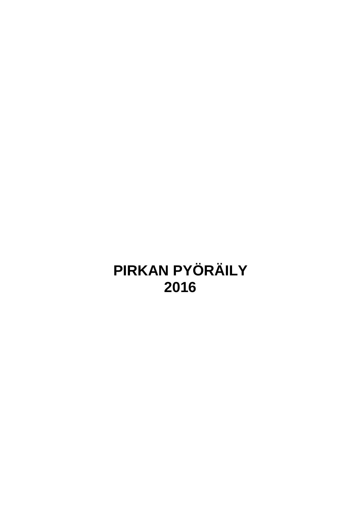# **PIRKAN PYÖRÄILY 2016**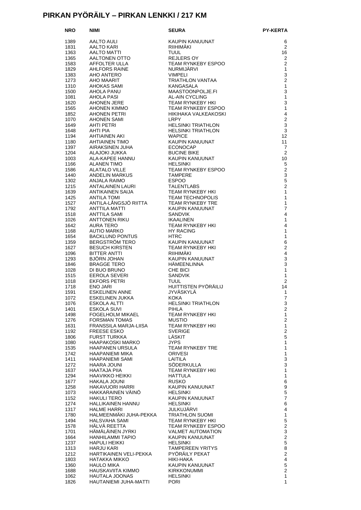#### **PIRKAN PYÖRÄILY – PIRKAN LENKKI / 217 KM**

| <b>NRO</b>   | NIMI                                                              | <b>SEURA</b>                                                                              | <b>PY-KERTA</b>                           |
|--------------|-------------------------------------------------------------------|-------------------------------------------------------------------------------------------|-------------------------------------------|
| 1389         | AALTO AULI                                                        | KAUPIN KANUUNAT                                                                           | 6                                         |
| 1831         | AALTO KARI                                                        | RIIHIMÄKI                                                                                 | $\overline{2}$                            |
| 1363         | AALTO MATTI                                                       | <b>TUUL</b>                                                                               | 16                                        |
| 1365         |                                                                   | <b>REJLERS OY</b>                                                                         | 2                                         |
| 1583         | AALTONEN OTTO<br>AFFOLTER ULLA<br>AHLFORS RAINE                   | TEAM RYNKEBY ESPOO                                                                        | $\overline{2}$                            |
| 1829         |                                                                   | NURMIJÄRVI                                                                                | $\mathbf{1}$                              |
| 1383<br>1273 | AHO ANTERO<br>AHO MAARIT                                          | <b>VIMPELI</b><br>TRIATHLON VANTAA                                                        | $\mathsf 3$<br>$\overline{2}$             |
| 1310         | AHOKAS SAMI                                                       | KANGASALA                                                                                 | 1                                         |
| 1500         | AHOLA PANU                                                        | MAASTOONPOLJE.FI                                                                          | 3                                         |
| 1081         | AHOLA PASI                                                        | AL-AIN CYCLING                                                                            | $\mathbf{1}$                              |
| 1620         | AHONEN JERE                                                       | <b>TEAM RYNKEBY HKI</b>                                                                   | 3                                         |
| 1565         | AHONEN KIMMO                                                      | TEAM RYNKEBY ESPOO                                                                        | $\mathbf{1}$                              |
| 1852         | AHONEN PETRI                                                      | HIKIHAKA VALKEAKOSKI                                                                      | $\overline{4}$                            |
| 1070         | AHONEN SAMI<br>AHTI PETRI                                         | LRPY<br><b>HELSINKI TRIATHLON</b>                                                         | $\overline{2}$<br>3                       |
| 1649<br>1648 | AHTI PIA                                                          | <b>HELSINKI TRIATHLON</b>                                                                 | 3                                         |
| 1194         | <b>AHTIAINEN AKI</b>                                              | HELSINN<br>WAPICE                                                                         | $12 \overline{ }$                         |
| 1180         | AHTIAINEN TIMO                                                    | KAUPIN KANUUNAT                                                                           | 11                                        |
| 1397         | AIRAKSINEN JUHA                                                   | ECONOCAP                                                                                  | 7                                         |
| 1204         | ALAJOKI JUKKA                                                     | <b>BUCINE BIKE</b>                                                                        | 2                                         |
| 1003         | ALA-KAPEE HANNU                                                   | KAUPIN KANUUNAT                                                                           | 10                                        |
| 1166         | ALANEN TIMO                                                       | <b>HELSINKI</b><br>TEAM RYNKEBY ESPOO                                                     | 5<br>$\overline{2}$                       |
| 1586<br>1440 | <b>ALATALO VILLE</b><br>ANDELIN MARKUS                            | <b>TAMPERE</b>                                                                            | 3                                         |
| 1302         | ANJALA RAIMO                                                      | ESPOO                                                                                     | $\sqrt{5}$                                |
| 1215         | ANTALAINEN LAURI                                                  | TALENTLABS<br>TEAM RYNKEBY HKI<br>TEAM TECHNOPOLIS<br>TEAM RYNKEBY TRE<br>KAUPIN KANUUNAT | $\overline{2}$                            |
| 1639         | ANTIKAINEN SAIJA                                                  |                                                                                           | $\mathbf{1}$                              |
| 1425         | <b>ANTILA TOMI</b>                                                |                                                                                           | $\mathbf{1}$                              |
| 1527         | ANTILA-LÅNGSJÖ RIITTA                                             |                                                                                           | $\mathbf{1}$                              |
| 1792         | ANTTILA MATTI<br>AN I TILA MATTI<br>ANTTILA SAMI<br>ANTTONEN RIKU |                                                                                           | $\overline{7}$                            |
| 1518         |                                                                   | <b>SANDVIK</b><br><b>IKAALINEN</b>                                                        | $\overline{4}$<br>$\mathbf{1}$            |
| 1026<br>1642 | AURA TERO                                                         | TEAM RYNKEBY HKI                                                                          | 4                                         |
| 1168         | AUTIO MARKO                                                       | I EAIT.<br>HY RACING                                                                      | 1                                         |
| 1654         | <b>BACKLUND PONTUS</b>                                            |                                                                                           | $\mathbf{1}$                              |
| 1359         | BERGSTRÖM TERO                                                    | HTRC<br>KAUPIN KANUUNAT<br>CYAIKERY HKI                                                   | $\,6$                                     |
| 1627         | <b>BESUCH KIRSTEN</b>                                             | TEAM RYNKEBY HKI                                                                          | $\overline{2}$                            |
| 1096         | BITTER ANTTI                                                      | RIIHIMÄKI                                                                                 | $\overline{4}$                            |
| 1293         | BJORN JOHAN                                                       | KAUPIN KANUUNAT<br>KAUPINAS<br>HÄMEENLINNA<br>DIOL                                        | 3                                         |
| 1846<br>1028 | BRAGGE TERO<br>DI BUO BRUNO                                       | CHE BICI                                                                                  | 3<br>$\mathbf{1}$                         |
| 1515         | EEROLA SEVERI                                                     | <b>SANDVIK</b>                                                                            | $\mathbf{1}$                              |
| 1018         | <b>EKFORS PETRI</b>                                               | <b>TUUL</b>                                                                               | $\overline{2}$                            |
| 1718         | <b>ENO JARI</b>                                                   | HUITTISTEN PYÖRÄILIJ                                                                      | 14                                        |
| 1591         | <b>ESKELINEN ANNE</b>                                             | <b>JYVÄSKYLÄ</b>                                                                          | $\mathbf{1}$                              |
| 1072         | ESKELINEN JUKKA                                                   | <b>KOKA</b>                                                                               | $\overline{7}$                            |
| 1076         | <b>ESKOLA ALTTI</b>                                               | <b>HELSINKI TRIATHLON</b>                                                                 | 3                                         |
| 1401         | ESKOLA SUVI                                                       | <b>PIHLA</b>                                                                              | $\mathbf{2}$                              |
| 1498<br>1276 | <b>FOGELHOLM MIKAEL</b><br><b>FORSMAN TOMAS</b>                   | TEAM RYNKEBY HKI<br><b>MUSTIO</b>                                                         | 1<br>$\mathbf{2}$                         |
| 1631         | FRANSSILA MARJA-LIISA                                             | TEAM RYNKEBY HKI                                                                          | $\mathbf{1}$                              |
| 1192         | <b>FREESE ESKO</b>                                                | <b>SVERIGE</b>                                                                            | $\overline{2}$                            |
| 1806         | <b>FURST TURKKA</b>                                               | LÄSKIT                                                                                    | $\mathbf 5$                               |
| 1080         | HAAPAKOSKI MARKO                                                  | <b>JYPS</b>                                                                               | $\mathbf{1}$                              |
| 1535         | HAAPANEN URSULA                                                   | <b>TEAM RYNKEBY TRE</b>                                                                   | $\mathbf{1}$                              |
| 1742<br>1411 | <b>HAAPANIEMI MIKA</b>                                            | <b>ORIVESI</b><br>LAITILA                                                                 | $\mathbf{1}$<br>3                         |
| 1272         | <b>HAAPANIEMI SAMI</b><br>HAARA JOUNI                             | SÖDERKULLA                                                                                | 3                                         |
| 1637         | <b>HAATAJA PIIA</b>                                               | TEAM RYNKEBY HKI                                                                          | $\mathbf{1}$                              |
| 1294         | HAAVIKKO HEIKKI                                                   | <b>HATTULA</b>                                                                            | 1                                         |
| 1677         | HAKALA JOUNI                                                      | <b>RUSKO</b>                                                                              | $\,6$                                     |
| 1258         | HAKAVUORI HARRI                                                   | KAUPIN KANUUNAT                                                                           | 9                                         |
| 1073         | HAKKARAINEN VAINO                                                 | <b>HELSINKI</b>                                                                           | $\mathbf 5$                               |
| 1152         | <b>HAKULI TERO</b>                                                | KAUPIN KANUUNAT                                                                           | $\overline{7}$                            |
| 1274<br>1317 | HALLIKAINEN HANNU<br><b>HALME HARRI</b>                           | <b>HELSINKI</b><br>JULKUJÄRVI                                                             | 6<br>$\overline{\mathbf{4}}$              |
| 1780         | HALMEENMÄKI JUHA-PEKKA                                            | <b>TRIATHLON SUOMI</b>                                                                    | $\mathbf{1}$                              |
| 1494         | HALSVAHA SAMI                                                     | TEAM RYNKEBY HKI                                                                          | 5                                         |
| 1578         | HALVA REETTA                                                      | TEAM RYNKEBY ESPOO                                                                        | $\overline{c}$                            |
| 1701         | HÄMÄLÄINEN JYRKI                                                  | <b>VALMET AUTOMATION</b>                                                                  | $\mathsf 3$                               |
| 1664         | HANHILAMMI TAPIO                                                  | KAUPIN KANUUNAT                                                                           | $\overline{c}$                            |
| 1237         | HAPULI HEIKKI                                                     | <b>HELSINKI</b>                                                                           | $\mathbf 5$                               |
| 1313         | HARJU KARI                                                        | <b>TAMPEREEN YRITYS</b>                                                                   | 8                                         |
| 1212<br>1803 | HARTIKAINEN VELI-PEKKA<br>HATAKKA MIKKO                           | PYÖRÄILY PEKAT<br>HIKI-HAKA                                                               | $\overline{2}$<br>$\overline{\mathbf{4}}$ |
| 1360         | <b>HAULO MIKA</b>                                                 | KAUPIN KANUUNAT                                                                           | $\mathbf 5$                               |
| 1688         | HAUSKAVIITA KIMMO                                                 | <b>KIRKKONUMMI</b>                                                                        | $\overline{2}$                            |
| 1062         | HAUTALA JOONAS                                                    | <b>HELSINKI</b>                                                                           | 1                                         |
| 1826         | HAUTANIEMI JUHA-MATTI                                             | <b>PORI</b>                                                                               | 1                                         |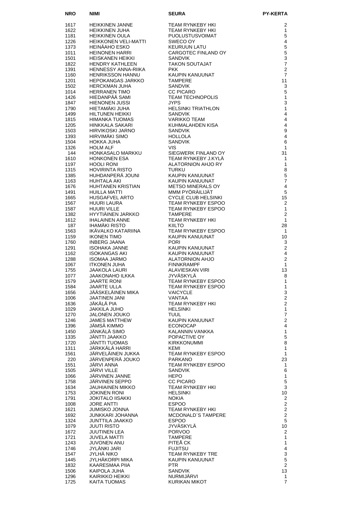| <b>NRO</b>   | <b>NIMI</b>                                      | <b>SEURA</b>                                     | <b>PY-KERTA</b>                         |
|--------------|--------------------------------------------------|--------------------------------------------------|-----------------------------------------|
| 1617         | HEIKKINEN JANNE                                  | TEAM RYNKEBY HKI                                 | 2                                       |
| 1622         | HEIKKINEN JUHA                                   | TEAM RYNKEBY HKI                                 | 1                                       |
| 1181         | HEIKKINEN OULA                                   | PUOLUSTUSVOIMAT                                  | 5                                       |
| 1226         | <b>HEIKKONEN VELI-MATTI</b>                      | SWECO OY                                         | $\overline{\mathbf{4}}$                 |
| 1373         | HEINÄAHO ESKO                                    | <b>KEURUUN LATU</b>                              | $\mathbf 5$                             |
| 1011<br>1501 | HEINONEN HARRI<br><b>HEISKANEN HEIKKI</b>        | CARGOTEC FINLAND OY<br><b>SANDVIK</b>            | $\mathbf 5$<br>$\mathsf 3$              |
| 1822         | HENDRY KATHLEEN                                  | <b>TAKON SOUTAJAT</b>                            | $\overline{7}$                          |
| 1391         | HENNESSY ANNA-RIIKA                              | PKK.                                             | $\overline{2}$                          |
| 1160         | <b>HENRIKSSON HANNU</b>                          | KAUPIN KANUUNAT                                  | $\overline{7}$                          |
| 1201<br>1502 | <b>HEPOKANGAS JARKKO</b><br><b>HERCKMAN JUHA</b> | <b>TAMPERE</b><br><b>SANDVIK</b>                 | 11<br>3                                 |
| 1014         | <b>HERRANEN TIMO</b>                             | <b>CC PICARO</b>                                 | $\sqrt{5}$                              |
| 1426         | HIEDANPÄÄ SAMI                                   | <b>TEAM TECHNOPOLIS</b>                          | $\mathbf{1}$                            |
| 1847         | HIENONEN JUSSI                                   | <b>JYPS</b>                                      | 3                                       |
| 1790<br>1499 | HIETAMAKI JUHA<br>HILTUNEN HEIKKI                | <b>HELSINKI TRIATHLON</b><br><b>SANDVIK</b>      | $\mathbf{1}$<br>$\overline{\mathbf{4}}$ |
| 1815         | HIMANKA TUOMAS                                   | <b>VARIKKO TEAM</b>                              | $\overline{4}$                          |
| 1205         | HINKKALA SAKARI                                  | KUHMALAHDEN KISA                                 | $\overline{4}$                          |
| 1503         | HIRVIKOSKI JARNO                                 | <b>SANDVIK</b>                                   | $\boldsymbol{9}$                        |
| 1393         | <b>HIRVIMAKI SIMO</b>                            | <b>HOLLOLA</b>                                   | $\overline{4}$                          |
| 1504<br>1326 | HOKKA JUHA<br><b>HOLM ALF</b>                    | <b>SANDVIK</b><br>VIS.                           | 6<br>1                                  |
| 144          | HONKASALO MARKKU                                 | SIEGWERK FINLAND OY                              | 31                                      |
| 1610         | <b>HONKONEN ESA</b>                              | TEAM RYNKEBY J.KYLÄ                              | 1                                       |
| 1197         | <b>HOOLI RONI</b>                                | ALATORNION AHJO RY                               | $\mathbf{1}$                            |
| 1315<br>1385 | <b>HOVIRINTA RISTO</b><br>HUHDANPERÄ JOUNI       | <b>TURKU</b><br>KAUPIN KANUUNAT                  | 8<br>$\sqrt{5}$                         |
| 1163         | HUHTALA AKI                                      | KAUPIN KANUUNAT                                  | $\overline{7}$                          |
| 1676         | HUHTANEN KRISTIAN                                | <b>METSO MINERALS OY</b>                         | $\overline{4}$                          |
| 1491         | HUILLA MATTI                                     | MMM PYORAILIJAT                                  | 5                                       |
| 1665<br>1567 | <b>HUSGAFVEL ARTO</b><br>HUURI LAURA             | <b>CYCLE CLUB HELSINKI</b><br>TEAM RYNKEBY ESPOO | 15<br>2                                 |
| 1587         | <b>HUURI VILLE</b>                               | <b>TEAM RYNKEBY ESPOO</b>                        | $\mathbf{1}$                            |
| 1382         | HYYTIÄINEN JARKKO                                | <b>TAMPERE</b>                                   | $\overline{2}$                          |
| 1612         | <b>IHALAINEN ANNE</b>                            | TEAM RYNKEBY HKI                                 | $\mathbf{1}$                            |
| 187<br>1563  | <b>IHAMÄKI RISTO</b>                             | <b>KIILTO</b>                                    | 28                                      |
| 1159         | IKAVALKO KATARIINA<br><b>IKONEN TIMO</b>         | <b>TEAM RYNKEBY ESPOO</b><br>KAUPIN KANUUNAT     | 1<br>10                                 |
| 1760         | INBERG JAANA                                     | <b>PORI</b>                                      | 3                                       |
| 1291         | ISOHAKA JANNE                                    | KAUPIN KANUUNAT                                  | $\overline{2}$                          |
| 1162         | ISOKANGAS AKI                                    | KAUPIN KANUUNAT                                  | 4                                       |
| 1288<br>1067 | <b>ISOMAA JARMO</b><br><b>ITKONEN JUHA</b>       | ALATORNION AHJO<br><b>FINNKRAMPF</b>             | 2<br>$\mathbf{1}$                       |
| 1755         | <b>JAAKOLA LAURI</b>                             | ALAVIESKAN VIRI                                  | 13                                      |
| 1077         | JAAKONAHO ILKKA                                  | JYVÄSKYLÄ                                        | 8                                       |
| 1579         | <b>JAARTE RONI</b><br><b>JAARTE ULLA</b>         | TEAM RYNKEBY ESPOO<br>TEAM RYNKEBY ESPOO         | 1                                       |
| 1584<br>1656 | JÄÄSKELÄINEN MIKA                                | <b>VAICYCLE</b>                                  | $\mathbf{1}$<br>3                       |
| 1006         | <b>JAATINEN JANI</b>                             | <b>VANTAA</b>                                    | $\overline{c}$                          |
| 1636         | JÄKÄLÄ PIA                                       | TEAM RYNKEBY HKI                                 | $\overline{2}$                          |
| 1029         | <b>JAKKILA JUHO</b>                              | <b>HELSINKI</b>                                  | $\mathbf{1}$                            |
| 1270<br>1246 | <b>JALONEN JOUKO</b><br><b>JAMES MATTHEW</b>     | <b>TUUL</b><br>KAUPIN KANUUNAT                   | $\overline{7}$<br>$\overline{2}$        |
| 1396         | JÄMSÄ KIMMO                                      | <b>ECONOCAP</b>                                  | $\overline{4}$                          |
| 1450         | JÄNKÄLÄ SIMO                                     | KALANNIN VANKKA                                  | $\mathbf{1}$                            |
| 1335         | JÄNTTI JAAKKO                                    | POPACTIVE OY                                     | 5                                       |
| 1720<br>1311 | JÄNTTI TUOMAS<br>JÄRKKÄLÄ HARRI                  | <b>KIRKKONUMMI</b><br>KEMI                       | 8<br>1                                  |
| 1561         | JÄRVELÄINEN JUKKA                                | TEAM RYNKEBY ESPOO                               | $\mathbf{1}$                            |
| 220          | JÄRVENPERÄ JOUKO                                 | <b>PARKANO</b>                                   | 23                                      |
| 1551         | JARVI ANNA                                       | TEAM RYNKEBY ESPOO                               | 1                                       |
| 1505<br>1066 | JÄRVI VILLE<br>JÄRVINEN JANNE                    | <b>SANDVIK</b><br><b>HEPO</b>                    | 6<br>$\mathbf{1}$                       |
| 1758         | JÄRVINEN SEPPO                                   | <b>CC PICARO</b>                                 | $\mathbf 5$                             |
| 1634         | JAUHIAINEN MIKKO                                 | TEAM RYNKEBY HKI                                 | 3                                       |
| 1753         | <b>JOKINEN RONI</b>                              | <b>HELSINKI</b>                                  | 10                                      |
| 1791<br>1008 | <b>JOKITALO IISAKKI</b><br><b>JORE ANTTI</b>     | <b>NOKIA</b><br><b>ESPOO</b>                     | 2<br>$\overline{2}$                     |
| 1621         | <b>JUMISKO JONNA</b>                             | TEAM RYNKEBY HKI                                 | 2                                       |
| 1692         | JUNKKARI JOHANNA                                 | MCDONALD'S TAMPERE                               | $\overline{2}$                          |
| 1324         | JUNTTILA JAAKKO                                  | <b>ESPOO</b>                                     | 5                                       |
| 1079<br>1672 | <b>JUUTI RISTO</b><br>JUUTINEN LEA               | JYVÄSKYLÄ<br><b>PORVOO</b>                       | 10<br>2                                 |
| 1721         | JUVELA MATTI                                     | <b>TAMPERE</b>                                   | $\mathbf{1}$                            |
| 1243         | JUVONEN ANU                                      | PITEĂ CK                                         | $\mathbf{1}$                            |
| 1746         | JYLÄNKI JARI                                     | <b>FUJITSU</b>                                   | $\overline{\mathbf{4}}$                 |
| 1547<br>1445 | JYLHÄ NIKO<br>JYLHÄKORPI MIKA                    | TEAM RYNKEBY TRE<br>KAUPIN KANUUNAT              | $\ensuremath{\mathsf{3}}$<br>5          |
| 1832         | KAARESMAA PIIA                                   | <b>PTR</b>                                       | $\overline{2}$                          |
| 1506         | KAIPOLA JUHA                                     | SANDVIK                                          | 13                                      |
| 1296         | KAIRIKKO HEIKKI                                  | NURMIJÄRVI                                       | 1                                       |
| 1725         | <b>KAITA TUOMAS</b>                              | KURIKAN MIKOT                                    | $\overline{7}$                          |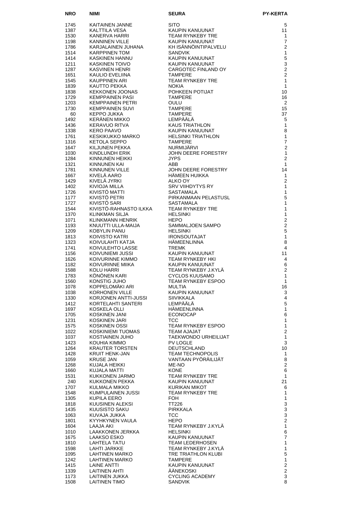| <b>NRO</b>   | NIMI                                       | <b>SEURA</b>                                                                  | <b>PY-KERTA</b>                  |
|--------------|--------------------------------------------|-------------------------------------------------------------------------------|----------------------------------|
| 1745         | KAITAINEN JANNE                            | <b>SITO</b>                                                                   | 5                                |
| 1387         | KALTTILA VESA                              | KAUPIN KANUUNAT                                                               | 11                               |
| 1530         | KANERVA HARRI                              | TEAM RYNKEBY TRE                                                              | 1                                |
| 1198         | KANNINEN VILLE                             | KAUPIN KANUUNAT                                                               | $\overline{7}$                   |
| 1786<br>1514 | KARJALAINEN JUHANA<br><b>KARPPINEN TOM</b> | KH ISÄNNÖINTIPALVELU<br><b>SANDVIK</b>                                        | $\overline{2}$<br>$\mathbf{1}$   |
| 1414         | KASKINEN HANNU                             | KAUPIN KANUUNAT                                                               | $\sqrt{5}$                       |
| 1211         | <b>KASKINEN TOIVO</b>                      | KAUPIN KANUUNAT                                                               | 3                                |
| 1287         | <b>KASVINEN HENRI</b>                      | CARGOTEC FINLAND OY                                                           | $\overline{2}$                   |
| 1651         | KAULIO EVELIINA                            | <b>TAMPERE</b>                                                                | $\overline{2}$                   |
| 1545<br>1839 | KAUPPINEN ARI<br>KAUTTO PEKKA              | TEAM RYNKEBY TRE<br><b>NOKIA</b>                                              | $\mathbf{1}$<br>$\mathbf{1}$     |
| 1838         | <b>KEKKONEN JOONAS</b>                     | POHKEEN POTIJAT                                                               | 10                               |
| 1729         | <b>KEMPPAINEN PASI</b>                     | <b>TAMPERE</b>                                                                | 16                               |
| 1203         | <b>KEMPPAINEN PETRI</b>                    | OULU                                                                          | 2                                |
| 1730         | <b>KEMPPAINEN SUVI</b>                     | <b>TAMPERE</b>                                                                | 15                               |
| 60<br>1492   | <b>KEPPO JUKKA</b><br>KERÂNEN MIKKO        | <b>TAMPERE</b><br>LEMPÄÄLÄ                                                    | 37<br>5                          |
| 1436         | KERAVUO RITVA                              | KAUS TRIATHLON                                                                | 1                                |
| 1338         | <b>KERO PAAVO</b>                          | KAUPIN KANUUNAT                                                               | 8                                |
| 1761         | KESKIKUKKO MARKO                           | <b>HELSINKI TRIATHLON</b>                                                     | 1                                |
| 1316<br>1647 | KETOLA SEPPO<br>KILJUNEN PEKKA             | <b>TAMPERE</b><br><b>NURMIJARVI</b>                                           | $\overline{7}$<br>$\overline{c}$ |
| 1030         | KINDLUNDH ERIK                             | JOHN DEERE FORESTRY                                                           | $\mathbf{1}$                     |
| 1284         | KINNUNEN HEIKKI                            | <b>JYPS</b>                                                                   | $\overline{2}$                   |
| 1321         | KINNUNEN KAI                               | ABB                                                                           | 1                                |
| 1781         | KINNUNEN VILLE                             | JOHN DEERE FORESTRY                                                           | 14                               |
| 1667<br>1429 | KIVELÄ AARO<br>KIVELÄ JYRKI                | HÄMEEN HUIKKA                                                                 | $\mathbf{1}$<br>$\overline{2}$   |
| 1402         | KIVIOJA MILLA                              | ANNELAN<br>SRV VIIHDYTYS RY<br>SASTAMALA<br>PIRKANMAAN PELASTUSL<br>SASTAMALA | $\mathbf{1}$                     |
| 1726         | KIVISTÖ MATTI                              |                                                                               | $\mathbf{1}$                     |
| 1177         | KIVISTÖ PETRI                              |                                                                               | 5                                |
| 1727         | KIVISTÖ SARI                               | SASTAMALA                                                                     | $\mathbf{1}$                     |
| 1544<br>1370 | KIVISTÖ-RAHNASTO ILKKA<br>KLINKMAN SILJA   | <b>TEAM RYNKEBY TRE</b><br><b>HELSINKI</b>                                    | 1<br>1                           |
| 1071         | KLINKMANN HENRIK                           | <b>HEPO</b>                                                                   | $\overline{2}$                   |
| 1193         | KNUUTTI ULLA-MAIJA                         | SAMMALJOEN SAMPO                                                              | $\overline{2}$                   |
| 1209         | KOBYLIN PANU                               | <b>HELSINKI</b>                                                               | 5                                |
| 1813         | KOIVISTO KATRI                             | <b>IRONSOUTAJAT</b><br>HÄMEENLINNA                                            | 1<br>8                           |
| 1323<br>1741 | KOIVULAHTI KATJA<br>KOIVULEHTO LASSE       | <b>TREMK</b>                                                                  | 4                                |
| 1156         | KOIVUNIEMI JUSSI                           | KAUPIN KANUUNAT                                                               | 11                               |
| 1626         | KOIVURINNE KIMMO                           | <b>TEAM RYNKEBY HKI</b>                                                       | 4                                |
| 1182         | KOIVURINNE MIIKA                           | KAUPIN KANUUNAT                                                               | 6                                |
| 1588<br>1783 | KOLU HARRI<br>KÖNÖNEN KARI                 | TEAM RYNKEBY J.KYLÄ<br><b>CYCLOS KUUSAMO</b>                                  | $\overline{2}$<br>1              |
| 1560         | KONSTIG JUHO                               | TEAM RYNKEBY ESPOO                                                            | 1                                |
| 1078         | KOPPELOMÄKI ARI                            | <b>MULTIA</b>                                                                 | 16                               |
| 1038         | <b>KORHONEN VILLE</b>                      | KAUPIN KANUUNAT                                                               | 3                                |
| 1330         | KORJONEN ANTTI-JUSSI<br>KORTELAHTI SANTERI | <b>SIIVIKKALA</b><br>LEMPÄÄLÄ                                                 | $\overline{4}$                   |
| 1412<br>1697 | KOSKELA OLLI                               | <b>HÄMEENLINNA</b>                                                            | 5<br>$\mathbf{1}$                |
| 1705         | KOSKINEN JANI                              | <b>ECONOCAP</b>                                                               | 6                                |
| 1231         | KOSKINEN JARI                              | TCC                                                                           | 1                                |
| 1575         | KOSKINEN OSSI                              | TEAM RYNKEBY ESPOO                                                            | 1                                |
| 1022<br>1037 | KOSKINIEMI TUOMAS<br>KOSTIAINEN JUHO       | TEAM AJAJAT<br><b>TAEKWONDO URHEILIJAT</b>                                    | $\overline{2}$<br>1              |
| 1423         | KOUHIA KIMMO                               | <b>PV LOGLE</b>                                                               | 3                                |
| 1264         | <b>KRAUTER TORSTEN</b>                     | <b>DEUTSCHLAND</b>                                                            | 10                               |
| 1428         | <b>KRUIT HENK-JAN</b>                      | <b>TEAM TECHNOPOLIS</b>                                                       | 1                                |
| 1059         | <b>KRUSE JAN</b>                           | VANTAAN PYÖRÄILIJÄT                                                           | 8<br>$\overline{2}$              |
| 1268<br>1660 | KUJALA HEIKKI<br>KUJALA MATTI              | ME-NO<br>KONE                                                                 | 6                                |
| 1531         | KUKKONEN JARMO                             | TEAM RYNKEBY TRE                                                              | 1                                |
| 240          | KUKKONEN PEKKA                             | KAUPIN KANUUNAT                                                               | 21                               |
| 1707         | KULMALA MIKKO                              | KURIKAN MIKOT                                                                 | 6                                |
| 1548<br>1305 | KUMPULAINEN JUSSI<br>KUPILA EERO           | TEAM RYNKEBY TRE<br><b>FOH</b>                                                | $\mathbf{1}$<br>$\mathbf{1}$     |
| 1818         | KUUSINEN ALEKSI                            | TT226                                                                         | 3                                |
| 1435         | KUUSISTO SAKU                              | PIRKKALA                                                                      | 3                                |
| 1063         | KUVAJA JUKKA                               | TCC                                                                           | $\mathsf 3$                      |
| 1801         | KYYHKYNEN VAULA                            | <b>HEPO</b>                                                                   | $\mathbf 2$                      |
| 1604<br>1010 | LAAJA AKI<br>LAAKKONEN JERKKA              | TEAM RYNKEBY J.KYLÄ<br><b>HELSINKI</b>                                        | $\mathbf{1}$<br>6                |
| 1675         | LAAKSO ESKO                                | KAUPIN KANUUNAT                                                               | $\overline{7}$                   |
| 1810         | LAHTELA TATU                               | <b>TEAM LEDERHOSEN</b>                                                        | 1                                |
| 1598         | LAHTI JARKKE                               | TEAM RYNKEBY J.KYLA                                                           | $\mathbf{1}$                     |
| 1095<br>1242 | LAHTINEN MARKO<br>LAHTINEN MARKO           | TRE TRIATHLON KLUBI<br><b>TAMPERE</b>                                         | 5<br>$\mathbf{1}$                |
| 1415         | LAINE ANTTI                                | KAUPIN KANUUNAT                                                               | $\overline{\mathbf{c}}$          |
| 1339         | <b>LAITINEN AHTI</b>                       | ÄÄNEKOSKI                                                                     | $\overline{c}$                   |
| 1173         | LAITINEN JUKKA                             | <b>CYCLING ACADEMY</b>                                                        | 3                                |
| 1508         | <b>LAITINEN TIMO</b>                       | <b>SANDVIK</b>                                                                | 8                                |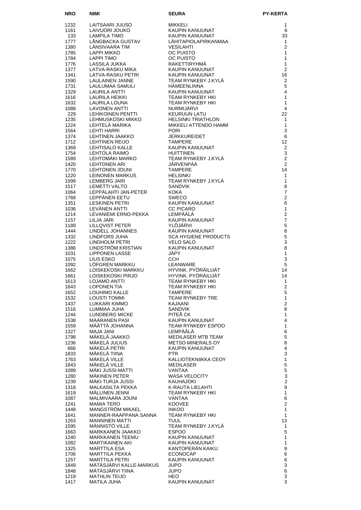| <b>NRO</b>   | <b>NIMI</b>                                      | <b>SEURA</b>                                   | <b>PY-KERTA</b>                    |
|--------------|--------------------------------------------------|------------------------------------------------|------------------------------------|
| 1232         | LAITSAARI JUUSO                                  | MIKKELI<br>KAUPIN KANUUNAT<br>KAUPIN KANUUNAT  | 1                                  |
| 1161         | LAIVUORI JOUKO                                   |                                                | 6                                  |
| 133          | LAMPILA TIMO                                     |                                                | 33                                 |
| 1777         | LÅNGBACKA GUSTAV                                 | LÄHITAPIOLAPIRKANMAA                           | $\mathbf{1}$<br>2                  |
| 1380<br>1785 | LÄNSIVAARA TIM<br><b>LAPPI MIKKO</b>             | <b>VESILAHTI</b><br>OC PUISTO                  | 1                                  |
| 1784         | <b>LAPPI TIMO</b>                                | <b>OC PUISTO</b>                               | $\mathbf{1}$                       |
| 1776         | LASSILA JUKKA                                    | RAKETTIRYHMÄ                                   | $\mathbf{1}$                       |
| 1377         | LATVA-RASKU MIKA                                 | KAUPIN KANUUNAT                                | 2                                  |
| 1341         | LATVA-RASKU PETRI                                | KAUPIN KANUUNAT                                | 16                                 |
| 1590<br>1731 | LAULAINEN JANNE<br>LAULUMAA SAMULI               | TEAM RYNKEBY J.KYLÄ<br><b>HÄMEENLINNA</b>      | $\mathbf{2}$<br>5                  |
| 1329         | LAURILA ANTTI                                    | KAUPIN KANUUNAT                                | 4                                  |
| 1616         | LAURILA HEIKKI                                   | <b>TEAM RYNKEBY HKI</b>                        | $\mathbf{1}$                       |
| 1632         | LAURILA LOUNA                                    | <b>TEAM RYNKEBY HKI</b>                        | $\mathbf{1}$                       |
| 1088<br>229  | <b>LAVONEN ANTTI</b><br><b>LEHIKOINEN PENTTI</b> | NURMIJÄRVI<br><b>KEURUUN LATU</b>              | $\overline{4}$<br>22               |
| 1235         | LEHMUSKOSKI MIKKO                                | <b>HELSINKI TRIATHLON</b>                      | $\mathbf{1}$                       |
| 1224         | LEHTELÄ MARIKA                                   | MIKKELI ATTENDO HAMM                           | $\mathbf{1}$                       |
| 1564         | <b>LEHTI HARRI</b>                               | <b>PORI</b>                                    | 3                                  |
| 1374<br>1712 | LEHTINEN JAAKKO<br><b>LEHTINEN REIJO</b>         | <b>JERKKUREIDET</b><br><b>TAMPERE</b>          | 6<br>12                            |
| 1369         | LEHTISALO KALLE                                  | KAUPIN KANUUNAT                                | 2                                  |
| 1754         | LEHTOLA RAIMO                                    | <b>HUITTINEN</b>                               | $\mathbf{3}$                       |
| 1589         | LEHTOMÄKI MARKO                                  | TEAM RYNKEBY J.KYLÄ                            | 2                                  |
| 1420<br>1770 | <b>LEHTONEN ARI</b><br>LEHTONEN JOUNI            | JÄRVENPÄÄ<br><b>TAMPERE</b>                    | 2<br>14                            |
| 1220         | LEINONEN MARKUS                                  | <b>HELSINKI</b>                                | $\mathbf{1}$                       |
| 1599         | LEMBERG JARI                                     | TEAM RYNKEBY J.KYLÄ                            | $\mathbf{1}$                       |
| 1517         | LEMETTI VALTO                                    | <b>SANDVIK</b>                                 | 8                                  |
| 1064         | LEPPÄLAHTI JAN-PETER                             | KOKA                                           | $\overline{7}$                     |
| 1768<br>1351 | LEPPÄNEN EETU<br>LESKINEN PETRI                  | <b>SWECO</b><br>KAUPIN KANUUNAT                | $\overline{2}$<br>6                |
| 1036         | LEVÄNEN ANTTI                                    | <b>CC PICARO</b>                               | 1                                  |
| 1214         | LEVANIEMI ERNO-PEKKA                             | LEMPÄÄLÄ                                       | $\overline{2}$                     |
| 1157         | LILJA JARI                                       | <b>KAUPIN KANUUNAT</b>                         | $\overline{7}$                     |
| 1189<br>1444 | <b>LILLQVIST PETER</b><br>LINDELL JOHANNES       | YLÖJÄRVI<br>KAUPIN KANUUNAT                    | $\overline{5}$<br>8                |
| 1332         | LINDFORS JUHA                                    | <b>SCA HYGIENE PRODUCTS</b>                    | 5                                  |
| 1222         | LINDHOLM PETRI                                   | <b>VELO SALO</b>                               | 3                                  |
| 1386         | LINDSTRÖM KRISTIAN                               | KAUPIN KANUUNAT                                | 8                                  |
| 1031<br>1075 | <b>LIPPONEN LASSE</b><br>LIUS ESKO               | JÄPY<br>CCH.                                   | $\mathbf{1}$<br>$\mathbf{3}$       |
| 1092         | LÖFGREN MARKKU                                   | LEANWARE                                       | 5                                  |
| 1662         | LOISKEKOSKI MARKKU                               | HYVINK, PYÖRÄILIJÄT                            | 14                                 |
| 1661         | LOISKEKOSKI PIRJO                                | HYVINK, PYÖRÄILIJÄT                            | 14                                 |
| 1613<br>1643 | LOJAMO ANTTI<br><b>LOPONEN TIA</b>               | TEAM RYNKEBY HKI<br>TEAM RYNKEBY HKI           | $\overline{1}$<br>$\boldsymbol{2}$ |
| 1652         | LOUHIMO KALLE                                    | <b>TAMPERE</b>                                 | $\sqrt{5}$                         |
| 1532         | LOUSTI TOMMI                                     | <b>TEAM RYNKEBY TRE</b>                        | $\mathbf{1}$                       |
| 1437         | LUKKARI KIMMO                                    | KAJAANI                                        | $\overline{2}$                     |
| 1516<br>1244 | LUMMAA JUHA<br><b>LUNDBERG MICKE</b>             | <b>SANDVIK</b><br>PITEĂ CK                     | 8<br>1                             |
| 1538         | <b>MAARANEN PASI</b>                             | KAUPIN KANUUNAT                                | $\overline{4}$                     |
| 1559         | MAATTA JOHANNA                                   | TEAM RYNKEBY ESPOO                             | 1                                  |
| 1327         | MAJA JANI                                        | LEMPÄÄLÄ                                       | $\,6$                              |
| 1798<br>1236 | MÄKELÄ JAAKKO<br>MÄKELÄ JULIUS                   | MEDILASER MTB TEAM<br><b>METSO MINERALS OY</b> | $\mathbf 5$<br>8                   |
| 666          | MAKELA PETRI                                     | KAUPIN KANUUNAT                                | $\overline{\mathbf{4}}$            |
| 1833         | MÄKELÄ TIINA                                     | PTR.                                           | 3                                  |
| 1763         | MÄKELÄ VILLE                                     | KALLIOTEKNIIKKA CEOY                           | $\mathbf{1}$                       |
| 1843<br>1089 | MÄKELÄ VILLE<br>MÄKI JUSSI-MATTI                 | MEDILASER<br>VANTAA                            | $\mathbf 5$<br>$\overline{5}$      |
| 1280         | MÄKINEN PETER                                    | <b>WASA VELOCITY</b>                           | 3                                  |
| 1239         | MÄKI-TURJA JUSSI                                 | KAUHAJOKI                                      | $\overline{c}$                     |
| 1318         | MALKASILTA PEKKA                                 | K-RAUTA LIELAHTI                               | 9                                  |
| 1619<br>1087 | MÄLLINEN JENNI<br>MALMIVAARA JOUNI               | TEAM RYNKEBY HKI<br>VANTAA                     | $\mathbf{1}$<br>6                  |
| 1241         | <b>MAMIA TERO</b>                                | <b>KOOVEE</b>                                  | 2                                  |
| 1448         | MANGSTRÖM MIKAEL                                 | <b>INKOO</b>                                   | $\mathbf{1}$                       |
| 1641         | MANNER-RAAPPANA SANNA                            | TEAM RYNKEBY HKI                               | $\mathbf{1}$                       |
| 1263         | <b>MANNINEN MATTI</b><br><b>MANNISTO VILLE</b>   | <b>TUUL</b><br>TEAM RYNKEBY J.KYLA             | 13                                 |
| 1595<br>1663 | MARKKANEN JAAKKO                                 | <b>ESPOO</b>                                   | 1<br>5                             |
| 1240         | MARKKANEN TEEMU                                  | KAUPIN KANUUNAT                                | $\mathbf{1}$                       |
| 1082         | MARTIKAINEN AKI                                  | KAUPIN KANUUNAT                                | $\mathbf{1}$                       |
| 1325         | <b>MARTTILA ESA</b>                              | KANTOPERAN KAIKU                               | 9                                  |
| 1706<br>1257 | MARTTILA PEKKA<br><b>MARTTILA PETRI</b>          | <b>ECONOCAP</b><br>KAUPIN KANUUNAT             | 6<br>6                             |
| 1849         | MÄTÄSJÄRVI KALLE-MARKUS                          | <b>JUPO</b>                                    | 3                                  |
| 1848         | MÄTÄSJÄRVI TIINA                                 | JUPO                                           | 6                                  |
| 1219<br>1417 | <b>MATHLIN TEIJO</b><br><b>MATILA JUHA</b>       | HEO.<br>KAUPIN KANUUNAT                        | $\mathsf 3$<br>3                   |
|              |                                                  |                                                |                                    |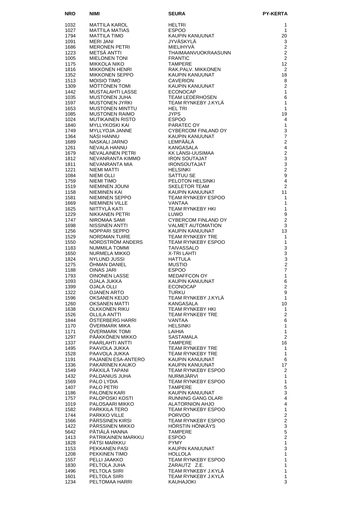| <b>NRO</b>   | NIMI                                             | <b>SEURA</b>                                    | <b>PY-KERTA</b>                           |
|--------------|--------------------------------------------------|-------------------------------------------------|-------------------------------------------|
| 1032         | MATTILA KAROL                                    | <b>HELTRI</b>                                   | 1                                         |
| 1027         | <b>MATTILA MATIAS</b>                            | <b>ESPOO</b>                                    | 1                                         |
| 1794         | <b>MATTILA TIMO</b>                              | KAUPIN KANUUNAT                                 | 20                                        |
| 1091<br>1686 | <b>MERI JANI</b><br><b>MERONEN PETRI</b>         | JYVÄSKYLÄ<br><b>MIELIHYVA</b>                   | 3<br>2                                    |
| 1223         | METSÄ ANTTI                                      | THAIMAANVUOKRAASUNN                             | $\overline{2}$                            |
| 1005         | <b>MIELONEN TONI</b>                             | <b>FRANTIC</b>                                  | $\overline{2}$                            |
| 1175<br>1816 | <b>MIKKOLA NIKO</b><br>MIKKONEN HENRI            | <b>TAMPERE</b><br>RAK.PALV. MIKKONEN            | 12<br>2                                   |
| 1352         | <b>MIKKONEN SEPPO</b>                            | <b>KAUPIN KANUUNAT</b>                          | 18                                        |
| 1513         | <b>MOISIO TIMO</b>                               | <b>CAVERION</b>                                 | 8                                         |
| 1309         | MÖTTÖNEN TOMI                                    | KAUPIN KANUUNAT                                 | $\overline{2}$                            |
| 1442<br>1035 | MUSTALAHTI LASSE<br><b>MUSTONEN JUHA</b>         | <b>ECONOCAP</b><br><b>TEAM LEDERHOSEN</b>       | 1<br>6                                    |
| 1597         | <b>MUSTONEN JYRKI</b>                            | TEAM RYNKEBY J.KYLÄ                             | $\mathbf{1}$                              |
| 1653         | <b>MUSTONEN MINTTU</b>                           | <b>HEL TRI</b>                                  | 1                                         |
| 1085<br>1024 | <b>MUSTONEN RAIMO</b><br><b>MUTIKAINEN RISTO</b> | <b>JYPS</b><br><b>ESPOO</b>                     | 19<br>4                                   |
| 1840         | <b>MYLLYKOSKI KAI</b>                            | PARATEC OY                                      | 1                                         |
| 1749         | <b>MYLLYOJA JANNE</b>                            | CYBERCOM FINLAND OY                             | 3                                         |
| 1364         | NÄSI HANNU                                       | KAUPIN KANUUNAT                                 | $\overline{7}$                            |
| 1689<br>1261 | NASKALI JARNO<br>NEVALA HANNU                    | LEMPÄÄLÄ<br>KANGASALA                           | $\overline{c}$<br>$\overline{\mathbf{4}}$ |
| 1679         | NEVALAINEN PETRI                                 | KK LÄNSI-UUSIMAA                                | $\mathbf 2$                               |
| 1812         | NEVANRANTA KIMMO                                 | <b>IRON SOUTAJAT</b>                            | 3                                         |
| 1811<br>1221 | NEVANRANTA MIA<br>NIEMI MATTI                    | <b>IRONSOUTAJAT</b>                             | $\mathsf 3$<br>$\overline{2}$             |
| 1084         | <b>NIEMI OLLI</b>                                | <b>HELSINKI</b><br>SATTUU SE                    | $\boldsymbol{9}$                          |
| 1759         | <b>NIEMI TIMO</b>                                | PELOTON HELSINKI                                | $\overline{\mathbf{4}}$                   |
| 1519         | NIEMINEN JOUNI                                   | <b>SKELETOR TEAM</b>                            | 2                                         |
| 1158<br>1581 | NIEMINEN KAI<br>NIEMINEN SEPPO                   | KAUPIN KANUUNAT<br>TEAM RYNKEBY ESPOO           | 11<br>1                                   |
| 1669         | NIEMINEN VILLE                                   | VANTAA                                          | 1                                         |
| 1625         | NIITTYLÄ KATI                                    | <b>TEAM RYNKEBY HKI</b>                         | 1                                         |
| 1229         | NIKKANEN PETRI                                   | <b>LUWO</b>                                     | 9                                         |
| 1747<br>1698 | NIROMAA SAMI<br>NISSINEN ANTTI                   | CYBERCOM FINLAND OY<br><b>VALMET AUTOMATION</b> | $\overline{c}$<br>3                       |
| 1256         | NOPPARI SEPPO                                    | KAUPIN KANUUNAT                                 | 13                                        |
| 1529         | <b>NORDMAN TUIRE</b>                             | <b>TEAM RYNKEBY TRE</b>                         | 1                                         |
| 1550<br>1183 | NORDSTRÖM ANDERS<br>NUMMILA TOMMI                | TEAM RYNKEBY ESPOO<br><b>TAIVASSALO</b>         | 1<br>$\mathsf 3$                          |
| 1650         | NURMELA MIKKO                                    | X-TRI LAHTI                                     | 3                                         |
| 1824         | NYLUND JUSSI                                     | <b>HATTULA</b>                                  | 3                                         |
| 1275         | <b>OHMAN DANIEL</b>                              | <b>MUSTIO</b>                                   | $\overline{c}$<br>$\overline{7}$          |
| 1188<br>1793 | OINAS JARI<br><b>OINONEN LASSE</b>               | <b>ESPOO</b><br><b>MEDAFFCON OY</b>             | 1                                         |
| 1093         | OJALA JUKKA                                      | KAUPIN KANUUNAT                                 | 6                                         |
| 1399         | <b>OJALA OLLI</b>                                | <b>ECONOCAP</b>                                 | 2                                         |
| 1322<br>1596 | <b>OJANEN ARTO</b><br>OKSANEN KEIJO              | <b>TURKU</b><br>TEAM RYNKEBY J.KYLA             | 9<br>$\mathbf{1}$                         |
| 1260         | <b>OKSANEN MATTI</b>                             | KANGASALA                                       | 10                                        |
| 1638         | OLKKONEN RIKU                                    | TEAM RYNKEBY HKI                                | 1                                         |
| 1526         | <b>OLLILA ANTTI</b><br>ÖSTERBERG HARRI           | TEAM RYNKEBY TRE                                | $\overline{2}$                            |
| 1844<br>1170 | <b>OVERMARK MIKA</b>                             | VANTAA<br><b>HELSINKI</b>                       | 6<br>1                                    |
| 1171         | ÖVERMARK TOMI                                    | LAIHIA                                          | $\mathbf{1}$                              |
| 1297         | PÄÄKKÖNEN MIKKO                                  | <b>SASTAMALA</b>                                | $\overline{2}$                            |
| 1337<br>1495 | PAARLAHTI ANTTI<br>PAAVOLA JUKKA                 | <b>TAMPERE</b><br>TEAM RYNKEBY TRE              | 16<br>1                                   |
| 1528         | PAAVOLA JUKKA                                    | TEAM RYNKEBY TRE                                | $\mathbf{1}$                              |
| 1191         | PAJANEN ESA-ANTERO                               | KAUPIN KANUUNAT                                 | 6                                         |
| 1336         | PAKARINEN KAUKO                                  | KAUPIN KANUUNAT                                 | 17                                        |
| 1549<br>1432 | PÄKKILÄ TAPANI<br>PALDANIUS JUHA                 | TEAM RYNKEBY ESPOO<br>NURMIJÄRVI                | 2<br>1                                    |
| 1569         | PALO LYDIA                                       | TEAM RYNKEBY ESPOO                              | $\mathbf{1}$                              |
| 1407         | PALO PETRI                                       | TAMPERE                                         | $\mathbf 5$                               |
| 1186<br>1757 | PALONEN KARI<br>PALOPOSKI KOSTI                  | KAUPIN KANUUNAT<br>RUNNING GANG OLARI           | 3<br>$\overline{\mathbf{4}}$              |
| 1019         | PALOSAARI MIKKO                                  | ALATORNION AHJO                                 | $\overline{\mathbf{4}}$                   |
| 1582         | PARKKILA TERO                                    | <b>TEAM RYNKEBY ESPOO</b>                       | $\mathbf{1}$                              |
| 1744         | PARKKO VILLE                                     | <b>PORVOO</b>                                   | $\boldsymbol{2}$                          |
| 1566<br>1422 | PÄRSSINEN KIRSI<br>PÄRSSINEN MIKKO               | TEAM RYNKEBY ESPOO<br>HÖRSTIN HÖNKÄYS           | $\boldsymbol{2}$<br>3                     |
| 5642         | PÄTIÄLÄ HANNA                                    | <b>TAMPERE</b>                                  | $\mathbf 5$                               |
| 1413         | PATRIKAINEN MARKKU                               | <b>ESPOO</b>                                    | $\overline{2}$                            |
| 1828<br>1153 | <b>PATSI MARKKU</b><br>PEKKANEN PASI             | <b>PYMY</b><br>KAUPIN KANUUNAT                  | $\mathbf{1}$<br>3                         |
| 1208         | PEKKINEN TIMO                                    | <b>HOLLOLA</b>                                  | $\mathbf{1}$                              |
| 1557         | PELLI JAAKKO                                     | TEAM RYNKEBY ESPOO                              | 1                                         |
| 1830         | PELTOLA JUHA                                     | ZARAUTZ Z.E.                                    | 1                                         |
| 1496<br>1601 | PELTOLA SIIRI<br>PELTOLA SIIRI                   | TEAM RYNKEBY J.KYLÄ<br>TEAM RYNKEBY J.KYLA      | 1<br>1                                    |
| 1234         | PELTOMAA HARRI                                   | <b>KAUHAJOKI</b>                                | 3                                         |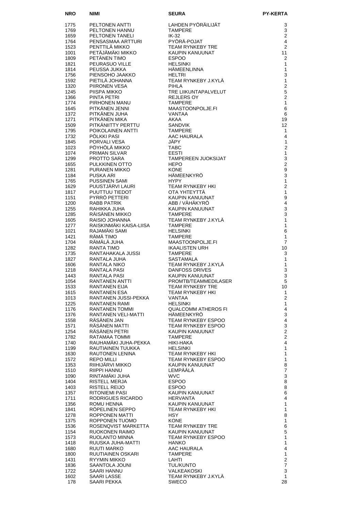| <b>NRO</b>   | <b>NIMI</b>                             | <b>SEURA</b>                               | <b>PY-KERTA</b>                             |
|--------------|-----------------------------------------|--------------------------------------------|---------------------------------------------|
| 1775         | <b>PELTONEN ANTTI</b>                   | LAHDEN PYÖRÄILIJÄT                         | 3                                           |
| 1769         | PELTONEN HANNU                          | <b>TAMPERE</b>                             | 3                                           |
| 1659         | <b>PELTONEN TANELI</b>                  | IK-32                                      | $\overline{2}$                              |
| 1764<br>1523 | PENSASMAA ARTTURI<br>PENTTILÄ MIKKO     | PYÖRÄ-POJAT<br><b>TEAM RYNKEBY TRE</b>     | 4<br>$\overline{2}$                         |
| 1001         | PETÄJÄMÄKI MIKKO                        | KAUPIN KANUUNAT                            | 11                                          |
| 1809         | PETÄNEN TIMO                            | <b>ESPOO</b>                               | 2                                           |
| 1821         | PEURASUO VILLE                          | <b>HELSINKI</b>                            | 1                                           |
| 1814<br>1756 | PEUSSA JUKKA<br>PIENSOHO JAAKKO         | <b>HÄMEENLINNA</b><br><b>HELTRI</b>        | 1<br>3                                      |
| 1592         | PIETILÄ JOHANNA                         | TEAM RYNKEBY J.KYLÄ                        | 1                                           |
| 1320         | PIIRONEN VESA                           | PIHLA                                      | $\overline{c}$                              |
| 1245         | PIISPA MIKKO                            | TRE LIIKUNTAPALVELUT                       | 5                                           |
| 1366<br>1774 | PINTA PETRI<br>PIRHONEN MANU            | <b>REJLERS OY</b><br><b>TAMPERE</b>        | $\overline{2}$<br>1                         |
| 1645         | PITKÄNEN JENNI                          | MAASTOONPOLJE.FI                           | 6                                           |
| 1372         | PITKÄNEN JUHA                           | VANTAA                                     | 6                                           |
| 1271         | PITKÄNEN MIKA                           | AKAA                                       | 19                                          |
| 1509         | PITKÄNIITTY PERTTU                      | <b>SANDVIK</b>                             | 12                                          |
| 1795<br>1732 | POIKOLAINEN ANTTI<br><b>POLKKI PASI</b> | <b>TAMPERE</b><br>AAC HAURALA              | 1<br>4                                      |
| 1845         | PORVALI VESA                            | JÄPY                                       | 1                                           |
| 1023         | PÖYHÖLÄ MIKKO                           | <b>TABC</b>                                | $\overline{2}$                              |
| 1074<br>1299 | <b>PRIMAN SILVAR</b><br>PROTTO SARA     | <b>EESTI</b>                               | 1<br>3                                      |
| 1655         | PULKKINEN OTTO                          | <b>TAMPEREEN JUOKSIJAT</b><br><b>HEPO</b>  | $\overline{c}$                              |
| 1281         | PURANEN MIKKO                           | <b>KONE</b>                                | 9                                           |
| 1184         | <b>PUSKA ARI</b>                        | HÄMEENKYRÖ                                 | 3                                           |
| 1765         | <b>PUSSINEN SAMI</b>                    | <b>HYPY</b>                                | 1                                           |
| 1629<br>1817 | PUUSTJÄRVI LAURI<br>PUUTTUU TIEDOT      | <b>TEAM RYNKEBY HKI</b><br>OTA YHTEYTTÄ    | $\overline{2}$<br>1                         |
| 1151         | PYRRÖ PETTERI                           | <b>KAUPIN KANUUNAT</b>                     | $\boldsymbol{9}$                            |
| 1200         | <b>RABB PATRIK</b>                      | ABB / VÄHÄKYRÖ                             | 4                                           |
| 1255         | RAHIKKA JUHA                            | <b>KAUPIN KANUUNAT</b>                     | 3                                           |
| 1285<br>1605 | RÄISÄNEN MIKKO<br>RAISIO JOHANNA        | <b>TAMPERE</b><br>TEAM RYNKEBY J.KYLÄ      | 3<br>$\mathbf{1}$                           |
| 1277         | RAISKINMÄKI KAISA-LIISA                 | <b>TAMPERE</b>                             | 1                                           |
| 1021         | RAJAMÄKI SAMI                           | <b>HELSINKI</b>                            | 6                                           |
| 1421         | RÄMÄ TIMO                               | <b>TAMPERE</b>                             | 1                                           |
| 1704<br>1282 | RÄMÄLÄ JUHA<br><b>RANTA TIMO</b>        | MAASTOONPOLJE.FI<br><b>IKAALISTEN URH</b>  | $\overline{7}$<br>10                        |
| 1735         | RANTAHAKALA JUSSI                       | <b>TAMPERE</b>                             | 3                                           |
| 1827         | RANTALA JUHA                            | <b>SASTAMALA</b>                           | 1                                           |
| 1606         | RANTALA NIKO                            | TEAM RYNKEBY J.KYLÄ                        | 1                                           |
| 1218<br>1443 | RANTALA PASI<br><b>RANTALA PASI</b>     | <b>DANFOSS DRIVES</b><br>KAUPIN KANUUNAT   | 3<br>3                                      |
| 1054         | RANTANEN ANTTI                          | PROMTB/TEAMMEDILASER                       | 5                                           |
| 1533         | RANTANEN EIJA                           | <b>TEAM RYNKEBY TRE</b>                    | 10                                          |
| 1615         | <b>RANTANEN ESA</b>                     | TEAM RYNKEBY HKI                           | 1                                           |
| 1013<br>1225 | RANTANEN JUSSI-PEKKA<br>RANTANEN RAMI   | VANTAA<br><b>HELSINKI</b>                  | $\boldsymbol{2}$<br>$\mathbf{1}$            |
| 1176         | <b>RANTANEN TOMMI</b>                   | <b>QUALCOMM ATHEROS FI</b>                 | $\overline{\mathbf{4}}$                     |
| 1376         | RANTANEN VELI-MATTI                     | HÄMEENKYRÖ                                 | $\mathsf 3$                                 |
| 1558         | RÄSÄNEN JAN<br>RÄSÄNEN MATTI            | TEAM RYNKEBY ESPOO                         | $\overline{\mathbf{4}}$<br>$\mathsf 3$      |
| 1571<br>1254 | RÄSÄNEN PETRI                           | TEAM RYNKEBY ESPOO<br>KAUPIN KANUUNAT      | $\overline{c}$                              |
| 1782         | RATAMAA TOMMI                           | <b>TAMPERE</b>                             | $\mathbf 2$                                 |
| 1740         | RAUHAMÄKI JUHA-PEKKA                    | HIKI-HAKA                                  | $\overline{\mathbf{4}}$                     |
| 1199         | RAUTIAINEN TUUKKA<br>RAUTONEN LENINA    | <b>HELSINKI</b><br><b>TEAM RYNKEBY HKI</b> | $\mathbf{1}$<br>$\mathbf{1}$                |
| 1630<br>1572 | REPO MILLI                              | TEAM RYNKEBY ESPOO                         | $\mathbf{1}$                                |
| 1353         | RIIHIJARVI MIKKO                        | KAUPIN KANUUNAT                            | 8                                           |
| 1510         | RIIPPI HANNU                            | LEMPÄÄLÄ                                   | $\overline{\mathbf{7}}$                     |
| 1090<br>1404 | RINTAMAKI JUHA<br>RISTELL MERJA         | <b>WVC</b><br><b>ESPOO</b>                 | $\mathsf 3$<br>8                            |
| 1403         | RISTELL REIJO                           | <b>ESPOO</b>                               | 8                                           |
| 1357         | RITONIEMI PASI                          | KAUPIN KANUUNAT                            | 6                                           |
| 1711         | RODRIGUES RICARDO                       | <b>HERVANTA</b>                            | 4                                           |
| 1356<br>1841 | ROMU HENNA<br>RÖPELINEN SEPPO           | KAUPIN KANUUNAT<br>TEAM RYNKEBY HKI        | $\mathbf{1}$<br>$\mathbf{1}$                |
| 1278         | ROPPONEN MATTI                          | HSY.                                       | 8                                           |
| 1375         | ROPPONEN TUOMO                          | <b>KONE</b>                                | $\mathbf{1}$                                |
| 1536         | ROSENQVIST MARKETTA                     | TEAM RYNKEBY TRE                           | $\,6$                                       |
| 1154<br>1573 | RUOKONEN RAIMO<br>RUOLANTO MINNA        | KAUPIN KANUUNAT<br>TEAM RYNKEBY ESPOO      | $\mathbf 5$<br>$\mathbf{1}$                 |
| 1418         | RUUSKA JUHA-MATTI                       | <b>HANKO</b>                               | $\mathbf{1}$                                |
| 1680         | RUUTI MARKO                             | AAC HAURALA                                | 4                                           |
| 1800         | RUUTIAINEN OSKARI                       | <b>TAMPERE</b>                             | $\mathbf{1}$                                |
| 1431<br>1836 | RYYMIN MIKKO<br>SAANTOLA JOUNI          | LAHTI<br><b>TUL/KUNTO</b>                  | $\boldsymbol{2}$<br>$\overline{\mathbf{7}}$ |
| 1722         | SAARI HANNU                             | VALKEAKOSKI                                | $\mathsf 3$                                 |
| 1602         | SAARI LASSE                             | TEAM RYNKEBY J.KYLÄ                        | $\mathbf{1}$                                |
| 178          | SAARI PEKKA                             | <b>SWECO</b>                               | 28                                          |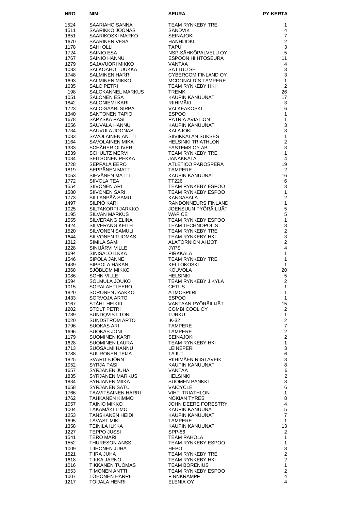| <b>NRO</b>   | NIMI                                    | <b>SEURA</b>                                      | <b>PY-KERTA</b>                |
|--------------|-----------------------------------------|---------------------------------------------------|--------------------------------|
| 1524         | SAARIAHO SANNA                          | TEAM RYNKEBY TRE                                  | 1                              |
| 1511         | SAARIKKO JOONAS                         | <b>SANDVIK</b>                                    | 4                              |
| 1851         | SAARIKOSKI MARKO                        | <b>SEINÄJOKI</b>                                  | 7                              |
| 1670         | SAARINEN VESA                           | <b>HANHIJOKI</b>                                  | $\overline{2}$                 |
| 1178<br>1724 | SAHI OLLI                               | <b>TAPU</b><br>NSP-SÄHKÖPALVELU OY                | 3<br>5                         |
| 1767         | SAINIO ESA<br>SAINIO HANNU              | ESPOON HIIHTOSEURA                                | 11                             |
| 1279         | SAJAVUORI MIKKO                         | <b>VANTAA</b>                                     | $\overline{4}$                 |
| 1083         | SALKOAHO TUUKKA                         | SATTUU SE                                         | 3                              |
| 1748         | SALMINEN HARRI                          | CYBERCOM FINLAND OY                               | 3                              |
| 1693<br>1635 | SALMINEN MIKKO<br><b>SALO PETRI</b>     | MCDONALD'S TAMPERE<br>TEAM RYNKEBY HKI            | $\mathbf{1}$<br>$\overline{2}$ |
| 198          | SALOKANNEL MARKUS                       | <b>TREMK</b>                                      | 26                             |
| 1051         | <b>SALONEN ESA</b>                      | KAUPIN KANUUNAT                                   | 17                             |
| 1842         | SALONIEMI KARI                          | RIIHIMÄKI                                         | 3                              |
| 1723         | SALO-SAARI SIRPA                        | VALKEAKOSKI                                       | 6                              |
| 1340<br>1678 | SANTONEN TAPIO<br>SAPYSKA PASI          | <b>ESPOO</b><br>PATRIA AVIATION                   | $\mathbf{1}$<br>$\mathbf{1}$   |
| 1056         | SAUVALA HANNU                           | KAUPIN KANUUNAT                                   | $\mathsf 3$                    |
| 1734         | SAUVULA JOONAS                          | KAUPIN KA<br>KALAJOKI                             | 3                              |
| 1033         | SAVOLAINEN ANTTI                        | SIIVIKKALAN SUKSES                                | $\mathbf{1}$                   |
| 1164<br>1333 | SAVOLAINEN MIKA<br>SCHARER OLIVER       | <b>HELSINKI TRIATHLON</b><br><b>FASTEMS OY AB</b> | $\overline{c}$<br>3            |
| 1539         | SCHULTZ MERVI                           | TEAM RYNKEBY TRE                                  | $\mathbf{1}$                   |
| 1034         | SEITSONEN PEKKA                         | JANAKKALA                                         | $\overline{4}$                 |
| 1728         | SEPPÂLÂ EERO                            | ATLETICO PAROSPERA                                | 19                             |
| 1819<br>1053 | SEPPÄNEN MATTI<br>SIEVÄNEN MATTI        | <b>TAMPERE</b><br>KAUPIN KANUUNAT                 | 2                              |
| 1772         | SIIVOLA TEA                             | TT226                                             | 16<br>6                        |
| 1554         | <b>SIIVONEN ARI</b>                     | TEAM RYNKEBY ESPOO                                | 3                              |
| 1580         | SIIVONEN SARI                           | TEAM RYNKEBY ESPOO                                | 1                              |
| 1773         | SILLANPÄÄ SAMU                          | KANGASALA                                         | $\overline{2}$                 |
| 1497<br>1025 | SILPIÖ KARI<br>SILTAKORPI JARKKO        | RANDONNEURS FINLAND<br>JOENSUUN PYÖRÄILIJÄT       | $\mathbf{1}$<br>5              |
| 1195         | SILVAN MARKUS                           | <b>WAPICE</b>                                     | 5                              |
| 1555         | SILVERANG ELINA                         | TEAM RYNKEBY ESPOO                                | $\mathbf{1}$                   |
| 1424         | SILVERANG KEITH                         | <b>TEAM TECHNOPOLIS</b>                           | 3                              |
| 1520         | SILVONEN SAMULI                         | TEAM RYNKEBY TRE                                  | $\overline{2}$<br>3            |
| 1644<br>1312 | <b>SILVONEN TUOMAS</b><br>SIMILA SAMI   | TEAM RYNKEBY HKI<br>ALATORNION AHJOT              | $\overline{2}$                 |
| 1228         | SINIJÄRVI VILLE                         | <b>JYPS</b>                                       | 4                              |
| 1694         | SINISALO ILKKA                          | PIRKKALA                                          | 1                              |
| 1546         | SIPOLA JANNE                            | TEAM RYNKEBY TRE                                  | 1                              |
| 1439<br>1368 | SIPPOLA HÀKAN<br>SJÖBLOM MIKKO          | <b>KELLOKOSKI</b><br><b>KOUVOLA</b>               | $\mathbf{1}$<br>20             |
| 1086         | <b>SOHN VILLE</b>                       | <b>HELSINKI</b>                                   | 5                              |
| 1594         | SOLMULA JOUKO                           | TEAM RYNKEBY J.KYLA                               | $\overline{2}$                 |
| 1015         | SORALAHTI EERO                          | <b>CETUS</b>                                      | $\mathbf{1}$                   |
| 1820<br>1433 | SORONEN JAAKKO<br>SORVOJA ARTO          | <b>ATMOSPIIRI</b><br><b>ESPOO</b>                 | 1<br>$\mathbf{1}$              |
| 1167         | STÅHL HEIKKI                            | VANTAAN PYÖRÄILIJÄT                               | 15                             |
| 1202         | STOLT PETRI                             | COMBI COOL OY                                     | 2                              |
| 1789         | SUNDQVIST TONI                          | TURKU                                             | $\mathbf{1}$                   |
| 1020<br>1796 | SUNDSTROM ARTO<br><b>SUOKAS ARI</b>     | $IK-32$<br><b>TAMPERE</b>                         | $\overline{2}$<br>7            |
| 1696         | <b>SUOKAS JONI</b>                      | <b>TAMPERE</b>                                    | $\overline{2}$                 |
| 1179         | <b>SUOMINEN KARRI</b>                   | <b>SEINÄJOKI</b>                                  | $\mathbf{2}$                   |
| 1628         | SUOMINEN LAURA                          | TEAM RYNKEBY HKI                                  | $\mathbf{1}$                   |
| 1713<br>1788 | SUOSALMI HANNU<br><b>SUURONEN TEIJA</b> | <b>LEINEPERI</b><br><b>TAJUT</b>                  | 3<br>6                         |
| 1825         | SVÄRD BJÖRN                             | RIIHIMÄEN RIISTAVEIK                              | $\mathsf 3$                    |
| 1052         | SYRJÄ PASI                              | KAUPIN KANUUNAT                                   | 8                              |
| 1657         | SYRJÄNEN JUHA                           | VANTAA                                            | 6                              |
| 1835         | SYRJÄNEN MARKUS                         | <b>HELSINKI</b>                                   | $\overline{2}$                 |
| 1834<br>1658 | SYRJÄNEN MIIKA<br>SYRJÄNEN SATU         | <b>SUOMEN PANKKI</b><br><b>VAICYCLE</b>           | 3<br>6                         |
| 1766         | TAAVITSAINEN HARRI                      | <b>VIHTI TRIATHLON</b>                            | $\mathbf{1}$                   |
| 1762         | TAHKANEN KIMMO                          | <b>NOKIAN TYRES</b>                               | 8                              |
| 1057         | <b>TAINIO MIKKO</b>                     | JOHN DEERE FORESTRY                               | $\overline{\mathbf{4}}$        |
| 1004<br>1253 | TAKAMÄKI TIMO<br>TANSKANEN HEIDI        | KAUPIN KANUUNAT<br>KAUPIN KANUUNAT                | $\mathbf 5$<br>$\overline{7}$  |
| 1695         | <b>TAVAST MIKI</b>                      | <b>TAMPERE</b>                                    | $\mathbf{1}$                   |
| 1358         | TEINILÄ ILKKA                           | KAUPIN KANUUNAT                                   | 13                             |
| 1227         | <b>TEPPO JUSSI</b>                      | <b>SPP-56</b>                                     | 2                              |
| 1541<br>1552 | <b>TERO MARI</b><br>THURESON ANSSI      | TEAM RAHOLA<br>TEAM RYNKEBY ESPOO                 | 1<br>1                         |
| 1009         | TIIHONEN JUHA                           | <b>HEPO</b>                                       | 8                              |
| 1521         | TIIRA JUHA                              | TEAM RYNKEBY TRE                                  | $\overline{2}$                 |
| 1618         | TIKKA JARNO                             | TEAM RYNKEBY HKI                                  | $\overline{2}$                 |
| 1016<br>1553 | TIKKANEN TUOMAS<br>TIMONEN ANTTI        | <b>TEAM BORENIUS</b><br>TEAM RYNKEBY ESPOO        | $\mathbf{1}$<br>$\overline{2}$ |
| 1007         | <b>TOHONEN HARRI</b>                    | <b>FINNKRAMPF</b>                                 | $\overline{4}$                 |
| 1217         | <b>TOIJALA HENRI</b>                    | <b>ELENIA OY</b>                                  | 4                              |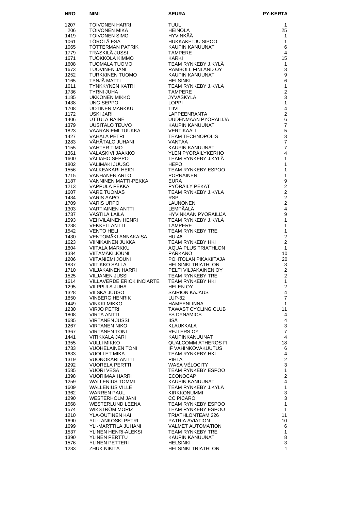| <b>NRO</b>   | NIMI                                               | <b>SEURA</b>                                 | <b>PY-KERTA</b>                  |
|--------------|----------------------------------------------------|----------------------------------------------|----------------------------------|
| 1207         | TOIVONEN HARRI                                     | TUUL                                         | 1                                |
| 206          | TOIVONEN MIKA                                      | <b>HEINOLA</b>                               | 25                               |
| 1419         | TOIVONEN SIMO                                      | <b>HYVINKÄÄ</b>                              | $\mathbf{1}$                     |
| 1061         | TÖRÖLÄ ESA                                         | HUKKAKETJU SIPOO                             | 1                                |
| 1065         | TÖTTERMAN PATRIK                                   | KAUPIN KANUUNAT                              | 6                                |
| 1779         | TRÄSKILÄ JUSSI                                     | <b>TAMPERE</b>                               | 4                                |
| 1671<br>1608 | TUOKKOLA KIMMO<br><b>TUOMALA TUOMO</b>             | KARKI<br>TEAM RYNKEBY J.KYLÄ                 | 15<br>$\mathbf{1}$               |
| 1673         | <b>TUOVINEN JANI</b>                               | RAMBOLL FINLAND OY                           | 3                                |
| 1252         | <b>TURKKINEN TUOMO</b>                             | <b>KAUPIN KANUUNAT</b>                       | 9                                |
| 1165         | <b>TYNJÄ MATTI</b>                                 | <b>HELSINKI</b>                              | 6                                |
| 1611         | <b>TYNKKYNEN KATRI</b>                             | TEAM RYNKEBY J.KYLÄ                          | 1                                |
| 1736         | <b>TYRNI JUHA</b>                                  | <b>TAMPERE</b>                               | $\overline{2}$                   |
| 1185         | <b>UKKONEN MIKKO</b>                               | JYVÄSKYLÄ                                    | 3                                |
| 1438<br>1708 | UNG SEPPO<br>UOTINEN MARKKU                        | <b>LOPPI</b><br><b>TIIVI</b>                 | 1<br>4                           |
| 1172         | USKI JARI                                          | <b>LAPPEENRANTA</b>                          | $\overline{c}$                   |
| 1406         | UTTULA RAINE                                       | UUDENMAAN PYÖRÄILIJÄ                         | $\,6$                            |
| 1379         | UUSITALO TEUVO                                     | KAUPIN KANUUNAT                              | $\overline{7}$                   |
| 1823         | VAARANIEMI TUUKKA                                  | VERTIKAALI                                   | 5                                |
| 1427         | <b>VAHALA PETRI</b>                                | <b>TEAM TECHNOPOLIS</b>                      | 3                                |
| 1283         | VÄHÄTALO JUHANI                                    | <b>VANTAA</b>                                | $\overline{7}$<br>$\overline{7}$ |
| 1155<br>1361 | <b>VAHTER TIMO</b><br>VALASKIVI JAAKKO             | KAUPIN KANUUNAT<br>YLEN PYÖRÄILYKERHO        | 4                                |
| 1600         | VÄLIAHO SEPPO                                      | TEAM RYNKEBY J.KYLÄ                          | 1                                |
| 1802         | VÄLIMÄKI JUUSO                                     | <b>HEPO</b>                                  | 1                                |
| 1556         | VALKEAKARI HEIDI                                   | TEAM RYNKEBY ESPOO                           | 1                                |
| 1715         | <b>VANHANEN ARTO</b>                               | <b>PORNAINEN</b>                             | 1                                |
| 1187         | VANNINEN MATTI-PEKKA                               | <b>EURA</b>                                  | 9                                |
| 1213         | VAPPULA PEKKA                                      | PYÖRÄILY PEKAT                               | $\overline{c}$                   |
| 1607<br>1434 | VÄRE TUOMAS<br><b>VARIS AAPO</b>                   | TEAM RYNKEBY J.KYLÄ<br><b>RSP</b>            | $\overline{2}$<br>$\overline{2}$ |
| 1709         | <b>VARIS URPO</b>                                  | <b>LAUNONEN</b>                              | $\overline{2}$                   |
| 1303         | <b>VARTIAINEN ANTTI</b>                            | LEMPÄÄLÄ                                     | $\overline{4}$                   |
| 1737         | VÄSTILÄ LAILA                                      | HYVINKÄÄN PYÖRÄILIJÄ                         | 9                                |
| 1593         | VEHVILÄINEN HENRI                                  | TEAM RYNKEBY J.KYLÄ                          | $\mathbf{1}$                     |
| 1238         | <b>VEKKELI ANTTI</b>                               | <b>TAMPERE</b>                               | 1                                |
| 1542         | <b>VENTO HELI</b>                                  | <b>TEAM RYNKEBY TRE</b>                      | 1                                |
| 1430<br>1623 | VENTOMÄKI ANNAKAISA<br>VIINIKAINEN JUKKA           | <b>HU-46</b><br><b>TEAM RYNKEBY HKI</b>      | $\overline{c}$<br>$\overline{2}$ |
| 1804         | VIITALA MARKKU                                     | <b>AQUA PLUS TRIATHLON</b>                   | $\mathbf{1}$                     |
| 1384         | VIITAMÄKI JOUNI                                    | <b>PARKANO</b>                               | 10                               |
| 1206         | <b>VIITANIEMI JOUNI</b>                            | POHTOLAN PIKAKIITÄJÄ                         | 20                               |
| 1837         | <b>VIITIKKO SALLA</b>                              | <b>HELSINKI TRIATHLON</b>                    | 3                                |
| 1710         | <b>VILJAKAINEN HARRI</b>                           | PELTI VILJAKAINEN OY                         | 2                                |
| 1525<br>1614 | <b>VILJANEN JUSSI</b><br>VILLAVERDE ERICK INCIARTE | TEAM RYNKEBY TRE<br>TEAM RYNKEBY HKI         | $\overline{2}$<br>1              |
| 1295         | VILPPULA JUHA                                      | HELEN OY                                     | $\mathbf 2$                      |
| 1328         | VILSKA JUUSO                                       | <b>SAIRION KAJAUS</b>                        | $\overline{4}$                   |
| 1850         | VINBERG HENRIK                                     | <b>LUP-82</b>                                | $\overline{7}$                   |
| 1449         | VINKKI MIKKO                                       | <b>HAMEENLINNA</b>                           | 1                                |
| 1230         | VIRJO PETRI                                        | TAWAST CYCLING CLUB                          | 11                               |
| 1808         | <b>VIRTA ANTTI</b><br><b>VIRTANEN JUSSI</b>        | <b>FS DYNAMICS</b><br><b>IISÄ</b>            | 4<br>$\overline{\mathbf{4}}$     |
| 1685<br>1267 | <b>VIRTANEN NIKO</b>                               | KLAUKKALA                                    | 3                                |
| 1367         | <b>VIRTANEN TONI</b>                               | REJLERS OY                                   | $\overline{7}$                   |
| 1441         | VITIKKALA JARI                                     | KAUPINKANUUNAT                               | 4                                |
| 1355         | <b>VULLI MIKKO</b>                                 | QUALCOMM ATHEROS FI                          | 18                               |
| 1733         | <b>VUOHELAINEN TONI</b>                            | IF VAHINKOVAKUUTUS                           | 6                                |
| 1633         | <b>VUOLLET MIKA</b>                                | <b>TEAM RYNKEBY HKI</b>                      | $\overline{4}$                   |
| 1319<br>1292 | VUONOKARI ANTTI<br><b>VUORELA PERTTI</b>           | PIHLA<br>WASA VÉLOCITY                       | $\overline{c}$<br>3              |
| 1585         | VUORI VESA                                         | TEAM RYNKEBY ESPOO                           | $\mathbf{1}$                     |
| 1398         | VUORIMAA HARRI                                     | <b>ECONOCAP</b>                              | $\overline{2}$                   |
| 1259         | <b>WALLENIUS TOMMI</b>                             | KAUPIN KANUUNAT                              | $\overline{4}$                   |
| 1609         | <b>WALLENIUS VILLE</b>                             | TEAM RYNKEBY J.KYLA                          | $\mathbf{1}$                     |
| 1362         | WARREN PAUL                                        | <b>KIRKKONUMMI</b>                           | $\ensuremath{\mathsf{3}}$        |
| 1290         | WESTERHOLM JANI                                    | <b>CC PICARO</b>                             | 3<br>$\mathbf{1}$                |
| 1568<br>1574 | WESTERLUND LEENA<br><b>WIKSTROM MORIZ</b>          | TEAM RYNKEBY ESPOO<br>TEAM RYNKEBY ESPOO     | $\mathbf{1}$                     |
| 1210         | YLA-OUTINEN KAI                                    | TRIATHLONTEAM 226                            | 11                               |
| 1690         | YLI-LANKOSKI PETRI                                 | PATRIA AVIATION                              | 10                               |
| 1699         | YLI-MARTTILA JUHANI                                | <b>VALMET AUTOMATION</b>                     | 6                                |
| 1537         | YLINEN HENRI-ALEKSI                                | <b>TEAM RYNKEBY TRE</b>                      | 1                                |
| 1390         | YLINEN PERTTU                                      | KAUPIN KANUUNAT                              | 8                                |
| 1576<br>1233 | YLINEN PETTERI<br><b>ZHUK NIKITA</b>               | <b>HELSINKI</b><br><b>HELSINKI TRIATHLON</b> | 3<br>$\mathbf{1}$                |
|              |                                                    |                                              |                                  |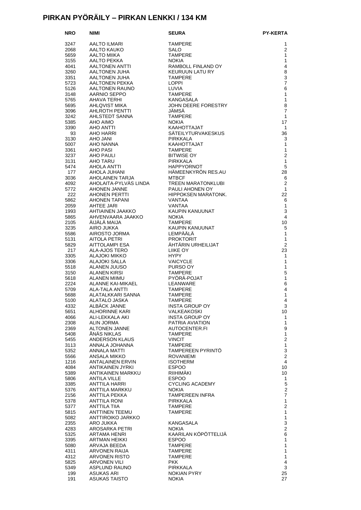#### **PIRKAN PYÖRÄILY – PIRKAN LENKKI / 134 KM**

| <b>NRO</b>   | <b>NIMI</b>                                     | <b>SEURA</b>                                                               | <b>PY-KERTA</b>    |
|--------------|-------------------------------------------------|----------------------------------------------------------------------------|--------------------|
| 3247         | AALTO ILMARI                                    | <b>TAMPERE</b>                                                             | 1                  |
| 2068         | AALTO KAUKO                                     | SALO                                                                       | 2                  |
| 5659         | AALTO MIIKA                                     | <b>TAMPERE</b>                                                             | 1                  |
| 3155         | AALTO PEKKA                                     | <b>NOKIA</b>                                                               | 1                  |
| 4041         | AALTONEN ANTTI                                  | RAMBOLL FINLAND OY                                                         | $\overline{4}$     |
| 3260         | AALTONEN JUHA                                   | KEURUUN LATU RY                                                            | 8                  |
| 3351         | AALTONEN JUHA                                   | TAMPERE                                                                    | 3                  |
| 5723         | AALTONEN PEKKA                                  | LOPPI                                                                      | $\overline{7}$     |
| 5126         | AALTONEN RAUNO                                  | LUVIA                                                                      | 6                  |
| 3148         | AARNIO SEPPO                                    | <b>TAMPERE</b>                                                             | $\mathbf{1}$       |
| 5765         | AHAVA TERHI                                     | KANGASALA                                                                  | $\mathbf{1}$       |
| 5695         | <b>AHLQVIST MIKA</b>                            | JOHN DEERE FORESTRY                                                        | 8                  |
| 3096         | AHLROTH PENTTI                                  | JÄMSÄ                                                                      | $\overline{7}$     |
| 3242         | AHLSTEDT SANNA                                  | <b>TAMPERE</b>                                                             | $\mathbf{1}$       |
| 5385         | AHO AIMO                                        | <b>NOKIA</b>                                                               | 17                 |
| 3390         | AHO ANTTI                                       | KAAHOTTAJAT                                                                | $\overline{1}$     |
| 93           | AHO HARRI                                       | SÄTEILYTURVAKESKUS                                                         | 36                 |
| 3130         | <b>AHO JANI</b>                                 | PIRKKALA                                                                   | 3                  |
| 5007         | AHO NANNA                                       | KAAHOTTAJAT                                                                | $\mathbf{1}$       |
| 3361         | AHO PASI                                        | TAMPERE                                                                    | $\mathbf{1}$       |
| 3237         | AHO PAULI                                       | <b>BITWISE OY</b>                                                          | $\overline{2}$     |
| 3131         | AHO TARU                                        |                                                                            | $\mathbf{1}$       |
| 5474         |                                                 |                                                                            | 5                  |
| 177          | <b>ALIQLA ANTTI</b><br>AHOLA JUHANI<br>AHOLALLE |                                                                            | 28                 |
| 3036         | AHOLAINEN TARJA                                 | , <sub>US</sub> KKALA<br>HAPPYORNOT<br>HÄMEENKYRÖN RES.AU<br>MEBEF<br>MERE | 6                  |
| 4092         | AHOLAITA-PYLVÄS LINDA                           | TREEN MARATONKLUBI                                                         | 2                  |
| 5772<br>222  | AHONEN JANNE<br>AHONEN PERTTI                   | PAULI AHONEN OY<br>HIPPOKSEN MARATONK.                                     | $\mathbf{1}$<br>22 |
| 5862         | AHONEN TAPANI                                   | VANTAA                                                                     | 6                  |
| 2059         | AHTEE JARI                                      | VANTAA                                                                     | 1                  |
| 1993         | AHTIAINEN JAAKKO                                | KAUPIN KANUUNAT                                                            | 3                  |
| 5865         | AHVENVAARA JAAKKO                               | <b>NOKIA</b>                                                               | $\overline{4}$     |
| 2105         | AIJALA MAIJA                                    | TAMPERE                                                                    | 10                 |
| 3235         | AIRO JUKKA                                      | KAUPIN KANUUNAT                                                            | 5                  |
| 5586         | AIROSTO JORMA                                   | LEMPÄÄLÄ                                                                   | 1                  |
| 5131         | AITOLA PETRI                                    | <b>PROKTORIT</b>                                                           | $\mathbf{1}$       |
| 5829         | AITTOLAMPI ESA                                  | ÄHTÄRIN URHEILIJAT                                                         | 2                  |
| 217          | ALA-AJOS TERO                                   | LIIKE OY                                                                   | 23                 |
| 3305         | ALAJOKI MIKKO                                   | HYPY                                                                       | 1                  |
| 3306         | ALAJOKI SALLA                                   | VAICYCLE                                                                   | $\mathbf{1}$       |
| 5518         | ALANEN JUUSO                                    | PURSO OY                                                                   | $\mathbf{1}$       |
| 3150         | <b>ALANEN KIRSI</b>                             | TAMPERE                                                                    | 5                  |
| 5618         | <b>ALANEN MIIMU</b>                             | PYORA-POJAT                                                                | $\mathbf{1}$       |
| 2224         | ALANNE KAI-MIKAEL<br><b>ALA-TALA ANTTI</b>      | LEANWARE<br><b>TAMPERE</b>                                                 | 6<br>4             |
| 5709<br>5688 | ALATALKKARI SANNA                               | <b>TAMPERE</b>                                                             | 1                  |
| 5100         | ALATALO JASKA                                   | TAMPERE                                                                    | 4                  |
| 4332         | ALBACK JANNE                                    | INSTA GROUP OY                                                             | 3                  |
| 5651         | ALHORINNE KARI                                  | VALKEAKOSKI                                                                | 10                 |
| 4066         | ALI-LEKKALA AKI                                 | <b>INSTA GROUP OY</b>                                                      | 1                  |
| 2308         | ALIN JORMA                                      | PATRIA AVIATION                                                            | $\mathbf{1}$       |
| 2369         | ALTONEN JANNE                                   | AUTOCENTER.FI                                                              | 9                  |
| 5408         | ÅNÄS NIKLAS                                     | <b>TAMPERE</b>                                                             | $\mathbf{1}$       |
| 5455         | ANDERSON KLAUS                                  | <b>VINCIT</b>                                                              | $\overline{2}$     |
| 3113         | ANNALA JOHANNA                                  | <b>TAMPERE</b>                                                             | $\mathbf{1}$       |
| 5352         | ANNALA MATTI                                    | <b>TAMPEREEN PYRINTO</b>                                                   | 3                  |
| 5566         | ANSALA MIKKO                                    | <b>ROVANIEMI</b>                                                           | $\overline{2}$     |
| 1216         | <b>ANTALAINEN ERVIN</b>                         | <b>ISOTHERM</b>                                                            | 4                  |
| 4084         | ANTIKAINEN JYRKI                                | <b>ESPOO</b>                                                               | 10                 |
| 5389         | ANTIKAINEN MARKKU                               | RIIHIMÄKI                                                                  | 10                 |
| 5806         | <b>ANTILA VILLE</b>                             | <b>ESPOO</b><br><b>CYCLING ACADEMY</b>                                     | 1<br>5             |
| 3385<br>5376 | ANTTILA HARRI<br>ANTTILA MARKKU                 | <b>NOKIA</b>                                                               | $\mathbf{2}$       |
| 2156         | ANTTILA PEKKA                                   | <b>TAMPEREEN INFRA</b>                                                     | $\overline{7}$     |
| 5378         | ANTTILA RONI                                    | PIRKKALA                                                                   | 1                  |
| 5377         | <b>ANTTILA TIIA</b>                             | <b>TAMPERE</b>                                                             | $\overline{2}$     |
| 5815         | ANTTINEN TEEMU                                  | <b>TAMPERE</b>                                                             | 1                  |
| 5082         | ANTTIROIKO JARKKO                               |                                                                            | $\mathbf{1}$       |
| 2355         | ARO JUKKA                                       | KANGASALA                                                                  | 3                  |
| 4283         | AROSARKA PETRI                                  | <b>NOKIA</b>                                                               | $\overline{2}$     |
| 5325         | ARTAMA HENRI                                    | KAARILAN KÖPÖTTELIJÄ                                                       | 6                  |
| 3395         | ARTMAN HEIKKI                                   | <b>ESPOO</b>                                                               | $\mathbf{1}$       |
| 5080         | ARVAJA BEEDA                                    | <b>TAMPERE</b>                                                             | 1                  |
| 4311         | ARVONEN RAIJA                                   | <b>TAMPERE</b>                                                             | 1                  |
| 4312         | ARVONEN RISTO                                   | <b>TAMPERE</b>                                                             | $\mathbf{1}$       |
| 5825         | <b>ARVONEN VILI</b>                             | <b>PKK</b>                                                                 | 4                  |
| 5349<br>199  | ASPLUND RAUNO<br><b>ASUKAS ARI</b>              | <b>PIRKKALA</b><br><b>NOKIAN PYRY</b>                                      | 3<br>25            |
| 191          | <b>ASUKAS TAISTO</b>                            | <b>NOKIA</b>                                                               | 27                 |
|              |                                                 |                                                                            |                    |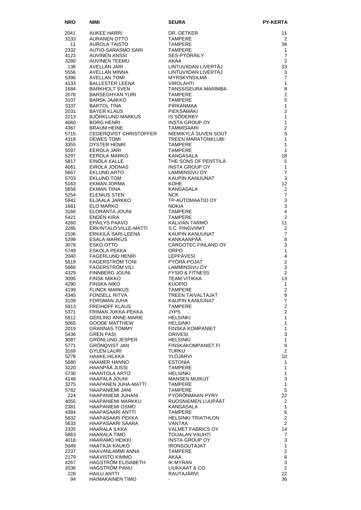| <b>NRO</b>   | NIMI<br><b>NIMI</b><br>AUKEE HARRI                                                                                                                                          | <b>SEURA</b>                                                                                                                                                              | <b>PY-KERTA</b>                  |
|--------------|-----------------------------------------------------------------------------------------------------------------------------------------------------------------------------|---------------------------------------------------------------------------------------------------------------------------------------------------------------------------|----------------------------------|
| 2041         |                                                                                                                                                                             | DR. OETKER                                                                                                                                                                | 11                               |
| 3133         | AURANEN OTTO<br>AUROLA TAISTO                                                                                                                                               | <b>TAMPERE</b>                                                                                                                                                            | 2                                |
| 11           |                                                                                                                                                                             | TAMPERE                                                                                                                                                                   | 38                               |
| 2332         | AUTIO-SARASMO SARI                                                                                                                                                          | <b>TAMPERE</b><br>SES-PYÖRÄILY                                                                                                                                            | $\mathbf{1}$<br>$\overline{7}$   |
| 4123<br>3280 | AUVINEN ANSSI                                                                                                                                                               | AKAA                                                                                                                                                                      | 2                                |
| 136          | AUVINEN TEEMU<br>AVELLAN JARI                                                                                                                                               | LINTUVIIDAN LIVERTÄJ                                                                                                                                                      | 33                               |
| 5556         | AVELLAN MINNA                                                                                                                                                               | LINTUVIIDAN LIVERTÄJ<br>MYRSKYNSILMÄ                                                                                                                                      | 3                                |
| 5396         | AVELLAN TOMI                                                                                                                                                                | <b>MYRSKYNSILMA</b><br><b>VIROLAHTI</b>                                                                                                                                   | $\overline{7}$                   |
| 4133<br>1684 | <b>BALLESTER LEENA</b><br><b>BARKHOLT SVEN</b>                                                                                                                              | TANSSISEURA MARIMBA                                                                                                                                                       | 1<br>8                           |
| 2078         | BARSEGHYAN YURI                                                                                                                                                             | "ANSSISEURA IVI <sub>TY</sub><br>FAMPERE<br>FAMPERE<br>PIRKANMAA<br>PIEKSÄMÄKI<br>IS SÖDERBY<br>INSTA GROUP OY<br>TAMMISAARI<br>NEMIKYLÄ SUVEN SOUT<br>TREEN MARATONKLUBI | $\overline{2}$                   |
| 3107         | BARSK JAAKKO<br>BARTOL TINA BAYER KLAUS<br>BAYER KLAUS PIEKSÄMÄKI<br>BJÖRKLUND MARKUS IS SÖDERBY<br>BORG HENRI INSTA GROU<br>TAMMISAARI TAMMISAARI<br>TAMMISAARI TAMMISAARI |                                                                                                                                                                           | 5                                |
| 3337         |                                                                                                                                                                             |                                                                                                                                                                           | $\mathbf{1}$<br>$\overline{2}$   |
| 2031<br>2213 |                                                                                                                                                                             |                                                                                                                                                                           | $\mathbf{1}$                     |
| 4060         |                                                                                                                                                                             |                                                                                                                                                                           | $\mathbf{1}$                     |
| 4367         |                                                                                                                                                                             |                                                                                                                                                                           | $\overline{2}$                   |
| 5715         | CEDERQVIST CHRISTOFFER                                                                                                                                                      |                                                                                                                                                                           | 5                                |
| 4318<br>3355 | <b>DEWES TOMI</b><br><b>DYSTER HENRI</b>                                                                                                                                    |                                                                                                                                                                           | $\mathbf{1}$<br>$\mathbf{1}$     |
| 5597         | EEROLA JARI                                                                                                                                                                 | <b>TAMPERE</b>                                                                                                                                                            | $\mathbf{1}$                     |
| 5297         | EEROLA MARKO<br>FINOLA KALLE                                                                                                                                                | KANGASALA                                                                                                                                                                 | 18                               |
| 5817         | EINOLA KALLE                                                                                                                                                                | THE SONS OF PENTTILÄ                                                                                                                                                      | 5                                |
| 4061<br>5667 | EIROLA JOONAS<br>EKLUND ARTO                                                                                                                                                | INSTA GROUP OY<br>LAMMINSIVU OY                                                                                                                                           | $\mathbf{1}$<br>$\overline{7}$   |
| 5703         | <b>EKLUND TOM</b>                                                                                                                                                           | LAMMINSIVU OY<br>KAUPIN KANUUNAT                                                                                                                                          | 3                                |
| 5163         | EKMAN JORMA                                                                                                                                                                 | <b>KOHE</b>                                                                                                                                                               | 12 <sup>2</sup>                  |
| 5658         | <b>EKMAN TIINA</b>                                                                                                                                                          | KANGASALA                                                                                                                                                                 | $\overline{2}$                   |
| 5254<br>5942 | <b>ELENIUS STEN</b><br>ELJAALA JARKKO                                                                                                                                       | NCK.<br>TP-AUTOMAATIO OY                                                                                                                                                  | $\overline{7}$<br>$\mathbf{3}$   |
| 1681         | ELO MARKO                                                                                                                                                                   | <b>NOKIA</b>                                                                                                                                                              | 3                                |
| 3166         | ELORANTA JOUNI                                                                                                                                                              | <b>TAMPERE</b>                                                                                                                                                            | $\overline{4}$                   |
| 5421         | ENDÉN KIRA                                                                                                                                                                  | <b>TAMPERE</b>                                                                                                                                                            | 2                                |
| 4260<br>2285 | EPÄILYS PAAVO                                                                                                                                                               | KÄLVIÄN TARMO<br>S.C. PINGVIINIT                                                                                                                                          | 11<br>2                          |
| 2106         | ERKINTALO VILLE-MATTI<br>ERKKILÄ SARI-LEENA                                                                                                                                 | KAUPIN KANUUNAT                                                                                                                                                           | $\overline{7}$                   |
| 5299         | ESALA MARKUS                                                                                                                                                                | KANKAANPÄÄ                                                                                                                                                                | 8                                |
| 3078         | ESKO OTTO                                                                                                                                                                   | CARGOTEC FINLAND OY                                                                                                                                                       | 3                                |
| 5749<br>2040 | ESKOLA PEKKA<br><b>FAGERLUND HENRI</b>                                                                                                                                      | <b>ORPO</b><br><b>LEPPÄVESI</b>                                                                                                                                           | 1<br>$\overline{4}$              |
| 5619         | <b>FAGERSTRÖM TONI</b>                                                                                                                                                      | PYÖRÄ-POJAT                                                                                                                                                               | $\overline{2}$                   |
| 5666         | FAGERSTRÖM VILI                                                                                                                                                             | LAMMINSIVU OY                                                                                                                                                             | 3                                |
| 4329         | <b>FINNBERG JOUNI</b>                                                                                                                                                       | <b>FYSIO &amp; FITNESS</b>                                                                                                                                                | $\overline{2}$                   |
| 3095<br>4290 | <b>FINSK MIKKO</b><br>FINSKA NIKO                                                                                                                                           | <b>TEAM VITIKKA</b><br><b>KUOPIO</b>                                                                                                                                      | 13<br>$\mathbf{1}$               |
| 4199         | <b>FLINCK MARKUS</b>                                                                                                                                                        | <b>TAMPERE</b>                                                                                                                                                            | $\overline{2}$                   |
| 4345         | FONSELL RITVA                                                                                                                                                               | TREEN TAIVALTAJAT                                                                                                                                                         | 8                                |
| 3109         | FORSMAN JUHA                                                                                                                                                                | KAUPIN KANUUNAT                                                                                                                                                           | $\overline{7}$                   |
| 5913<br>5371 | <b>FREIHOFF KLAUS</b><br>FRIMAN JUKKA-PEKKA                                                                                                                                 | <b>TAMPERE</b><br><b>JYPS</b>                                                                                                                                             | $\overline{2}$<br>$\overline{2}$ |
| 5812         | <b>GERLING ANNE-MARIE</b>                                                                                                                                                   | <b>HELSINKI</b>                                                                                                                                                           | 1                                |
| 5065         | <b>GOODE MATTHEW</b>                                                                                                                                                        | <b>HELSINKI</b>                                                                                                                                                           | 1                                |
| 2019         | <b>GRANNAS TOMMY</b>                                                                                                                                                        | <b>FINSKA KOMPANIET</b>                                                                                                                                                   | $\mathbf{1}$                     |
| 5436<br>3087 | <b>GREN PASI</b><br><b>GRÖNLUND JESPER</b>                                                                                                                                  | <b>ORIVESI</b><br><b>HELSINKI</b>                                                                                                                                         | 3<br>$\mathbf{1}$                |
| 5771         | <b>GRÖNQVIST JAN</b>                                                                                                                                                        | FINSKAKOMPANIET.FI                                                                                                                                                        | 9                                |
| 3169         | GYLÉN LAURI                                                                                                                                                                 | <b>TURKU</b>                                                                                                                                                              | $\overline{2}$                   |
| 5278         | HAAKE HILKKA                                                                                                                                                                | YLOJARVI                                                                                                                                                                  | 10                               |
| 5680<br>3220 | <b>HAAMER HANNO</b><br>HAANPÄÄ JUSSI                                                                                                                                        | <b>ESTONIA</b><br><b>TAMPERE</b>                                                                                                                                          | 1<br>1                           |
| 5730         | HAANTOLA ARTO                                                                                                                                                               | <b>HELSINKI</b>                                                                                                                                                           | $\mathbf{1}$                     |
| 4148         | HAAPALA JOUNI                                                                                                                                                               | <b>MANSEN MUIKUT</b>                                                                                                                                                      | 3                                |
| 3275         | HAAPANEN JUHA-MATTI                                                                                                                                                         | <b>TAMPERE</b>                                                                                                                                                            | $\mathbf{1}$                     |
| 5782<br>224  | HAAPANIEMI JANI<br>HAAPANIEMI JUHANI                                                                                                                                        | <b>TAMPERE</b><br>PYORONMAAN PYRY                                                                                                                                         | 5<br>22                          |
| 4055         | <b>HAAPANIEMI MARKKU</b>                                                                                                                                                    | RUOSNIEMEN LUUPAAT                                                                                                                                                        | 2                                |
| 2381         | <b>HAAPANIEMI OSMO</b>                                                                                                                                                      | KANGASALA                                                                                                                                                                 | $\mathbf{1}$                     |
| 4384         | HAAPASAARI ANTTI                                                                                                                                                            | <b>TAMPERE</b>                                                                                                                                                            | 6                                |
| 5632<br>5633 | HAAPASAARI PEKKA<br>HAAPASAARI SAARA                                                                                                                                        | <b>HELSINKI TRIATHLON</b><br>VANTAA                                                                                                                                       | $\overline{2}$<br>$\overline{2}$ |
| 2335         | HAARALA ILKKA                                                                                                                                                               | <b>VALMET FABRICS OY</b>                                                                                                                                                  | 14                               |
| 5863         | <b>HAARALA TIMO</b>                                                                                                                                                         | <b>TOIJALAN VAUHTI</b>                                                                                                                                                    | $\overline{7}$                   |
| 4018         | HAARAMO HEIKKI                                                                                                                                                              | INSTA GROUP OY                                                                                                                                                            | 3                                |
| 5049<br>2237 | HAATAJA KAUKO<br>HAAVANLAMMI ANNA                                                                                                                                           | <b>IRONSOUTAJAT</b><br><b>TAMPERE</b>                                                                                                                                     | $\mathbf{1}$<br>$\overline{2}$   |
| 2179         | <b>HAAVISTO KIMMO</b>                                                                                                                                                       | AKAA                                                                                                                                                                      | 8                                |
| 4267         | HAGSTRÖM ELISABETH                                                                                                                                                          | <b>IK MYRAN</b>                                                                                                                                                           | $\mathsf 3$                      |
| 2036         | <b>HAGSTROM PANU</b>                                                                                                                                                        | LIUKKAAT & CO                                                                                                                                                             | $\overline{2}$                   |
| 228<br>94    | <b>HAILU ANTTI</b><br><b>HAIMAKAINEN TIMO</b>                                                                                                                               | RAUTAJARVI                                                                                                                                                                | 22<br>36                         |
|              |                                                                                                                                                                             |                                                                                                                                                                           |                                  |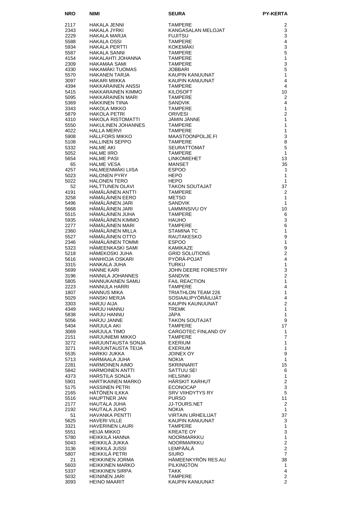| <b>NRO</b>   | NIMI                                          | <b>SEURA</b>                                       | <b>PY-KERTA</b>                  |
|--------------|-----------------------------------------------|----------------------------------------------------|----------------------------------|
| 2117         | HAKALA JENNI                                  | <b>TAMPERE</b>                                     | 2                                |
| 2343         | HAKALA JYRKI                                  | KANGASALAN MELOJAT                                 | 3                                |
| 2229         | HAKALA MARJA                                  | <b>FUJITSU</b>                                     | 3                                |
| 5588         | <b>HAKALA OSSI</b>                            | <b>TAMPERE</b>                                     | 4                                |
| 5934<br>5587 | HAKALA PERTTI<br>HAKALA SANNI                 | <b>KOKEMÄKI</b><br><b>TAMPERE</b>                  | 3<br>5                           |
| 4154         | HAKALAHTI JOHANNA                             | <b>TAMPERE</b>                                     | $\mathbf{1}$                     |
| 2309         | HAKAMAA SAMI                                  | <b>TAMPERE</b>                                     | 3                                |
| 4330         | HAKAMAKI TUOMAS                               | <b>JOBBARI</b>                                     | 5                                |
| 5570         | HAKANEN TARJA                                 | KAUPIN KANUUNAT<br>KAUPIN KANUUNAT                 | $\mathbf{1}$<br>4                |
| 3097<br>4394 | HAKARI MIIKKA<br><b>HAKKARAINEN ANSSI</b>     | <b>TAMPERE</b>                                     | 4                                |
| 5415         | <b>HAKKARAINEN KIMMO</b>                      | <b>KILOSOFT</b>                                    | 10                               |
| 5095         | <b>HAKKARAINEN MARI</b>                       | <b>TAMPERE</b>                                     | $\overline{2}$                   |
| 5369         | HÄKKINEN TIINA                                | <b>SANDVIK</b>                                     | 4                                |
| 3343<br>5879 | HAKOLA MIKKO<br><b>HAKOLA PETRI</b>           | <b>TAMPERE</b><br><b>ORIVESI</b>                   | 1<br>$\overline{2}$              |
| 4310         | HAKOLA RISTOMATTI                             | JÄMIN JÄNNE                                        | 1                                |
| 5550         | HAKULINEN JOHANNES                            | <b>TAMPERE</b>                                     | 1                                |
| 4022         | <b>HALLA MERVI</b>                            | <b>TAMPERE</b>                                     | 1                                |
| 5908         | <b>HÄLLFORS MIKKO</b>                         | MAASTOONPOLJE.FI                                   | 3                                |
| 5108<br>5332 | HALLINEN SEPPO<br><b>HALME AKI</b>            | <b>TAMPERE</b><br><b>SEURATTOMAT</b>               | 8<br>5                           |
| 5052         | <b>HALME IIRO</b>                             | SEUn.<br>TAMPERE<br>LINKOMIEHET<br>MANSET<br>ESPOO | $\mathbf{1}$                     |
| 5654         | <b>HALME PASI</b>                             |                                                    | 13                               |
| 65           | <b>HALME VESA</b>                             |                                                    | 35                               |
| 4257<br>5023 | HALMEENMÄKI LIISA<br><b>HALONEN PYRY</b>      |                                                    | $\mathbf{1}$<br>1                |
| 5022         | <b>HALONEN TERO</b>                           | <b>HEPO</b>                                        | 1                                |
| 52           | <b>HALTTUNEN OLAVI</b>                        | <b>TAKON SOUTAJAT</b>                              | 37                               |
| 4191         | HÄMÄLÄINEN ANTTI                              | <b>TAMPERE</b>                                     | $\overline{2}$                   |
| 3258         | HÄMÄLÄINEN EERO                               | <b>METSO</b>                                       | 1                                |
| 5496<br>5668 | HÄMÄLÄINEN JARI<br>HÄMÄLÄINEN JARI            | <b>SANDVIK</b><br>LAMMINSIVU OY                    | 1<br>10                          |
| 5515         | HÄMÄLÄINEN JUHA                               | <b>TAMPERE</b>                                     | 6                                |
| 5935         | HÄMÄLÄINEN KIMMO                              | <b>HAUHO</b>                                       | 3                                |
| 2277         | HÄMÄLÄINEN MARI                               | <b>TAMPERE</b>                                     | 6                                |
| 2360         | HAMALAINEN MILLA                              | <b>STAMINA TC</b>                                  | $\mathbf{1}$                     |
| 5527<br>2346 | HÄMÄLÄINEN OTTO<br>HÄMÄLÄINEN TOMMI           | RAUTAKESKO<br><b>ESPOO</b>                         | 9<br>$\mathbf{1}$                |
| 5323         | HÄMEENKASKI SAMI                              | KAMIKAZE                                           | 9                                |
| 5218         | HÄMEKOSKI JUHA                                | <b>GRID SOLUTIONS</b>                              | $\overline{2}$                   |
| 5616         | HANHIOJA OSKARI                               | PYÖRÄ-POJAT                                        | 4                                |
| 3315<br>5699 | HANKALA JUHA<br><b>HANNE KARI</b>             | <b>TURKU</b><br>JOHN DEERE FORESTRY                | $\mathbf{1}$<br>3                |
| 3196         | <b>HANNILA JOHANNES</b>                       | <b>SANDVIK</b>                                     | $\overline{2}$                   |
| 5805         | <b>HANNUKAINEN SAMU</b>                       | <b>FAIL REACTION</b>                               | 1                                |
| 2223         | HANNULA HARRI                                 | <b>TAMPERE</b>                                     | 4                                |
| 1807         | HANNUS MIKA                                   | TRIATHLON TEAM 226                                 | 1                                |
| 5029<br>3303 | HANSKI MERJA<br>HARJU AIJA                    | SOSIAALIPYÖRÄILIJÄT<br>KAUPIN KAUNUUNAT            | 4<br>$\overline{2}$              |
| 4349         | HARJU HANNU                                   | <b>TREMK</b>                                       | 1                                |
| 5838         | <b>HARJU HANNU</b>                            | JAPA                                               | 1                                |
| 5056         | <b>HARJU JANNE</b>                            | <b>TAKON SOUTAJAT</b>                              | 9                                |
| 5404<br>3069 | HARJULA AKI<br><b>HARJULA TIMO</b>            | <b>TAMPERE</b><br>CARGOTEC FINLAND OY              | 17<br>1                          |
| 2151         | HARJUNIEMI MIKKO                              | <b>TAMPERE</b>                                     | 7                                |
| 3272         | HARJUNTAUSTA SONJA                            | EXERIUM                                            | $\mathbf{1}$                     |
| 3271         | HARJUNTAUSTA TEIJA                            | <b>EXERIUM</b>                                     | 1                                |
| 5535         | <b>HARKKI JUKKA</b>                           | JOINEX OY                                          | 9                                |
| 5713<br>2281 | HARMAALA JUHA<br>HARMOINEN AIMO               | <b>NOKIA</b><br><b>SKRINNARIT</b>                  | $\mathbf{1}$<br>15               |
| 5842         | <b>HARMOINEN ANTTI</b>                        | SATTUU SE!                                         | 6                                |
| 4373         | <b>HARSTILA SONJA</b>                         | <b>HELSINKI</b>                                    | 1                                |
| 5901         | HARTIKAINEN MARKO                             | HÄRSKIT KARHUT                                     | $\overline{\mathbf{c}}$          |
| 5175<br>2165 | <b>HASSINEN PETRI</b><br>HATONEN ILKKA        | <b>ECONOCAP</b><br><b>SRV VIIHDYTYS RY</b>         | 3<br>5                           |
| 5516         | <b>HAUPTNER JAN</b>                           | <b>PURSO</b>                                       | 11                               |
| 2177         | HAUTALA JUHA                                  | <b>JJ-TOURS.NET</b>                                | $\overline{2}$                   |
| 2192         | HAUTALA JUHO                                  | <b>NOKIA</b>                                       | 1                                |
| 51           | HAVANKA PENTTI                                | <b>VIRTAIN URHEILIJAT</b>                          | 37                               |
| 5625<br>3321 | <b>HAVERI VILLE</b><br><b>HAVERINEN LAURI</b> | KAUPIN KANUUNAT<br><b>TAMPERE</b>                  | 3<br>1                           |
| 5551         | <b>HEIJA MIKKO</b>                            | <b>KREATE OY</b>                                   | 3                                |
| 5780         | HEIKKILÄ HANNA                                | NOORMARKKU                                         | $\mathbf{1}$                     |
| 5043         | HEIKKILÄ JUKKA                                | <b>NOORMARKKU</b>                                  | $\mathbf 2$                      |
| 3136         | HEIKKILÄ JUSSI<br>HEIKKILÄ PETRI              | LEMPÄÄLÄ                                           | $\overline{2}$<br>$\overline{7}$ |
| 5807<br>21   | <b>HEIKKINEN JORMA</b>                        | <b>SIURO</b><br>HÄMEENKYRÖN RES.AU                 | 38                               |
| 5603         | <b>HEIKKINEN MARKO</b>                        | <b>PILKINGTON</b>                                  | $\mathbf{1}$                     |
| 5337         | <b>HEIKKINEN SIRPA</b>                        | TAKK                                               | $\overline{4}$                   |
| 5032         | <b>HEININEN JARI</b>                          | <b>TAMPERE</b>                                     | $\overline{\mathbf{c}}$          |
| 3093         | HEINO MAARIT                                  | KAUPIN KANUUNAT                                    | $\overline{2}$                   |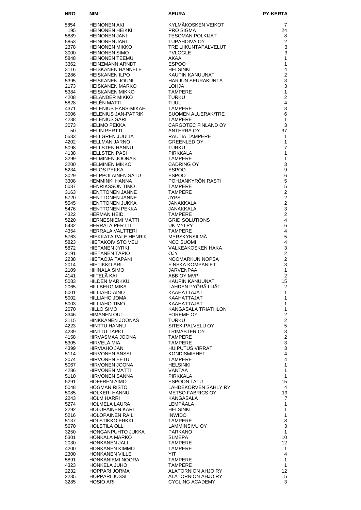| <b>NRO</b>   | NIMI                                              | SEURA                                   | <b>PY-KERTA</b>                   |
|--------------|---------------------------------------------------|-----------------------------------------|-----------------------------------|
| 5854         | <b>HEINONEN AKI</b>                               | KYLMÄKOSKEN VEIKOT                      | 7                                 |
| 195          | HEINONEN HEIKKI                                   | <b>PRO SIGMA</b>                        | 24                                |
| 5889         | <b>HEINONEN JANI</b>                              | <b>TESOMAN POLKIJAT</b>                 | 8                                 |
| 5853         | <b>HEINONEN JARI</b>                              | <b>TUPAHOIVA OY</b>                     | $\overline{2}$                    |
| 2378         | HEINONEN MIKKO                                    | TRE LIIKUNTAPALVELUT                    | 3                                 |
| 3000         | HEINONEN SIMO                                     | <b>PVLOGLE</b>                          | 3                                 |
| 5848         | <b>HEINONEN TEEMU</b>                             | AKAA                                    | $\mathbf{1}$                      |
| 3362<br>3116 | HEINZMANN ARNDT<br>HEISKANEN HANNELE              | <b>ESPOO</b><br><b>HELSINKI</b>         | $\mathbf{1}$<br>4                 |
| 2286         | <b>HEISKANEN ILPO</b>                             | KAUPIN KANUUNAT                         | $\overline{2}$                    |
| 5395         | <b>HEISKANEN JOUNI</b>                            | <b>HARJUN SEURAKUNTA</b>                | 3                                 |
| 2173         | <b>HEISKANEN MARKO</b>                            | <b>LOHJA</b>                            | 3                                 |
| 5384         | <b>HEISKANEN MIKKO</b>                            | <b>TAMPERE</b>                          | $\mathbf{1}$                      |
| 4208         | <b>HELANDER MIKKO</b>                             | <b>TURKU</b>                            | $\overline{2}$                    |
| 5828         | HELÉN MATTI                                       | <b>TUUL</b>                             | $\overline{4}$                    |
| 4371<br>3006 | HELENIUS HANS-MIKAEL<br>HELENIUS JAN-PATRIK       | TAMPERE<br>SUOMEN ALUERAK/TRE           | $\mathsf 3$<br>6                  |
| 4238         | <b>HELENIUS SARI</b>                              | <b>TAMPERE</b>                          | $\mathbf{1}$                      |
| 3073         | HELIMO PEKKA                                      | CARGOTEC FINLAND OY                     | 3                                 |
| 50           | HELIN PERTTI                                      | ANTERRA OY                              | 37                                |
| 5533         | HELLGREN JUULIA                                   | RAUTIA TAMPERE                          | $\mathbf{1}$                      |
| 4202         | HELLMAN JARNO                                     | <b>GREENLED OY</b>                      | $\mathbf{1}$                      |
| 5098<br>4138 | HELLSTEN HANNU                                    | TURKU                                   | $\overline{7}$<br>$\mathbf{1}$    |
| 3299         | <b>HELLSTEN PASI</b><br><b>HELMINEN JOONAS</b>    | <b>PIRKKALA</b><br><b>TAMPERE</b>       | $\mathbf{1}$                      |
| 3200         | HELMINEN MIKKO                                    | <b>CADRING OY</b>                       | 3                                 |
| 5234         | <b>HELOS PEKKA</b>                                | <b>ESPOO</b>                            | 9                                 |
| 3029         | HELPPOLAINEN SATU                                 | <b>ESPOO</b>                            | $\,6\,$                           |
| 3308         | <b>HEMMINKI HANNA</b>                             | POHJANKYRÖN RASTI                       | $\sqrt{5}$                        |
| 5037         | <b>HENRIKSSON TIMO</b>                            | <b>TAMPERE</b>                          | 5                                 |
| 3163<br>5720 | <b>HENTTONEN JANNE</b><br><b>HENTTONEN JANNE</b>  | <b>TAMPERE</b><br><b>JYPS</b>           | $\overline{2}$<br>$\overline{2}$  |
| 5545         | <b>HENTTONEN JUKKA</b>                            | JANAKKALA                               | $\overline{2}$                    |
| 5476         | <b>HENTTONEN PEKKA</b>                            | JANAKKALA                               | 3                                 |
| 4322         | <b>HERMAN HEIDI</b>                               | <b>TAMPERE</b>                          | $\overline{2}$                    |
| 5220         | <b>HERNESNIEMI MATTI</b>                          | <b>GRID SOLUTIONS</b>                   | $\overline{4}$                    |
| 5432         | <b>HERRALA PERTTI</b>                             | UK MYLPY                                | 6                                 |
| 4354         | HERRALA VALTTERI                                  | TAMPERE                                 | $\overline{\mathbf{4}}$           |
| 5763<br>5823 | HIEKKATAIPALE HENRIK<br><b>HIETAKOIVISTO VELI</b> | <b>MYRSKYNSILMA</b><br><b>NCC SUOMI</b> | 5<br>$\overline{4}$               |
| 5872         | <b>HIETANEN JYRKI</b>                             | VALKEAKOSKEN HAKA                       | $\mathsf 3$                       |
| 2191         | HIETANEN TAPIO                                    | OJY.                                    | $\overline{2}$                    |
| 2238         | HIETAOJA TAPANI                                   | NOOMARKUN NOPSA                         | $\overline{2}$                    |
| 2014         | <b>HIETIKKO ARI</b>                               | <b>FINSKA KOMPANIET</b>                 | 3                                 |
| 2109         | <b>HIHNALA SIMO</b>                               | JÄRVENPÄÄ                               | $\mathbf{1}$                      |
| 4141<br>5083 | HIITELÄ KAI<br><b>HILDEN MARKKU</b>               | ABB OY MVP<br>KAUPIN KANUUNAT           | 2<br>15                           |
| 2065         | <b>HILLBERG MIKA</b>                              | LAHDEN PYÖRÄILIJÄT                      | $\overline{c}$                    |
| 5001         | HILLIAHO AINO                                     | KAAHATTAJAT                             | $\mathbf{1}$                      |
| 5002         | HILLIAHO JOMA                                     | KAAHATTAJAT                             | 1                                 |
| 5003         | HILLIAHO TIMO                                     | KAAHATTAJAT                             | $\mathbf{1}$                      |
| 2070         | <b>HILLO SIMO</b>                                 | KANGASALA TRIATHLON                     | $\mathbf{1}$                      |
| 3346<br>3115 | <b>HIMANEN OUTI</b><br>HINKKANEN JOONAS           | FOREME OY<br><b>TURKU</b>               | $\overline{2}$<br>$\overline{c}$  |
| 4223         | HINTTU HANNU                                      | SITEK-PALVELU OY                        | 5                                 |
| 4239         | HINTTU TAPIO                                      | TRIMASTER OY                            | 3                                 |
| 4158         | HIRVASMAA JOONA                                   | <b>TAMPERE</b>                          | $\overline{c}$                    |
| 5305         | HIRVELÂ MIA                                       | <b>TAMPERE</b>                          | 3                                 |
| 4399         | <b>HIRVIAHO JANI</b>                              | <b>HUIPUTUS VIRRAT</b>                  | 3                                 |
| 5114         | <b>HIRVONEN ANSSI</b>                             | <b>KONDISMIEHET</b>                     | $\overline{\mathbf{4}}$           |
| 2074<br>5067 | <b>HIRVONEN EETU</b><br>HIRVONEN JOONA            | <b>TAMPERE</b><br><b>HELSINKI</b>       | $\overline{4}$<br>$\mathbf{1}$    |
| 4286         | HIRVONEN MATTI                                    | VANTAA                                  | 1                                 |
| 5110         | HIRVONEN SANNA                                    | <b>PIRKKALA</b>                         | $\mathbf{1}$                      |
| 5291         | <b>HOFFREN AIMO</b>                               | ESPOON LATU                             | 15                                |
| 5048         | HOGMAN RISTO                                      | LÄHDEKORVEN SÄHLY RY                    | 4                                 |
| 5085         | HOLKERI HANNU                                     | <b>METSO FABRICS OY</b>                 | 19                                |
| 2243<br>5274 | <b>HOLM HARRI</b><br>HOLMELA LAURA                | KANGASALA<br>LEMPÄÄLÄ                   | 7<br>1                            |
| 2292         | HOLOPAINEN KARI                                   | <b>HELSINKI</b>                         | 1                                 |
| 5216         | HOLOPAINEN RAILI                                  | <b>INWIDO</b>                           | $\mathbf{1}$                      |
| 5137         | HOLSTIKKO ERKKI                                   | <b>TAMPERE</b>                          | 8                                 |
| 5670         | <b>HOLSTILA OLLI</b>                              | LAMMINSIVU OY                           | 3                                 |
| 3250         | HONGANPUHTO JUKKA                                 | <b>PARKANO</b>                          | $\mathbf{1}$                      |
| 5301         | HONKALA MARKO                                     | <b>SLMEPA</b>                           | 10                                |
| 2030<br>4200 | <b>HONKANEN JALI</b><br>HONKANEN KIMMO            | <b>TAMPERE</b><br><b>TAMPERE</b>        | $12 \overline{ }$<br>$\mathbf{1}$ |
| 2300         | <b>HONKANEN VILLE</b>                             | YIT                                     | $\overline{4}$                    |
| 5891         | HONKANIEMI NOORA                                  | <b>TAMPERE</b>                          | $\mathbf{1}$                      |
| 4323         | <b>HONKELA JUHO</b>                               | <b>TAMPERE</b>                          | $\mathbf{1}$                      |
| 2232         | HOPPARI JORMA                                     | ALATORNION AHJO RY                      | 12                                |
| 2235         | <b>HOPPARI JUSSI</b>                              | ALATORNION AHJO RY                      | 5                                 |
| 3285         | <b>HOSIO ARI</b>                                  | CYCLING ACADEMY                         | 3                                 |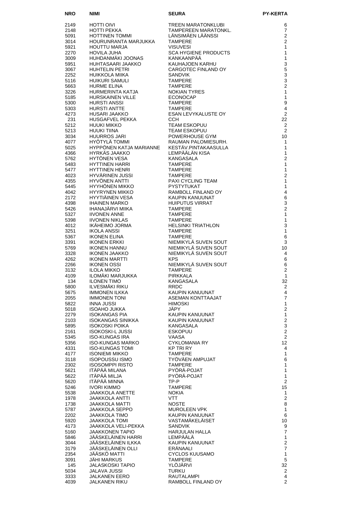| <b>NRO</b>   | NIMI                                              |                                                                                   | <b>PY-KERTA</b>                    |
|--------------|---------------------------------------------------|-----------------------------------------------------------------------------------|------------------------------------|
| 2149         | HOTTI OIVI                                        | <b>SEURA<br/>TREEN MARATONKLUBI<br/>TAMPEREEN MARATONKL.<br/>ÄNGIMÄEN LÄÄNSSI</b> | 6                                  |
| 2148         | HOTTI PEKKA                                       |                                                                                   | $\overline{7}$                     |
| 5091         | HOTTINEN TOMMI                                    |                                                                                   | $\overline{2}$                     |
| 3014<br>5921 | HOURUNRANTA MARJUKKA<br><b>HOUTTU MARJA</b>       | <b>VISUVESI</b>                                                                   | $\overline{2}$<br>1                |
| 2270         | <b>HOVILA JUHA</b>                                | <b>SCA HYGIENE PRODUCTS</b>                                                       | $\mathbf{1}$                       |
| 3009         | HUHDANMÄKI JOONAS                                 | KANKAANPÄÄ                                                                        | 1                                  |
| 5951         | HUHTASAARI JAAKKO                                 | KAUHAJOEN KARHU                                                                   | 3                                  |
| 3067         | <b>HUHTELIN PETRI</b>                             | CARGOTEC FINLAND OY                                                               | 5                                  |
| 2252<br>5116 | HUIKKOLA MIIKA<br><b>HUIKURI SAMULI</b>           | <b>SANDVIK</b><br><b>TAMPERE</b>                                                  | 3<br>3                             |
| 5663         | <b>HURME ELINA</b>                                | <b>TAMPERE</b>                                                                    | $\overline{2}$                     |
| 3226         | HURMERINTA KATJA                                  | <b>NOKIAN TYRES</b>                                                               | $\mathbf{1}$                       |
| 5185         | <b>HURSKAINEN VILLE</b>                           | <b>ECONOCAP</b>                                                                   | $\mathbf{1}$                       |
| 5300         | <b>HURSTI ANSSI</b>                               | <b>TAMPERE</b>                                                                    | $\boldsymbol{9}$<br>$\overline{4}$ |
| 5303<br>4273 | <b>HURSTI ANTTE</b><br>HUSARI JAAKKO              | <b>TAMPERE</b><br>ESAN LEVYKALUSTE OY                                             | $\overline{2}$                     |
| 231          | HUSGAFVEL PEKKA                                   | <b>CCH</b>                                                                        | 22                                 |
| 5212         | <b>HUUKI MIKKO</b>                                | <b>TEAM ESKOPUU</b>                                                               | 2                                  |
| 5213         | <b>HUUKI TIINA</b>                                | <b>TEAM ESKOPUU</b>                                                               | 2                                  |
| 3034<br>4077 | <b>HUURROS JARI</b><br>HYÖTYLÄ TOMMI              | POWERHOUSE GYM<br>RAUMAN PALOMIESURH.                                             | 10<br>$\mathbf{1}$                 |
| 5025         | HYPPÖNEN KATJA MARIANNE                           | KESTÄV.PINTAKAASULLA                                                              | 1                                  |
| 4366         | HYRKÄS JAAKKO                                     | LEMPÄÄLÄN KISA                                                                    | $\mathbf{1}$                       |
| 5762         | HYTÖNEN VESA                                      | KANGASALA                                                                         | $\overline{2}$                     |
| 5483<br>5477 | <b>HYTTINEN HARRI</b><br><b>HYTTINEN HENRI</b>    | <b>TAMPERE</b><br><b>TAMPERE</b>                                                  | 1<br>1                             |
| 4023         | HYVÄRINEN JUSSI                                   | <b>TAMPERE</b>                                                                    | $\overline{2}$                     |
| 4355         | <b>HYVÖNEN ANTTI</b>                              | PAXI CYCLING TEAM                                                                 | 1                                  |
| 5445         | <b>HYYHÖNEN MIKKO</b>                             | <b>PYSTYTUKAT</b>                                                                 | $\mathbf{1}$                       |
| 4042         | <b>HYYRYNEN MIKKO</b>                             | RAMBOLL FINLAND OY                                                                | 4                                  |
| 2172<br>4398 | <b>HYYTIÄINEN VESA</b><br><b>IHAINEN MARKO</b>    | KAUPIN KANUUNAT<br><b>HUIPUTUS VIRRAT</b>                                         | 6<br>3                             |
| 5426         | IHANAJÄRVI MIIKA                                  | <b>TAMPERE</b>                                                                    | $\overline{2}$                     |
| 5327         | <b>IIVONEN ANNE</b>                               | <b>TAMPERE</b>                                                                    | 1                                  |
| 5398         | <b>IIVONEN NIKLAS</b>                             | <b>TAMPERE</b>                                                                    | $\mathbf{1}$                       |
| 4012         | IKÄHEIMO JORMA                                    | <b>HELSINKI TRIATHLON</b><br><b>TAMPERE</b>                                       | 3<br>$\mathbf{1}$                  |
| 3251<br>5367 | IKOLA ANSSI<br><b>IKONEN ELINA</b>                | <b>TAMPERE</b>                                                                    | 6                                  |
| 3391         | <b>IKONEN ERKKI</b>                               | NIEMIKYLÄ SUVEN SOUT                                                              | 3                                  |
| 5769         | <b>IKONEN HANNU</b>                               | NIEMIKYLÄ SUVEN SOUT                                                              | 10                                 |
| 3328         | <b>IKONEN JAAKKO</b>                              | NIEMIKYLÄ SUVEN SOUT                                                              | 4                                  |
| 4262<br>2266 | <b>IKONEN MARTTI</b><br><b>IKONEN OSSI</b>        | <b>KPS</b><br>NIEMIKYLÄ SUVEN SOUT                                                | 6<br>6                             |
| 3132         | <b>ILOLA MIKKO</b>                                | <b>TAMPERE</b>                                                                    | $\overline{2}$                     |
| 4109         | ILOMÄKI MARJUKKA                                  | <b>PIRKKALA</b>                                                                   | $\mathbf{1}$                       |
| 134          | <b>ILONEN TIMO</b>                                | KANGASALA                                                                         | 32                                 |
| 5800<br>5675 | <b>ILVESMÄKI RIKU</b><br><b>IMMONEN ILKKA</b>     | <b>RRDC</b><br>KAUPIN KANUUNAT                                                    | $\overline{2}$<br>$\overline{4}$   |
| 2055         | <b>IMMONEN TONI</b>                               | ASEMAN KONTTAAJAT                                                                 | $\overline{7}$                     |
| 5822         | <b>INNA JUSSI</b>                                 | <b>HIMOSKI</b>                                                                    | $\mathbf{1}$                       |
| 5018         | <b>ISOAHO JUKKA</b>                               | JÄPY                                                                              | $\overline{2}$                     |
| 2279<br>2103 | <b>ISOKANGAS PIA</b><br><b>ISOKANGAS SINIKKA</b>  | KAUPIN KANUUNAT<br>KAUPIN KANUUNAT                                                | $\mathbf{1}$<br>$\overline{c}$     |
| 5895         | <b>ISOKOSKI POIKA</b>                             | KANGASALA                                                                         | $\mathsf 3$                        |
| 2161         | <b>ISOKOSKI-L JUSSI</b>                           | <b>ESKOPUU</b>                                                                    | $\overline{2}$                     |
| 5345         | <b>ISO-KUNGAS IRA</b>                             | VAASA                                                                             | $\overline{2}$                     |
| 5356<br>4331 | <b>ISO-KUNGAS MARKO</b><br><b>ISO-KUNGAS TOMI</b> | <b>CYKLOMANIA RY</b><br><b>KP TRI RY</b>                                          | 12<br>4                            |
| 4177         | <b>ISONIEMI MIKKO</b>                             | <b>TAMPERE</b>                                                                    | $\mathbf{1}$                       |
| 3118         | <b>ISOPOUSSU ISMO</b>                             | TYÖVÄEN AMPUJAT                                                                   | 6                                  |
| 2302         | <b>ISOSOMPPI RISTO</b>                            | <b>TAMPERE</b>                                                                    | $\mathbf{1}$                       |
| 5621<br>5622 | ITÄPÄÄ MILANA<br>ITÄPÄÄ MILJA                     | PYÖRÄ-POJAT<br>PYÖRÄ-POJAT                                                        | $\mathbf{1}$<br>$\mathbf{1}$       |
| 5620         | ITÄPÄÄ MINNA                                      | TP-P                                                                              | $\overline{2}$                     |
| 5246         | IVORI KIMMO                                       | <b>TAMPERE</b>                                                                    | 15                                 |
| 5538         | <b>JAAKKOLA ANETTE</b>                            | <b>NOKIA</b>                                                                      | $\mathbf{1}$                       |
| 1978         | <b>JAAKKOLA ANTTI</b>                             | VTT                                                                               | $\mathbf{2}$                       |
| 1738<br>5787 | <b>JAAKKOLA MATTI</b><br>JAAKKOLA SEPPO           | <b>NOSTE</b><br>MUROLEEN VPK                                                      | 8<br>$\mathbf{1}$                  |
| 2202         | <b>JAAKKOLA TIMO</b>                              | KAUPIN KANUUNAT                                                                   | 6                                  |
| 5920         | <b>JAAKKOLA TOMI</b>                              | VASTAMÄKELÄISET                                                                   | 10                                 |
| 4173         | JAAKKOLA VELI-PEKKA                               | <b>SANDVIK</b>                                                                    | 9                                  |
| 5160<br>5846 | <b>JAAKKONEN TAPIO</b><br>JÄÄSKELÄINEN HARRI      | <b>HARJULAN HALLA</b><br>LEMPÄÄLÄ                                                 | $\overline{7}$<br>$\mathbf{1}$     |
| 3044         | JÄÄSKELÄINEN ILKKA                                | KAUPIN KANUUNAT                                                                   | $\mathbf 2$                        |
| 3179         | JÄÄSKELÄINEN OLLI                                 | ERÄNAALI                                                                          | $\overline{7}$                     |
| 2354         | JÄÄSKÖ MATTI                                      | <b>CYCLOS KUUSAMO</b>                                                             | $\mathbf{1}$                       |
| 3091         | JAHI MARKUS                                       | <b>TAMPERE</b><br>YLÖJÄRVI                                                        | 5                                  |
| 145<br>5034  | JALASKOSKI TAPIO<br><b>JALAVA JUSSI</b>           | <b>TURKU</b>                                                                      | 32<br>$\overline{2}$               |
| 3333         | <b>JALKANEN EERO</b>                              | RAUTALAMPI                                                                        | 4                                  |
| 4039         | JALKANEN RIKU                                     | RAMBOLL FINLAND OY                                                                | $\overline{2}$                     |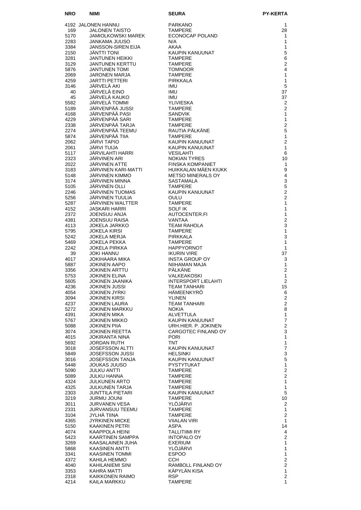| <b>NRO</b>   | NIMI                                              | <b>SEURA</b>                                     | <b>PY-KERTA</b>                  |
|--------------|---------------------------------------------------|--------------------------------------------------|----------------------------------|
|              | 4192 JALONEN HANNU                                | <b>PARKANO</b>                                   | 1                                |
| 169          | JALONEN TAISTO                                    | <b>TAMPERE</b>                                   | 28                               |
| 5170         | JAMIOLKOWSKI MAREK                                | ECONOCAP POLAND                                  | 1                                |
| 2283<br>3384 | <b>JANKAMA JUUSO</b><br><b>JANSSON-SIREN EIJA</b> | N/A<br>AKAA                                      | 1<br>$\mathbf{1}$                |
| 2150         | <b>JÄNTTI TONI</b>                                | KAUPIN KANUUNAT                                  | 5                                |
| 3281         | <b>JANTUNEN HEIKKI</b>                            | <b>TAMPERE</b>                                   | 6                                |
| 3129<br>5876 | <b>JANTUNEN KERTTU</b><br><b>JANTUNEN TOMI</b>    | <b>TAMPERE</b><br><b>TOMNOOR</b>                 | $\overline{2}$<br>4              |
| 2069         | <b>JARONEN MARJA</b>                              | <b>TAMPERE</b>                                   | 1                                |
| 4259         | <b>JARTTI PETTERI</b>                             | PIRKKALA                                         | $\mathbf{1}$                     |
| 3146<br>40   | JÄRVELÄ AKI<br>JÄRVELÄ EINO                       | <b>IMU</b><br><b>IMU</b>                         | 5<br>37                          |
| 45           | JÄRVELÄ KAUKO                                     | <b>IMU</b>                                       | 37                               |
| 5582         | JÄRVELÄ TOMMI                                     | <b>YLIVIESKA</b>                                 | 2                                |
| 5189         | JÄRVENPÄÄ JUSSI                                   | <b>TAMPERE</b>                                   | $\overline{2}$                   |
| 4168<br>4229 | JÄRVENPÄÄ PASI<br>JÄRVENPÄÄ SARI                  | <b>SANDVIK</b><br><b>TAMPERE</b>                 | 1<br>$\mathbf{1}$                |
| 2338         | JÄRVENPÄÄ TARJA                                   | <b>TAMPERE</b>                                   | $\overline{2}$                   |
| 2274         | JÄRVENPÄÄ TEEMU                                   | RAUTIA PÄLKÄNE                                   | 5                                |
| 5874<br>2062 | JÄRVENPÄÄ TIIA<br><b>JÄRVI TAPIO</b>              | <b>TAMPERE</b><br>KAUPIN KANUUNAT                | $\mathbf{1}$<br>$\overline{2}$   |
| 2061         | JÄRVI TUIJA                                       | KAUPIN KANUUNAT                                  | $\mathbf{1}$                     |
| 5117         | JÄRVILAHTI HARRI                                  | <b>VESILAHTI</b>                                 | 6                                |
| 2323<br>2022 | <b>JARVINEN ARI</b><br>JÄRVINEN ATTE              | <b>NOKIAN TYRES</b><br><b>FINSKA KOMPANIET</b>   | 10<br>$\mathbf{1}$               |
| 3183         | JÄRVINEN KARI-MATTI                               | HUIKKALAN MÄEN KIUKK                             | 9                                |
| 5148         | JÄRVINEN KIMMO                                    | <b>METSO MINERALS OY</b>                         | 4                                |
| 3174<br>5105 | JÄRVINEN MINNA<br>JÄRVINEN OLLI                   | <b>SASTAMALA</b><br><b>TAMPERE</b>               | $\mathsf 3$<br>5                 |
| 2246         | <b>JÄRVINEN TUOMAS</b>                            | KAUPIN KANUUNAT                                  | $\overline{2}$                   |
| 5256         | JÄRVINEN TUULIA                                   | OULU                                             | $\overline{2}$                   |
| 5287         | JÄRVINEN WALTTER                                  | <b>TAMPERE</b>                                   | $\mathbf{1}$                     |
| 4152<br>2372 | <b>JASKARI HARRI</b><br>JOENSUU ANJA              | SOLF IK<br>AUTOCENTER.FI                         | 1<br>$\mathbf{1}$                |
| 4381         | <b>JOENSUU RAISA</b>                              | VANTAA                                           | $\overline{2}$                   |
| 4113         | <b>JOKELA JARKKO</b>                              | <b>TEAM RAHOLA</b>                               | 3                                |
| 5795<br>5242 | <b>JOKELA KIRSI</b><br><b>JOKELA MERJA</b>        | <b>TAMPERE</b><br>PIRKKALA                       | $\mathbf{1}$<br>3                |
| 5469         | JOKELA PEKKA                                      | <b>TAMPERE</b>                                   | $\mathbf{1}$                     |
| 2242         | <b>JOKELA PIRKKA</b>                              | <b>HAPPYORNOT</b>                                | $\mathbf{1}$                     |
| 39<br>4017   | <b>JOKI HANNU</b><br>JOKIHAARA MIKA               | <b>IKURIN VIRE</b><br><b>INSTA GROUP OY</b>      | 37<br>3                          |
| 5887         | <b>JOKINEN AAPO</b>                               | NIIHAMAN MAJA                                    | 1                                |
| 3356         | <b>JOKINEN ARTTU</b>                              | PÄLKÄNE                                          | $\overline{2}$                   |
| 5753<br>5605 | <b>JOKINEN ELINA</b><br><b>JOKINEN JAANIKA</b>    | <b>VALKEAKOSKI</b><br><b>INTERSPORT LIELAHTI</b> | 1<br>$\overline{2}$              |
| 4236         | <b>JOKINEN JUSSI</b>                              | <b>TEAM TANHARI</b>                              | 15                               |
| 4054         | JOKINEN JYRKI                                     | HÄMEENKYRÖ                                       | 6                                |
| 3094         | <b>JOKINEN KIRSI</b>                              | <b>YLINEN</b>                                    | $\overline{2}$<br>$\overline{2}$ |
| 4237<br>5272 | JOKINEN LAURA<br>JOKINEN MARKKU                   | <b>TEAM TANHARI</b><br><b>NOKIA</b>              | 8                                |
| 4391         | <b>JOKINEN MIKA</b>                               | ALVETTULA                                        | $\mathbf{1}$                     |
| 5767         | <b>JOKINEN MIKKO</b>                              | KAUPIN KANUUNAT                                  | $\overline{7}$                   |
| 5088<br>3074 | <b>JOKINEN PIIA</b><br><b>JOKINEN REETTA</b>      | URH.HIER. P. JOKINEN<br>CARGOTEC FINLAND OY      | 2<br>3                           |
| 4015         | <b>JOKIRANTA NINA</b>                             | <b>PORI</b>                                      | 1                                |
| 5692         | <b>JORDAN RUTH</b>                                | TNT                                              | $\mathbf{1}$                     |
| 3018<br>5849 | <b>JOSEFSSON ALTTI</b><br><b>JOSEFSSON JUSSI</b>  | KAUPIN KANUUNAT<br><b>HELSINKI</b>               | $\boldsymbol{7}$<br>3            |
| 3016         | <b>JOSEFSSON TANJA</b>                            | KAUPIN KANUUNAT                                  | 5                                |
| 5448         | JOUKAS JUUSO                                      | PYSTYTUKAT                                       | 1                                |
| 5090<br>5089 | JULKU ANTTI<br>JULKU HANNA                        | <b>TAMPERE</b><br><b>TAMPERE</b>                 | $\overline{2}$<br>$\overline{2}$ |
| 4324         | JULKUNEN ARTO                                     | <b>TAMPERE</b>                                   | $\mathbf{1}$                     |
| 4325         | JULKUNEN TARJA                                    | TAMPERE                                          | 1                                |
| 2303<br>3219 | JUNTTILA PIETARI<br><b>JURMU JOUNI</b>            | KAUPIN KANUUNAT<br>TAMPERE                       | 5<br>10                          |
| 3011         | JURVANEN VESA                                     | YLOJARVI                                         | 2                                |
| 2331         | <b>JURVANSUU TEEMU</b>                            | <b>TAMPERE</b>                                   | 1                                |
| 3104<br>4365 | JYLHA TIINA<br>JYRKINEN MICKE                     | <b>TAMPERE</b><br><b>VIIALAN VIRI</b>            | $\mathbf{2}$<br>1                |
| 5150         | <b>KAAKINEN PETRI</b>                             | ASPA                                             | 14                               |
| 4074         | KAAPPOLA HEINI                                    | <b>TALLITIIMI RY</b>                             | $\overline{4}$                   |
| 5423         | KAARTINEN SAMPPA                                  | INTOPALO OY                                      | $\mathbf{2}$                     |
| 3269<br>5868 | KAASALAINEN JUHA<br><b>KAASINEN ANTTI</b>         | EXERIUM<br>YLOJARVI                              | 1<br>1                           |
| 3341         | <b>KAASINEN TOMMI</b>                             | <b>ESPOO</b>                                     | $\mathbf{1}$                     |
| 4372         | KAHILA HEMMO                                      | CCH.                                             | 2                                |
| 4040<br>3353 | KAHILANIEMI SINI<br>KAHRA MATTI                   | RAMBOLL FINLAND OY<br>KÄPYLÄN KISA               | $\overline{2}$<br>1              |
| 2318         | KAIKKONEN RAIMO                                   | <b>RSP</b>                                       | $\overline{c}$                   |
| 4214         | KAILA MARKKU                                      | <b>TAMPERE</b>                                   | $\mathbf{1}$                     |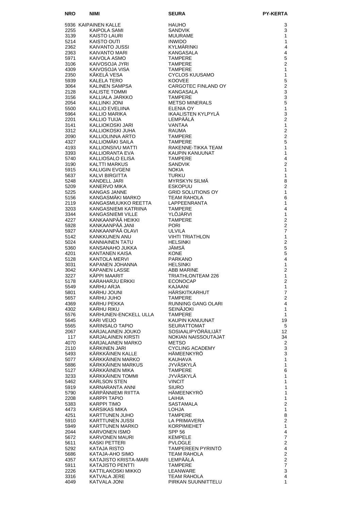| <b>NRO</b>   | <b>NIMI</b>                                   | <b>SEURA</b>                                | <b>PY-KERTA</b>                  |
|--------------|-----------------------------------------------|---------------------------------------------|----------------------------------|
|              | 5936 KAIPAINEN KALLE                          | <b>HAUHO</b>                                | 3                                |
| 2255         | KAIPOLA SAMI                                  | <b>SANDVIK</b>                              | 3                                |
| 3139         | KAISTO LAURI                                  | <b>MUURAME</b>                              | 1                                |
| 5214<br>2362 | <b>KAISTO OUTI</b><br>KAIVANTO JUSSI          | <b>INWIDO</b><br>KYLMÄRINKI                 | $\mathbf{1}$<br>4                |
| 2363         | KAIVANTO MARI                                 | KANGASALA                                   | 4                                |
| 5971         | KAIVOLA ASMO                                  | <b>TAMPERE</b>                              | 5                                |
| 3106         | KAIVOSOJA JYRI                                | <b>TAMPERE</b>                              | $\overline{2}$                   |
| 4309         | KAIVOSOJA VISA<br>KÄKELÄ VESA                 | <b>TAMPERE</b>                              | 1<br>1                           |
| 2350<br>5939 | <b>KALELA TERO</b>                            | <b>CYCLOS KUUSAMO</b><br><b>KOOVEE</b>      | 5                                |
| 3064         | KALINEN SAMPSA                                | CARGOTEC FINLAND OY                         | $\overline{2}$                   |
| 2128         | <b>KALISTE TOMMI</b>                          | KANGASALA                                   | 3                                |
| 3156         | KALLIALA JARKKO                               | <b>TAMPERE</b>                              | 3<br>5                           |
| 2054<br>5500 | <b>KALLINKI JONI</b><br>KALLIO EVELIINA       | <b>METSO MINERALS</b><br>ELENIA OY          | 1                                |
| 5964         | KALLIO MARIKA                                 | <b>IKAALISTEN KYLPYLÄ</b>                   | 3                                |
| 2201         | <b>KALLIO TUIJA</b>                           | LEMPÄÄLÄ                                    | $\overline{2}$                   |
| 3141         | KALLIOKOSKI JARI                              | <b>VANTAA</b>                               | $\mathbf{1}$                     |
| 3312<br>2090 | KALLIOKOSKI JUHA<br>KALLIOLINNA ARTO          | <b>RAUMA</b><br><b>TAMPERE</b>              | $\overline{2}$<br>$\overline{2}$ |
| 4327         | KALLIOMÄKI SAILA                              | <b>TAMPERE</b>                              | 5                                |
| 4193         | KALLIONSIVU MATTI                             | RAKENNE-TIKKA TEAM                          | 1                                |
| 3393         | KALLIORANTA EVA                               | <b>KAUPIN KANUUNAT</b>                      | 1                                |
| 5740<br>3190 | KALLIOSALO ELISA<br><b>KALTTI MARKUS</b>      | <b>TAMPERE</b><br><b>SANDVIK</b>            | 4<br>$\overline{2}$              |
| 5915         | KALUGIN EVGENI                                | <b>NOKIA</b>                                | 1                                |
| 5637         | KALVI BIRGITTA                                | <b>TURKU</b>                                | 1                                |
| 5248         | <b>KANDELL JARI</b>                           | <b>MYRSKYN SILMA</b>                        | 8                                |
| 5209<br>5225 | KANERVO MIKA<br><b>KANGAS JANNE</b>           | <b>ESKOPUU</b><br><b>GRID SOLUTIONS OY</b>  | 2<br>1                           |
| 5156         | KANGASMÄKI MARKO                              | <b>TEAM RAHOLA</b>                          | 6                                |
| 2119         | KANGASMUUKKO REETTA                           | LAPPEENRANTA                                | 1                                |
| 3203         | KANGASNIEMI KATRIINA                          | <b>TAMPERE</b>                              | 4                                |
| 3344<br>4227 | <b>KANGASNIEMI VILLE</b><br>KANKAANPÄÄ HEIKKI | YLÖJÄRVI<br><b>TAMPERE</b>                  | 1<br>$\overline{2}$              |
| 5928         | KANKAANPÄÄ JANI                               | <b>PORI</b>                                 | $\overline{2}$                   |
| 5927         | KANKAANPÄÄ OLAVI                              | <b>ULVILA</b>                               | 7                                |
| 5142         | <b>KANKKUNEN ANU</b>                          | <b>VIHTI TRIATHLON</b>                      | 1                                |
| 5024         | <b>KANNIAINEN TATU</b>                        | <b>HELSINKI</b>                             | $\overline{2}$                   |
| 5360<br>4201 | KANSANAHO JUKKA<br><b>KANTANEN KAISA</b>      | JÄMSÄ<br><b>KONE</b>                        | 5<br>5                           |
| 5128         | KANTOLA MERVI                                 | <b>PARKANO</b>                              | $\overline{\mathbf{4}}$          |
| 3031         | KAPANEN JOHANNA                               | <b>HELSINKI</b>                             | 1                                |
| 3042         | <b>KAPANEN LASSE</b><br><b>KÄPPI MAARIT</b>   | <b>ABB MARINE</b>                           | 2                                |
| 3227<br>5178 | KARAHARJU ERKKI                               | <b>TRIATHLONTEAM 226</b><br><b>ECONOCAP</b> | 1<br>2                           |
| 5549         | KARHU ARJA                                    | KAJAANI                                     | $\mathbf{1}$                     |
| 5801         | KARHU JOUNI                                   | <b>HÄRSKITKARHUT</b>                        | $\overline{7}$                   |
| 5657         | KARHU JUHO                                    | <b>TAMPERE</b><br>RUNNING GANG OLARI        | $\overline{2}$<br>4              |
| 4369<br>4302 | KARHU PEKKA<br>KARHU RIKU                     | SEINÄJOKI                                   | 1                                |
| 5576         | KARHUNEN-ENCKELL ULLA                         | <b>TAMPERE</b>                              | 1                                |
| 5645         | <b>KARI VEIJO</b>                             | KAUPIN KANUUNAT                             | 19                               |
| 5565         | KARINSALO TAPIO<br>KARJALAINEN JOUKO          | SEURATTOMAT<br>SOSIAALIPYÖRÄILIJÄT          | 5<br>12                          |
| 2067<br>117  | KARJALAINEN KIRSTI                            | NOKIAN NAISSOUTAJAT                         | 34                               |
| 4070         | KARJALAINEN MARKO                             | METSO                                       | $\overline{2}$                   |
| 2110         | KARKINEN JARI                                 | <b>CYCLING ACADEMY</b>                      | $\mathsf 3$                      |
| 5493<br>5077 | KÄRKKÄINEN KALLE<br>KÄRKKÄINEN MARKO          | HÄMEENKYRÖ<br><b>KAUHAVA</b>                | 3<br>1                           |
| 5886         | KÄRKKÄINEN MARKUS                             | JYVÄSKYLÄ                                   | $\mathbf{1}$                     |
| 5127         | KÄRKKÄINEN MIKA                               | <b>TAMPERE</b>                              | 6                                |
| 3233         | KARKKAINEN TOMMI                              | JYVASKYLA                                   | 1                                |
| 5462<br>5919 | <b>KARLSON STEN</b><br>KARNARANTA ANNI        | <b>VINCIT</b><br><b>SIURO</b>               | 1<br>$\mathbf{1}$                |
| 5790         | KÄRPÄNNIEMI RIITTA                            | HÄMEENKYRÖ                                  | $\mathbf{1}$                     |
| 2208         | KARPPI TAPIO                                  | LAIHIA                                      | 1                                |
| 5383         | <b>KARPPI TIMO</b>                            | <b>SASTAMALA</b>                            | $\overline{c}$                   |
| 4473<br>4251 | KARSIKAS MIKA<br>KARTTUNEN JUHO               | <b>LOHJA</b><br><b>TAMPERE</b>              | $\mathbf{1}$<br>8                |
| 5910         | KARTTUNEN JUSSI                               | LA PRIMAVERA                                | $\overline{2}$                   |
| 5949         | KARTTUNEN MARKO                               | <b>KORPIMIEHET</b>                          | 1                                |
| 2044         | <b>KARVONEN ISMO</b>                          | <b>SPP 56</b>                               | 4                                |
| 5672         | KARVONEN MAURI                                | <b>KEMPELE</b>                              | $\overline{7}$                   |
| 5611<br>5292 | KASKI PETTERI<br>KATAJA RISTO                 | <b>PVLOGLE</b><br>TAMPEREEN PYRINTÖ         | $\overline{c}$<br>4              |
| 5686         | KATAJA-AHO SIMO                               | TEAM RAHOLA                                 | $\overline{a}$                   |
| 4357         | KATAJISTO KRISTA-MARI                         | LEMPAALA                                    | $\overline{c}$                   |
| 5911<br>2226 | <b>KATAJISTO PENTTI</b><br>KATTILAKOSKI MIKKO | <b>TAMPERE</b><br>LEANWARE                  | $\overline{7}$<br>3              |
| 3316         | KATVALA JERE                                  | <b>TEAM RAHOLA</b>                          | 4                                |
| 4049         | KATVALA JONI                                  | PIRKAN SUUNNITTELU                          | 1                                |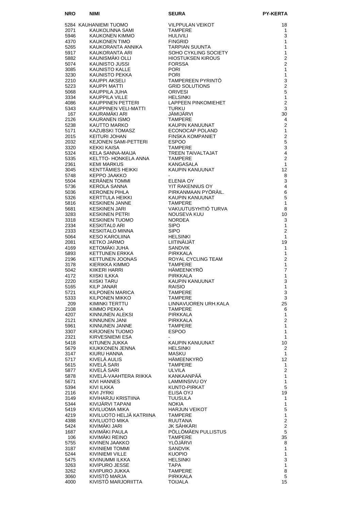| <b>NRO</b>   | <b>NIMI</b>                              | <b>SEURA</b>                            | <b>PY-KERTA</b>                 |
|--------------|------------------------------------------|-----------------------------------------|---------------------------------|
|              | 5284 KAUHANIEMI TUOMO                    | <b>VILPPULAN VEIKOT</b>                 | 18                              |
| 2071         | KAUKOLINNA SAMI                          | <b>TAMPERE</b>                          | $\mathbf{1}$                    |
| 5946         | KAUKONEN KIMMO                           | HULIVILI                                | 3                               |
| 4370<br>5265 | KAUKONEN TIMO<br>KAUKORANTA ANNIKA       | <b>FINGRID</b><br><b>TARPIAN SUUNTA</b> | 1<br>1                          |
| 5917         | KAUKORANTA ARI                           | SOHO CYKLING SOCIETY                    | $\mathbf{1}$                    |
| 5882         | KAUNISMÄKI OLLI                          | <b>HIOSTUKSEN KIROUS</b>                | $\mathbf{2}$                    |
| 5074         | KAUNISTO JUSSI                           | <b>FORSSA</b>                           | $\overline{2}$<br>1             |
| 3085<br>3230 | KAUNISTO KALLE<br>KAUNISTO PEKKA         | <b>PORI</b><br><b>PORI</b>              | 1                               |
| 2210         | KAUPPI AKSELI                            | TAMPEREEN PYRINTÖ                       | 3                               |
| 5223         | KAUPPI MATTI                             | <b>GRID SOLUTIONS</b>                   | $\overline{2}$                  |
| 5068<br>3334 | KAUPPILA JUHA<br>KAUPPILA VILLE          | <b>ORIVESI</b><br><b>HELSINKI</b>       | 5<br>$\mathbf{1}$               |
| 4086         | KAUPPINEN PETTERI                        | LAPPEEN PINKOMIEHET                     | 2                               |
| 5343         | KAUPPINEN VELI-MATTI                     | <b>TURKU</b>                            | 3                               |
| 167<br>2126  | KAURAMÄKI ARI<br>KAURANEN ISMO           | JÄMIJÄRVI<br><b>TAMPERE</b>             | 30<br>4                         |
| 5238         | KAUTTO MARKO                             | KAUPIN KANUUNAT                         | 2                               |
| 5171         | KAZUBSKI TOMASZ                          | ECONOCAP POLAND                         | $\mathbf{1}$                    |
| 2015         | KEITURI JOHAN                            | <b>FINSKA KOMPANIET</b><br><b>ESPOO</b> | $\mathbf 2$<br>5                |
| 2032<br>3320 | KEJONEN SAMI-PETTERI<br>KEKKI KAISA      | <b>TAMPERE</b>                          | 3                               |
| 5324         | KELA SANNA-MAIJA                         | <b>TREEN TAIVALTAJAT</b>                | $\overline{4}$                  |
| 5335         | KELTTO- HONKELA ANNA                     | <b>TAMPERE</b>                          | $\overline{2}$                  |
| 2361<br>3045 | <b>KEMI MARKUS</b><br>KENTTÄMIES HEIKKI  | KANGASALA<br>KAUPIN KANUUNAT            | $\mathbf{1}$<br>12 <sup>2</sup> |
| 5748         | KEPPO JAAKKO                             |                                         | 8                               |
| 5504         | <b>KERÄNEN TOMMI</b>                     | <b>ELENIA OY</b>                        | 3                               |
| 5736<br>5036 | KEROLA SANNA<br>KERONEN PIHLA            | YIT RAKENNUS OY<br>PIRKANMAAN PYÖRÄIL.  | 4<br>6                          |
| 5326         | KERTTULA HEIKKI                          | KAUPIN KANUUNAT                         | 5                               |
| 5816         | KESKINEN JANNE                           | <b>TAMPERE</b>                          | $\mathbf{1}$                    |
| 5681         | <b>KESKINEN JARI</b>                     | VAKUUTUSYHTIÖ TURVA                     | 8                               |
| 3283<br>3318 | KESKINEN PETRI<br><b>KESKINEN TUOMO</b>  | NOUSEVA KUU<br><b>NORDEA</b>            | 10<br>3                         |
| 2334         | <b>KESKITALO ARI</b>                     | <b>SIPO</b>                             | $\mathbf{1}$                    |
| 2333         | <b>KESKITALO MINNA</b>                   | <b>SIPO</b>                             | 2                               |
| 5064<br>2081 | KESO KAROLIINA<br>KETKO JARMO            | <b>HELSINKI</b><br>LIITINAIJAT          | $\mathbf{1}$<br>19              |
| 4169         | KETOMÄKI JUHA                            | SANDVIK                                 | $\mathbf{1}$                    |
| 5893         | KETTUNEN ERKKA                           | PIRKKALA                                | $\mathbf{1}$                    |
| 2196<br>3178 | <b>KETTUNEN JOONAS</b><br>KIERIKKA KIMMO | ROYAL CYCLING TEAM<br><b>TAMPERE</b>    | $\overline{2}$<br>$\mathbf{1}$  |
| 5042         | KIIKERI HARRI                            | HÄMEENKYRÖ                              | $\overline{7}$                  |
| 4172         | KIISKI ILKKA                             | <b>PIRKKALA</b>                         | $\mathbf{1}$                    |
| 2220         | KIISKI TARU                              | KAUPIN KANUUNAT                         | $\mathsf 3$                     |
| 5165<br>5721 | KILP JANAR<br>KILPONEN MARICA            | <b>RAISIO</b><br>TAMPERE                | $\mathbf{1}$<br>3               |
| 5333         | KILPONEN MIKKO                           | TAMPERE                                 | 3                               |
| 209          | KIMINKI TERTTU                           | LINNAVUOREN URH.KALA                    | 25                              |
| 2108<br>4207 | KIMMO PEKKA<br>KINNUNEN ALEKSI           | <b>TAMPERE</b><br>PIRKKALA              | 6<br>1                          |
| 2121         | KINNUNEN JANI                            | PIRKKALA                                | $\overline{c}$                  |
| 5961         | KINNUNEN JANNE                           | <b>TAMPERE</b>                          | $\mathbf{1}$                    |
| 3307<br>2321 | KIRJONEN TUOMO<br>KIRVESNIEMI ESA        | <b>ESPOO</b>                            | 1<br>$\mathbf{1}$               |
| 5418         | KITUNEN JUKKA                            | KAUPIN KANUUNAT                         | 10                              |
| 5679         | KIUKKONEN JENNA                          | <b>HELSINKI</b>                         | 2                               |
| 3147         | KIURU HANNA<br>KIVELÄ AULIS              | MASKU<br>HÄMEENKYRÖ                     | $\mathbf{1}$<br>12              |
| 5717<br>5615 | KIVELÄ SARI                              | <b>TAMPERE</b>                          | $\mathbf{1}$                    |
| 5877         | KIVELÄ SARI                              | ULVILA                                  | $\overline{2}$                  |
| 5878         | KIVELÄ-VAAHTERA RIIKKA                   | KANKAANPÄÄ                              | $\mathbf{1}$                    |
| 5671<br>5394 | KIVI HANNES<br>KIVI ILKKA                | LAMMINSIVU OY<br>KUNTO-PIRKAT           | $\mathbf{1}$<br>5               |
| 2116         | KIVI JYRKI                               | ELISA OYJ                               | 19                              |
| 3149         | KIVIHARJU KRISTIINA                      | TUUSULA                                 | $\mathbf{1}$                    |
| 5344<br>5419 | KIVIJARVI TAPANI<br>KIVILUOMA MIKA       | <b>NOKIA</b><br><b>HARJUN VEIKOT</b>    | $\mathbf{1}$<br>$\mathbf 5$     |
| 4219         | KIVILUOTO HELJÄ KATRIINA                 | <b>TAMPERE</b>                          | $\mathbf{1}$                    |
| 4388         | KIVILUOTO MIKA                           | <b>RUUTANA</b>                          | $\overline{c}$                  |
| 5424         | KIVIMÄKI JARI<br>KIVIMÄKI PAULA          | JK SÄHKÄRI<br>PÖLLÖMÄEN PULLISTUS       | $\overline{\mathbf{c}}$<br>5    |
| 1687<br>106  | KIVIMÄKI REINO                           | <b>TAMPERE</b>                          | 35                              |
| 5755         | KIVINEN JAAKKO                           | YLÖJÄRVI                                | 8                               |
| 3187         | KIVINIEMI TOMMI                          | SANDVIK                                 | $\mathbf{1}$                    |
| 5244<br>5475 | KIVINIEMI VILLE<br>KIVINUMMI ILKKA       | <b>KUOPIO</b><br><b>HELSINKI</b>        | $\mathbf{1}$<br>3               |
| 3263         | KIVIPURO JESSE                           | TAPA                                    | $\mathbf{1}$                    |
| 3262         | KIVIPURO JUKKA                           | <b>TAMPERE</b>                          | 8                               |
| 3060<br>4000 | KIVISTO MARJA<br>KIVISTÖ MARJORIITTA     | PIRKKALA<br><b>TOIJALA</b>              | 5<br>15                         |
|              |                                          |                                         |                                 |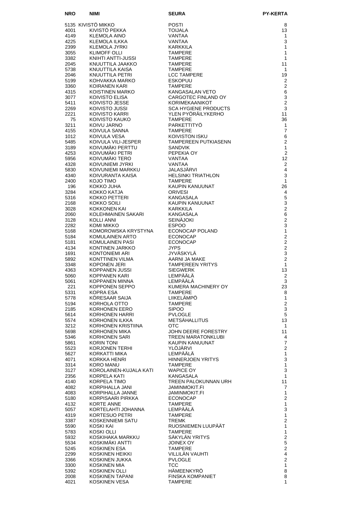| <b>NRO</b>   | <b>NIMI</b>                             | <b>SEURA</b>                                 | <b>PY-KERTA</b>                    |
|--------------|-----------------------------------------|----------------------------------------------|------------------------------------|
|              | 5135 KIVISTÖ MIKKO                      | <b>POSTI</b>                                 | 8                                  |
| 4001         | KIVISTÖ PEKKA                           | <b>TOIJALA</b>                               | 13                                 |
| 4149         | KLEMOLA AINO                            | VANTAA                                       | 1                                  |
| 4225<br>2399 | KLEMOLA ILKKA<br>KLEMOLA JYRKI          | VANTAA<br>KARKKILA                           | 3<br>1                             |
| 3055         | <b>KLIMOFF OLLI</b>                     | <b>TAMPERE</b>                               | 1                                  |
| 3382         | KNIHTI ANTTI-JUSSI                      | <b>TAMPERE</b>                               | 1                                  |
| 2045<br>5738 | KNUUTTILA JAAKKO<br>KNUUTTILA KAISA     | <b>TAMPERE</b><br><b>TAMPERE</b>             | 11<br>$\mathbf{1}$                 |
| 2046         | KNUUTTILA PETRI                         | <b>LCC TAMPERE</b>                           | 19                                 |
| 5199         | KOHVAKKA MARKO                          | <b>ESKOPUU</b>                               | 2                                  |
| 3360         | KOIRANEN KARI                           | <b>TAMPERE</b>                               | 2                                  |
| 4315<br>3077 | KOISTINEN MARKO<br>KOIVISTO ELISA       | KANGASALAN VETO<br>CARGOTEC FINLAND OY       | 6<br>3                             |
| 5411         | KOIVISTO JESSE                          | KORIMEKAANIKOT                               | $\overline{2}$                     |
| 2269         | KOIVISTO JUSSI                          | <b>SCA HYGIENE PRODUCTS</b>                  | 3                                  |
| 2221<br>75   | KOIVISTO KARRI                          | YLEN PYÖRÄILYKERHO<br><b>TAMPERE</b>         | 11<br>36                           |
| 3211         | KOIVISTO KAUKO<br>KOIVU JARNO           | <b>PARKETTITYO</b>                           | 1                                  |
| 4155         | KOIVULA SANNA                           | <b>TAMPERE</b>                               | $\overline{7}$                     |
| 1012         | KOIVULA VESA                            | KOIVISTON ISKU                               | 6                                  |
| 5485<br>3189 | KOIVULA VILI-JESPER<br>KOIVUMÄKI PERTTU | TAMPEREEN PUTKIASENN<br><b>SANDVIK</b>       | 2<br>$\mathbf{1}$                  |
| 4253         | KOIVUMÄKI PETRI                         | PEPEKIA OY                                   | $\overline{2}$                     |
| 5956         | KOIVUMÄKI TERO                          | VANTAA                                       | 12                                 |
| 4328<br>5830 | KOIVUNIEMI JYRKI<br>KOIVUNIEMI MARKKU   | VANTAA<br>JALASJARVI                         | 2<br>4                             |
| 4340         | KOIVURANTA KAISA                        | <b>HELSINKI TRIATHLON</b>                    | 3                                  |
| 2400         | KOJO TIMO                               | <b>TAMPERE</b>                               | $\mathbf{1}$                       |
| 196          | KOKKO JUHA                              | KAUPIN KANUUNAT                              | 26                                 |
| 3284<br>5316 | KOKKO KATJA<br>KOKKO PETTERI            | <b>ORIVESI</b><br><b>KANGASALA</b>           | 4<br>5                             |
| 2168         | KOKKO SOILI                             | KAUPIN KANUUNAT                              | 3                                  |
| 3028         | KOKKONEN KAI                            | <b>KARKKILA</b>                              | $\overline{2}$                     |
| 2060<br>3128 | KOLEHMAINEN SAKARI<br>KOLLI ANNI        | <b>KANGASALA</b><br><b>SEINÄJOKI</b>         | 6<br>$\overline{2}$                |
| 2282         | KOMI MIKKO                              | <b>ESPOO</b>                                 | 3                                  |
| 5168         | KOMOROWSKA KRYSTYNA                     | ECONOCAP POLAND                              | $\mathbf{1}$                       |
| 5184         | KOMULAINEN ARTO                         | <b>ECONOCAP</b>                              | $\overline{2}$                     |
| 5181<br>4134 | KOMULAINEN PASI<br>KONTINEN JARKKO      | <b>ECONOCAP</b><br><b>JYPS</b>               | $\mathbf 2$<br>$\overline{2}$      |
| 1691         | KONTONIEMI ARI                          | <b>JYVÄSKYLÄ</b>                             | 3                                  |
| 5892         | KONTTINEN VILMA                         | AARNI JA MAKE                                | $\overline{2}$                     |
| 3348<br>4363 | <b>KOPONEN JERI</b><br>KOPPANEN JUSSI   | <b>TAMPEREEN YRITYS</b><br><b>SIEGWERK</b>   | $\mathbf{1}$<br>13                 |
| 5060         | <b>KOPPANEN KARI</b>                    | LEMPÄÄLÄ                                     | $\mathbf{2}$                       |
| 5061         | KOPPANEN MINNA                          | LEMPÄÄLÄ                                     | 3                                  |
| 221          | KOPPONEN SEPPO                          | KUMERA MACHINERY OY                          | 23                                 |
| 5331<br>5778 | KOPRA ESA<br>KÖRESAAR SAIJA             | <b>TAMPERE</b><br>LIIKELÄMPÖ                 | 8<br>$\mathbf{1}$                  |
| 5194         | KORHOLA OTTO                            | <b>TAMPERE</b>                               | $\mathbf 2$                        |
| 2185         | KORHONEN EERO                           | <b>SIPOO</b>                                 | 3                                  |
| 5614<br>5574 | KORHONEN HARRI<br>KORHONEN ILKKA        | <b>PVLOGLE</b><br><b>METSÄHALLITUS</b>       | 5<br>13                            |
| 3212         | KORHONEN KRISTIINA                      | OTC.                                         | $\mathbf{1}$                       |
| 5698         | KORHONEN MIKA                           | JOHN DEERE FORESTRY                          | 11                                 |
| 5346         | KORHONEN SARI                           | TREEN MARATONKLUBI                           | 4                                  |
| 5861<br>5523 | <b>KORIN TONI</b><br>KORJONEN TERHI     | KAUPIN KANUUNAT<br>YLOJARVI                  | $\boldsymbol{7}$<br>$\overline{2}$ |
| 5627         | KORKATTI MIKA                           | LEMPÄÄLÄ                                     | $\mathbf{1}$                       |
| 4071         | KORKKA HENRI                            | HINNERJOEN YRITYS                            | 3                                  |
| 3314<br>3127 | KORO MANU<br>KOROLAINEN-KUJALA KATI     | <b>TAMPERE</b><br><b>WAPICE OY</b>           | 1<br>3                             |
| 2356         | KORPELA KATI                            | KANGASALA                                    | $\mathbf{1}$                       |
| 4140         | KORPELA TIMO                            | TREEN PALOKUNNAN URH                         | 11                                 |
| 4082<br>4083 | KORPIHALLA JANI<br>KORPIHALLA JANNE     | <b>JAMINMOKIT.FI</b><br><b>JAMINMOKIT.FI</b> | 7<br>$\mathbf{1}$                  |
| 5180         | KORPISAARI PIRKKA                       | <b>ECONOCAP</b>                              | $\overline{2}$                     |
| 4132         | KORTE ANNE                              | <b>TAMPERE</b>                               | $\mathbf{1}$                       |
| 5057         | KORTELAHTI JOHANNA                      | LEMPÄÄLÄ                                     | 3                                  |
| 4319<br>3387 | KORTESUO PETRI<br>KOSKENNIEMI SATU      | <b>TAMPERE</b><br><b>TREMK</b>               | $\mathbf{1}$<br>$\overline{c}$     |
| 5590         | KOSKI KAI                               | RUOSNIEMEN LUUPÄÄT                           | $\mathbf{1}$                       |
| 5783         | KOSKI OLLI                              | <b>TAMPERE</b>                               | $\mathbf{1}$                       |
| 5932         | KOSKIHAKA MARKKU                        | SÄKYLÄN YRITYS                               | $\mathbf 2$                        |
| 5534<br>5245 | KOSKIMÄKI ANTTI<br><b>KOSKINEN ESA</b>  | JOINEX OY<br><b>TAMPERE</b>                  | 5<br>$\overline{\mathbf{c}}$       |
| 2299         | KOSKINEN HEIKKI                         | VILLILÄN VAUHTI                              | $\overline{\mathbf{4}}$            |
| 3366         | KOSKINEN JUKKA                          | PVLOGLE                                      | $\overline{2}$                     |
| 3300<br>5392 | KOSKINEN MIA<br>KOSKINEN OLLI           | <b>TCC</b><br>HÄMEENKYRÖ                     | $\mathbf{1}$<br>8                  |
| 2008         | KOSKINEN TAPANI                         | FINSKA KOMPANIET                             | 8                                  |
| 4021         | <b>KOSKINEN VESA</b>                    | <b>TAMPERE</b>                               | 1                                  |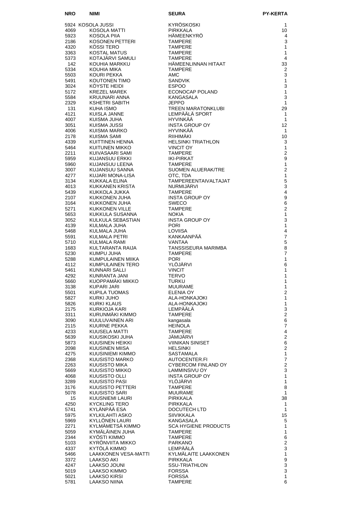| NRO          | <b>NIMI</b>                          | <b>SEURA</b>                               | <b>PY-KERTA</b>              |
|--------------|--------------------------------------|--------------------------------------------|------------------------------|
|              | 5924 KOSOLA JUSSI                    | KYRÖSKOSKI                                 | 1                            |
| 4069         | KOSOLA MATTI                         | <b>PIRKKALA</b>                            | 10                           |
| 5923         | KOSOLA PIIA                          | HÄMEENKYRÖ                                 | 4                            |
| 2186         | KOSONEN PETTERI                      | <b>TAMPERE</b>                             | 3                            |
| 4320<br>3363 | KOSSI TERO<br><b>KOSTAL MATUS</b>    | TAMPERE<br><b>TAMPERE</b>                  | 1<br>1                       |
| 5373         | KOTAJARVI SAMULI                     | <b>TAMPERE</b>                             | 4                            |
| 142          | KOUHIA MARKKU                        | HÄMEENLINNAN HITAAT                        | 33                           |
| 5334         | KOUHIA MIKA                          | <b>TAMPERE</b>                             | $\overline{2}$               |
| 5503         | KOURI PEKKA                          | AMC                                        | 3                            |
| 5491<br>3024 | KOUTONEN TIMO<br>KÖYSTE HEIDI        | <b>SANDVIK</b><br><b>ESPOO</b>             | $\mathbf{1}$<br>3            |
| 5172         | KREZEL MAREK                         | ECONOCAP POLAND                            | 1                            |
| 5584         | KRUUNARI ANNA                        | KANGASALA                                  | 3                            |
| 2329         | KSHETRI SABITH                       | <b>JEPPO</b>                               | 1                            |
| 131          | KUHA ISMO                            | <b>TREEN MARATONKLUBI</b>                  | 29                           |
| 4121<br>4007 | KUISLA JANNE<br>KUISMA JUHA          | LEMPÄÄLÄ SPORT<br>HYVINKÄÄ                 | $\mathbf{1}$<br>$\mathbf{1}$ |
| 3051         | KUISMA JUSSI                         | <b>INSTA GROUP OY</b>                      | 12                           |
| 4006         | KUISMA MARKO                         | HYVINKÄÄ                                   | $\mathbf{1}$                 |
| 2178         | KUISMA SAMI                          | RIIHIMAKI                                  | 10                           |
| 4339         | KUITTINEN HENNA                      | <b>HELSINKI TRIATHLON</b>                  | 3                            |
| 5464<br>2211 | KUITUNEN MIKKO<br>KUIVASAARI SAMI    | <b>VINCIT OY</b><br><b>TAMPERE</b>         | 1<br>$\overline{2}$          |
| 5959         | KUJANSUU ERKKI                       | <b>IKI-PIRKAT</b>                          | 9                            |
| 5960         | KUJANSUU LEENA                       | <b>TAMPERE</b>                             | $\mathbf{1}$                 |
| 3007         | KUJANSUU SANNA                       | SUOMEN ALUERAK/TRE                         | $\overline{2}$               |
| 4277         | KUJARI MONA-LISA                     | OTC, TDA                                   | $\mathbf{1}$                 |
| 3134<br>4013 | KUKKALA ELINA<br>KUKKANEN KRISTA     | TAMPEREENTAIVALTAJAT<br>NURMIJÄRVI         | 5<br>3                       |
| 5439         | KUKKOLA JUKKA                        | <b>TAMPERE</b>                             | 4                            |
| 2107         | KUKKONEN JUHA                        | <b>INSTA GROUP OY</b>                      | 9                            |
| 3164         | KUKKONEN JUHA                        | <b>SWECO</b>                               | 6                            |
| 5271         | <b>KUKKONEN VILLE</b>                | <b>TAMPERE</b>                             | $\overline{2}$               |
| 5653<br>3052 | KUKKULA SUSANNA<br>KULKULA SEBASTIAN | <b>NOKIA</b><br><b>INSTA GROUP OY</b>      | 1<br>3                       |
| 4139         | KULMALA JUHA                         | <b>PORI</b>                                | 1                            |
| 5468         | KULMALA JUHA                         | LOVIISA                                    | 4                            |
| 5591         | KULMALA PETRI                        | KANKAANPÄÄ                                 | $\overline{7}$               |
| 5710         | KULMALA RAMI                         | VANTAA                                     | 5                            |
| 1683<br>5230 | KULTARANTA RAIJA<br>KUMPU JUHA       | TANSSISEURA MARIMBA<br><b>TAMPERE</b>      | 8<br>$\overline{7}$          |
| 5288         | KUMPULAINEN MIIKA                    | <b>PORI</b>                                | 1                            |
| 4112         | KUMPULAINEN TERO                     | YLOJARVI                                   | 6                            |
| 5461         | KUNNARI SALLI                        | <b>VINCIT</b>                              | 1                            |
| 4292<br>5660 | KUNRANTA JANI<br>KUOPPAMÄKI MIKKO    | <b>TERVO</b><br><b>TURKU</b>               | 1<br>1                       |
| 3138         | <b>KUPARI JARI</b>                   | <b>MUURAME</b>                             | 1                            |
| 5501         | KUPILA TUOMAS                        | ELENIA OY                                  | $\overline{2}$               |
| 5827         | KURKI JUHO                           | ALA-HONKAJOKI                              | 1                            |
| 5826         | <b>KURKI KLAUS</b>                   | ALA-HONKAJOKI                              | 1                            |
| 2175<br>3311 | KURKIOJA KARI<br>KURUNMAKI KIMMO     | LEMPÄÄLÄ<br><b>TAMPERE</b>                 | 3<br>$\mathbf{2}$            |
| 3090         | KUULUVAINEN ARI                      | kangasala                                  | 6                            |
| 2115         | KUURNE PEKKA                         | <b>HEINOLA</b>                             | 7                            |
| 4233         | KUUSELA MATTI                        | TAMPERE                                    | $\overline{4}$               |
| 5639         | KUUSIKOSKI JUHA                      | JAMIJARVI                                  | $\overline{2}$               |
| 5873<br>2098 | KUUSINEN HEIKKI<br>KUUSINEN MIISA    | <b>VIINIKAN SINISET</b><br><b>HELSINKI</b> | 6<br>$\mathbf{2}$            |
| 4275         | KUUSINIEMI KIMMO                     | <b>SASTAMALA</b>                           | 1                            |
| 2368         | KUUSISTO MARKO                       | AUTOCENTER.FI                              | $\overline{7}$               |
| 2263         | KUUSISTO MIKA                        | CYBERCOM FINLAND OY                        | $\mathbf{2}$                 |
| 5669         | KUUSISTO MIKKO                       | LAMMINSIVU OY                              | 3                            |
| 4068<br>3289 | KUUSISTO OLLI<br>KUUSISTO PASI       | <b>INSTA GROUP OY</b><br>YLÖJÄRVI          | 1<br>1                       |
| 3176         | KUUSISTO PETTERI                     | <b>TAMPERE</b>                             | 8                            |
| 5078         | KUUSISTO SARI                        | MUURAME                                    | 1                            |
| 15           | KUUSNIEMI LAURI                      | PIRKKALA                                   | 38                           |
| 4250         | <b>KYCKLING TERO</b>                 | <b>PIRKKALA</b>                            | 1                            |
| 5741<br>5975 | KYLÄNPÄÄ ESA<br>KYLKILAHTI ASKO      | DOCUTECH LTD<br>SIIVIKKALA                 | 1<br>15                      |
| 5969         | KYLLÖNEN LAURI                       | KANGASALA                                  | 5                            |
| 2271         | KYLMÄMETSÄ KIMMO                     | <b>SCA HYGIENE PRODUCTS</b>                | 1                            |
| 5059         | KYMÄLÄINEN JUHA                      | <b>TAMPERE</b>                             | 1                            |
| 2344         | KYÖSTI KIMMO                         | <b>TAMPERE</b>                             | 6                            |
| 5103<br>4337 | KYRÖNVIITA MIKKO<br>KYTÖLÄ KIMMO     | PARKANO<br>LEMPÄÄLÄ                        | $\mathbf{2}$<br>3            |
| 5466         | <b>LAAKKONEN VESA-MATTI</b>          | KYLMÄLAITE LAAKKONEN                       | $\mathbf{1}$                 |
| 3372         | LAAKSO AKI                           | PIRKKALA                                   | $\boldsymbol{9}$             |
| 4247         | LAAKSO JOUNI                         | <b>SSU-TRIATHLON</b>                       | 3                            |
| 5019         | LAAKSO KIMMO                         | <b>FORSSA</b>                              | 3                            |
| 5021<br>5781 | LAAKSO KIRSI<br>LAAKSO NIINA         | <b>FORSSA</b><br><b>TAMPERE</b>            | 1<br>6                       |
|              |                                      |                                            |                              |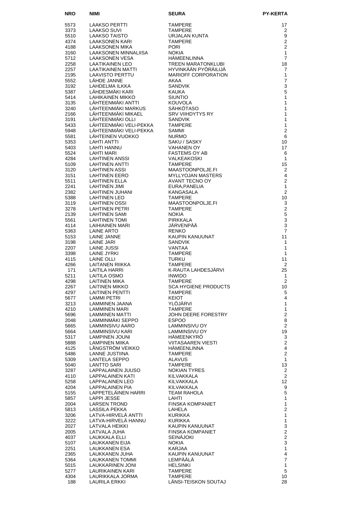| <b>NRO</b>   | <b>NIMI</b>                                                                                                                                                                                                                                                                                                                                                                                                                                                            | <b>SEURA</b>                                                                                                | <b>PY-KERTA</b>                  |
|--------------|------------------------------------------------------------------------------------------------------------------------------------------------------------------------------------------------------------------------------------------------------------------------------------------------------------------------------------------------------------------------------------------------------------------------------------------------------------------------|-------------------------------------------------------------------------------------------------------------|----------------------------------|
| 5573         | LAAKSO PERTTI                                                                                                                                                                                                                                                                                                                                                                                                                                                          | <b>TAMPERE</b>                                                                                              | 17                               |
| 3373         | LAAKSO SUVI<br>LAAKSO TAISTO<br>LAAKSS                                                                                                                                                                                                                                                                                                                                                                                                                                 | <b>TAMPERE</b>                                                                                              | 2                                |
| 5510         |                                                                                                                                                                                                                                                                                                                                                                                                                                                                        | URJALAN KUNTA                                                                                               | 9                                |
| 4374         | <b>LAAKSONEN KARI</b>                                                                                                                                                                                                                                                                                                                                                                                                                                                  | <b>TAMPERE</b>                                                                                              | $\overline{2}$                   |
| 4188<br>3160 | LAAKSONEN MIKA                                                                                                                                                                                                                                                                                                                                                                                                                                                         | <b>PORI</b><br><b>NOKIA</b>                                                                                 | $\overline{2}$<br>$\mathbf{1}$   |
| 5712         | L'AAKSONEN MINNALIISA<br>LAAKSONEN VESA<br>LAATIKAINEN LEO<br>I AATIKAINEN MATTI                                                                                                                                                                                                                                                                                                                                                                                       | HÄMEENLINNA                                                                                                 | $\overline{7}$                   |
| 2258         |                                                                                                                                                                                                                                                                                                                                                                                                                                                                        | <b>TREEN MARATONKLUBI</b>                                                                                   | 18                               |
| 2257         |                                                                                                                                                                                                                                                                                                                                                                                                                                                                        | HYVINKÄÄN PYÖRÄILIJÄ                                                                                        | 7                                |
| 2195         |                                                                                                                                                                                                                                                                                                                                                                                                                                                                        | <b>MARIOFF CORPORATION</b>                                                                                  | $\mathbf{1}$                     |
| 5552<br>3192 |                                                                                                                                                                                                                                                                                                                                                                                                                                                                        |                                                                                                             | $\overline{7}$<br>3              |
| 5387         |                                                                                                                                                                                                                                                                                                                                                                                                                                                                        |                                                                                                             | 5                                |
| 5414         |                                                                                                                                                                                                                                                                                                                                                                                                                                                                        |                                                                                                             | 1                                |
| 3135         |                                                                                                                                                                                                                                                                                                                                                                                                                                                                        |                                                                                                             | 1                                |
| 3240         |                                                                                                                                                                                                                                                                                                                                                                                                                                                                        |                                                                                                             | 1                                |
| 2166<br>3191 |                                                                                                                                                                                                                                                                                                                                                                                                                                                                        |                                                                                                             | 1<br>1                           |
| 5433         |                                                                                                                                                                                                                                                                                                                                                                                                                                                                        |                                                                                                             | 1                                |
| 5948         |                                                                                                                                                                                                                                                                                                                                                                                                                                                                        |                                                                                                             | $\overline{2}$                   |
| 5581         | MARIOF CORPORATION AND MARIOF CORPORATION AND ANNOUNCE CORPORATION AND MANUSCRIPT AND MANUSCRIPT AND MANUSCRIPT AND CONTROLL AND CONTROLL AND SANDWIKE AND CONTROLL AND CONTROLL AND SANDWIKE AND MANUSCRIPT AND MANUSCRIPT AN<br>AHTEENMART AHTEENMART AHTEENMART AHTEENMART AHTEENMART AHTEENMART AHTEENMART AHTEENMART AHTEENMART AHTEENMART A<br>LÄHTEENMÄKI VELI-PEKKA SAKU / SASKY VAHANEN OY<br>LÄHTEINEN VUOKKO NURMART VAHANEN OY<br>LÄHTI ANTTI SAKU / SASKY |                                                                                                             | 6                                |
| 5353<br>5403 |                                                                                                                                                                                                                                                                                                                                                                                                                                                                        |                                                                                                             | 10<br>17                         |
| 5524         |                                                                                                                                                                                                                                                                                                                                                                                                                                                                        |                                                                                                             | 6                                |
| 4284         |                                                                                                                                                                                                                                                                                                                                                                                                                                                                        |                                                                                                             | 1                                |
| 5109         |                                                                                                                                                                                                                                                                                                                                                                                                                                                                        |                                                                                                             | 15                               |
| 3120         |                                                                                                                                                                                                                                                                                                                                                                                                                                                                        |                                                                                                             | $\overline{2}$                   |
| 3151<br>5511 | LAHTINEN EERO<br>LAHTINEN ELLA                                                                                                                                                                                                                                                                                                                                                                                                                                         |                                                                                                             | 4<br>$\overline{2}$              |
| 2241         | LAHTINEN JIMI                                                                                                                                                                                                                                                                                                                                                                                                                                                          |                                                                                                             | 1                                |
| 2382         | LAHTINEN JUHANI                                                                                                                                                                                                                                                                                                                                                                                                                                                        | MALKEAKOSKI<br>TAMPERE<br>MAASTOONPOLJE.FI<br>MYLLYOJAN MASTERS<br>AVANT TECNO OY<br>EURA,PANELIA<br>KANC^^ | $\overline{2}$                   |
| 5388         | <b>LAHTINEN LEO</b>                                                                                                                                                                                                                                                                                                                                                                                                                                                    | TAMPERE                                                                                                     | 10                               |
| 3119         | <b>LAHTINEN OSSI</b>                                                                                                                                                                                                                                                                                                                                                                                                                                                   | MAASTOONPOLJE.FI                                                                                            | 3                                |
| 3278<br>2139 | LAHTINEN PETRI<br>LAHTINEN SAMI                                                                                                                                                                                                                                                                                                                                                                                                                                        | <b>TAMPERE</b><br><b>NOKIA</b>                                                                              | $\overline{2}$<br>$\overline{5}$ |
| 5561         | <b>LAHTINEN TOMI</b>                                                                                                                                                                                                                                                                                                                                                                                                                                                   | <b>PIRKKALA</b>                                                                                             | 3                                |
| 4114         | LAIHIAINEN MARI                                                                                                                                                                                                                                                                                                                                                                                                                                                        | JÄRVENPÄÄ                                                                                                   | 3                                |
| 5363         | LAINE ARTO                                                                                                                                                                                                                                                                                                                                                                                                                                                             | <b>RENKO</b>                                                                                                | $\overline{7}$                   |
| 5153<br>3198 | LAINE JANNE<br>LAINE JARI                                                                                                                                                                                                                                                                                                                                                                                                                                              | KAUPIN KANUUNAT<br><b>SANDVIK</b>                                                                           | 11<br>1                          |
| 2207         | LAINE JUSSI                                                                                                                                                                                                                                                                                                                                                                                                                                                            | VANTAA                                                                                                      | 1                                |
| 3398         | LAINE JYRKI                                                                                                                                                                                                                                                                                                                                                                                                                                                            | <b>TAMPERE</b>                                                                                              | 1                                |
| 4115         | LAINE OLLI                                                                                                                                                                                                                                                                                                                                                                                                                                                             | <b>TURKU</b>                                                                                                | 11                               |
| 4266<br>171  | LAITANEN RIIKKA<br>LAITILA HARRI                                                                                                                                                                                                                                                                                                                                                                                                                                       | <b>TAMPERE</b><br>K-RAUTA LAHDESJÄRVI                                                                       | 2                                |
| 5211         | LAITILA OSMO                                                                                                                                                                                                                                                                                                                                                                                                                                                           | <b>INWIDO</b>                                                                                               | 25<br>$\mathbf{1}$               |
| 4298         | <b>LAITINEN MIKA</b>                                                                                                                                                                                                                                                                                                                                                                                                                                                   | <b>TAMPERE</b>                                                                                              | 2                                |
| 2267         | LAITINEN MIKKO                                                                                                                                                                                                                                                                                                                                                                                                                                                         | <b>SCA HYGIENE PRODUCTS</b>                                                                                 | 10                               |
| 4297         | <b>LAITINEN PENTTI</b>                                                                                                                                                                                                                                                                                                                                                                                                                                                 | TAMPERE                                                                                                     | 5                                |
| 5677<br>3213 | <b>LAMMI PETRI</b><br>LAMMINEN JAANA                                                                                                                                                                                                                                                                                                                                                                                                                                   | <b>KEIOT</b><br>YLOJARVI                                                                                    | 4<br>1                           |
| 4210         | LAMMINEN MARI                                                                                                                                                                                                                                                                                                                                                                                                                                                          | <b>TAMPERE</b>                                                                                              | $\mathbf{1}$                     |
| 5696         | <b>LAMMINEN MATTI</b>                                                                                                                                                                                                                                                                                                                                                                                                                                                  | <b>JOHN DEERE FORESTRY</b>                                                                                  | $\mathbf{2}$                     |
| 2048         | LAMMINMÄKI SEPPO                                                                                                                                                                                                                                                                                                                                                                                                                                                       | <b>ESPOO</b>                                                                                                | 8                                |
| 5665<br>5664 | LAMMINSIVU AARO<br><b>LAMMINSIVU KARI</b>                                                                                                                                                                                                                                                                                                                                                                                                                              | <b>LAMMINSIVU OY</b><br>LAMMINSIVU OY                                                                       | $\overline{2}$<br>19             |
| 5317         | <b>LAMPINEN JOUNI</b>                                                                                                                                                                                                                                                                                                                                                                                                                                                  | HÄMEENKYRÖ                                                                                                  | 3                                |
| 5888         | <b>LAMPINEN MIIKA</b>                                                                                                                                                                                                                                                                                                                                                                                                                                                  | <b>VIITASAAREN VIESTI</b>                                                                                   | $\overline{2}$                   |
| 4125         | LÅNGSTRÖM VEIKKO                                                                                                                                                                                                                                                                                                                                                                                                                                                       | <b>HAMEENLINNA</b>                                                                                          | 4                                |
| 5486<br>5309 | LANNE JUSTIINA<br>LANTELA SEPPO                                                                                                                                                                                                                                                                                                                                                                                                                                        | <b>TAMPERE</b><br><b>ALAVUS</b>                                                                             | $\overline{2}$<br>$\mathbf{1}$   |
| 5040         | LANTTO SARI                                                                                                                                                                                                                                                                                                                                                                                                                                                            | <b>TAMPERE</b>                                                                                              | 13                               |
| 3287         | LAPPALAINEN JUUSO                                                                                                                                                                                                                                                                                                                                                                                                                                                      | NOKIAN TYRES                                                                                                | $\overline{2}$                   |
| 4110         | <b>LAPPALAINEN KATI</b>                                                                                                                                                                                                                                                                                                                                                                                                                                                | KILVAKKALA                                                                                                  | $\overline{2}$                   |
| 5258         | LAPPALAINEN LEO                                                                                                                                                                                                                                                                                                                                                                                                                                                        | KILVAKKALA                                                                                                  | 12                               |
| 4204<br>5155 | LAPPALAINEN PIA<br>LAPPETELÄINEN HARRI                                                                                                                                                                                                                                                                                                                                                                                                                                 | KILVAKKALA<br>TEAM RAHOLA                                                                                   | 9<br>5                           |
| 5857         | <b>LAPPI JESSE</b>                                                                                                                                                                                                                                                                                                                                                                                                                                                     | LAHTI                                                                                                       | 1                                |
| 2004         | <b>LARSEN TROND</b>                                                                                                                                                                                                                                                                                                                                                                                                                                                    | <b>FINSKA KOMPANIET</b>                                                                                     | $\mathbf{1}$                     |
| 5813         | LASSILA PEKKA                                                                                                                                                                                                                                                                                                                                                                                                                                                          | LAHELA                                                                                                      | $\overline{2}$                   |
| 3206<br>3222 | LATVA-HIRVELÄ ANTTI<br>LATVA-HIRVELÄ HANNU                                                                                                                                                                                                                                                                                                                                                                                                                             | KURIKKA<br><b>KURIKKA</b>                                                                                   | $\mathbf{1}$<br>1                |
| 2027         | LATVALA HEIKKI                                                                                                                                                                                                                                                                                                                                                                                                                                                         | KAUPIN KANUUNAT                                                                                             | 3                                |
| 2005         | LATVALA JUHA                                                                                                                                                                                                                                                                                                                                                                                                                                                           | <b>FINSKA KOMPANIET</b>                                                                                     | $\overline{2}$                   |
| 4037         | LAUKKALA ELLI                                                                                                                                                                                                                                                                                                                                                                                                                                                          | <b>SEINAJOKI</b>                                                                                            | $\overline{2}$                   |
| 5107<br>2251 | LAUKKANEN EIJA<br>LAUKKANEN ESA                                                                                                                                                                                                                                                                                                                                                                                                                                        | <b>NOKIA</b><br>KARJAA                                                                                      | 3<br>$\mathbf{1}$                |
| 2365         | LAUKKANEN JUHA                                                                                                                                                                                                                                                                                                                                                                                                                                                         | KAUPIN KANUUNAT                                                                                             | $\overline{\mathbf{4}}$          |
| 5364         | LAUKKANEN TOMMI                                                                                                                                                                                                                                                                                                                                                                                                                                                        | LEMPAALA                                                                                                    | $\overline{7}$                   |
| 5015         | LAUKKARINEN JONI                                                                                                                                                                                                                                                                                                                                                                                                                                                       | <b>HELSINKI</b>                                                                                             | 1                                |
| 5277         | LAURIKAINEN KARI                                                                                                                                                                                                                                                                                                                                                                                                                                                       | <b>TAMPERE</b><br><b>TAMPERE</b>                                                                            | 5                                |
| 4304<br>188  | LAURIKKALA JORMA<br>LAURILA ERKKI                                                                                                                                                                                                                                                                                                                                                                                                                                      | LÄNSI-TEISKON SOUTAJ                                                                                        | 10<br>28                         |
|              |                                                                                                                                                                                                                                                                                                                                                                                                                                                                        |                                                                                                             |                                  |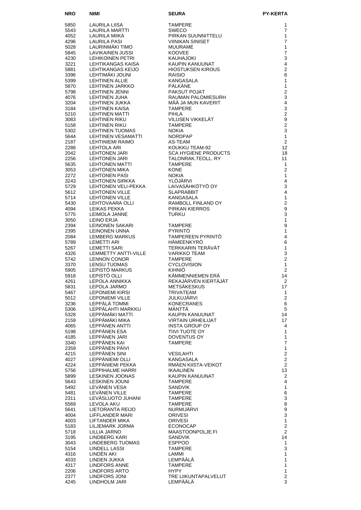| <b>NRO</b>   | NIMI                                          | SEURA                                                                                                            | <b>PY-KERTA</b>                    |
|--------------|-----------------------------------------------|------------------------------------------------------------------------------------------------------------------|------------------------------------|
| 5850         | LAURILA LIISA                                 | <b>TAMPERE</b>                                                                                                   | 1                                  |
| 5543         | LAURILA MARTTI                                | <b>SWECO</b>                                                                                                     | $\overline{7}$                     |
| 4052         | LAURILA MIIKA                                 | PIRKAN SUUNNITTELU                                                                                               | 1                                  |
| 4296         | LAURILA PASI                                  | <b>VIINIKAN SINISET</b>                                                                                          | $\overline{7}$                     |
| 5028         | LAURINMÄKI TIMO<br><b>LAVIKAINEN JUSSI</b>    | <b>MUURAME</b>                                                                                                   | $\mathbf{1}$<br>$\overline{7}$     |
| 5845<br>4230 | <b>LEHIKOINEN PETRI</b>                       | <b>KOOVEE</b><br>KAUHAJOKI                                                                                       | 3                                  |
| 3221         | LEHTIKANGAS KAISA                             | KAUPIN KANUUNAT                                                                                                  | $\overline{\mathbf{4}}$            |
| 5881         | LEHTIKANGAS KEIJO                             |                                                                                                                  | $\overline{c}$                     |
| 3396         | LEHTIMÄKI JOUNI                               |                                                                                                                  | 8                                  |
| 5399         | <b>LEHTINEN ALLIE</b>                         |                                                                                                                  | $\mathbf{1}$                       |
| 5870<br>5798 | LEHTINEN JARKKO<br><b>LEHTINEN JENNI</b>      |                                                                                                                  | $\mathbf{1}$<br>$\overline{c}$     |
| 4076         | <b>LEHTINEN JUHA</b>                          |                                                                                                                  | 3                                  |
| 3204         | LEHTINEN JUKKA                                |                                                                                                                  | $\overline{\mathbf{4}}$            |
| 3184         | LEHTINEN KAISA                                | HIOSTUKSEN NINGG<br>RAISIO<br>KANGASALA<br>PÄLKÄNE<br>PAKSUT POJAT<br>RAUMAN PALOMIESURH<br>*** * TA MUN KAVERIT | 3                                  |
| 5210         | LEHTINEN MATTI                                | <b>PIHLA</b><br>VILUSEN VIKKELÄT                                                                                 | $\overline{c}$<br>$\boldsymbol{9}$ |
| 3083<br>5158 | LEHTINEN RIKU<br><b>LEHTINEN RIKU</b>         | <b>TAMPERE</b>                                                                                                   | $\overline{2}$                     |
| 5302         | LEHTINEN TUOMAS                               | <b>NOKIA</b>                                                                                                     | 3                                  |
| 5644         | <b>LEHTINEN VESAMATTI</b>                     | <b>NORDPAP</b>                                                                                                   | 1                                  |
| 2187         | <b>LEHTINIEMI RAIMO</b>                       | AS-TEAM                                                                                                          | $\overline{c}$                     |
| 2288<br>2042 | LEHTOLA ARI<br>LEHTONEN JARI                  | KOUKKU TEAM-92<br><b>SCA HYGIENE PRODUCTS</b>                                                                    | 12<br>18                           |
| 2256         | LEHTONEN JARI                                 | TALONRAK.TEOLL, RY                                                                                               | 11                                 |
| 5635         | <b>LEHTONEN MATTI</b>                         | <b>TAMPERE</b>                                                                                                   | 1                                  |
| 3053         | LEHTONEN MIKA                                 | <b>KONE</b>                                                                                                      | 2                                  |
| 2272         | <b>LEHTONEN PASI</b>                          | <b>NOKIA</b>                                                                                                     | $\mathbf{1}$                       |
| 3243<br>5729 | <b>LEHTONEN SIRKKA</b><br>LEHTONEN VELI-PEKKA | YLÖJÄRVI<br>LAIVASÄHKÖTYÖ OY                                                                                     | $\overline{4}$<br>3                |
| 5612         | <b>LEHTONEN VILLE</b>                         | <b>SLAPRABBIT</b>                                                                                                | $\overline{4}$                     |
| 5714         | <b>LEHTONEN VILLE</b>                         | <b>KANGASALA</b>                                                                                                 | $\mathbf{1}$                       |
| 5430         | LEHTOVAARA OLLI                               | RAMBOLL FINLAND OY                                                                                               | $\overline{c}$                     |
| 4094         | LEIKAS PEKKA                                  | PIRKAN KIERROS                                                                                                   | $\boldsymbol{9}$                   |
| 5775<br>3050 | LEIMOLA JANNE<br>LEINO ERJA                   | <b>TURKU</b>                                                                                                     | 3<br>$\mathbf{1}$                  |
| 2394         | LEINONEN SAKARI                               | <b>TAMPERE</b>                                                                                                   | 9                                  |
| 2395         | LEINONEN UNNA                                 | <b>PYRINTO</b>                                                                                                   | $\mathbf{1}$                       |
| 2084         | LEMBERG MARKUS                                | TAMPEREEN PYRINTÖ                                                                                                | $\overline{4}$                     |
| 5789         | LEMETTI ARI                                   | HÄMEENKYRÖ                                                                                                       | $\,6$                              |
| 5267<br>4326 | <b>LEMETTI SARI</b><br>LEMMETTY ANTTI-VILLE   | TERKKARIN TERÄVÄT<br><b>VARIKKO TEAM</b>                                                                         | 1<br>3                             |
| 5742         | <b>LENNON CONOR</b>                           | <b>TAMPERE</b>                                                                                                   | $\overline{2}$                     |
| 3370         | <b>LENSU TUOMAS</b>                           | <b>CYCLOVISION</b>                                                                                               | 1                                  |
| 5905         | LEPISTÖ MARKUS                                | <b>KIHNIÖ</b>                                                                                                    | $\overline{2}$                     |
| 5918         | LEPISTÖ OLLI                                  | KÄMMENNIEMEN ERÄ<br>REKAJÄRVEN KIERTÄJÄT                                                                         | 14                                 |
| 4261<br>5831 | LEPOLA ANNIKKA<br>LEPOLA JARMO                | <b>METSÄKESKUS</b>                                                                                               | 2<br>17                            |
| 5467         | <b>LEPONIEMI KIRSI</b>                        | TRIVATEAM                                                                                                        | 1                                  |
| 5012         | <b>LEPONIEMI VILLE</b>                        | JULKUJÄRVI                                                                                                       | 2                                  |
| 3236         | LEPPÄLÄ TOMMI                                 | <b>KONECRANES</b>                                                                                                | $\,6$                              |
| 5306<br>5328 | LEPPÄLAHTI MARKKU<br>LEPPÄMÄKI MATTI          | MÄNTTÄ<br>KAUPIN KANUUNAT                                                                                        | 5<br>14                            |
| 2159         | LEPPÄMÄKI MIKA                                | <b>VIRTAIN URHEILIJAT</b>                                                                                        | 17                                 |
| 4065         | LEPPÂNEN ANTTI                                | <b>INSTA GROUP OY</b>                                                                                            | 4                                  |
| 5198         | LEPPÂNEN ESA                                  | TIIVI TUOTE OY                                                                                                   | $\mathbf{1}$                       |
| 4185         | LEPPÂNEN JARI                                 | DOVENTUS OY                                                                                                      | $\mathbf{1}$                       |
| 3340<br>2359 | LEPPÄNEN KAI<br>LEPPÄNEN PÄIVI                | <b>TAMPERE</b>                                                                                                   | $\overline{7}$<br>$\mathbf{1}$     |
| 4215         | LEPPÄNEN SINI                                 | <b>VESILAHTI</b>                                                                                                 | $\overline{c}$                     |
| 4027         | LEPPÄNIEMI OLLI                               | <b>KANGASALA</b>                                                                                                 | $\boldsymbol{2}$                   |
| 4224         | LEPPÄNIEMI PEKKA                              | RMÄEN KIISTA-VEIKOT                                                                                              | $\overline{2}$                     |
| 5756         | <b>LEPPIHALME HARRI</b>                       | <b>IKAALINEN</b>                                                                                                 | 13                                 |
| 5899<br>5643 | LESKINEN JOONAS<br><b>LESKINEN JOUNI</b>      | KAUPIN KANUUNAT<br><b>TAMPERE</b>                                                                                | $\overline{2}$<br>4                |
| 5492         | LEVÄNEN VESA                                  | SANDVIK                                                                                                          | $\mathbf{1}$                       |
| 5481         | LEVÂNEN VILLE                                 | <b>TAMPERE</b>                                                                                                   | 6                                  |
| 2311         | LEVASLUOTO JUHANI                             | <b>TAMPERE</b>                                                                                                   | 3                                  |
| 5569         | LEVOLA AKU                                    | <b>TAMPERE</b>                                                                                                   | 8                                  |
| 5641<br>4004 | LIETORANTA REIJO<br>LIFFLANDER MARI           | NURMIJÄRVI<br><b>ORIVESI</b>                                                                                     | $\boldsymbol{9}$<br>$\overline{3}$ |
| 4003         | LIFTANDER MIKA                                | <b>ORIVESI</b>                                                                                                   | $\mathbf{1}$                       |
| 5183         | LILJEMARK JORMA                               | <b>ECONOCAP</b>                                                                                                  | $\boldsymbol{2}$                   |
| 5718         | LILLIA JARNO                                  | MAASTOONPOLJE.FI                                                                                                 | $\overline{c}$                     |
| 3195         | LINDBERG KARI                                 | <b>SANDVIK</b>                                                                                                   | 14                                 |
| 3043<br>5154 | LINDEBERG TUOMAS<br>LINDELL LASSI             | <b>ESPPOO</b><br><b>TAMPERE</b>                                                                                  | $\mathbf{1}$<br>3                  |
| 4316         | LINDÊN AKI                                    | LAMMI                                                                                                            | $\mathbf{1}$                       |
| 4033         | LINDEN JUKKA                                  | LEMPÄÄLÄ                                                                                                         | 1                                  |
| 4317         | LINDFORS ANNE                                 | <b>TAMPERE</b>                                                                                                   | 1                                  |
| 2206<br>2377 | LINDFORS ARTO<br>LINDFORS JONI                | <b>HYPY</b><br>TRE LIIKUNTAPALVELUT                                                                              | $\mathbf{1}$<br>2                  |
| 4245         | LINDHOLM JARI                                 | LEMPÄÄLÄ                                                                                                         | 3                                  |
|              |                                               |                                                                                                                  |                                    |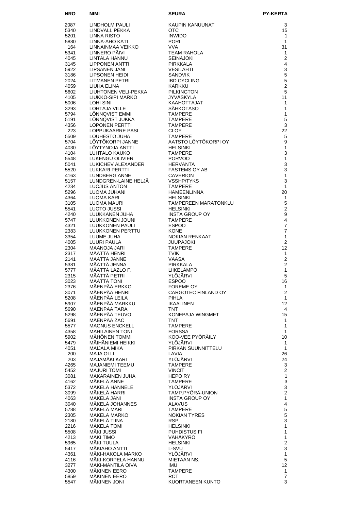| <b>NRO</b>   | NIMI                                             | <b>SEURA</b>                            | PY-KERTA                         |
|--------------|--------------------------------------------------|-----------------------------------------|----------------------------------|
| 2087         | LINDHOLM PAULI                                   | KAUPIN KANUUNAT                         | 3                                |
| 5340         | LINDVALL PEKKA                                   | <b>OTC</b>                              | 15                               |
| 5201         | LINNA RISTO                                      | <b>INWIDO</b>                           | $\mathbf{1}$                     |
| 5880         | LINNA-AHO KATI                                   | <b>PORI</b>                             | $\mathbf{1}$                     |
| 164<br>5341  | LINNAINMAA VEIKKO<br>LINNERO PÄIVI               | <b>VVA</b><br><b>TEAM RAHOLA</b>        | 31<br>1                          |
| 4045         | LINTALA HANNU                                    | <b>SEINÄJOKI</b>                        | $\overline{2}$                   |
| 3145         | LIPPONEN ANTTI                                   | PIRKKALA                                | 4                                |
| 5922         | LIPSANEN JANI                                    | <b>VESILAHTI</b>                        | $\mathsf 3$                      |
| 3186         | LIPSONEN HEIDI                                   | <b>SANDVIK</b>                          | $\mathbf 5$                      |
| 2024<br>4059 | LITMANEN PETRI<br>LIUHA ELINA                    | <b>IBD CYCLING</b><br>KARKKU            | $\sqrt{5}$<br>$\overline{2}$     |
| 5602         | LIUHTONEN VELI-PEKKA                             | <b>PILKINGTON</b>                       | 5                                |
| 4105         | LIUKKO-SIPI MARKO                                | JYVÄSKYLÄ                               | 11                               |
| 5006         | LOHI SINI                                        | KAAHOTTAJAT                             | $\mathbf{1}$                     |
| 3293<br>5794 | LOHTAJA VILLE<br>LÖNNQVIST EMMI                  | <b>SAHKOTASO</b><br><b>TAMPERE</b>      | 1<br>$\mathbf{1}$                |
| 5191         | LONNQVIST JUKKA                                  | <b>TAMPERE</b>                          | 5                                |
| 4356         | LOPONEN PERTTI                                   | <b>TAMPERE</b>                          | 3                                |
| 223          | LOPPUKAARRE PASI                                 | <b>CLOY</b>                             | 22                               |
| 5509<br>5704 | LOUHESTO JUHA<br>LÖYTÖKORPI JANNE                | <b>TAMPERE</b><br>AATSTO LÖYTÖKORPI OY  | 5<br>9                           |
| 4030         | LOYTYNOJA ANTTI                                  | <b>HELSINKI</b>                         | 1                                |
| 4104         | LUHTALO KAUKO                                    | <b>TAMPERE</b>                          | 3                                |
| 5548         | LUKENGU OLIVIER                                  | <b>PORVOO</b>                           | $\mathbf{1}$                     |
| 5041<br>5520 | LUKICHEV ALEXANDER<br>LUKKARI PERTTI             | <b>HERVANTA</b><br><b>FASTEMS OY AB</b> | 3<br>3                           |
| 4163         | LUNDBERG ANNE                                    | <b>CAVERION</b>                         | $\mathbf{1}$                     |
| 5157         | LUNDGREN-LAINE HELJA                             | <b>VSSHP/TYKS</b>                       | 3                                |
| 4234         | <b>LUOJUS ANTON</b>                              | <b>TAMPERE</b>                          | $\mathbf{1}$                     |
| 5296         | LUOMA JUHANI                                     | <b>HAMEENLINNA</b>                      | 20<br>$\mathbf{1}$               |
| 4364<br>3105 | <b>LUOMA MARI<br/>LUOMA MAURI<br/>LUOTO LUOT</b> | <b>HELSINKI</b><br>TAMPEREEN MARATONKLU | 5                                |
| 5541         | LUOTO JUSSI                                      | <b>HELSINKI</b>                         | $\overline{2}$                   |
| 4240         | LUUKKANEN JUHA                                   | <b>INSTA GROUP OY</b>                   | 9                                |
| 5747         | LUUKKONEN JOUNI                                  | <b>TAMPERE</b>                          | $\overline{4}$                   |
| 4321<br>2383 | LUUKKONEN PAULI<br>LUUKKONEN PERTTU              | <b>ESPOO</b><br><b>KONE</b>             | $\overline{7}$<br>$\overline{7}$ |
| 3354         | LUUME JUHA                                       | NOKIAN RENKAAT                          | $\mathbf{1}$                     |
| 4005         | LUURI PAULA                                      | <b>JUUPAJOKI</b>                        | $\overline{2}$                   |
| 2304         | MAANOJA JARI                                     | <b>TAMPERE</b>                          | 12                               |
| 2317<br>2141 | <b>MÄÄTTÄ HENRI</b><br>MÄÄTTÄ JANNE              | <b>TVIK</b><br><b>VAASA</b>             | 1<br>$\overline{2}$              |
| 5381         | MÄÄTTÄ JENNA                                     | <b>PIRKKALA</b>                         | $\overline{2}$                   |
| 5777         | MÄÄTTÄ LAZLO F.                                  | LIIKELÄMPÖ                              | 1                                |
| 2315<br>3023 | MÄÄTTÄ PETRI<br>MÄÄTTÄ TONI                      | YLÖJÄRVI<br><b>ESPOO</b>                | 5<br>16                          |
| 2376         | MÄENPÄÄ ERKKO                                    | FOREME OY                               | $\mathbf{1}$                     |
| 3071         | MÄENPÄÄ HENRI                                    | CARGOTEC FINLAND OY                     | $\overline{2}$                   |
| 5208         | MÄENPÄÄ LEILA                                    | PIHLA                                   | 1                                |
| 5907         | MÄENPÄÄ MARKKU<br>MÄENPÄÄ TARA                   | <b>IKAALINEN</b><br>TNT                 | 12<br>4                          |
| 5690<br>5298 | MÄENPÄÄ TEUVO                                    | KONEPAJA WINGMET                        | 15                               |
| 5691         | MÄENPÄÄ ZAC                                      | <b>TNT</b>                              | 1                                |
| 5577         | <b>MAGNUS ENCKELL</b>                            | <b>TAMPERE</b>                          | 1                                |
| 4358<br>5902 | <b>MAHILAINEN TONI</b><br>MÄHÖNEN TOMMI          | <b>FORSSA</b><br>KOO-VEE PYÖRÄILY       | $\mathbf{1}$<br>10               |
| 5479         | MÄIHÄNIEMI HEIKKI                                | YLÖJÄRVI                                | $\mathbf{1}$                     |
| 4051         | MAIJALA MIKA                                     | PIRKAN SUUNNITTELU                      | $\mathbf{1}$                     |
| 200          | MAJA OLLI                                        | LAVIA                                   | 26                               |
| 203<br>4265  | MAJAMÄKI KARI<br>MAJANIEMI TEEMU                 | YLÖJÄRVI<br><b>TAMPERE</b>              | 24<br>3                          |
| 5452         | <b>MAJURI TOMI</b>                               | <b>VINCIT</b>                           | $\overline{2}$                   |
| 3081         | MÄKÄRÄINEN JUHA                                  | <b>HEPORY</b>                           | 1                                |
| 4162         | MÄKELÄ ANNE                                      | <b>TAMPERE</b>                          | 3                                |
| 5372         | MÄKELÄ HANNELE<br>MÄKELÄ HARRI                   | <b>YLOJARVI</b><br>TAMP.PYÖRÄ-UNION     | 3<br>$\overline{2}$              |
| 3099<br>4063 | MÄKELÄ JANI                                      | <b>INSTA GROUP OY</b>                   | 1                                |
| 3040         | MÄKELÄ JOHANNES                                  | <b>ALAVUS</b>                           | $\overline{4}$                   |
| 5788         | MÄKELÄ MARI                                      | <b>TAMPERE</b>                          | $\mathbf 5$                      |
| 2305         | MÄKELÄ MARKO                                     | <b>NOKIAN TYRES</b>                     | $\overline{5}$                   |
| 2180<br>2216 | MÄKELÄ TIINA<br>MÄKELÄ TOMI                      | <b>RSP</b><br><b>HELSINKI</b>           | 3<br>1                           |
| 5508         | MÄKI JUSSI                                       | PUHDISTUS.FI                            | 1                                |
| 4213         | MÄKI TIMO                                        | VÄHÄKYRÖ                                | 1                                |
| 5965         | MÄKI TUULA                                       | <b>HELSINKI</b>                         | $\overline{2}$                   |
| 5417<br>4361 | MÄKIAHO ANTTI<br>MAKI-HAKOLA MARKO               | L-SVU<br>YLÖJÄRVI                       | 3<br>$\mathbf{1}$                |
| 4116         | MAKI-KORPELA HANNU                               | MIETAAN NS.                             | 5                                |
| 3277         | MAKI-MANTILA OIVA                                | IMU                                     | 12                               |
| 4300         | <b>MÄKINEN EERO</b>                              | <b>TAMPERE</b>                          | 1                                |
| 5859<br>5547 | <b>MÄKINEN EERO</b><br><b>MÄKINEN JONI</b>       | <b>RCT</b><br>KUORTANEEN KUNTO          | 7<br>3                           |
|              |                                                  |                                         |                                  |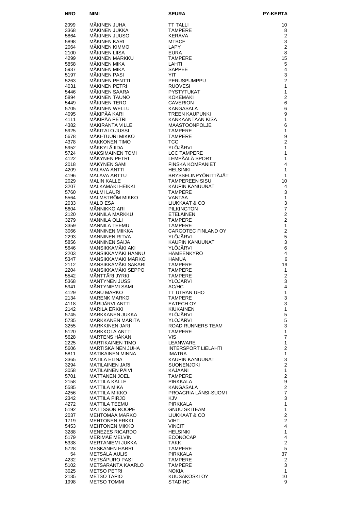| <b>NRO</b>   | NIMI                                                | <b>SEURA</b>                               | <b>PY-KERTA</b>                         |
|--------------|-----------------------------------------------------|--------------------------------------------|-----------------------------------------|
| 2099         | MÄKINEN JUHA                                        | <b>TT TALLI</b>                            | 10                                      |
| 3368         | MÄKINEN JUKKA                                       | <b>TAMPERE</b>                             | 8                                       |
| 5864         | MÄKINEN JUUSO                                       | <b>KERAVA</b>                              | $\overline{2}$                          |
| 5898         | MÄKINEN KARI                                        | <b>MTBCF</b>                               | 3                                       |
| 2064<br>2100 | MÄKINEN KIMMO<br>MÄKINEN LIISA                      | LAPY<br><b>EURA</b>                        | $\overline{2}$<br>8                     |
| 4299         | MÄKINEN MARKKU                                      | <b>TAMPERE</b>                             | 15                                      |
| 5858         | MÄKINEN MIKA                                        | LAHTI                                      | 5                                       |
| 5937         | <b>MAKINEN MIKA</b>                                 | <b>SAPPEE</b>                              | $\overline{4}$                          |
| 5197<br>5263 | <b>MÄKINEN PASI</b><br>MÄKINEN PENTTI               | YIT.<br>PERUSPUMPPU                        | 3<br>$\overline{2}$                     |
| 4031         | MÄKINEN PETRI                                       | <b>RUOVESI</b>                             | 1                                       |
| 5446         | MÄKINEN SAARA                                       | <b>PYSTYTUKAT</b>                          | $\mathbf{1}$                            |
| 5894         | MÄKINEN TAUNO                                       | <b>KOKEMÄKI</b>                            | $\overline{2}$                          |
| 5449         | <b>MÄKINEN TERO</b>                                 | <b>CAVERION</b>                            | 6                                       |
| 5705<br>4095 | MÄKINEN WELLU<br>MÄKIPÄÄ KARI                       | KANGASALA<br><b>TREEN KAUPUNKI</b>         | 6<br>9                                  |
| 4111         | MÄKIPÄÄ PETRI                                       | KANKAANTAAN KISA                           | 1                                       |
| 4382         | MÄKIRANTA VILLE                                     | <b>MAASTOONPOLJE</b>                       | 6                                       |
| 5925         | MÄKITALO JUSSI<br>MÄKI-TUURI MIKKO                  | <b>TAMPERE</b>                             | 1                                       |
| 5678<br>4378 | <b>MAKKONEN TIMO</b>                                | <b>TAMPERE</b><br><b>TCC</b>               | 9<br>$\overline{c}$                     |
| 5952         | MÄKKYLÄ IIDA                                        | YLÖJÄRVI                                   | 1                                       |
| 5724         | <b>MAKSIMAINEN TOMI</b>                             | <b>LCC TAMPERE</b>                         | 1                                       |
| 4122         | MÄKYNEN PETRI                                       | LEMPÄÄLÄ SPORT                             | 1                                       |
| 2018<br>4209 | MÄKYNEN SAMI<br><b>MALAVA ANTTI</b>                 | <b>FINSKA KOMPANIET</b><br><b>HELSINKI</b> | 4<br>1                                  |
| 4196         | <b>MALAVA ARTTU</b>                                 | BRYSSELINPYÖRITTÄJÄT                       | 1                                       |
| 2029         | <b>MALIN KALLE</b>                                  | <b>TAMPEREEN SISU</b>                      | 10                                      |
| 3207         | MALKAMÄKI HEIKKI                                    | <b>KAUPIN KANUUNAT</b>                     | 4                                       |
| 5760<br>5564 | <b>MALMI LAURI</b><br>MALMSTRÖM MIKKO               | <b>TAMPERE</b><br><b>VANTAA</b>            | 3<br>$\mathbf{1}$                       |
| 2033         | <b>MALO ESA</b>                                     | LIUKKAAT & CO                              | 3                                       |
| 5604         | MÂNNIKKÔ ARI                                        | <b>PILKINGTON</b>                          | $\overline{7}$                          |
| 2120         | MANNILA MARKKU                                      | ETELÄINEN                                  | $\overline{2}$                          |
| 3279<br>3359 | <b>MANNILA OLLI</b><br><b>MANNILA TEEMU</b>         | <b>TAMPERE</b><br><b>TAMPERE</b>           | $\overline{2}$<br>$\mathbf{1}$          |
| 3066         | MANNINEN MIIKKA                                     | CARGOTEC FINLAND OY                        | $\overline{2}$                          |
| 2293         | <b>MANNINEN RITVA</b>                               | YLÖJÄRVI                                   | 5                                       |
| 5856<br>5646 | <b>MANNINEN SAIJA</b><br>MANSIKKAMÄKI AKI           | <b>KAUPIN KANUUNAT</b><br>YLÖJÄRVI         | 3<br>6                                  |
| 2203         | MANSIKKAMÄKI HANNU                                  | HÄMEENKYRÖ                                 | 4                                       |
| 5347         | MANSIKKAMÄKI MARKO                                  | <b>HÄMUA</b>                               | 6                                       |
| 2112<br>2204 | MANSIKKAMÄKI SAKARI<br>MANSIKKAMÄKI SEPPO           | <b>TAMPERE</b><br><b>TAMPERE</b>           | 19                                      |
| 5542         | MÄNTTÄRI JYRKI                                      | <b>TAMPERE</b>                             | 1<br>$\overline{2}$                     |
| 5368         | MÄNTYNEN JUSSI                                      | YLÖJÄRVI                                   | 3                                       |
| 5941         | MÄNTYNIEMI SAMI                                     | AC/HC                                      | 4                                       |
| 4129<br>2134 | MANU MARKO<br><b>MARENK MARKO</b>                   | TT UTRAN UHO<br><b>TAMPERE</b>             | $\mathbf{1}$<br>3                       |
| 4118         | MÄRIJÄRVI ANTTI                                     | EATECH OY                                  | 3                                       |
| 2142         | <b>MARILA ERKKI</b>                                 | <b>KIUKAINEN</b>                           | $\mathbf{1}$                            |
| 5745<br>5735 | MARKKANEN JUKKA<br>MARKKANEN MARITA                 | YLOJARVI<br>YLÖJÄRVI                       | 5<br>5                                  |
| 3255         | <b>MARKKINEN JARI</b>                               | ROAD RUNNERS TEAM                          | 3                                       |
| 5120         | <b>MARKKOLA ANTTI</b>                               | <b>TAMPERE</b>                             | $\mathbf{1}$                            |
| 5628         | MARTENS HÄKAN                                       | VIS.                                       | $\overline{7}$                          |
| 2225<br>5606 | <b>MARTIKAINEN TIMO</b><br><b>MARTISKAINEN JUHA</b> | LEANWARE<br><b>INTERSPORT LIELAHTI</b>     | $\mathbf{1}$<br>$\overline{\mathbf{c}}$ |
| 5811         | <b>MATIKAINEN MINNA</b>                             | IMATRA                                     | $\mathbf{1}$                            |
| 3365         | <b>MATILA ELINA</b>                                 | KAUPIN KANUUNAT                            | 3                                       |
| 3294<br>3058 | <b>MATILAINEN JARI</b><br>MATILAINEN PÄIVI          | <b>SUONENJOKI</b><br>KAJAANI               | $\overline{c}$<br>$\mathbf{1}$          |
| 5701         | <b>MATTANEN JOEL</b>                                | <b>TAMPERE</b>                             | $\overline{c}$                          |
| 2158         | MATTILA KALLE                                       | <b>PIRKKALA</b>                            | 9                                       |
| 5585         | MATTILA MIKA                                        | KANGASALA                                  | $\overline{c}$                          |
| 4256<br>2342 | MATTILA MIKKO<br>MATTILA PIRJO                      | PROAGRIA LÄNSI-SUOMI<br>KJV                | $\overline{\mathbf{7}}$<br>3            |
| 4272         | MATTILA TEEMU                                       | <b>PIRKKALA</b>                            | $\mathbf{1}$                            |
| 5192         | <b>MATTSSON ROOPE</b>                               | <b>GNUU SKITEAM</b>                        | $\mathbf{1}$                            |
| 2037<br>1719 | MEHTOMAA MARKO<br><b>MEHTONEN ERKKI</b>             | LIUKKAAT & CO<br><b>VIHTI</b>              | $\overline{c}$<br>$\overline{c}$        |
| 5453         | <b>MEHTONEN MIKKO</b>                               | <b>VINCIT</b>                              | 4                                       |
| 3288         | <b>MENEZES RICARDO</b>                              | <b>HELSINKI</b>                            | $\mathbf{1}$                            |
| 5179         | MERIMAE MELVIN                                      | <b>ECONOCAP</b>                            | 4                                       |
| 5338<br>5728 | MERTANIEMI JUKKA<br><b>MESKANEN HARRI</b>           | TAKK<br><b>TAMPERE</b>                     | $\overline{\mathbf{c}}$<br>5            |
| 54           | METSÄLÄ AULIS                                       | <b>PIRKKALA</b>                            | 37                                      |
| 4232         | METSÄPURO PASI                                      | <b>TAMPERE</b>                             | 2                                       |
| 5102         | METSÄRANTA KAARLO<br><b>METSO PETRI</b>             | <b>TAMPERE</b><br><b>NOKIA</b>             | 3<br>$\mathbf{1}$                       |
| 3025<br>2135 | <b>METSO TAPIO</b>                                  | KUUSAKOSKI OY                              | 10                                      |
| 1998         | <b>METSO TOMMI</b>                                  | <b>STADIHC</b>                             | 9                                       |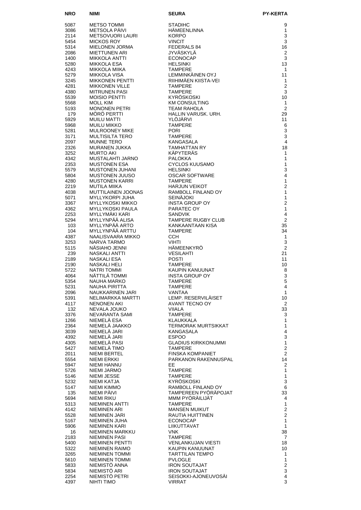| <b>NRO</b>   | NIMI                                               | <b>SEURA</b>                                 | <b>PY-KERTA</b>                        |
|--------------|----------------------------------------------------|----------------------------------------------|----------------------------------------|
| 5087         | METSO TOMMI                                        | <b>STADIHC</b>                               | 9                                      |
| 3086         | METSOLA PÄIVI                                      | <b>HÄMEENLINNA</b>                           | $\mathbf{1}$                           |
| 2114         | <b>METSOVUORI LAURI</b>                            | <b>KORPO</b>                                 | 3                                      |
| 5454         | <b>MICKOS ROY</b>                                  | <b>VINCIT</b>                                | 3                                      |
| 5314<br>2086 | MIELONEN JORMA<br><b>MIETTUNEN ARI</b>             | FEDERALS 84<br><b>JYVÄSKYLÄ</b>              | 16<br>$\overline{2}$                   |
| 1400         | MIKKOLA ANTTI                                      | <b>ECONOCAP</b>                              | 3                                      |
| 5280         | MIKKOLA ESA                                        | <b>HELSINKI</b>                              | 13                                     |
| 4243         | MIKKOLA MIIKA                                      | <b>TAMPERE</b>                               | $\mathbf{1}$                           |
| 5279         | MIKKOLA VISA                                       | LEMMINKÄINEN OYJ                             | 11                                     |
| 3245<br>4281 | <b>MIKKONEN PENTTI</b><br><b>MIKKONEN VILLE</b>    | RIIHIMÄEN KIISTA-VEI<br><b>TAMPERE</b>       | $\mathbf{1}$<br>$\overline{2}$         |
| 4380         | <b>MITRUNEN PASI</b>                               | <b>TAMPERE</b>                               | 3                                      |
| 5539         | <b>MOISIO PENTTI</b>                               | KYRÖSKOSKI                                   | 10                                     |
| 5568         | <b>MOLL KIM</b>                                    | <b>KM CONSULTING</b>                         | $\mathbf{1}$                           |
| 5193<br>179  | <b>MONONEN PETRI</b><br>MÖRÖ PERTTI                | <b>TEAM RAHOLA</b><br>HALLIN VARUSK, URH.    | 2<br>29                                |
| 5929         | MUILU MATTI                                        | <b>YLOJARVI</b>                              | 11                                     |
| 5968         | <b>MUILU MIKKO</b>                                 | <b>TAMPERE</b>                               | 6                                      |
| 5281         | <b>MULROONEY MIKE</b>                              | <b>PORI</b>                                  | 3                                      |
| 3171         | MULTISILTA TERO                                    | <b>TAMPERE</b>                               | 3                                      |
| 2097<br>2326 | <b>MUNNE TERO</b><br>MURANEN JUKKA                 | KANGASALA<br><b>TAMHATTAN RY</b>             | $\overline{4}$<br>18                   |
| 3252         | <b>MURTO AKI</b>                                   | KÄPYTERÄS                                    | 1                                      |
| 4342         | MUSTALAHTI JARNO                                   | <b>PALOKKA</b>                               | $\mathbf{1}$                           |
| 2353         | <b>MUSTONEN ESA</b>                                | <b>CYCLOS KUUSAMO</b>                        | $\mathbf{1}$                           |
| 5579<br>5804 | MUSTONEN JUHANI<br>MUSTONEN JUUSO                  | <b>HELSINKI</b><br><b>OSCAR SOFTWARE</b>     | 3<br>$\overline{4}$                    |
| 4280         | <b>MUSTONEN KARRI</b>                              | <b>TAMPERE</b>                               | $\mathbf{1}$                           |
| 2219         | MUTILA MIIKA                                       | <b>HARJUN VEIKOT</b>                         | $\overline{2}$                         |
| 4038         | MUTTILAINEN JOONAS                                 | RAMBOLL FINLAND OY                           | $\mathbf{1}$                           |
| 5071         | <b>MYLLYKORPI JUHA</b>                             | <b>SEINÄJOKI</b>                             | $\mathbf{1}$                           |
| 3367<br>4362 | <b>MYLLYKOSKI MIKKO</b><br><b>MYLLYKOSKI PAULA</b> | <b>INSTA GROUP OY</b><br>PARATEC OY          | $\overline{2}$<br>$\mathbf{1}$         |
| 2253         | MYLLYMÄKI KARI                                     | <b>SANDVIK</b>                               | 4                                      |
| 5294         | MYLLYNPÄÄ ALISA                                    | <b>TAMPERE RUGBY CLUB</b>                    | $\overline{2}$                         |
| 103          | MYLLYNPÄÄ ARTO                                     | KANKAANTAAN KISA                             | 35                                     |
| 104          | MYLLYNPÄÄ ARTTU                                    | <b>TAMPERE</b>                               | 34                                     |
| 4387<br>3253 | NAALISVAARA MIKKO<br>NARVA TARMO                   | CCH.<br><b>VIHTI</b>                         | $\mathbf{1}$<br>3                      |
| 5115         | NÄSIAHO JENNI                                      | HÄMEENKYRÖ                                   | 2                                      |
| 239          | NASKALI ANTTI                                      | <b>VESILAHTI</b>                             | 21                                     |
| 2189         | NASKALI ESA                                        | <b>POSTI</b>                                 | 11                                     |
| 2190<br>5722 | NASKALI HELI<br><b>NATRI TOMMI</b>                 | <b>TAMPERE</b><br>KAUPIN KANUUNAT            | 10<br>8                                |
| 4064         | NÄTTILÄ TOMMI                                      | <b>INSTA GROUP OY</b>                        | 3                                      |
| 5354         | <b>NAUHA MARKO</b>                                 | <b>TAMPERE</b>                               | 5                                      |
| 5231         | NAUHA PIRITTA                                      | <b>TAMPERE</b>                               | 4                                      |
| 2096<br>5391 | NAUKKARINEN JARI<br>NELIMARKKA MARTTI              | VANTAA<br>LEMP. RESERVILÄISET                | $\mathbf{1}$<br>10                     |
| 4117         | <b>NENONEN AKI</b>                                 | AVANT TECNO OY                               | 2                                      |
| 132          | NEVALA JOUKO                                       | VIIALA                                       | 33                                     |
| 3376         | NEVARANTA SAMI                                     | <b>TAMPERE</b>                               | 3                                      |
| 1266<br>2364 | NIEMELÄ ESA<br>NIEMELÄ JAAKKO                      | KLAUKKALA<br>TERMORAK MURTSIKKAT             | 1<br>1                                 |
| 3039         | NIEMELÄ JARI                                       | KANGASALA                                    | 4                                      |
| 4392         | NIEMELÄ JARI                                       | <b>ESPOO</b>                                 | 3                                      |
| 4305         | NIEMELÄ PASI                                       | <b>GLADIUS KIRKKONUMMI</b>                   | $\mathbf{1}$                           |
| 5427         | NIEMELÄ TIMO<br>NIEMI BERTEL                       | <b>TAMPERE</b><br>FINSKA KOMPANIET           | $\mathbf{2}$<br>$\overline{2}$         |
| 2011<br>5554 | NIEMI ERKKI                                        | PARKANON RAKENNUSPAL                         | 14                                     |
| 5947         | NIEMI HANNU                                        | EE.                                          | 2                                      |
| 5726         | NIEMI JARMO                                        | <b>TAMPERE</b>                               | 1                                      |
| 5146         | NIEMI JESSE                                        | <b>TAMPERE</b>                               | $\mathbf{1}$                           |
| 5232<br>5147 | NIEMI KATJA<br>NIEMI KIMMO                         | KYRÖSKOSKI<br>RAMBOLL FINLAND OY             | 3<br>6                                 |
| 135          | NIEMI PÄIVI                                        | TAMPEREEN PYÖRÄPOJAT                         | 33                                     |
| 5694         | NIEMI RIKU                                         | MMM PYORAILIJAT                              | 4                                      |
| 5313         | NIEMINEN ANTTI                                     | <b>TAMPERE</b>                               | 1                                      |
| 4142<br>5528 | NIEMINEN ARI<br>NIEMINEN JARI                      | <b>MANSEN MUIKUT</b><br>RAUTIA HUITTINEN     | $\overline{c}$<br>$\overline{2}$       |
| 5167         | NIEMINEN JUHA                                      | <b>ECONOCAP</b>                              | $\mathbf{1}$                           |
| 5906         | NIEMINEN KARI                                      | LIIKUTTAVAT                                  | $\mathbf{1}$                           |
| 16           | NIEMINEN MARKKU                                    | <b>VNK</b>                                   | 38                                     |
| 2183         | <b>NIEMINEN PASI</b>                               | <b>TAMPERE</b>                               | 7                                      |
| 5400<br>5322 | NIEMINEN PENTTI<br>NIEMINEN RAIMO                  | VENLANKUJAN VIESTI<br>KAUPIN KANUUNAT        | 18<br>10                               |
| 3265         | NIEMINEN TOMMI                                     | <b>TARTTILAN TEMPO</b>                       | 1                                      |
| 5610         | NIEMINEN TOMMI                                     | <b>PVLOGLE</b>                               | $\mathbf{1}$                           |
| 5833         | NIEMISTÖ ANNA                                      | <b>IRON SOUTAJAT</b>                         | $\boldsymbol{2}$                       |
| 5834<br>2254 | NIEMISTO ARI<br>NIEMISTO PETRI                     | <b>IRON SOUTAJAT</b><br>SEISOKKI-AJONEUVOSAI | $\mathsf 3$<br>$\overline{\mathbf{4}}$ |
| 4397         | NIHTI TIMO                                         | VIRRAT                                       | 3                                      |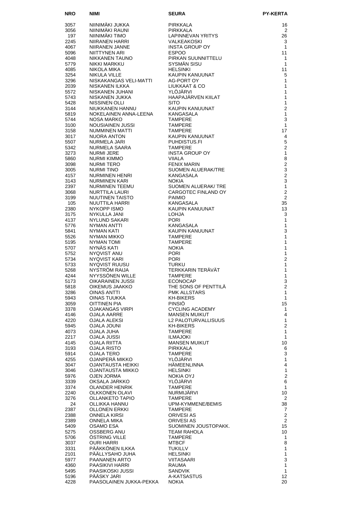| NRO          | <b>NIMI</b>                                  | <b>SEURA</b>                                                                | PY-KERTA                       |
|--------------|----------------------------------------------|-----------------------------------------------------------------------------|--------------------------------|
| 3057         | NIINIMÄKI JUKKA                              | PIRKKALA                                                                    | 16                             |
| 3056         | NIINIMÄKI RAUNI                              | PIRKKALA                                                                    | 2                              |
| 197          | NIINIMAKI TIMO                               | FIRNNALA<br>LAPINNEVAN YRITYS                                               | 26                             |
| 2245         | NIIRANEN HARRI                               | <b>VALKEAKOSKI<br/>INSTA GROUP OY</b>                                       | 3                              |
| 4067         | NIIRANEN JANNE<br>NIITTYNEN ARI              | <b>ESPOO</b>                                                                | $\mathbf{1}$<br>11             |
| 5096<br>4048 | NIKKANEN TAUNO                               | PIRKAN SUUNNITTELU                                                          | $\mathbf{1}$                   |
| 5779         | NIKKI MARKKU                                 | SYSMÄN SISU                                                                 | $\mathbf{1}$                   |
| 4085         | NIKOLA MIKA                                  | <b>HELSINKI</b>                                                             | 11                             |
| 3254         | NIKULA VILLE                                 | KAUPIN KANUUNAT                                                             | 5                              |
| 3296<br>2039 | NISKAKANGAS VELI-MATTI<br>NISKANEN ILKKA     | AG-PORT OY<br>LIUKKAAT & CO                                                 | $\mathbf{1}$<br>$\mathbf{1}$   |
| 5572         | NISKANEN JUHANI                              | YLÖJÄRVI                                                                    | $\mathbf{1}$                   |
| 5743         | NISKANEN JUKKA                               | HAAPAJÄRVEN KIILAT                                                          | $\mathbf{1}$                   |
| 5428         | NISSINEN OLLI                                | <b>SITO</b>                                                                 | $\mathbf{1}$                   |
| 3144<br>5819 | NIUKKANEN HANNU<br>NOKELAINEN ANNA-LEENA     | KAUPIN KANUUNAT<br>KANGASALA                                                | 2<br>$\mathbf{1}$              |
| 5744         | NOSA MARKO                                   | <b>TAMPERE</b>                                                              | 3                              |
| 3100         | NOUSIAINEN JUSSI                             |                                                                             | $\mathbf{1}$                   |
| 3158         | NUMMINEN MATTI                               |                                                                             | 17                             |
| 3017<br>5507 | NUORA ANTON<br>NURMELA JARI                  |                                                                             | 4<br>5                         |
| 5342         | NURMELA SAARA                                | TAMr. <u>-</u> . .<br>TAMPERE<br>KAUPIN KANUUNAT<br>PUHDISTUS.FI<br>TAMPERE | 2                              |
| 3273         | NURMI JERE                                   | INSTA GROUP OY                                                              | $\mathbf{1}$                   |
| 5860         | NURMI KIMMO                                  | VIIALA                                                                      | 8                              |
| 3098<br>3005 | NURMI TERO<br>NURMI TINO<br>NURMI TINO       | <b>FENIX MARIN</b><br>SUOMEN ALUERAK/TRE                                    | $\overline{2}$<br>$\mathsf 3$  |
| 4157         | NURMINEN HENRI                               | KANGASALA                                                                   | $\overline{2}$                 |
| 3143         | NURMINEN KARI                                | <b>NOKIA</b>                                                                | 3                              |
| 2397         | NURMINEN TEEMU                               | <b>SUOMEN ALUERAK/ TRE</b>                                                  | $\mathbf{1}$                   |
| 3068         | NURTTILA LAURI                               | CARGOTEC FINLAND OY                                                         | $\overline{2}$                 |
| 3199<br>105  | NUUTINEN TAISTO<br>NUUTTILA HARRI            | <b>PAIMIO</b><br>KANGASALA                                                  | 2<br>35                        |
| 2380         | NYKOPP ISMO                                  | KAUPIN KANUUNAT                                                             | 13                             |
| 3175         | NYKULLA JANI                                 | LOHJA                                                                       | 3                              |
| 4137         | NYLUND SAKARI                                | <b>PORI</b>                                                                 | $\mathbf{1}$                   |
| 5776<br>5841 | NYMAN ANTTI<br>NYMAN KATI                    | KANGASALA<br>KAUPIN KANUUNAT                                                | $\mathbf{1}$<br>3              |
| 5526         | NYMAN MIKKO                                  | <b>TAMPERE</b>                                                              | $\mathbf{1}$                   |
| 5195         | NYMAN TOMI                                   | <b>TAMPERE</b>                                                              | 1                              |
| 5707         | NYNÄS KATI                                   | <b>NOKIA</b>                                                                | $\mathbf{1}$                   |
| 5752<br>5734 | NYQVIST ANU<br>NYQVIST KARI                  | <b>PORI</b><br><b>PORI</b>                                                  | 1<br>$\overline{2}$            |
| 5733         | NYQVIST RUUSU                                | TURKU                                                                       | 1                              |
| 5268         | <b>NYSTROM RAIJA</b>                         | TERKKARIN TERÄVÄT                                                           | $\mathbf{1}$                   |
| 4244         | NYYSSÖNEN WILLE                              | <b>TAMPERE</b>                                                              | $\mathbf{1}$                   |
| 5173<br>5818 | OIKARAINEN JUSSI<br>OIKEMUS JAAKKO           | <b>ECONOCAP</b><br>THE SONS OF PENTTILÄ                                     | 3<br>$\overline{c}$            |
| 3286         | <b>OINAS ANTTI</b>                           | <b>PMK ALLSTARS</b>                                                         | $\mathbf{1}$                   |
| 5943         | <b>OINAS TUUKKA</b>                          | <b>KH-BIKERS</b>                                                            | $\mathbf{1}$                   |
| 3059         | OITTINEN PIA                                 | PINSIÖ                                                                      | 15                             |
| 3378<br>4146 | <b>OJAKANGAS VIRPI</b><br><b>OJALA AARRE</b> | <b>CYCLING ACADEMY</b><br><b>MANSEN MUIKUT</b>                              | 1<br>4                         |
| 4220         | OJALA ALEKSI                                 | L2 PALOTURVALLISUUS                                                         | $\mathbf{1}$                   |
| 5945         | OJALA JOUNI                                  | <b>KH-BIKERS</b>                                                            | $\overline{2}$                 |
| 4073         | OJALA JUHA                                   | <b>TAMPERE</b>                                                              | $\mathbf{1}$                   |
| 2217<br>4145 | OJALA JUSSI<br>OJALA RIITTA                  | ILMAJOKI<br><b>MANSEN MUIKUT</b>                                            | $\mathbf{1}$<br>10             |
| 3193         | OJALA RISTO                                  | PIRKKALA                                                                    | 6                              |
| 5914         | OJALA TERO                                   | TAMPERE                                                                     | 3                              |
| 4255         | OJANPERÄ MIKKO                               | YLÖJÄRVI                                                                    | $\mathbf{1}$                   |
| 3047<br>3046 | OJANTAUSTA HEIKKI<br>OJANTAUSTA MIKKO        | HÄMEENLINNA<br><b>HELSINKI</b>                                              | $\overline{4}$<br>$\mathbf{1}$ |
| 5976         | OJEN JORMA                                   | NOKIA OYJ                                                                   | $\overline{c}$                 |
| 3339         | OKSALA JARKKO                                | YLÖJÄRVI                                                                    | 6                              |
| 3374         | OLANDER HENRIK                               | <b>TAMPERE</b>                                                              | $\mathbf{1}$                   |
| 2240<br>3276 | OLKKONEN OLAVI<br>OLLANKETO TAPIO            | NURMIJÄRVI<br><b>TAMPERE</b>                                                | 10<br>2                        |
| 24           | OLLIKKA HANNU                                | UPM-KYMMENE/BEMIS                                                           | 38                             |
| 2387         | OLLONEN ERKKI                                | <b>TAMPERE</b>                                                              | $\overline{7}$                 |
| 2388         | ONNELA KIRSI                                 | ORIVESI AS                                                                  | 2                              |
| 2389<br>5409 | ONNELA MIKA<br>OSAMO ESA                     | ORIVESI AS<br>SUOMINEN JOUSTOPAKK.                                          | 2<br>15                        |
| 5275         | OSSBERG ANU                                  | TEAM RAHOLA                                                                 | 10                             |
| 5706         | OSTRING VILLE                                | TAMPERE                                                                     | 1                              |
| 3037         | <b>OURI HARRI</b>                            | <b>MTBCF</b>                                                                | 8                              |
| 3331<br>2101 | PÄÄKKÖNEN ILKKA<br>PÄÄLLYSAHO JUHA           | <b>TUKILLV</b><br><b>HELSINKI</b>                                           | $\mathbf{1}$<br>$\mathbf{1}$   |
| 5977         | PAANANEN ARTO                                | VIITASAARI                                                                  | $\mathsf 3$                    |
| 4360         | PAASIKIVI HARRI                              | RAUMA                                                                       | $\mathbf{1}$                   |
| 5495         | PAASIKOSKI JUSSI                             | <b>SANDVIK</b>                                                              | $\mathbf{1}$                   |
| 5196<br>4228 | PÄÄSKY JARI<br>PAASOLAINEN JUKKA-PEKKA       | A-KATSASTUS<br><b>NOKIA</b>                                                 | 12<br>20                       |
|              |                                              |                                                                             |                                |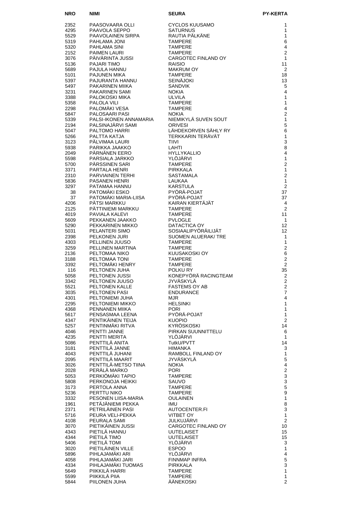| <b>NRO</b>   | NIMI                                        | <b>SEURA</b>                           | <b>PY-KERTA</b>                                 |
|--------------|---------------------------------------------|----------------------------------------|-------------------------------------------------|
| 2352         | PAASOVAARA OLLI                             | <b>CYCLOS KUUSAMO</b>                  | 1                                               |
| 4295         | PAAVOLA SEPPO                               | <b>SATURNUS</b>                        | 1                                               |
| 5529         | PAAVOLAINEN SIRPA                           | RAUTIA PÄLKÄNE                         | 1                                               |
| 5319<br>5320 | PAHLAMA JONI<br>PAHLAMA SINI                | <b>TAMPERE</b><br><b>TAMPERE</b>       | 6<br>4                                          |
| 2152         | <b>PAIMEN LAURI</b>                         | <b>TAMPERE</b>                         | $\overline{2}$                                  |
| 3076         | PAIVARINTA JUSSI                            | CARGOTEC FINLAND OY                    | 1                                               |
| 5136         | <b>PAJARI TIMO</b>                          | <b>RAISIO</b>                          | 11                                              |
| 5689<br>5101 | PAJULA HANNU<br><b>PAJUNEN MIKA</b>         | <b>MAKRUM OY</b><br><b>TAMPERE</b>     | 2<br>18                                         |
| 5397         | PAJURANTA HANNU                             | <b>SEINÄJOKI</b>                       | 13                                              |
| 5497         | PAKARINEN MIIKA                             | <b>SANDVIK</b>                         | 5                                               |
| 3231<br>3388 | <b>PAKARINEN SAMI</b><br>PALOKOSKI MIKA     | <b>NOKIA</b><br><b>ULVILA</b>          | 4<br>1                                          |
| 5358         | PALOLA VILI                                 | <b>TAMPERE</b>                         | 1                                               |
| 2298         | PALOMÄKI VESA                               | <b>TAMPERE</b>                         | 4                                               |
| 5847         | PALOSAARI PASI                              | <b>NOKIA</b>                           | $\overline{2}$                                  |
| 5339<br>2194 | PALSI-IKONEN ANNAMARIA<br>PALSINAJÄRVI SAMI | NIEMIKYLÄ SUVEN SOUT<br><b>ORIVESI</b> | $\mathbf{1}$<br>5                               |
| 5047         | PALTOMO HARRI                               | LÄHDEKORVEN SÄHLY RY                   | $\,6$                                           |
| 5266         | PALTTA KATJA                                | TERKKARIN TERÄVÄT                      | 1                                               |
| 3123<br>5938 | PÄLVIMAA LAURI<br>PARIKKA JAAKKO            | <b>TIIVI</b><br>LAHTI                  | 3<br>8                                          |
| 2049         | PÄRNÄNEN EERO                               | <b>HYLLYKALLIO</b>                     | 4                                               |
| 5598         | PARSIALA JARKKO                             | YLÖJÄRVI                               | $\mathbf{1}$                                    |
| 5700         | PÄRSSINEN SARI                              | <b>TAMPERE</b>                         | $\overline{2}$                                  |
| 3371<br>2310 | PARTALA HENRI<br><b>PARVIAINEN TERHI</b>    | <b>PIRKKALA</b><br>SASTAMALA           | $\mathbf{1}$<br>$\overline{2}$                  |
| 5836         | <b>PASANEN HENRI</b>                        | <b>LAUKAA</b>                          | $\mathbf{1}$                                    |
| 3297         | PATAMAA HANNU                               | <b>KARSTULA</b>                        | $\overline{2}$                                  |
| 38<br>37     | PATOMÄKI ESKO<br>PATOMÄKI MARIA-LIISA       | PYÖRÄ-POJAT<br>PYÖRÄ-POJAT             | 37<br>37                                        |
| 4206         | PÄTSI MARKKU                                | KAIRAN KIERTÄJÄT                       | 4                                               |
| 2125         | PÄTTINIEMI MARKKU                           | <b>TAMPERE</b>                         | $\overline{2}$                                  |
| 4019         | PAVIALA KALEVI                              | <b>TAMPERE</b>                         | 11                                              |
| 5609<br>5290 | PEKKANEN JAAKKO<br>PEKKARINEN MIKKO         | <b>PVLOGLE</b><br>DATACTICA OY         | $\mathbf{1}$<br>12                              |
| 5031         | PELANTERI SIMO                              | SOSIAALIPYÖRÄILIJÄT                    | 12                                              |
| 2398         | PELKONEN JURI                               | SUOMEN ALUERAK/ TRE                    | 1                                               |
| 4303         | PELLINEN JUUSO                              | <b>TAMPERE</b>                         | $\mathbf{1}$                                    |
| 3259<br>2136 | PELLINEN MARTINA<br>PELTOMAA NIKO           | <b>TAMPERE</b><br>KUUSAKOSKI OY        | $\overline{c}$<br>6                             |
| 3188         | PELTOMAA TONI                               | <b>TAMPERE</b>                         | $\overline{c}$                                  |
| 3392         | PELTOMÄKI HENRY                             | <b>TAMPERE</b>                         | $\overline{2}$                                  |
| 116<br>5058  | PELTONEN JUHA<br>PELTONEN JUSSI             | POLKU RY<br>KONEPYÖRÄ RACINGTEAM       | 35<br>2                                         |
| 3342         | PELTONEN JUUSO                              | JYVÄSKYLÄ                              | $\mathcal{P}$                                   |
| 5521         | PELTONEN KALLE                              | <b>FASTEMS OY AB</b>                   | $\boldsymbol{2}$                                |
| 3035<br>4301 | PELTONEN PASI<br>PELTONIEMI JUHA            | <b>ENDURANCE</b>                       | $\overline{7}$<br>$\overline{4}$                |
| 2295         | PELTONIEMI MIKKO                            | MJR<br><b>HELSINKI</b>                 | $\mathbf{1}$                                    |
| 4368         | PENNANEN MIIKA                              | <b>PORI</b>                            | $\mathbf{1}$                                    |
| 5617         | PENSASMAA LEENA                             | PYÖRÄ-POJAT                            | $\mathbf{1}$                                    |
| 4347<br>5257 | PENTIKÄINEN TEIJA<br>PENTINMÄKI RITVA       | <b>KUOPIO</b><br>KYRÖSKOSKI            | $\overline{c}$<br>14                            |
| 4046         | PENTTI JANNE                                | PIRKAN SUUNNITTELU                     | 6                                               |
| 4235         | PENTTI MERITA                               | YLÖJÄRVI                               | $\mathbf{1}$                                    |
| 5086<br>3181 | PENTTILÄ ANITA<br>PENTTILÄ JANNE            | TutkU/PVTT<br>HIMANKA                  | 14<br>3                                         |
| 4043         | PENTTILÄ JUHANI                             | RAMBOLL FINLAND OY                     | 1                                               |
| 2095         | PENTTILÄ MAARIT                             | JYVÄSKYLÄ                              | $\mathbf 5$                                     |
| 3026         | PENTTILÄ-METSO TIINA                        | <b>NOKIA</b>                           | 4                                               |
| 2028<br>5053 | PERÄLÄ MARKO<br>PERKIOMAKI TAPIO            | <b>PORI</b><br><b>TAMPERE</b>          | $\begin{array}{c} 2 \\ 3 \\ 3 \\ 5 \end{array}$ |
| 5808         | PERKONOJA HEIKKI                            | SAUVO                                  |                                                 |
| 3173         | PERTOLA ANNA                                | TAMPERE                                |                                                 |
| 5236<br>3332 | PERTTU NIKO<br>PESONEN LIISA-MARIA          | <b>TAMPERE</b><br><b>OULAINEN</b>      | $\boldsymbol{9}$<br>$\mathbf{1}$                |
| 1961         | PETÄJÄNIEMI PEKKA                           | <b>IMU</b>                             | 8                                               |
| 2371         | PETRILÄINEN PASI                            | AUTOCENTER.FI                          | $\mathsf 3$                                     |
| 5716         | PEURA VELI-PEKKA                            | VITBET OY                              | $\mathbf{1}$                                    |
| 4108<br>3070 | PEURALA SAMI<br>PIETIKÄINEN JUSSI           | JULKUJÄRVI<br>CARGOTEC FINLAND OY      | $\overline{2}$<br>10                            |
| 4343         | PIETILÄ HANNU                               | <b>UUTELAISET</b>                      | 15                                              |
| 4344         | PIETILÄ TIMO                                | <b>UUTELAISET</b>                      | 15                                              |
| 5406<br>3020 | PIETILÄ TOMI<br>PIETILÄINEN VILLE           | YLÖJÄRVI<br><b>ESPOO</b>               | 3<br>$\mathbf{1}$                               |
| 5896         | PIHLAJAMÄKI ARI                             | YLÖJÄRVI                               | $\overline{\mathbf{4}}$                         |
| 4058         | PIHLAJAMÄKI JARI                            | <b>FINNMAP INFRA</b>                   | $\mathbf 5$                                     |
| 4334         | PIHLAJAMÄKI TUOMAS                          | PIRKKALA                               | $\overline{3}$                                  |
| 5649<br>5599 | PIIKKILA HARRI<br>PIIKKILA PIIA             | TAMPERE<br><b>TAMPERE</b>              | $\mathbf{1}$<br>$\mathbf{1}$                    |
| 5844         | PIILONEN JUHA                               | ÄÄNEKOSKI                              | $\overline{2}$                                  |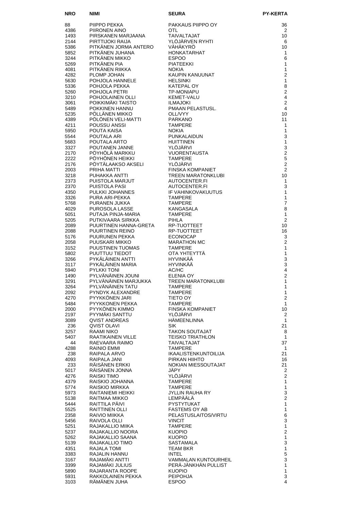| <b>NRO</b>   | NIMI                                                                    | <b>SEURA</b>                                                                                                                                                                                                                                         | <b>PY-KERTA</b>    |
|--------------|-------------------------------------------------------------------------|------------------------------------------------------------------------------------------------------------------------------------------------------------------------------------------------------------------------------------------------------|--------------------|
| 88           | NIMI<br>PIIPPO PEKKA                                                    | PAKKAUS PIIPPO OY                                                                                                                                                                                                                                    | 36                 |
| 4386         | PIIRONEN AINO                                                           | <b>OTL</b>                                                                                                                                                                                                                                           | 2                  |
| 1493         | PIIRONEN AINO<br>PIRSKANEN MARJAANA                                     | TAIVALTAJAT                                                                                                                                                                                                                                          | 10                 |
| 2144<br>5386 |                                                                         | YLÖJÄRVEN RYHTI<br>VÄHÄKYRÖ                                                                                                                                                                                                                          | 6<br>10            |
| 5852         | ………∪∩ı KAIJA<br>PITKÄNEN JORMA ANTERO<br>PITKÄNEN JUHANA                | <b>HONKATARHAT</b>                                                                                                                                                                                                                                   | $\mathbf{1}$       |
| 3244         | PITKÄNEN MIKKO                                                          | <b>ESPOO</b>                                                                                                                                                                                                                                         | 6                  |
| 5269         | PITKÄNEN PIA                                                            | <b>PIATEEKKI</b><br>TUSL.<br>THE TRIM THE TRIM THE TRIM THE TRIM THE TRIM THE TRIM THE TRIM THE TRIM THE TRIM THE TRIM THE TRIM THAT OUT OF THE TRIM THE TRIM THE TRIM THE TRIM THE TRIM THE TRIM THE TRIM THE TRIM THE TRIM THE TRIM THE TRIM THE T | $\mathbf{1}$       |
| 4081<br>4282 | PITKÄNEN RIIKKA<br>PLOMP JOHAN                                          |                                                                                                                                                                                                                                                      |                    |
| 5630         | POHJOLA HANNELE                                                         |                                                                                                                                                                                                                                                      |                    |
| 5336         | POHJOLA PEKKA                                                           |                                                                                                                                                                                                                                                      |                    |
| 5260<br>3210 | POHJOLA PETRI<br>POHJOLAINEN OLLI                                       |                                                                                                                                                                                                                                                      |                    |
| 3061         | POIKKIMÄKI TAISTO                                                       |                                                                                                                                                                                                                                                      |                    |
| 5489         | POKKINEN HANNU                                                          |                                                                                                                                                                                                                                                      |                    |
| 5235         | PÖLLÄNEN MIKKO                                                          |                                                                                                                                                                                                                                                      |                    |
| 4389<br>4211 | PÖLÖNEN VELI-MATTI<br>POUSSU ANSSI                                      |                                                                                                                                                                                                                                                      |                    |
| 5950         | POUTA KAISA                                                             |                                                                                                                                                                                                                                                      |                    |
| 5544         | POUTALA ARI<br>POUTALA ARTO                                             |                                                                                                                                                                                                                                                      |                    |
| 5683         |                                                                         |                                                                                                                                                                                                                                                      |                    |
| 3327<br>2170 | POUTANEN JANNE<br>PÖYHÖLÄ MARKKU                                        |                                                                                                                                                                                                                                                      |                    |
| 2222         | PÖYHÖNEN HEIKKI                                                         |                                                                                                                                                                                                                                                      |                    |
| 2176         | PÖYTÄLAAKSO AKSELI                                                      |                                                                                                                                                                                                                                                      |                    |
| 2003         | PRIHA MATTI                                                             |                                                                                                                                                                                                                                                      |                    |
| 3218<br>2373 | PUHAKKA ANTTI<br>PUISTOLA MARJUT                                        |                                                                                                                                                                                                                                                      |                    |
| 2370         | PUISTOLA PASI                                                           |                                                                                                                                                                                                                                                      |                    |
| 4350         | PULKKI JOHANNES                                                         |                                                                                                                                                                                                                                                      |                    |
| 3326         | PURA ARI-PEKKA                                                          |                                                                                                                                                                                                                                                      |                    |
| 5768<br>4029 | PURANEN JUKKA<br>PUROSOLA LASSE                                         |                                                                                                                                                                                                                                                      |                    |
| 5051         | PUTAJA PINJA-MARIA                                                      |                                                                                                                                                                                                                                                      |                    |
| 5205         | PUTKIVAARA SIRKKA                                                       |                                                                                                                                                                                                                                                      |                    |
| 2089         | PUTNIVAARA SIRNNA<br>PUURTINEN HANNA-GRETA                              |                                                                                                                                                                                                                                                      |                    |
| 2088<br>5176 | PUURTINEN REINO<br>PUURUNEN PEKKA                                       |                                                                                                                                                                                                                                                      |                    |
| 2058         | PUUSKARI MIKKO                                                          |                                                                                                                                                                                                                                                      |                    |
| 3152         | PUUSTINEN TUOMAS                                                        | <b>TAMPERE</b>                                                                                                                                                                                                                                       | 1                  |
| 5802         | PUUTTUU TIEDOT                                                          | OTA YHTEYTTÄ                                                                                                                                                                                                                                         | $\mathbf{1}$       |
| 3266<br>3117 | PYKÄLÄINEN ANTTI<br>PYKÄLÄINEN MARIA                                    | HYVINKÄÄ<br><b>HYVINKÄÄ</b>                                                                                                                                                                                                                          | 3<br>3             |
| 5940         |                                                                         | AC/HC                                                                                                                                                                                                                                                | $\overline{4}$     |
| 1490         | <b>PYLVÄNÄINEN JOUNI<br/>PYLVÄNÄINEN JOUNI<br/>PYLVÄNÄINEN MARLUTTA</b> | <b>ELENIA OY</b>                                                                                                                                                                                                                                     | $\overline{2}$     |
| 3291         | PYLVÄNÄINEN TATU                                                        | TREEN MARATONKLUBI                                                                                                                                                                                                                                   | 1                  |
| 3264<br>2092 | PYNDYK ALEXANDRE                                                        | <b>TAMPERE</b><br><b>TAMPERE</b>                                                                                                                                                                                                                     | 1<br>$\mathbf{1}$  |
| 4270         | PYYKKÖNEN JARI                                                          | TIETO OY                                                                                                                                                                                                                                             | $\overline{2}$     |
| 5484         | PYYKKONEN PEKKA                                                         | <b>TAMPERE</b>                                                                                                                                                                                                                                       | $\mathbf{1}$       |
| 2000<br>2197 | PYYKONEN KIMMO<br>PYYMAKI SANTTU                                        | FINSKA KOMPANIET<br>YLOJARVI                                                                                                                                                                                                                         | 10<br>2            |
| 3089         | QVIST ANDREAS                                                           | <b>HAMEENLINNA</b>                                                                                                                                                                                                                                   | $\mathbf{1}$       |
| 236          | QVIST OLAVI                                                             | SIK.                                                                                                                                                                                                                                                 | 21                 |
| 3257         | RAAMI NIKO                                                              | <b>TAKON SOUTAJAT</b>                                                                                                                                                                                                                                | 8                  |
| 5407<br>44   | RAATIKAINEN VILLE<br>RAEVAARA RAIMO                                     | <b>TEISKO TRIATHLON</b><br>TAIVALTAJAT                                                                                                                                                                                                               | $\mathbf{1}$<br>37 |
| 4288         | RAINIO EMMI                                                             | <b>TAMPERE</b>                                                                                                                                                                                                                                       | $\mathbf{1}$       |
| 238          | RAIPALA ARVO                                                            | IKAALISTENKUNTOILIJA                                                                                                                                                                                                                                 | 21                 |
| 4093         | RAIPALA JANI                                                            | PIRKAN HIIHTO                                                                                                                                                                                                                                        | 16                 |
| 233<br>5017  | RÄISÄNEN ERKKI<br>RÄISÄNEN JONNA                                        | NOKIAN MIESSOUTAJAT<br>JÄPY                                                                                                                                                                                                                          | 21<br>2            |
| 4276         | RAISKI TIMO                                                             | YLÖJÄRVI                                                                                                                                                                                                                                             | $\overline{2}$     |
| 4379         | RAISKIO JOHANNA                                                         | <b>TAMPERE</b>                                                                                                                                                                                                                                       | 1                  |
| 5774         | RAISKIO MIRKKA<br>RAITANIEMI HEIKKI                                     | <b>TAMPERE</b>                                                                                                                                                                                                                                       | $\mathbf{1}$<br>3  |
| 5973<br>5138 | RAITMAA MIKKO                                                           | JYLLIN RAUHA RY<br>LEMPAALA                                                                                                                                                                                                                          | $\overline{2}$     |
| 5444         | RAITTILA PÄIVI                                                          | <b>PYSTYTUKAT</b>                                                                                                                                                                                                                                    | 1                  |
| 5525         | <b>RAITTINEN OLLI</b>                                                   | <b>FASTEMS OY AB</b>                                                                                                                                                                                                                                 | 1                  |
| 2358<br>5456 | RAIVIO MIIKKA<br>RAIVOLA OLLI                                           | PELASTUSLAITOS/VIRTU<br><b>VINCIT</b>                                                                                                                                                                                                                | 6<br>3             |
| 5251         | RAJAKALLIO MIIKA                                                        | <b>TAMPERE</b>                                                                                                                                                                                                                                       | $\mathbf{1}$       |
| 5237         | RAJAKALLIO NOORA                                                        | <b>KUOPIO</b>                                                                                                                                                                                                                                        | $\overline{2}$     |
| 5262         | RAJAKALLIO SAANA                                                        | <b>KUOPIO</b>                                                                                                                                                                                                                                        | 1                  |
| 5139<br>4351 | RAJAKALLIO TIMO<br>RAJALA TOMI                                          | SASTAMALA<br><b>TEAM BKR</b>                                                                                                                                                                                                                         | 3<br>1             |
| 3383         | RAJALIN HANNU                                                           | <b>INTEL</b>                                                                                                                                                                                                                                         | 5                  |
| 3167         | RAJAMÄKI ANTTI                                                          | <b>VAMMALAN KUNTOURHEIL</b>                                                                                                                                                                                                                          | 3                  |
| 3399         | RAJAMÄKI JULIUS                                                         | PERÄ-JÄNKHÄN PULLIST                                                                                                                                                                                                                                 | 1                  |
| 5890<br>5931 | RAJARANTA ROOPE<br>RAKKOLAINEN PEKKA                                    | <b>KUOPIO</b><br><b>PEIPOHJA</b>                                                                                                                                                                                                                     | 1<br>3             |
| 3103         | RÄMÄNEN JUHA                                                            | <b>ESPOO</b>                                                                                                                                                                                                                                         | 4                  |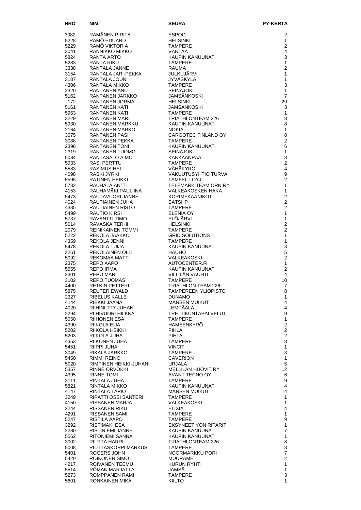| <b>NRO</b>   | NIMI                                   | <b>SEURA</b>                                | <b>PY-KERTA</b>                |
|--------------|----------------------------------------|---------------------------------------------|--------------------------------|
| 3082         | RÄMÄNEN PIRITA                         | <b>ESPOO</b>                                | 2                              |
| 5228         | RÂMÖ EDUARD                            | <b>HELSINKI</b>                             | 1                              |
| 5229         | RÂMÔ VIKTORIA                          | <b>TAMPERE</b>                              | $\overline{2}$                 |
| 3041<br>5824 | RANNIKKO MIKKO<br>RANTA ARTO           | <b>VANTAA</b><br>KAUPIN KANUUNAT            | 4<br>3                         |
| 5283         | RANTA RIKU                             | <b>TAMPERE</b>                              | 1                              |
| 3338         | RANTALA JANNE                          | <b>RAUMA</b>                                | $\overline{2}$                 |
| 3154         | RANTALA JARI-PEKKA                     | JULKUJÄRVI                                  | $\mathbf{1}$                   |
| 3137         | RANTALA JOUNI                          | JYVÄSKYLÄ                                   | $\mathbf{1}$                   |
| 4306<br>2320 | RANTALA MIKKO<br>RANTANEN ANU          | <b>TAMPERE</b><br><b>SEINÄJOKI</b>          | 3<br>$\mathbf{1}$              |
| 5162         | RANTANEN JARKKO                        | JÄMSÄNKOSKI                                 | $\overline{7}$                 |
| 172          | RANTANEN JORMA                         | <b>HELSINKI</b>                             | 29                             |
| 5161         | RANTANEN KATI                          | JÄMSÄNKOSKI                                 | 3                              |
| 5963         | RANTANEN KATI                          | <b>TAMPERE</b>                              | 1                              |
| 3229<br>5930 | RANTANEN MARI<br>RANTANEN MARKKU       | <b>TRIATHLONTEAM 226</b><br>KAUPIN KANUUNAT | 8<br>8                         |
| 2164         | RANTANEN MARKO                         | <b>NOKIA</b>                                | $\mathbf{1}$                   |
| 3075         | <b>RANTANEN PASI</b>                   | CARGOTEC FINLAND OY                         | 8                              |
| 3088         | RANTANEN PEKKA                         | <b>TAMPERE</b>                              | $\overline{2}$                 |
| 2396<br>2319 | <b>RANTANEN TONI</b><br>RANTANEN TUOMO | KAUPIN KANUUNAT<br><b>SEINÄJOKI</b>         | 6<br>1                         |
| 5084         | RANTASALO AIMO                         | KANKAANPÄÄ                                  | 8                              |
| 5933         | RASI PERTTU                            | <b>TAMPERE</b>                              | $\overline{2}$                 |
| 5583         | RASIMUS HELI                           | VÄHÄKYRÖ                                    | $\overline{4}$                 |
| 4098         | RASKI JYRKI                            | VAKUUTUSYHTIÖ TURVA                         | 9                              |
| 5595<br>5732 | RATINEN HEIKKI<br>RAUHALA ANTTI        | <b>TAMFELT OYJ</b><br>TELEMARK TEAM ÖRN RY  | $\overline{2}$<br>$\mathbf{1}$ |
| 4153         | RAUHAMAKI PAULIINA                     | VALKEAKOSKEN HAKA                           | 1                              |
| 5473         | RAUTAVUORI JANNE                       | KORIMEKAANIKOT                              | $\overline{2}$                 |
| 4024         | RAUTIAINEN JUHA                        | <b>SATSHP</b>                               | $\overline{2}$                 |
| 4335         | RAUTIAINEN RISTO                       | <b>TAMPERE</b>                              | $\overline{2}$                 |
| 5499<br>5737 | <b>RAUTIO KIRSI</b><br>RAVANTTI TIMO   | <b>ELENIA OY</b><br>YLÖJÄRVI                | $\mathbf{1}$<br>$\mathbf{1}$   |
| 5014         | RAVASKA TERHI                          | <b>HELSINKI</b>                             | $\overline{2}$                 |
| 2079         | REINIKAINEN TOMMI                      | <b>TAMPERE</b>                              | $\overline{2}$                 |
| 5222         | REKOLA JAAKKO                          | <b>GRID SOLUTIONS</b>                       | $\mathbf{1}$                   |
| 4359<br>5478 | REKOLA JENNI<br>REKOLA TUIJA           | <b>TAMPERE</b><br>KAUPIN KANUUNAT           | $\mathbf{1}$<br>3              |
| 3261         | REKOLAINEN OLLI                        | <b>HAUHO</b>                                | 5                              |
| 5092         | REKOMAA MATTI                          | VALKEAKOSKI                                 | $\overline{2}$                 |
| 2375         | REPO AAPO                              | AUTOCENTER.FI                               | 1<br>$\overline{2}$            |
| 5555<br>2301 | REPO IRMA<br>REPO MARI                 | KAUPIN KANUUNAT<br>VILLILÄN VAUHTI          | 4                              |
| 3102         | REPO TUOMAS                            | <b>TAMPERE</b>                              | 10                             |
| 4400         | RETKIN PETTERI                         | <b>TRIATHLON TEAM 226</b>                   | 7                              |
| 5875         | REUTER EWALD<br>RIBELUS KALLE          | TAMPEREEN YLIOPISTO<br><b>DÜNAMO</b>        | 8<br>1                         |
| 2327<br>4144 | RIEKKI JAANA                           | <b>MANSEN MUIKUT</b>                        | 4                              |
| 4020         | RIIHINIITTY JUHANI                     | LEMPÄÄLÄ                                    | 4                              |
| 2294         | RIIHIVUORI HILKKA                      | TRE LIIKUNTAPALVELUT                        | 9                              |
| 5050<br>4390 | <b>RIIHONEN ESA</b><br>RIIKOLA EIJA    | <b>TAMPERE</b><br>HÄMEENKYRÖ                | $\mathbf{1}$<br>$\sqrt{2}$     |
| 5202         | RIIKOLA HEIKKI                         | PIHLA                                       | $\overline{c}$                 |
| 5203         | RIIKOLA JUHA                           | <b>PIHLA</b>                                | $\sqrt{2}$                     |
| 4353         | RIIKONEN JUHA                          | <b>TAMPERE</b>                              | 8                              |
| 5451<br>3049 | RIIPPI JUHA<br>RIKALA JARKKO           | <b>VINCIT</b><br><b>TAMPERE</b>             | $\mathbf{1}$<br>$\mathsf 3$    |
| 5450         | RIMMI REINO                            | <b>CAVERION</b>                             | $\mathbf{1}$                   |
| 5020         | RIMPINEN HEIKKI-JUHANI                 | URJALA                                      | 5                              |
| 5357         | <b>RINNE ORVOKKI</b>                   | MELLILÄN HUOVIT RY                          | 12                             |
| 4395<br>3111 | <b>RINNE TOMI</b><br>RINTALA JUHA      | AVANT TECNO OY<br><b>TAMPERE</b>            | 6<br>9                         |
| 5821         | RINTALA MIKKO                          | KAUPIN KANUUNAT                             | $\overline{4}$                 |
| 4147         | RINTALA TAPIO                          | <b>MANSEN MUIKUT</b>                        | 14                             |
| 3249         | RIPATTI OSSI SANTERI                   | <b>TAMPERE</b>                              | 1                              |
| 4150<br>2244 | RISSANEN MARJA<br>RISSANEN RIKU        | VALKEAKOSKI<br><b>ELIXIA</b>                | $\mathbf{1}$<br>$\overline{4}$ |
| 4291         | RISSANEN SAMI                          | <b>TAMPERE</b>                              | $\mathbf{1}$                   |
| 5247         | RISTILA AAPO                           | <b>TAMPERE</b>                              | 9                              |
| 3292         | RISTIMÄKI ESA                          | EKSYNEET YÖN RITARIT                        | $\mathbf{1}$                   |
| 2280         | RISTINIEMI JANNE                       | KAUPIN KANUUNAT                             | $\overline{7}$                 |
| 5562<br>3002 | RITONIEMI SANNA<br>RIUTTA HARRI        | KAUPIN KANUUNAT<br>TRIATHLONTEAM 226        | $\mathbf{1}$<br>8              |
| 5008         | RIUTTASKORPI MARKUS                    | <b>TAMPERE</b>                              | 3                              |
| 5401         | ROGERS JOHN                            | NOORMARKKU PORI                             | $\boldsymbol{7}$               |
| 5420         | ROIKONEN SIMO                          | MUURAME                                     | $\overline{2}$                 |
| 4217<br>5514 | ROIVANEN TEEMU<br>ROMAN MARJATTA       | KURUN RYHTI<br>JÄMSÄ                        | 1<br>$\mathbf{1}$              |
| 5273         | ROMPPANEN RAMI                         | <b>TAMPERE</b>                              | 3                              |
| 5601         | RONKAINEN MIKA                         | <b>KIILTO</b>                               | 1                              |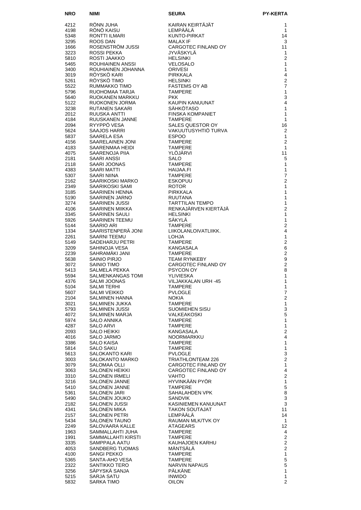| <b>NRO</b>   |                                                         |                                                                                                                                                                                          | <b>PY-KERTA</b>                         |
|--------------|---------------------------------------------------------|------------------------------------------------------------------------------------------------------------------------------------------------------------------------------------------|-----------------------------------------|
| 4212         | <b>NIMI</b><br>RÖNN JUHA<br>RÖNÖ KAISU<br>RONTTI ILMARI | :URA<br>AIRAN KEIRTÄJÄT<br>.EMPÄÄLÄ<br>KUNTO-PIRKAT<br>MALAX IF<br>CARGOTEC FINLAND OY<br>IYVÄSKYLÄ                                                                                      | 1                                       |
| 4198         |                                                         |                                                                                                                                                                                          | $\mathbf{1}$                            |
| 5348         |                                                         |                                                                                                                                                                                          | 14                                      |
| 3295         | ROOS DAN                                                |                                                                                                                                                                                          | 3                                       |
| 1666<br>3223 | ROSENSTRÖM JUSSI<br>ROSSI PEKKA                         |                                                                                                                                                                                          | 11<br>$\mathbf{1}$                      |
| 5810         | ROSTI JAAKKO                                            |                                                                                                                                                                                          | $\overline{2}$                          |
| 5465         | ROUHIAINEN ANSSI                                        |                                                                                                                                                                                          | $\mathbf{1}$                            |
| 3400         | ROUHIAINEN JOHANNA                                      |                                                                                                                                                                                          | $\mathbf{1}$                            |
| 3019<br>5261 | RÖYSKÖ KARI<br>RÖYSKÖ TIMO                              | PIRKKALA                                                                                                                                                                                 | $\overline{4}$<br>$\overline{c}$        |
| 5522         | RUMMAKKO TIMO                                           |                                                                                                                                                                                          | $\overline{7}$                          |
| 5796         | RUOHOMAA TARJA                                          |                                                                                                                                                                                          | $\mathbf{1}$                            |
| 5640         | RUOKANEN MARKKU                                         |                                                                                                                                                                                          | 3                                       |
| 5122         | RUOKONEN JORMA                                          |                                                                                                                                                                                          | $\overline{4}$                          |
| 3238<br>2012 | RUTANEN SAKARI<br>RUUSKA ANTTI                          |                                                                                                                                                                                          | 1<br>1                                  |
| 4184         | RUUSKANEN JANNE                                         |                                                                                                                                                                                          | 1                                       |
| 2094         | RYYPPÖ VESA                                             |                                                                                                                                                                                          | 16                                      |
| 5624         | <b>SAAJOS HARRI</b>                                     |                                                                                                                                                                                          | $\mathbf{2}$                            |
| 5837<br>4156 | SAARELA ESA<br>SAARELAINEN JONI                         |                                                                                                                                                                                          | $\mathbf{1}$<br>$\overline{2}$          |
| 4183         | SAARENMAA HEIDI                                         |                                                                                                                                                                                          | $\mathbf{1}$                            |
| 4075         | SAARENOJA PIIA                                          |                                                                                                                                                                                          | 11                                      |
| 2181         | <b>SAARI ANSSI</b>                                      |                                                                                                                                                                                          | 5                                       |
| 2118<br>4383 | SAARI JOONAS<br>SAARI MATTI                             |                                                                                                                                                                                          | $\mathbf{1}$<br>1                       |
| 5307         | SAARI NIINA                                             |                                                                                                                                                                                          | $\overline{7}$                          |
| 2162         | SAARIKOSKI MARKO                                        | NUPIN KANUUNAT<br>SÄHKÖTASO<br>FINSKA KOMPANIET<br>TAMPERE<br>SALES QUESTOR OY<br>"AKUUTUSYHTIÖ TURVA SPOO<br>"MPERE"<br>MPERE"<br>"JÄRVI"<br>OPERE"<br>AA.FI<br>"ERE"<br>"ERE"<br>"ERE" | $\overline{c}$                          |
| 2349         | SAARIKOSKI SAMI                                         | <b>ROTOR</b>                                                                                                                                                                             | $\mathbf{1}$                            |
| 3185<br>5190 | SAARINEN HENNA<br>SAARINEN JARNO                        | PIRKKALA<br>RUUTANA                                                                                                                                                                      | 1<br>$\mathbf{1}$                       |
| 3274         | SAARINEN JUSSI                                          | <b>TARTTILAN TEMPO</b>                                                                                                                                                                   | $\mathbf{1}$                            |
| 4106         | SAARINEN MIIKKA                                         | RENKAJÄRVEN KIERTÄJÄ                                                                                                                                                                     | $\overline{2}$                          |
| 3345         | SAARINEN SAULI                                          | <b>HELSINKI</b>                                                                                                                                                                          | 1                                       |
| 5926<br>5144 | SAARINEN TEEMU<br>SAARIO ARI                            | SÄKYLÄ<br><b>TAMPERE</b>                                                                                                                                                                 | $\mathbf{1}$<br>$\overline{2}$          |
| 1334         | SAARISTENPERÄ JONI                                      | LIIKOLANLOIVATLIIKK.                                                                                                                                                                     | 4                                       |
| 2261         | SAARNI TEEMU                                            | <b>LOHJA</b>                                                                                                                                                                             | $\mathbf{1}$                            |
| 5149         | SADEHARJU PETRI                                         | <b>TAMPERE</b>                                                                                                                                                                           | $\overline{c}$                          |
| 3209<br>2239 | SAHINOJA VESA<br>SAHRAMÄKI JANI                         | KANGASALA<br><b>TAMPERE</b>                                                                                                                                                              | 6<br>$\overline{2}$                     |
| 5638         | SAINIO PIRJO                                            | TEAM RYNKEBY                                                                                                                                                                             | $\boldsymbol{9}$                        |
| 3072         | SAINIO TIMO                                             | CARGOTEC FINLAND OY                                                                                                                                                                      | $\overline{c}$                          |
| 5413         | SALMELA PEKKA                                           | PSYCON OY                                                                                                                                                                                | 8                                       |
| 5594<br>4376 | SALMENKANGAS TOMI<br>SALMI JOONAS                       | <b>YLIVIESKA</b><br>VILJAKKALAN URH -45                                                                                                                                                  | 1<br>1                                  |
| 5104         | <b>SALMI TERHI</b>                                      | <b>TAMPERE</b>                                                                                                                                                                           | 1                                       |
| 5607         | <b>SALMI VEIKKO</b>                                     | <b>PVLOGLE</b>                                                                                                                                                                           | $\overline{7}$                          |
| 2104<br>3021 | SALMINEN HANNA<br>SALMINEN JUKKA                        | <b>NOKIA</b><br><b>TAMPERE</b>                                                                                                                                                           | $\overline{\mathbf{c}}$<br>$\mathbf{1}$ |
| 5793         | SALMINEN JUSSI                                          | SUOMIEHEN SISU                                                                                                                                                                           | 3                                       |
| 4072         | SALMINEN MARJA                                          | VALKEAKOSKI                                                                                                                                                                              | 5                                       |
| 5974         | SALO ANNIKA                                             | <b>TAMPERE</b>                                                                                                                                                                           | 1                                       |
| 4287<br>2093 | <b>SALO ARVI</b><br><b>SALO HEIKKI</b>                  | <b>TAMPERE</b><br>KANGASALA                                                                                                                                                              | $\mathbf{1}$<br>$\overline{2}$          |
| 4016         | SALO JARMO                                              | NOORMARKKU                                                                                                                                                                               | 4                                       |
| 3386         | SALO KAISA                                              | <b>TAMPERE</b>                                                                                                                                                                           | $\mathbf{1}$                            |
| 5814         | SALO SAKU                                               | <b>TAMPERE</b>                                                                                                                                                                           | $\mathbf{1}$                            |
| 5613<br>3003 | <b>SALOKANTO KARI</b><br>SALOKANTO MARKO                | <b>PVLOGLE</b><br>TRIATHLONTEAM 226                                                                                                                                                      | 3<br>$\overline{c}$                     |
| 3079         | SALOMAA OLLI                                            | CARGOTEC FINLAND OY                                                                                                                                                                      | $\mathbf{1}$                            |
| 3063         | SALONEN HEIKKI                                          | CARGOTEC FINLAND OY                                                                                                                                                                      | 4                                       |
| 3310         | <b>SALONEN IRMELI</b>                                   | VAHTO                                                                                                                                                                                    | $\mathbf{2}$                            |
| 3216<br>5410 | <b>SALONEN JANNE</b><br>SALONEN JANNE                   | HYVINKÄÄN PYÖR<br><b>TAMPERE</b>                                                                                                                                                         | $\mathbf{1}$<br>5                       |
| 5361         | SALONEN JARI                                            | SAHALAHDEN VPK                                                                                                                                                                           | 8                                       |
| 5490         | SALONEN JOUKO                                           | SANDVIK                                                                                                                                                                                  | 3                                       |
| 2182         | SALONEN JUSSI                                           | KASINIEMEN KANUUNAT                                                                                                                                                                      | 3                                       |
| 4341<br>2157 | SALONEN MIKA<br>SALONEN PETRI                           | <b>TAKON SOUTAJAT</b><br>LEMPÄÄLÄ                                                                                                                                                        | 11<br>14                                |
| 5434         | SALONEN TAUNO                                           | RAUMAN MLK/TVK OY                                                                                                                                                                        | $\mathbf{1}$                            |
| 2249         | SALOVAARA KALLE                                         | ATAGEARS                                                                                                                                                                                 | 12                                      |
| 1963<br>1991 | SAMMALLAHTI JUHA<br>SAMMALLAHTI KIRSTI                  | <b>TAMPERE</b><br><b>TAMPERE</b>                                                                                                                                                         | $\overline{4}$<br>$\overline{2}$        |
| 3335         | SAMPPALA AATU                                           | KAUHAJOEN KARHU                                                                                                                                                                          | $\overline{c}$                          |
| 4053         | SANDBERG TUOMAS                                         | MANTSALA                                                                                                                                                                                 | $\overline{2}$                          |
| 4100         | SANGI PEKKO                                             | <b>TAMPERE</b>                                                                                                                                                                           | $\mathbf{1}$                            |
| 5365         | SANTA-AHO VESA                                          | <b>TAMPERE</b><br><b>NARVIN NAPAUS</b>                                                                                                                                                   | $\mathbf 5$<br>$\mathbf 5$              |
| 2322<br>3256 | SANTIKKO TERO<br>SÄPYSKÄ SANJA                          | <b>PÄLKÄNE</b>                                                                                                                                                                           | $\mathbf{1}$                            |
| 5215         | SARJA SATU                                              | <b>INWIDO</b>                                                                                                                                                                            | $\mathbf{1}$                            |
| 5832         | SARKA TIMO                                              | <b>OILON</b>                                                                                                                                                                             | $\overline{2}$                          |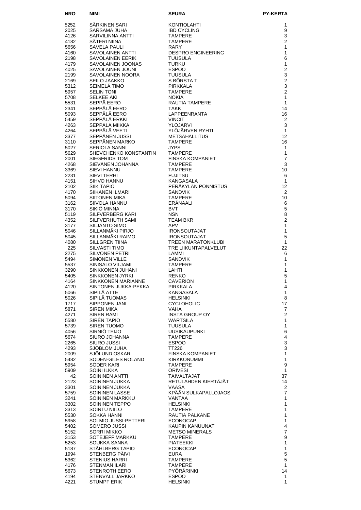| <b>NRO</b>   | NIMI                                    | <b>SEURA</b>                                        | <b>PY-KERTA</b>                |
|--------------|-----------------------------------------|-----------------------------------------------------|--------------------------------|
| 5252         | SÄRKINEN SARI                           | <b>KONTIOLAHTI</b>                                  | 1                              |
| 2025         | SARSAMA JUHA                            | <b>IBD CYCLING</b>                                  | 9                              |
| 4126         | SARVILINNA ANTTI                        | <b>TAMPERE</b>                                      | 3                              |
| 4182         | SÄTERI NIINA                            | <b>TAMPERE</b>                                      | $\overline{2}$                 |
| 5656<br>4160 | SAVELA PAULI<br>SAVOLAINEN ANTTI        | <b>RARY</b><br><b>DESPRO ENGINEERING</b>            | 1<br>$\mathbf{1}$              |
| 2198         | <b>SAVOLAINEN EERIK</b>                 | <b>TUUSULA</b>                                      | 6                              |
| 4179         | SAVOLAINEN JOONAS                       | <b>TURKU</b>                                        | 1                              |
| 4025         | SAVOLAINEN JOUNI                        | <b>ESPOO</b>                                        | $\overline{c}$                 |
| 2199         | SAVOLAINEN NOORA                        | <b>TUUSULA</b>                                      | $\mathbf{3}$<br>2              |
| 2169<br>5312 | SEILO JAAKKO<br>SEIMELÄ TIMO            | S BÖRSTA T<br><b>PIRKKALA</b>                       | $\mathbf{3}$                   |
| 5957         | <b>SELIN TONI</b>                       | <b>TAMPERE</b>                                      | $\overline{2}$                 |
| 5708         | <b>SELKEE AKI</b>                       | <b>NOKIA</b>                                        | $\mathbf{1}$                   |
| 5531         | SEPPÄ EERO                              | RAUTIA TAMPERE                                      | $\mathbf{1}$                   |
| 2341<br>5093 | SEPPÄLÄ EERO<br>SEPPÄLÄ EERO            | TAKK<br>LAPPEENRANTA                                | 14<br>16                       |
| 5459         | SEPPÄLÄ ERKKI                           | <b>VINCIT</b>                                       | 2                              |
| 4263         | SEPPÄLÄ MIIKKA                          | YLÖJÄRVI                                            | 3                              |
| 4264         | SEPPÄLÄ VEETI                           | YLÖJÄRVEN RYHTI                                     | $\mathbf{1}$                   |
| 3377<br>3110 | SEPPÄNEN JUSSI<br>SEPPÄNEN MARKO        | <b>METSÄHALLITUS</b><br><b>TAMPERE</b>              | 12<br>16                       |
| 5027         | <b>SERIOLA SANNI</b>                    | <b>JYPS</b>                                         | 1                              |
| 5629         | SHEVCHENKO KONSTANTIN                   | <b>TAMPERE</b>                                      | 1                              |
| 2001         | SIEGFRIDS TOM                           | <b>FINSKA KOMPANIET</b>                             | $\overline{7}$                 |
| 4268<br>3369 | SIEVÄNEN JOHANNA<br>SIEVI HANNU         | <b>TAMPERE</b><br><b>TAMPERE</b>                    | 3<br>10                        |
| 2231         | SIEVI TERHI                             | <b>FUJITSU</b>                                      | 6                              |
| 4151         | SIHVO HANNU                             | <b>KANGASALA</b>                                    | $\mathbf{1}$                   |
| 2102         | <b>SIIK TAPIO</b>                       | PERÄKYLÄN PONNISTUS                                 | 12                             |
| 4170<br>5094 | SIIKANEN ILMARI<br><b>SIITONEN MIKA</b> | <b>SANDVIK</b><br><b>TAMPERE</b>                    | 2<br>10                        |
| 3162         | SIIVOLA HANNU                           | ERÄNAALI                                            | 6                              |
| 3170         | SIKIÖ MINNA                             | <b>BVT</b>                                          | 5                              |
| 5119         | SILFVERBERG KARI                        | <b>NSN</b>                                          | 8                              |
| 4352<br>3177 | SILFVERHUTH SAMI<br>SILJANTO SIMO       | <b>TEAM BKR</b><br><b>APV</b>                       | $\overline{2}$<br>$\mathbf{1}$ |
| 5046         | SILLANMÄKI PIRJO                        | <b>IRONSOUTAJAT</b>                                 | $\mathbf{1}$                   |
| 5045         | SILLANMÄKI RAIMO                        | <b>IRONSOUTAJAT</b>                                 | 5                              |
| 4080<br>225  | <b>SILLGREN TIINA</b><br>SILVASTI TIMO  | TREEN MARATONKLUBI<br>TRE LIIKUNTAPALVELUT<br>LAMMI | $\mathbf{1}$<br>22             |
| 2275         | SILVONEN PETRI                          | LAMMI                                               | 6                              |
| 5494         | SIMONEN VILLE                           | <b>SANDVIK</b>                                      | 1                              |
| 5537<br>3290 | SINISALO VILJAMI<br>SINKKONEN JUHANI    | <b>TAMPERE</b><br>LAHTI                             | 1<br>1                         |
| 5405         | <b>SINKKONEN JYRKI</b>                  | <b>RENKO</b>                                        | 5                              |
| 4164         | SINKKONEN MARIANNE                      | <b>CAVERION</b>                                     | 1                              |
| 4120         | SINTONEN JUKKA-PEKKA                    | <b>PIRKKALA</b>                                     | 4                              |
| 5066<br>5026 | SIPILÄ ATTE<br>SIPILÄ TUOMAS            | KANGASALA<br><b>HELSINKI</b>                        | 1<br>8                         |
| 1717         | SIPPONEN JANI                           | <b>CYCLOHOLIC</b>                                   | 17                             |
| 5871         | SIREN MIKA                              | VAHA                                                | $\overline{7}$                 |
| 4271<br>5580 | SIREN RAMI<br>SIRÉN TAPIO               | INSTA GROUP OY<br>WÄRTSILÄ                          | $\mathbf{2}$<br>1              |
| 5739         | SIREN TUOMO                             | <b>TUUSULA</b>                                      | 1                              |
| 4056         | SIRNIÖ TEIJO                            | <b>UUSIKAUPUNKI</b>                                 | 6                              |
| 5674         | SIURO JOHANNA                           | <b>TAMPERE</b>                                      | 4                              |
| 2265<br>4293 | SIURO JUSSI<br>SJÖBLOM JUHA             | <b>ESPOO</b><br>TT226                               | 3<br>3                         |
| 2009         | SJÖLUND OSKAR                           | <b>FINSKA KOMPANIET</b>                             | 1                              |
| 5482         | SODEN-GILES ROLAND                      | <b>KIRKKONUMMI</b>                                  | 1                              |
| 5954<br>5909 | SODER KARI<br>SOINI ILKKA               | <b>TAMPERE</b><br><b>ORIVESI</b>                    | 9<br>$\mathbf{1}$              |
| 42           | SOININEN ANTTI                          | TAIVALTAJAT                                         | 37                             |
| 2123         | SOININEN JUKKA                          | RETULAHDEN KIERTÄJÄT                                | 14                             |
| 3301         | SOININEN JUKKA                          | VAASA                                               | $\overline{2}$                 |
| 5759<br>3241 | SOININEN LASSE<br>SOININEN MARKKU       | KPÄÄN SULKAPALLOJAOS<br>VANTAA                      | $\overline{7}$<br>1            |
| 3302         | SOININEN TEPPO                          | <b>HELSINKI</b>                                     | 1                              |
| 3313         | SOINTU NIILO                            | <b>TAMPERE</b>                                      | 1                              |
| 5530<br>5958 | SOKKA HANNI<br>SOLMIO JUSSI-PETTERI     | RAUTIA PÄLKÄNE<br><b>ECONOCAP</b>                   | 1<br>1                         |
| 5402         | SOMERO JUSSI                            | KAUPIN KANUUNAT                                     | $\overline{\mathbf{4}}$        |
| 5152         | SORRI MIKKO                             | <b>METSO MINERALS</b>                               | $\overline{7}$                 |
| 3153         | SOTEJEFF MARKKU                         | TAMPERE                                             | 9                              |
| 5253<br>5187 | SOUKKA SANNA<br>STÅHLBERG TAPIO         | <b>PIATEEKKI</b><br><b>ECONOCAP</b>                 | 1<br>$\mathbf{1}$              |
| 1994         | STENBERG PÄIVI                          | <b>EURA</b>                                         | 5                              |
| 5362         | <b>STENIUS HARRI</b>                    | <b>TAMPERE</b>                                      | 5                              |
| 4176         | <b>STENMAN ILARI</b><br>STENROTH EERO   | <b>TAMPERE</b><br>PYÖRÄRINKI                        | 1<br>14                        |
| 5673<br>4194 | STENVALL JARKKO                         | <b>ESPOO</b>                                        | 1                              |
| 4221         | <b>STUMPF ERIK</b>                      | <b>HELSINKI</b>                                     | 1                              |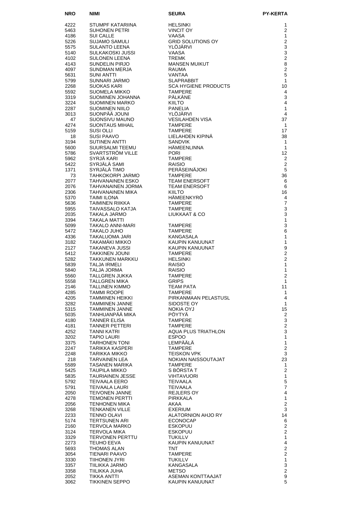| <b>NRO</b>   | NIMI                                            | <b>SEURA</b>                              | <b>PY-KERTA</b>                |
|--------------|-------------------------------------------------|-------------------------------------------|--------------------------------|
| 4222         | STUMPF KATARIINA                                | <b>HELSINKI</b>                           | 1                              |
| 5463         | <b>SUHONEN PETRI</b>                            | <b>VINCIT OY</b>                          | $\overline{2}$                 |
| 4186         | <b>SUI CALLE</b>                                | <b>VAASA</b>                              | 1                              |
| 5226         | <b>SUJAMO SAMULI</b>                            | <b>GRID SOLUTIONS OY</b>                  | $\overline{2}$                 |
| 5575<br>5140 | SULANTO LEENA<br>SULKAKOSKI JUSSI               | YLÖJÄRVI<br>VAASA                         | 3<br>3                         |
| 4102         | SULONEN LEENA                                   | <b>TREMK</b>                              | $\overline{2}$                 |
| 4143         | SUNDELIN PIRJO                                  | <b>MANSEN MUIKUT</b>                      | 8                              |
| 4097         | SUNDMAN MERJA                                   | RAUMA                                     | $\overline{2}$                 |
| 5631         | <b>SUNI ANTTI</b>                               | <b>VANTAA</b>                             | 5                              |
| 5799<br>2268 | SUNNARI JARMO<br><b>SUOKAS KARI</b>             | <b>SLAPRABBIT</b><br>SCA HYGIENE PRODUCTS | $\mathbf{1}$<br>10             |
| 5592         | SUOMELA MIKKO                                   | <b>TAMPERE</b>                            | 4                              |
| 3319         | SUOMINEN JOHANNA                                | PÄLKÄNE                                   | 3                              |
| 3224         | <b>SUOMINEN MARKO</b>                           | <b>KIILTO</b>                             | 4                              |
| 2287<br>3013 | SUOMINEN NIILO<br>SUONPÄÄ JOUNI                 | PANELIA<br>YLÖJÄRVI                       | $\mathbf{1}$<br>$\overline{4}$ |
| 47           | SUONSIVU MAUNO                                  | <b>VESILAHDEN VISA</b>                    | 37                             |
| 4274         | <b>SUONTAUS MIHAIL</b>                          | <b>TAMPERE</b>                            | $\mathbf{1}$                   |
| 5159         | SUSI OLLI                                       | <b>TAMPERE</b>                            | 17                             |
| 18<br>3194   | <b>SUSI PAAVO</b><br>SUTINEN ANTTI              | LIELAHDEN KIPINÄ<br><b>SANDVIK</b>        | 38<br>$\mathbf{1}$             |
| 5600         | SUURSALMI TEEMU                                 | <b>HÄMEENLINNA</b>                        | $\mathbf{1}$                   |
| 5786         | SVARTSTRÖM VILLE                                | <b>PORI</b>                               | 12                             |
| 5962         | SYRJÄ KARI                                      | <b>TAMPERE</b>                            | $\overline{2}$                 |
| 5422<br>1371 | SYRJÄLÄ SAMI<br>SYRJÄLÄ TIMO                    | <b>RAISIO</b><br>PERÄSEINÄJOKI            | $\overline{2}$<br>5            |
| 73           | TAHKOKORPI JARMO                                | <b>TAMPERE</b>                            | 36                             |
| 2077         | TAHVANAINEN ESKO                                | <b>TEAM ENERSOFT</b>                      | 6                              |
| 2076         | TAHVANAINEN JORMA                               | <b>TEAM ENERSOFT</b>                      | 6                              |
| 2306         | TAHVANAINEN MIKA                                | <b>KIILTO</b><br>HÄMEENKYRÖ               | 16                             |
| 5370<br>5636 | <b>TAIMI ILONA</b><br>TAIMINEN RIIKKA           | <b>TAMPERE</b>                            | 4<br>$\overline{7}$            |
| 5955         | TAIVASSALO KATJA                                | <b>TAMPERE</b>                            | 3                              |
| 2035         | TAKALA JARMO                                    | LIUKKAAT & CO                             | 3                              |
| 3394         | TAKALA MATTI                                    |                                           | $\mathbf{1}$                   |
| 5099<br>5472 | TAKALO ANNI-MARI<br>TAKALO JUHO                 | <b>TAMPERE</b><br><b>TAMPERE</b>          | 3<br>6                         |
| 4336         | TAKALUOMA JARI                                  | KANGASALA                                 | 1                              |
| 3182         | TAKAMÄKI MIKKO                                  | KAUPIN KANUUNAT                           | 1                              |
| 2127         | TAKANEVA JUSSI                                  | KAUPIN KANUUNAT                           | 9<br>$\overline{2}$            |
| 5412<br>5282 | <b>TAKKINEN JOUNI</b><br><b>TAKKUNEN MARKKU</b> | <b>TAMPERE</b><br><b>HELSINKI</b>         | $\overline{2}$                 |
| 5839         | TALJA IRMELI                                    | <b>RAISIO</b>                             | 1                              |
| 5840         | TALJA JORMA                                     | <b>RAISIO</b>                             | $\mathbf{1}$                   |
| 5560<br>5558 | <b>TALLGREN JUKKA</b><br><b>TALLGREN MIKA</b>   | <b>TAMPERE</b><br><b>GRIPS</b>            | $\overline{2}$<br>1            |
| 2146         | <b>TALLINEN KIMMO</b>                           | <b>TEAM PATA</b>                          | 11                             |
| 4285         | <b>TAMMI ROOPE</b>                              | <b>TAMPERE</b>                            | 1                              |
| 4205         | TAMMINEN HEIKKI                                 | PIRKANMAAN PELASTUSL                      | 4                              |
| 3282<br>5315 | <b>TAMMINEN JANNE</b><br>TAMMINEN JANNE         | SIDOSTE OY<br>NOKIA OYJ                   | $\mathbf{1}$<br>15             |
| 5035         | TANHUANPAA MIKA                                 | <b>POYTYA</b>                             | $\overline{2}$                 |
| 4180         | <b>TANNER ELISA</b>                             | <b>TAMPERE</b>                            | 3                              |
| 4181         | <b>TANNER PETTERI</b>                           | <b>TAMPERE</b>                            | $\overline{\mathbf{c}}$        |
| 4252<br>3202 | TANNI KATRI<br><b>TAPIO LAURI</b>               | AQUA PLUS TRIATHLON<br><b>ESPOO</b>       | 3<br>1                         |
| 3375         | <b>TARHONEN TONI</b>                            | LEMPÄÄLÄ                                  | $\mathbf{1}$                   |
| 2247         | TARIKKA KASPERI                                 | TAMPERE                                   | $\mathbf{2}$                   |
| 2248         | TARIKKA MIKKO                                   | <b>TEISKON VPK</b>                        | 3                              |
| 218<br>5589  | <b>TARVAINEN LEA</b><br>TASANEN MARIKA          | NOKIAN NAISSOUTAJAT<br>TAMPERE            | 23<br>1                        |
| 5425         | TAUPILA MIKKO                                   | S BORSTA T                                | $\overline{2}$                 |
| 5835         | <b>TAURIAINEN JESSE</b>                         | <b>VIHTAVUORI</b>                         | $\mathbf{1}$                   |
| 5792         | TEIVAALA EERO                                   | <b>TEIVAALA</b>                           | 5                              |
| 5791<br>2050 | TEIVAALA LAURI<br><b>TEIVONEN JANNE</b>         | TEIVAALA<br>REJLERS OY                    | 7<br>4                         |
| 4278         | <b>TEMONEN PERTTI</b>                           | PIRKKALA                                  | $\mathbf{1}$                   |
| 2056         | <b>TENHONEN MIKA</b>                            | AKAA                                      | $\overline{\mathbf{c}}$        |
| 3268         | <b>TENKANEN VILLE</b>                           | EXERIUM                                   | 3                              |
| 2233<br>5174 | <b>TENNO OLAVI</b><br><b>TERTSUNEN ARI</b>      | ALATORNION AHJO RY<br><b>ECONOCAP</b>     | 14<br>6                        |
| 2160         | TERVOLA MARKO                                   | <b>ESKOPUU</b>                            | $\overline{2}$                 |
| 3124         | <b>TERVOLA MIKA</b>                             | <b>ESKOPUU</b>                            | $\overline{2}$                 |
| 3329         | <b>TERVONEN PERTTU</b>                          | TUKILLV                                   | $\mathbf{1}$                   |
| 2273<br>5693 | TEUHO EEVA<br>THOMAS ALAN                       | KAUPIN KANUUNAT<br>TNT                    | 4<br>$\overline{c}$            |
| 3054         | TIENARI PAAVO                                   | <b>TAMPERE</b>                            | $\overline{2}$                 |
| 3330         | TIIHONEN JYRI                                   | TUKILLV                                   | $\mathbf{1}$                   |
| 3357         | TIILIKKA JARMO                                  | KANGASALA                                 | 3                              |
| 3358<br>2052 | TIILIKKA JUHA<br><b>TIKKA ANTTI</b>             | <b>METSO</b><br>ASEMAN KONTTAAJAT         | $\overline{c}$<br>9            |
| 3062         | <b>TIKKINEN SEPPO</b>                           | KAUPIN KANUUNAT                           | 5                              |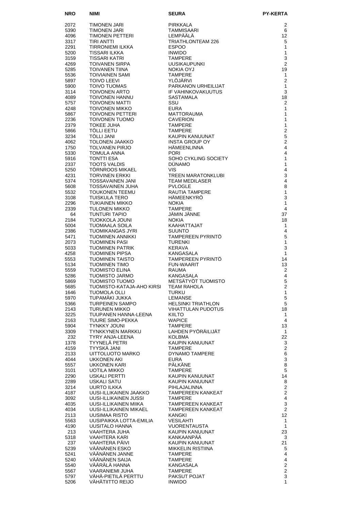| <b>NRO</b>   | NIMI                                            | SEURA                                                | <b>PY-KERTA</b>                  |
|--------------|-------------------------------------------------|------------------------------------------------------|----------------------------------|
| 2072         | TIMONEN JARI                                    | PIRKKALA                                             | $\overline{2}$                   |
| 5390         | TIMONEN JARI                                    | TAMMISAARI                                           | 6                                |
| 4096         | TIMONEN PETTERI                                 | LEMPÄÄLÄ                                             | 12                               |
| 3317         | TIRI ANTTI                                      | TRIATHLONTEAM 226                                    | 5                                |
| 2291         | TIRRONIEMI ILKKA                                | <b>ESPOO</b>                                         | 1                                |
| 5200<br>3159 | TISSARI ILKKA<br>TISSARI KATRI                  | <b>INWIDO</b><br>TAMPERE                             | 1<br>3                           |
| 4269         | TOIVANEN SIRPA                                  | <b>UUSIKAUPUNKI</b>                                  | $\overline{2}$                   |
| 5285         | TOIVANEN TIINA                                  | NOKIA OYJ                                            | 19                               |
| 5536         | TOIVIAINEN SAMI                                 | <b>TAMPERE</b>                                       | 1                                |
| 5897         | <b>TOIVO LEEVI</b>                              | YLÖJÄRVI                                             | $\overline{2}$                   |
| 5900<br>3114 | TOIVO TUOMAS<br>TOIVONEN ARTO                   | PARKANON URHEILIJAT<br>IF VAHINKOVAKUUTUS            | 1<br>3                           |
| 4089         | TOIVONEN HANNU                                  | SASTAMALA                                            | 18                               |
| 5757         | TOIVONEN MATTI                                  | SSU                                                  | $\overline{2}$                   |
| 4248         | TOIVONEN MIKKO                                  | EURA                                                 | 1                                |
| 5867         | TOIVONEN PETTERI                                | MATTORAUMA                                           | $\mathbf{1}$<br>1                |
| 2236<br>2379 | TOIVONEN TUOMO<br>TOKEE JUHA                    | <b>CAVERION</b><br>TAMPERE                           | $\mathbf{1}$                     |
| 5866         | TÖLLI EETU                                      | <b>TAMPERE</b>                                       | $\overline{2}$                   |
| 3234         | TOLLI JANI                                      | KAUPIN KANUUNAT                                      | 5                                |
| 4062         | TOLONEN JAAKKO                                  | INSTA GROUP OY                                       | $\overline{2}$                   |
| 1750<br>5330 | TOLVANEN PIRJO<br>TOMULA ANNA                   | <b>HAMEENLINNA</b><br><b>PORI</b>                    | 4<br>4                           |
| 5916         | <b>TONTTI ESA</b>                               | SOHO CYKLING SOCIETY                                 | $\mathbf{1}$                     |
| 2337         | TOOTS VALDIS                                    | <b>DÜNAMO</b>                                        | $\mathbf{1}$                     |
| 5250         | TÖRNROOS MIKAEL                                 | <b>VIS</b>                                           | 4                                |
| 4231         | <b>TORVINEN ERKKI</b>                           | <b>TREEN MARATONKLUBI</b>                            | 3                                |
| 5374<br>5608 | TOSSAVAINEN JANI<br><b>TOSSAVAINEN JUHA</b>     | <b>TEAM MEDILASER</b><br><b>PVLOGLE</b>              | 4<br>8                           |
| 5532         | <b>TOUKONEN TEEMU</b>                           | <b>RAUTIA TAMPERE</b>                                | 1                                |
| 3108         | TUISKULA TERO                                   | HÄMEENKYRÖ                                           | 3                                |
| 2296         | TUKIAINEN MIKKO                                 | <b>NOKIA</b>                                         | 1                                |
| 2339         | TULONEN MIKKO                                   | <b>TAMPERE</b>                                       | 4                                |
| 64<br>2184   | TUNTURI TAPIO<br>TUOKKOLA JOUNI                 | JÄMIN JÄNNE<br><b>NOKIA</b>                          | 37<br>18                         |
| 5004         | TUOMAALA SOILA                                  | KAAHATTAJAT                                          | $\mathbf{1}$                     |
| 2386         | TUOMIKANGAS JYRI                                | <b>SUUNTO</b>                                        | 4                                |
| 5471         | TUOMINEN ANNIKKI                                | TAMPEREEN PYRINTÖ                                    | 5                                |
| 2073         | <b>TUOMINEN PASI</b>                            | <b>TURENKI</b>                                       | 1                                |
| 5033<br>4258 | TUOMINEN PATRIK<br>TUOMINEN PIPSA               | <b>KERAVA</b><br>KANGASALA                           | 3<br>1                           |
| 5553         | <b>TUOMINEN TAISTO</b>                          | <b>TAMPEREEN PYRINTO</b>                             | 14                               |
| 5134         | <b>TUOMINEN TIMO</b>                            | <b>FUN-WAARIT</b>                                    | 13                               |
| 5559         | <b>TUOMISTO ELINA</b>                           | <b>RAUMA</b>                                         | 2                                |
| 5286<br>5869 | TUOMISTO JARMO<br>TUOMISTO TUOMO                | <b>KANGASALA</b><br>METSÄTYÖT TUOMISTO               | 4<br>5                           |
| 5685         | TUOMISTO-KATAJA-AHO KIRSI                       | <b>TEAM RAHOLA</b>                                   | $\overline{2}$                   |
| 1646         | <b>TUOMOLA OLLI</b>                             | <b>TURKU</b>                                         | $\mathbf{1}$                     |
| 5970         | TUPAMÄKI JUKKA                                  | <b>LEMANSE</b>                                       | 5                                |
| 5366         | TURPEINEN SAMPO                                 | <b>HELSINKI TRIATHLON</b>                            | 5                                |
| 2143<br>3225 | <b>TURUNEN MIKKO</b><br>TUUPANEN HANNA-LEENA    | <b>VIHATTULAN PUDOTUS</b><br>KIILTO                  | 18<br>1                          |
| 2163         | TUURE SIMO-PEKKA                                | <b>WAPICE</b>                                        | 4                                |
| 5904         | <b>TYNKKY JOUNI</b>                             | <b>TAMPERE</b>                                       | 13                               |
| 3309         | <b>TYNKKYNEN MARKKU</b>                         | LAHDEN PYÖRÄILIJÄT                                   | $\mathbf{1}$                     |
| 232          | TYRY ANJA-LEENA                                 | KOLBMA                                               | 22                               |
| 1378<br>4159 | TYYNELÄ PETRI<br>TYYSKÄ JANI                    | KAUPIN KANUUNAT<br><b>TAMPERE</b>                    | 3<br>$\overline{2}$              |
| 2133         | UITTOLUOTO MARKO                                | DYNAMO TAMPERE                                       | 6                                |
| 4044         | <b>UKKONEN AKI</b>                              | <b>EURA</b>                                          | 3                                |
| 5557         | UKKONEN KARI                                    | PÄLKÄNE                                              | 8                                |
| 3101         | UOTILA MIKKO<br>USKALI PERTTI                   | <b>TAMPERE</b><br>KAUPIN KANUUNAT                    | 5<br>14                          |
| 2290<br>2289 | USKALI SATU                                     | KAUPIN KANUUNAT                                      | 8                                |
| 3214         | UURTO ILKKA                                     | PIHLAJALINNA                                         | $\overline{2}$                   |
| 4187         | UUSI-ILLIKAINEN JAAKKO                          | <b>TAMPEREEN KANKEAT</b>                             | $\overline{2}$                   |
| 3092         | UUSI-ILLIKAINEN JUSSI                           | <b>TAMPERE</b>                                       | 4                                |
| 4035<br>4034 | UUSI-ILLIKAINEN MIIKA<br>UUSI-ILLIKAINEN MIKAEL | <b>TAMPEREEN KANKEAT</b><br><b>TAMPEREEN KANKEAT</b> | 3<br>$\overline{2}$              |
| 2113         | UUSIMAA RISTO                                   | KANGKI                                               | 12                               |
| 5563         | UUSIPAIKKA LOTTA-EMILIA                         | <b>VESILAHTI</b>                                     | 1                                |
| 4190         | UUSITALO HANNA                                  | <b>VUORENTAUSTA</b>                                  | $\mathbf{1}$                     |
| 213          | VAAHTERA JUHA                                   | KAUPIN KANUUNAT                                      | 23                               |
| 5318<br>237  | VAAHTERA KARI<br>VAAHTERA PÄIVI                 | KANKAANPAA<br>KAUPIN KANUUNAT                        | 3<br>21                          |
| 5239         | VÄÄNÄNEN ESKO                                   | MIKKELIN RISTIINA                                    | 5                                |
| 5241         | VÄÄNÄNEN JANNE                                  | <b>TAMPERE</b>                                       | 4                                |
| 5240         | VÄÄNÄNEN SAIJA                                  | <b>TAMPERE</b>                                       | 4                                |
| 5540         | VÄÄRÄLÄ HANNA                                   | KANGASALA                                            | $\overline{2}$<br>$\overline{2}$ |
| 5567<br>5797 | VAARANIEMI JUHA<br>VÄHÄ-PIETILÄ PERTTU          | <b>TAMPERE</b><br>PAKSUT POJAT                       | 3                                |
| 5206         | <b>VAHATIITTO REIJO</b>                         | <b>INWIDO</b>                                        | 1                                |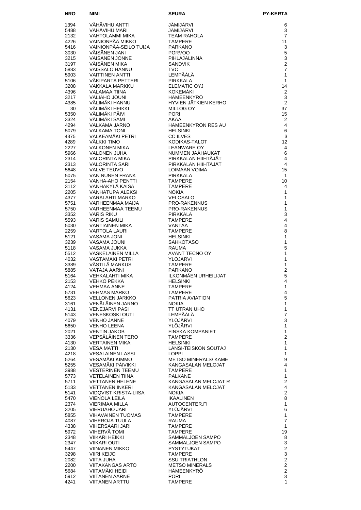| <b>NRO</b>   | <b>NIMI</b>                                      | <b>SEURA</b>                                  | <b>PY-KERTA</b>                  |
|--------------|--------------------------------------------------|-----------------------------------------------|----------------------------------|
| 1394         | VÄHÄVIHU ANTTI                                   | JÄMIJÄRVI                                     | 6                                |
| 5488         | VÄHÄVIHU MARI                                    | JÄMIJÄRVI                                     | 3                                |
| 2132         | VAHTOLAMMI MIKA                                  | <b>TEAM RAHOLA</b>                            | $\overline{7}$                   |
| 4226         | VAINIONPÄÄ MIKKO                                 | <b>TAMPERE</b>                                | 11                               |
| 5416<br>3030 | VAINIONPÄÄ-SEILO TUIJA<br>VÄISÄNEN JANI          | <b>PARKANO</b><br><b>PORVOO</b>               | 3<br>5                           |
| 3215         | VÄISÄNEN JONNE                                   | PIHLAJALINNA                                  | 3                                |
| 3197         | VÄISÄNEN MIKA                                    | <b>SANDVIK</b>                                | $\overline{2}$                   |
| 5883         | VAISSALO HANNU                                   | <b>TVC</b>                                    | $\overline{7}$                   |
| 5903         | <b>VAITTINEN ANTTI</b>                           | LEMPÄÄLÄ                                      | $\mathbf{1}$                     |
| 5106<br>3208 | VÄKIPARTA PETTERI<br><b>VAKKALA MARKKU</b>       | PIRKKALA<br><b>ELEMATIC OYJ</b>               | $\mathbf{1}$<br>14               |
| 4396         | VALAMAA TIINA                                    | <b>KOKEMÄKI</b>                               | 2                                |
| 3217         | VÄLIAHO JOUNI                                    | HÄMEENKYRÖ                                    | 3                                |
| 4385         | VÄLIMÄKI HANNU                                   | HYVIEN JÄTKIEN KERHO                          | 2                                |
| 30           | VÄLIMÄKI HEIKKI                                  | MILLOG OY                                     | 37                               |
| 5350<br>3324 | VÄLIMÄKI PÄIVI<br>VÄLIMÄKI SAMI                  | <b>PORI</b><br>AKAA                           | 15<br>2                          |
| 4294         | VALKAMA JARNO                                    | HÄMEENKYRÖN RES AU                            | $\overline{4}$                   |
| 5079         | <b>VALKAMA TONI</b>                              | <b>HELSINKI</b>                               | 6                                |
| 4375         | VALKEAMÄKI PETRI                                 | <b>CC ILVES</b>                               | $\mathsf 3$                      |
| 4289         | VÄLKKI TIMO                                      | KODIKAS-TALOT<br><b>LEANWARE OY</b>           | 12                               |
| 2227<br>5966 | <b>VALKONEN MIKA</b><br>VALONEN JUHA             | NUMMEN JÄÄHAUKAT                              | 4<br>6                           |
| 2314         | VALORINTA MIKA                                   | PIRKKALAN HIIHTÄJÄT                           | $\overline{4}$                   |
| 2313         | <b>VALORINTA SARI</b>                            | PIRKKALAN HIIHTÄJÄT                           | $\overline{4}$                   |
| 5648         | <b>VALVE TEUVO</b>                               | LOIMAAN VOIMA                                 | 15                               |
| 5075         | VAN NUNEN FRANK<br><b>VANHA-AHO PENTTI</b>       | PIRKKALA                                      | $\mathbf{1}$<br>10               |
| 2154<br>3112 | VANHAKYLÄ KAISA                                  | <b>TAMPERE</b><br><b>TAMPERE</b>              | 4                                |
| 2205         | <b>VANHATUPA ALEKSI</b>                          | <b>NOKIA</b>                                  | $\mathbf{1}$                     |
| 4377         | VARALAHTI MARKO                                  | <b>VELOSALO</b>                               | 1                                |
| 5751         | VARHEENMAA MAIJA                                 | <b>PRO-RAKENNUS</b>                           | 1                                |
| 5750<br>3352 | <b>VARHEENMAA TEEMU</b><br><b>VARIS RIKU</b>     | <b>PRO-RAKENNUS</b><br>PIRKKALA               | $\mathbf{1}$<br>3                |
| 5593         | <b>VARIS SAMULI</b>                              | <b>TAMPERE</b>                                | 4                                |
| 5030         | VARTIAINEN MIKA                                  | <b>VANTAA</b>                                 | $\overline{4}$                   |
| 2259         | VARTOLA LAURI                                    | <b>TAMPERE</b>                                | 8                                |
| 5121         | <b>VASAMA JONI</b>                               | <b>HELSINKI</b>                               | $\mathbf{1}$                     |
| 3239<br>5118 | VASAMA JOUNI<br>VASAMA JUKKA                     | <b>SÄHKÖTASO</b><br><b>RAUMA</b>              | 1<br>5                           |
| 5512         | <b>VASKELAINEN MILLA</b>                         | <b>AVANT TECNO OY</b>                         | 1                                |
| 4032         | VASTAMÄKI PETRI                                  | YLÖJÄRVI                                      | 1                                |
| 3389         | VÄSTILÄ MARKUS                                   | <b>TAMPERE</b>                                | 1                                |
| 5885         | <b>VATAJA AARNI</b>                              | <b>PARKANO</b>                                | $\overline{2}$                   |
| 5164<br>2153 | <b>VEHKALAHTI MIKA</b><br><b>VEHKO PEKKA</b>     | ILKONMÄEN URHEILIJAT<br><b>HELSINKI</b>       | 5<br>4                           |
| 4124         | <b>VEHMAA ANNE</b>                               | <b>TAMPERE</b>                                | 1                                |
| 5731         | VEHMAS MARKO                                     | <b>TAMPERE</b>                                | 4                                |
| 5623         | <b>VELLONEN JARKKO</b>                           | PATRIA AVIATION                               | 5                                |
| 3161<br>4131 | VENÄLÄINEN JARNO<br>VENEJÄRVI PASI               | <b>NOKIA</b><br>TT UTRAN UHO                  | 1<br>$\mathbf{1}$                |
| 5143         | <b>VENESKOSKI OUTI</b>                           | LEMPÄÄLÄ                                      | 7                                |
| 4079         | <b>VENHO JANNE</b>                               | YLÖJÄRVI                                      | 3                                |
| 5650         | VENHO LEENA                                      | YLÖJÄRVI                                      | 1                                |
| 2021         | <b>VENTIN JAKOB</b>                              | <b>FINSKA KOMPANIET</b>                       | $\mathbf{1}$                     |
| 3336<br>4130 | <b>VEPSALAINEN TERO</b><br><b>VERTAINEN MIKA</b> | <b>TAMPERE</b><br><b>HELSINKI</b>             | $\overline{c}$<br>1              |
| 2130         | <b>VESA MATTI</b>                                | LÄNSI-TEISKON SOUTAJ                          | 1                                |
| 4218         | <b>VESALAINEN LASSI</b>                          | <b>LOPPI</b>                                  | $\mathbf{1}$                     |
| 5264         | VESAMÄKI KIMMO                                   | METSO MINERALS/ KAME                          | 9                                |
| 5255<br>3988 | VESAMÄKI PÄIVIKKI<br><b>VESTERINEN TEEMU</b>     | KANGASALAN MELOJAT<br><b>TAMPERE</b>          | $\overline{4}$<br>1              |
| 5773         | <b>VETELAINEN TIINA</b>                          | <b>PALKANE</b>                                | 1                                |
| 5711         | <b>VETTANEN HELENE</b>                           | KANGASALAN MELOJAT R                          | $\overline{c}$                   |
| 5133         | <b>VETTANEN INKERI</b>                           | KANGASALAN MELOJAT                            | 4                                |
| 5141         | VIDQVIST KRISTA-LIISA                            | <b>NOKIA</b>                                  | $\overline{c}$<br>8              |
| 5470<br>2374 | VIENOLA LEILA<br>VIERIMAA MILLA                  | <b>IKAALINEN</b><br>AUTOCENTER.FI             | $\mathbf{1}$                     |
| 3205         | <b>VIERUAHO JARI</b>                             | YLÖJÄRVI                                      | 6                                |
| 5855         | <b>VIHAVAINEN TUOMAS</b>                         | <b>TAMPERE</b>                                | 1                                |
| 4087         | <b>VIHEROJA TUULA</b>                            | <b>RAUMA</b>                                  | $\overline{7}$                   |
| 4338<br>5972 | VIHERSAARI JARI<br>VIHERVÄ TOMI                  | <b>TAMPERE</b><br><b>TAMPERE</b>              | $\mathbf{1}$<br>19               |
| 2348         | VIIKARI HEIKKI                                   | SAMMALJOEN SAMPO                              | 8                                |
| 2347         | VIIKARI OUTI                                     | SAMMALJOEN SAMPO                              | 3                                |
| 5447         | VIINANEN MIKKO                                   | PYSTYTUKAT                                    | $\overline{c}$                   |
| 3298         | <b>VIIRI KEIJO</b>                               | <b>TAMPERE</b>                                | 3                                |
| 2082<br>2200 | VIITA JUHA<br><b>VIITAKANGAS ARTO</b>            | <b>SSU TRIATHLON</b><br><b>METSO MINERALS</b> | $\overline{c}$<br>$\overline{c}$ |
| 5684         | VIITAMAKI HEIDI                                  | HÄMEENKYRÖ                                    | $\overline{2}$                   |
| 5912         | <b>VIITANEN AARNE</b>                            | <b>PORI</b>                                   | 3                                |
| 4241         | <b>VIITANEN ARTTU</b>                            | <b>TAMPERE</b>                                | $\mathbf{1}$                     |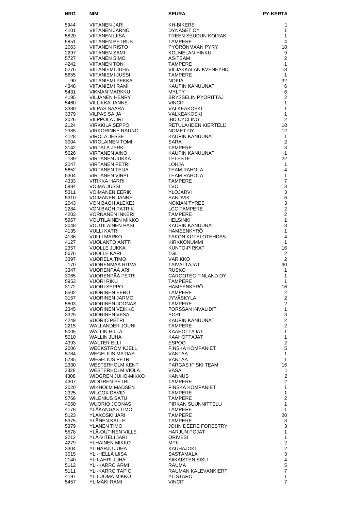| <b>NRO</b>   | NIMI                                            | SEURA                                           | <b>PY-KERTA</b>                  |
|--------------|-------------------------------------------------|-------------------------------------------------|----------------------------------|
| 5944         | VIITANEN JARI                                   | KH-BIKERS                                       | 1                                |
| 4101         | VIITANEN JARNO                                  | DYNASET OY                                      | 1                                |
| 5820         | <b>VIITANEN LIISA</b>                           | TREEN SEUDUN KOIRAK.                            | 1                                |
| 5851         | VIITANEN PETRUS                                 | <b>TAMPERE</b>                                  | 4                                |
| 2063<br>2297 | <b>VIITANEN RISTO</b><br><b>VIITANEN SAMI</b>   | PYÖRÖNMAAN PYRY<br>KOLMELAN HINKU               | 18<br>9                          |
| 5727         | <b>VIITANEN SIMO</b>                            | AS-TEAM                                         | $\mathbf{2}$                     |
| 4242         | <b>VIITANEN TONI</b>                            | <b>TAMPERE</b>                                  | $\mathbf{1}$                     |
| 5276         | VIITANIEMI JUHA                                 | VILJAKKALAN KVENEYHD                            | 18                               |
| 5655         | VIITANIEMI JUSSI                                | <b>TAMPERE</b>                                  | $\mathbf{1}$                     |
| 90<br>4348   | VIITANIEMI PEKKA<br>VIITANIEMI RAMI             | <b>NOKIA</b><br>KAUPIN KANUUNAT                 | 32<br>6                          |
| 5431         | VIKMAN MARKKU                                   | <b>MYLPY</b>                                    | 6                                |
| 4195         | VILJANEN HENRY                                  | BRYSSELIN PYÖRITTÄJ                             | $\overline{2}$                   |
| 5460         | VILLIKKA JANNE                                  | <b>VINCIT</b>                                   | 1                                |
| 3380<br>3379 | VILPAS SAARA<br>VILPAS SAIJA                    | VALKEAKOSKI<br>VALKEAKOSKI                      | $\mathbf{1}$<br>1                |
| 2026         | <b>VILPPOLA JIRI</b>                            | <b>IBD CYCLING</b>                              | $\overline{2}$                   |
| 2124         | VIRKKILÄ SEPPO                                  | RETULAHDEN KIERTELIJ                            | 18                               |
| 2385         | <b>VIRKORINNE RAUNO</b>                         | NOMET OY                                        | $12 \overline{ }$                |
| 4128         | VIROLA JESSE                                    | KAUPIN KANUUNAT                                 | $\mathbf{1}$                     |
| 3004<br>3142 | <b>VIROLAINEN TOMI</b><br>VIRTALA JYRKI         | SARA<br><b>TAMPERE</b>                          | $\mathbf{2}$<br>3                |
| 5626         | <b>VIRTANEN AINO</b>                            | KAUPIN KANUUNAT                                 | $\mathbf{1}$                     |
| 189          | VIRTANEN JUKKA                                  | <b>TELESTE</b>                                  | 22                               |
| 2047         | VIRTANEN PETRI                                  | <b>LOHJA</b>                                    | 1                                |
| 5652         | <b>VIRTANEN TEIJA</b>                           | <b>TEAM RAHOLA</b>                              | 4                                |
| 5304<br>4333 | <b>VIRTANEN VIRPI</b><br><b>VITIKKA HARRI</b>   | TEAM RAHOLA<br><b>TAMPERE</b>                   | $\mathbf{1}$<br>$\overline{7}$   |
| 5884         | <b>VOIMA JUSSI</b>                              | <b>TVC</b>                                      | 3                                |
| 5311         | <b>VOIMANEN EERIK</b>                           | YLÖJÄRVI                                        | 3                                |
| 5310         | VOIMANEN JANNE                                  | <b>SANDVIK</b>                                  | 6                                |
| 2043<br>2284 | VON BAGH ALEXEJ<br><b>VON BAGH PATRIK</b>       | <b>NOKIAN TYRES</b><br><b>LCC TAMPERE</b>       | 3<br>$\overline{2}$              |
| 4203         | <b>VORNANEN INKERI</b>                          | <b>TAMPERE</b>                                  | $\overline{2}$                   |
| 5967         | <b>VOUTILAINEN MIKKO</b>                        | <b>HELSINKI</b>                                 | $\mathbf{1}$                     |
| 3048         | <b>VOUTILAINEN PASI</b>                         | KAUPIN KANUUNAT                                 | 3                                |
| 4135         | <b>VULLI KATRI</b>                              | <b>HAMEENKYRO</b>                               | 1                                |
| 4136<br>4127 | <b>VULLI MARKO</b><br><b>VUOLANTO ANTTI</b>     | <b>TAKON KOTELOTEHDAS</b><br><b>KIRKKONUMMI</b> | 4<br>1                           |
| 2357         | <b>VUOLLE JUKKA</b>                             | KUNTO-PIRKAT                                    | 16                               |
| 5676         | <b>VUOLLE KARI</b>                              | TGL.                                            | 2                                |
| 3397         | <b>VUORELA TIMO</b>                             | <b>VARIKKO</b>                                  | $\overline{2}$                   |
| 170<br>3347  | <b>VUORENMAA RITVA</b><br>VUORENPÄÄ ARI         | TAIVALTAJAT<br><b>RUSKO</b>                     | 30<br>1                          |
| 3065         | VUORENPÄÄ PETRI                                 | CARGOTEC FINLAND OY                             | 1                                |
| 5953         | Vuori riku                                      | <b>TAMPERE</b>                                  | 1                                |
| 3172         | <b>VUORI SEPPO</b>                              | HAMEENKYRO                                      | 16                               |
| 8502         | <b>VUORINEN EERO</b>                            | <b>TAMPERE</b>                                  | $\overline{c}$                   |
| 3157<br>5803 | <b>VUORINEN JARMO</b><br><b>VUORINEN JOONAS</b> | JYVÄSKYLÄ<br><b>TAMPERE</b>                     | $\overline{c}$<br>$\overline{a}$ |
| 2345         | <b>VUORINEN VEIKKO</b>                          | FORSSAN INVALIDIT                               | $\mathbf{1}$                     |
| 3325         | <b>VUORINEN VESA</b>                            | <b>PORI</b>                                     | 3                                |
| 4249         | <b>VUORIO PETRI</b>                             | KAUPIN KANUUNAT                                 | $\overline{c}$                   |
| 2215         | <b>WALLANDER JOUNI</b>                          | TAMPERE                                         | $\overline{2}$                   |
| 5005<br>5010 | <b>WALLIN HILLA</b><br>WALLIN JUHA              | KAAHOTTAJAT<br>KAAHOTTAJAT                      | 1<br>1                           |
| 4393         | <b>WALTER ELLI</b>                              | <b>ESPOO</b>                                    | $\overline{c}$                   |
| 2006         | <b>WECKSTROM KJELL</b>                          | FINSKA KOMPANIET                                | 5                                |
| 5784         | <b>WEGELIUS MATIAS</b>                          | VANTAA                                          | $\mathbf{1}$                     |
| 5785<br>2330 | <b>WEGELIUS PETRI</b><br>WESTERHOLM KENT        | VANTAA<br>PARGAS IF SKI TEAM                    | 1<br>16                          |
| 2328         | <b>WESTERHOLM VIOLA</b>                         | VASA                                            | 1                                |
| 4308         | WIDGREN JUHO-MIKKO                              | <b>KANNUS</b>                                   | $\mathbf{2}$                     |
| 4307         | <b>WIDGREN PETRI</b>                            | <b>TAMPERE</b>                                  | $\overline{2}$                   |
| 2020<br>2325 | WIKHOLM MADSEN<br><b>WILCOX DAVID</b>           | FINSKA KOMPANIET<br>TAMPERE                     | $\mathbf{1}$<br>$\mathbf{1}$     |
| 5766         | WILENIUS SATU                                   | TAMPERE                                         | $\overline{2}$                   |
| 4050         | <b>WUORIO JOONAS</b>                            | PIRKAN SUUNNITTELU                              | 1                                |
| 4178         | YLÄKANGAS TIMO                                  | <b>TAMPERE</b>                                  | 1                                |
| 5123         | YLÄKOSKI JARI                                   | <b>TAMPERE</b>                                  | 20                               |
| 5375<br>5379 | YLÄNEN KALLE<br>YLÄNEN TIMO                     | <b>TAMPERE</b><br>JOHN DEERE FORESTRY           | 3<br>3                           |
| 5578         | YLÄ-OUTINEN VILLE                               | <b>HARJUN POJAT</b>                             | 1                                |
| 2212         | YLÄ-VITELI JARI                                 | ORIVESI                                         | $\mathbf{1}$                     |
| 4279         | YLHÄINEN MIKKO                                  | MPK.                                            | $\overline{c}$                   |
| 3304<br>3015 | YLIHARJU JUHA<br>YLI-HELLÄ LIISA                | KAUHAJOKI<br><b>SASTAMALA</b>                   | $\overline{c}$<br>3              |
| 2140         | YLIKAHRI JUHA                                   | SIIKAISTEN SISU                                 | $\overline{\mathbf{4}}$          |
| 5112         | YLI-KARRO ARMI                                  | RAUMA                                           | 5                                |
| 5111         | YLI-KARRO TAPIO                                 | RAUMAN KALEVANKIERT                             | $\overline{7}$                   |
| 4197         | YLILUOMA MIKKO                                  | YLISTARO                                        | 1                                |
| 5457         | YLIMAKI RAMI                                    | <b>VINCIT</b>                                   | 7                                |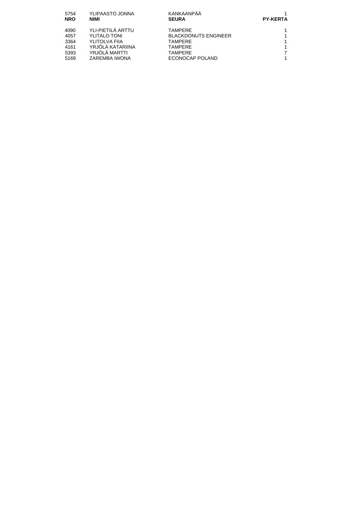| 5754<br><b>NRO</b> | YLIPAASTO JONNA<br><b>NIMI</b> | KANKAANPÄÄ<br><b>SEURA</b>  | <b>PY-KERTA</b> |
|--------------------|--------------------------------|-----------------------------|-----------------|
| 4090               | YLI-PIETILÄ ARTTU              | TAMPFRF                     |                 |
| 4057               | <b>YLITALO TONI</b>            | <b>BLACKDONUTS ENGINEER</b> |                 |
| 3364               | YLITOLVA FIIA                  | TAMPFRF                     |                 |
| 4161               | YRJÖLÄ KATARIINA               | TAMPERE                     |                 |
| 5393               | YRJÖLÄ MARTTI                  | TAMPERE                     |                 |
| 5169               | ZAREMBA IWONA                  | ECONOCAP POLAND             |                 |
|                    |                                |                             |                 |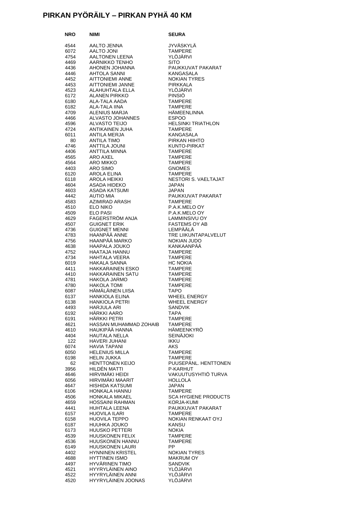# **PIRKAN PYÖRÄILY – PIRKAN PYHÄ 40 KM**

| NRO          | NIMI                                            | <b>SEURA</b>                                  |
|--------------|-------------------------------------------------|-----------------------------------------------|
| 4544         | AALTO JENNA                                     | <b>JYVÄSKYLÄ</b>                              |
| 6072         | <b>AALTO JONI</b>                               | <b>TAMPERE</b>                                |
| 4754         | AALTONEN LEENA                                  | YLÖJÄRVI                                      |
| 4469         | AARNIKKO TENHO                                  | <b>SITO</b>                                   |
| 4436         | AHONEN JOHANNA                                  | PAUKKUVAT PAKARAT                             |
| 4446         | AHTOLA SANNI                                    | KANGASALA                                     |
| 4452         | <b>AITTONIEMI ANNE</b><br>AITTONIEMI JANNE      | <b>NOKIAN TYRES</b><br><b>PIRKKALA</b>        |
| 4453<br>4523 | ALAHUHTALA ELLA                                 | YLÖJÄRVI                                      |
| 6172         | <b>ALANEN PIRKKO</b>                            | <b>PINSIÖ</b>                                 |
| 6180         | ALA-TALA AADA                                   | <b>TAMPERE</b>                                |
| 6182         | <b>ALA-TALA IINA</b>                            | <b>TAMPERE</b>                                |
| 4709         | ALENIUS MARJA                                   | <b>HÄMEENLINNA</b>                            |
| 4466         | ALVASTO JOHANNES                                | <b>ESPOO</b>                                  |
| 4596<br>4724 | <b>ALVASTO TEIJO</b><br>ANTIKAINEN JUHA         | <b>HELSINKI TRIATHLON</b><br><b>TAMPERE</b>   |
| 6011         | ANTILA MERJA                                    | KANGASALA                                     |
| 80           | <b>ANTILA TIMO</b>                              | PIRKAN HIIHTO                                 |
| 4746         | ANTTILA JOUNI                                   | KUNTO-PIRKAT                                  |
| 4406         | ANTTILA MINNA                                   | <b>TAMPERE</b>                                |
| 4565         | ARO AXEL                                        | <b>TAMPERE</b>                                |
| 4564<br>4403 | ARO MIKKO<br>ARO SIMO                           | <b>TAMPERE</b><br><b>GNOMES</b>               |
| 6120         | AROLA ELINA                                     | <b>TAMPERE</b>                                |
| 6118         | AROLA HEIKKI                                    | NESTORI S. VAELTAJAT                          |
| 4604         | ASADA HIDEKO                                    | JAPAN                                         |
| 4603         | ASADA KATSUMI                                   | <b>JAPAN</b>                                  |
| 4442         | <b>AUTIO MIA</b>                                | PAUKKUVAT PAKARAT                             |
| 4583         | AZIMIRAD ARASH                                  | <b>TAMPERE</b>                                |
| 4510<br>4509 | ELO NIKO<br><b>ELO PASI</b>                     | P.A.K.MELO OY<br>P.A.K.MELO OY                |
| 4629         | FAGERSTRÖM ANJA                                 | LAMMINSIVU OY                                 |
| 4507         | <b>GUIGNET ERIK</b>                             | <b>FASTEMS OY AB</b>                          |
| 4736         | <b>GUIGNET MENNI</b>                            | LEMPÄÄLÄ                                      |
| 4783         | HAANPÄÄ ANNE                                    | TRE LIIKUNTAPALVELUT                          |
| 4756         | HAANPÄÄ MARKO                                   | NOKIAN JUDO                                   |
| 4638<br>4752 | <b>HAAPALA JOUKO</b><br>HAATAJA HANNU           | KANKAANPAA<br><b>TAMPERE</b>                  |
| 4734         | HAHTALA VEERA                                   | <b>TAMPERE</b>                                |
| 6019         | <b>HAKALA SANNA</b>                             | <b>HC NOKIA</b>                               |
| 4411         | <b>HAKKARAINEN ESKO</b>                         | <b>TAMPERE</b>                                |
| 4410         | <b>HAKKARAINEN SATU</b>                         | <b>TAMPERE</b>                                |
| 4781<br>4780 | HAKOLA JARMO<br><b>HAKOLA TOMI</b>              | <b>TAMPERE</b><br><b>TAMPERE</b>              |
| 6087         | HÄMÄLÄINEN LIISA                                | <b>TAPO</b>                                   |
| 6137         | <b>HANKIOLA ELINA</b>                           | <b>WHEEL ENERGY</b>                           |
| 6138         | <b>HANKIOLA PETRI</b>                           | <b>WHEEL ENERGY</b>                           |
| 4493         | HARJULA ARI                                     | <b>SANDVIK</b>                                |
| 6192         | HÄRKKI AARO                                     | <b>TAPA</b>                                   |
| 6191<br>4621 | HÄRKKI PETRI<br>HASSAN MUHAMMAD ZOHAIB          | <b>TAMPERE</b><br><b>TAMPERE</b>              |
| 4610         | HAUKIPÄÄ HANNA                                  | HÄMEENKYRÖ                                    |
| 4404         | <b>HAUTALA NELLA</b>                            | <b>SEINÄJOKI</b>                              |
| 122          | HAVERI JUHANI                                   | <b>IKKU</b>                                   |
| 6074         | <b>HAVIA TAPANI</b>                             | <b>AKS</b>                                    |
| 6050         | <b>HELENIUS MILLA</b><br><b>HELIN JUKKA</b>     | <b>TAMPERE</b>                                |
| 6198<br>62   | <b>HENTTONEN KEIJO</b>                          | <b>TAMPERE</b><br>PUUSEPÄNL. HENTTONEN        |
| 3956         | HILDÉN MATTI                                    | P-KARHUT                                      |
| 4646         | HIRVIMÄKI HEIDI                                 | VAKUUTUSYHTIÖ TURVA                           |
| 6056         | HIRVIMÄKI MAARIT                                | <b>HOLLOLA</b>                                |
| 4647         | HISHIDA KATSUMI                                 | JAPAN                                         |
| 6106         | HONKALA HANNU<br>HONKALA MIKAEL                 | <b>TAMPERE</b><br><b>SCA HYGIENE PRODUCTS</b> |
| 4506<br>4659 | HOSSAINI RAHMAN                                 | KORJA-KUMI                                    |
| 4441         | HUHTALA LEENA                                   | PAUKKUVAT PAKARAT                             |
| 6157         | HUOVILA ILARI                                   | <b>TAMPERE</b>                                |
| 6158         | <b>HUOVILA TEPPO</b>                            | <b>NOKIAN RENKAAT OYJ</b>                     |
| 6187         | HUUHKA JOUKO                                    | KANSU                                         |
| 6173         | <b>HUUSKO PETTERI</b><br><b>HUUSKONEN FELIX</b> | <b>NOKIA</b><br><b>TAMPERE</b>                |
| 4539<br>4536 | HUUSKONEN HANNU                                 | <b>TAMPERE</b>                                |
| 6149         | <b>HUUSKONEN LAURI</b>                          | PP.                                           |
| 4402         | <b>HYNNINEN KRISTEL</b>                         | <b>NOKIAN TYRES</b>                           |
| 4688         | <b>HYTTINEN ISMO</b>                            | <b>MAKRUM OY</b>                              |
| 4497         | HYVÄRINEN TIMO                                  | <b>SANDVIK</b>                                |
| 4521<br>4522 | HYYRYLÄINEN AINO<br>HYYRYLÄINEN ANNI            | YLÖJÄRVI<br>YLÖJÄRVI                          |
| 4520         | HYYRYLÄINEN JOONAS                              | YLÖJÄRVI                                      |
|              |                                                 |                                               |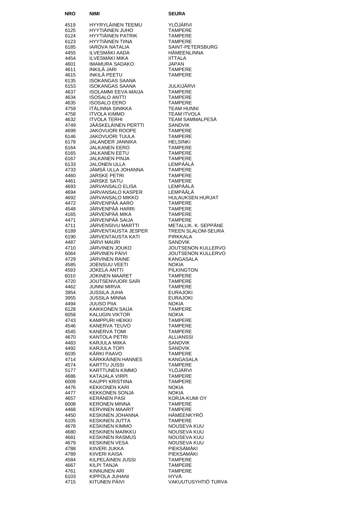| NRO          | <b>NIMI</b>                                  | <b>SEURA</b>                                |
|--------------|----------------------------------------------|---------------------------------------------|
| 4519         | HYYRYLÄINEN TEEMU                            | YLÖJÄRVI                                    |
| 6125         | HYYTIÄINEN JUHO                              | <b>TAMPERE</b>                              |
| 6124         | <b>HYYTIÄINEN PATRIK</b>                     | <b>TAMPERE</b>                              |
| 6123         | <b>HYYTIÄINEN TIINA</b>                      | <b>TAMPERE</b>                              |
| 6185<br>4455 | <b>IAROVA NATALIA</b><br>ILVESMÄKI AADA      | SAINT-PETERSBURG<br>HÄMEENLINNA             |
| 4454         | ILVESMÄKI MIKA                               | <b>IITTALA</b>                              |
| 4601         | IMAMURA SADAKO                               | <b>JAPAN</b>                                |
| 4611         | INKILÄ JARI                                  | <b>TAMPERE</b>                              |
| 4615         | INKILÄ PEETU                                 | <b>TAMPERE</b>                              |
| 6135         | ISOKANGAS SAANA<br>ISOKANGAS SAANA           |                                             |
| 6153<br>4637 | ISOLAMMI EEVA-MAIJA                          | JULKIJÄRVI<br><b>TAMPERE</b>                |
| 4634         | <b>ISOSALO ANTTI</b>                         | <b>TAMPERE</b>                              |
| 4635         | <b>ISOSALO EERO</b>                          | <b>TAMPERE</b>                              |
| 4759         | ITÄLINNA SINIKKA                             | <b>TEAM HUNNI</b>                           |
| 4758<br>4632 | <b>ITVOLA KIMMO</b><br><b>ITVOLA TERHI</b>   | <b>TEAM ITVOLA</b><br>TEAM SAMMALPESÄ       |
| 4749         | JÄÄSKELÄINEN PERTTI                          | <b>SANDVIK</b>                              |
| 4699         | <b>JAKOVUORI ROOPE</b>                       | <b>TAMPERE</b>                              |
| 6146         | JAKOVUORI TUULA                              | <b>TAMPERE</b>                              |
| 6178         | JALANDER JANNIKA                             | <b>HELSINKI</b>                             |
| 6164<br>6165 | <b>JALKANEN EERO</b><br><b>JALKANEN EETU</b> | <b>TAMPERE</b><br><b>TAMPERE</b>            |
| 6167         | <b>JALKANEN PINJA</b>                        | <b>TAMPERE</b>                              |
| 6133         | <b>JALONEN ULLA</b>                          | LEMPÄÄLÄ                                    |
| 4733         | JÄMSÄ ULLA JOHANNA                           | <b>TAMPERE</b>                              |
| 4460<br>4461 | <b>JARSKE PETRI</b><br><b>JARSKE SATU</b>    | <b>TAMPERE</b><br><b>TAMPERE</b>            |
| 4693         | JARVANSALO ELISA                             | LEMPÄÄLÄ                                    |
| 4694         | <b>JARVANSALO KASPER</b>                     | LEMPÄÄLÄ                                    |
| 4692         | <b>JARVANSALO MIKKO</b>                      | <b>HULAUKSEN HURJAT</b>                     |
| 4472         | JÄRVENPÄÄ AARO                               | <b>TAMPERE</b>                              |
| 4548<br>4165 | JÄRVENPÄÄ HARRI<br>JÄRVENPÄÄ MIKA            | <b>TAMPERE</b><br><b>TAMPERE</b>            |
| 4471         | JÄRVENPÄÄ SAIJA                              | <b>TAMPERE</b>                              |
| 4711         | JÄRVENSIVU MARTTI                            | METALLIK. K. SEPPÄNE                        |
| 6189         | JÄRVENTAUSTA JESPER                          | TREEN SLALOM-SEURA                          |
| 6190         | JÄRVENTAUSTA KATI<br>JÄRVI MAURI             | <b>PIRKKALA</b>                             |
| 4487<br>4710 | JÄRVINEN JOUKO                               | <b>SANDVIK</b><br><b>JOUTSENON KULLERVO</b> |
| 6064         | JÄRVINEN PÄIVI                               | <b>JOUTSENON KULLERVO</b>                   |
| 4729         | JÄRVINEN RAINE                               | <b>KANGASALA</b>                            |
| 4585         | JOENSUU VEETI                                | <b>NOKIA</b>                                |
| 4593<br>6010 | <b>JOKELA ANTTI</b><br><b>JOKINEN MAARET</b> | <b>PILKINGTON</b><br><b>TAMPERE</b>         |
| 4720         | JOUTSENVUORI SARI                            | <b>TAMPERE</b>                              |
| 4462         | <b>JUNNI MIRVA</b>                           | <b>TAMPERE</b>                              |
| 3954         | JUSSILA JUHA                                 | <b>EURAJOKI</b>                             |
| 3955<br>4494 | JUSSILA MINNA<br>JUUSO PIIA                  | <b>EURAJOKI</b><br><b>NOKIA</b>             |
| 6128         | KAIKKONEN SAIJA                              | <b>TAMPERE</b>                              |
| 6058         | KALUGIN VIKTOR                               | <b>NOKIA</b>                                |
| 4743         | KAMPPURI HEIKKI                              | <b>TAMPERE</b>                              |
| 4546<br>4545 | KANERVA TEUVO<br><b>KANERVA TOMI</b>         | TAMPERE<br><b>TAMPERE</b>                   |
| 4670         | KANTOLA PETRI                                | ALLIANSSI                                   |
| 4483         | KARJULA MIIKA                                | <b>SANDVIK</b>                              |
| 4492         | KARJULA TOPI                                 | <b>SANDVIK</b>                              |
| 6035<br>4714 | KÄRKI PAAVO<br>KÄRKKÄINEN HANNES             | TAMPERE<br><b>KANGASALA</b>                 |
| 4574         | KARTTU JUSSI                                 | <b>TAMPERE</b>                              |
| 5177         | KARTTUNEN KIMMO                              | YLÖJÄRVI                                    |
| 4686         | KATAJALA VIRPI                               | <b>TAMPERE</b>                              |
| 6009         | KAUPPI KRISTIINA                             | <b>TAMPERE</b>                              |
| 4476<br>4477 | <b>KEKKONEN KARI</b><br>KEKKONEN SONJA       | <b>NOKIA</b><br><b>NOKIA</b>                |
| 4657         | <b>KERÄNEN PASI</b>                          | KORJA-KUMI OY                               |
| 6008         | <b>KERONEN MINNA</b>                         | <b>TAMPERE</b>                              |
| 4468         | <b>KERVINEN MAARIT</b>                       | <b>TAMPERE</b>                              |
| 4450<br>6105 | KESKINEN JOHANNA<br><b>KESKINEN JUTTA</b>    | HÄMEENKYRÖ<br><b>TAMPERE</b>                |
| 4678         | <b>KESKINEN KIMMO</b>                        | NOUSEVA KUU                                 |
| 4680         | <b>KESKINEN MARKKU</b>                       | <b>NOUSEVA KUU</b>                          |
| 4681         | <b>KESKINEN RASMUS</b>                       | NOUSEVA KUU                                 |
| 4679<br>4788 | <b>KESKINEN VESA</b><br>KIIVERI JUKKA        | <b>NOUSEVA KUU</b><br>PIEKSÄMÄKI            |
| 4789         | KIIVERI KAISA                                | PIEKSAMÄKI                                  |
| 4584         | KILPELÄINEN JUSSI                            | TAMPERE                                     |
| 4667         | KILPI TANJA                                  | <b>TAMPERE</b>                              |
| 4761         | KINNUNEN ARI<br>KIPPOLA JUHANI               | <b>TAMPERE</b><br>HYVA                      |
| 6103<br>4715 | KITUNEN PÄIVI                                | VAKUUTUSYHTIÖ TURVA                         |
|              |                                              |                                             |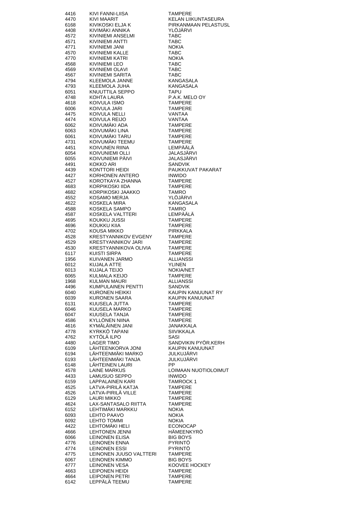| 4416         | KIVI FANNI-LIISA                             | <b>TAMPERE</b>                          |
|--------------|----------------------------------------------|-----------------------------------------|
| 4470         | KIVI MAARIT                                  | KELAN LIIKUNTASEURA                     |
| 6168<br>4408 | KIVIKOSKI ELJA K<br>KIVIMÄKI ANNIKA          | PIRKANMAAN PELASTUSL<br><b>YLOJARVI</b> |
| 4572         | KIVINIEMI ANSELMI                            | TABC                                    |
| 4571         | KIVINIEMI ANTTI                              | <b>TABC</b>                             |
| 4771         | KIVINIEMI JANI                               | <b>NOKIA</b>                            |
| 4570<br>4770 | KIVINIEMI KALLE<br>KIVINIEMI KATRI           | <b>TABC</b><br><b>NOKIA</b>             |
| 4568         | KIVINIEMI LEO                                | <b>TABC</b>                             |
| 4569         | <b>KIVINIEMI OLAVI</b>                       | <b>TABC</b>                             |
| 4567         | KIVINIEMI SARITA                             | TABC                                    |
| 4794         | <b>KLEEMOLA JANNE</b>                        | <b>KANGASALA</b>                        |
| 4793<br>6051 | KLEEMOLA JUHA<br>KNUUTTILA SEPPO             | KANGASALA<br>TAPU                       |
| 4748         | KOHTA LAURA                                  | P.A.K. MELO OY                          |
| 4618         | KOIVULA ISMO                                 | <b>TAMPERE</b>                          |
| 6006         | KOIVULA JARI                                 | <b>TAMPERE</b>                          |
| 4475<br>4474 | KOIVULA NELLI<br>KOIVULA REIJO               | VANTAA<br>VANTAA                        |
| 6062         | KOIVUMÄKI ADA                                | <b>TAMPERE</b>                          |
| 6063         | KOIVUMÄKI LINA                               | <b>TAMPERE</b>                          |
| 6061         | KOIVUMÄKI TARU                               | <b>TAMPERE</b>                          |
| 4731         | KOIVUMÄKI TEEMU                              | <b>TAMPERE</b><br>LEMPÄÄLÄ              |
| 4451<br>6054 | KOIVUNEN RIINA<br>KOIVUNIEMI OLLI            | JALASJÄRVI                              |
| 6055         | KOIVUNIEMI PAIVI                             | <b>JALASJARVI</b>                       |
| 4491         | KOKKO ARI                                    | <b>SANDVIK</b>                          |
| 4439         | KONTTORI HEIDI                               | PAUKKUVAT PAKARAT                       |
| 4427         | KORHONEN ANTERO<br>KOROTKAYA ZHANNA          | <b>INWIDO</b><br><b>TAMPERE</b>         |
| 4527<br>4683 | KORPIKOSKI IIDA                              | <b>TAMPERE</b>                          |
| 4682         | KORPIKOSKI JAAKKO                            | <b>TAMRO</b>                            |
| 4552         | KOSAMO MERJA                                 | YLÖJÄRVI                                |
| 4622         | KOSKELA MIRA                                 | KANGASALA                               |
| 4588<br>4587 | KOSKELA SAMPO<br>KOSKELA VALTTERI            | <b>TAMRO</b><br>LEMPÄÄLA                |
| 4695         | KOUKKU JUSSI                                 | <b>TAMPERE</b>                          |
| 4696         | KOUKKU KIIA                                  | <b>TAMPERE</b>                          |
| 4702         | KOUSA MIKKO                                  | PIRKKALA                                |
| 4528         | KRESTYANNIKOV EVGENY                         | <b>TAMPERE</b>                          |
| 4529<br>4530 | KRESTYANNIKOV JARI<br>KRESTYANNIKOVA OLIVIA  | TAMPERE<br><b>TAMPERE</b>               |
| 6117         | KUISTI SIRPA                                 | <b>TAMPERE</b>                          |
| 1956         | KUIVANEN JARMO                               | <b>ALLIANSSI</b>                        |
| 6012         | KUJALA ATTE                                  | <b>YLINEN</b>                           |
| 6013<br>6065 | KUJALA TEIJO<br>KULMALA KEIJO                | <b>NOKIA/NET</b><br><b>TAMPERE</b>      |
| 1968         | KULMAN MAURI                                 | ALLIANSSI                               |
| 4496         | <b>KUMPULAINEN PENTTI</b>                    | SANDVIK                                 |
| 6040         | KURONEN HEIKKI                               | KAUPIN KANUUNAT RY                      |
| 6039<br>6131 | KURONEN SAARA<br>KUUSELA JUTTA               | KAUPIN KANUUNAT<br><b>TAMPERE</b>       |
| 6046         | KUUSELA MARKO                                | <b>TAMPERE</b>                          |
| 6047         | <b>KUUSELA TANJA</b>                         | <b>TAMPERE</b>                          |
| 4586         | <b>KYLLÖNEN NIINA</b>                        | <b>TAMPERE</b>                          |
| 4616<br>4778 | KYMÄLÄINEN JANI<br>KYRKKÖ TAPANI             | JANAKKALA<br><b>SIIVIKKALA</b>          |
| 4762         | KYTÖLÄ ILPO                                  | SASI                                    |
| 4480         | <b>LAGER TIMO</b>                            | SANDVIKIN PYÖR.KERH                     |
| 6109         | LÄHTEENKORVA JONI                            | KAUPIN KANUUNAT                         |
| 6194         | LÄHTEENMÄKI MARKO                            | JULKUJÄRVI                              |
| 6193<br>6148 | LÄHTEENMÄKI TANJA<br>LÄHTEINEN LAURI         | JULKUJÄRVI<br>PP                        |
| 4578         | <b>LAINE MARKUS</b>                          | LOIMAAN NUOTIOLOIMUT                    |
| 4433         | LAMUSUO SEPPO                                | <b>INWIDO</b>                           |
| 6159         | <b>LAPPALAINEN KARI</b>                      | <b>TAMROCK1</b>                         |
| 4525<br>4526 | LATVA-PIRILÄ KATJA<br>LATVA-PIRILÄ VILLE     | <b>TAMPERE</b><br><b>TAMPERE</b>        |
| 6129         | LAURI MIKKO                                  | <b>TAMPERE</b>                          |
| 4624         | LAX-SANTASALO RIITTA                         | <b>TAMPERE</b>                          |
| 6152         | LEHTIMÄKI MARKKU                             | <b>NOKIA</b>                            |
| 6093<br>6092 | LEHTO PAAVO<br><b>LEHTO TOMMI</b>            | <b>NOKIA</b><br><b>NOKIA</b>            |
| 4422         | LEHTOMÄKI HELI                               | <b>ECONOCAP</b>                         |
| 4666         | <b>LEHTONEN JENNI</b>                        | HÄMEENKYRÖ                              |
| 6066         | LEINONEN ELISA                               | <b>BIG BOYS</b>                         |
| 4776<br>4774 | <b>LEINONEN ENNA</b><br><b>LEINONEN ESSI</b> | PYRINTÖ<br><b>PYRINTO</b>               |
| 4775         | LEINONEN JUUSO VALTTERI                      | <b>TAMPERE</b>                          |
| 6067         | <b>LEINONEN KIMMO</b>                        | <b>BIG BOYS</b>                         |
| 4777         | <b>LEINONEN VESA</b>                         | KOOVEE HOCKEY                           |
| 4663<br>4664 | LEIPONEN HEIDI<br><b>LEIPONEN PETRI</b>      | <b>TAMPERE</b><br><b>TAMPERE</b>        |
| 6142         | LEPPÄLÄ TEEMU                                | <b>TAMPERE</b>                          |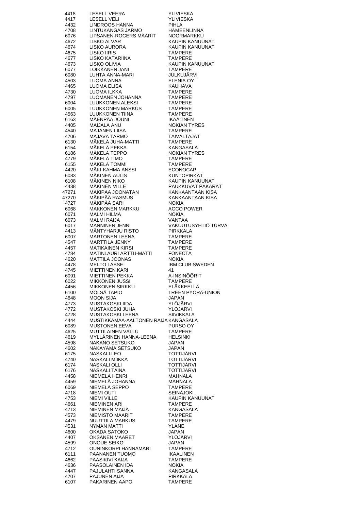| 4418         | <b>LESELL VEERA</b>                                 | YLIVIESKA                                |
|--------------|-----------------------------------------------------|------------------------------------------|
| 4417         | <b>LESELL VELI</b>                                  | YLIVIESKA                                |
| 4432         | LINDROOS HANNA                                      | PIHLA                                    |
| 4708         | LINTUKANGAS JARMO                                   | HÄMEENLINNA                              |
| 6076         | LIPSANEN-ROGERS MAARIT                              | NOORMARKKU                               |
| 4672         | LISKO ALVAR                                         | KAUPIN KANUUNAT                          |
| 4674         | LISKO AURORA                                        | KAUPIN KANUUNAT                          |
| 4675         | LISKO IIRIS                                         | <b>TAMPERE</b>                           |
| 4677         | LISKO KATARIINA                                     | <b>TAMPERE</b>                           |
| 4673         | LISKO OLIVIA                                        | <b>KAUPIN KANUUNAT</b><br><b>TAMPERE</b> |
| 6077<br>6080 | LIJK JENIN<br>LOIKKANEN JANI<br>LUHTA ANNA-MARI     | JULKUJÄRVI                               |
| 4503         | LUOMA ANNA                                          | <b>ELENIA OY</b>                         |
| 4465         | <b>LUOMA ELISA</b>                                  | KAUHAVA                                  |
| 4730         | LUOMA ILKKA                                         | <b>TAMPERE</b>                           |
| 4797         |                                                     | <b>TAMPERE</b>                           |
| 6004         | LUOMA ILKKA<br>LUOMANEN JOHANNA<br>LUUKKONEN ALEKSI | <b>TAMPERE</b>                           |
| 6005         |                                                     | <b>TAMPERE</b>                           |
| 4563         | LUUKKONEN MARKUS<br>LUUKKONEN TIINA                 | <b>TAMPERE</b>                           |
| 6163         | MÄENPÄÄ JOUNI                                       | <b>IKAALINEN</b>                         |
| 4405         | <b>MAIJALA ANU</b>                                  | <b>NOKIAN TYRES</b>                      |
| 4540         | MAJANEN LIISA<br>MAJAVA TARMO                       | <b>TAMPERE</b>                           |
| 4706         |                                                     | <b>TAIVALTAJAT</b>                       |
| 6130         | MÄKELÄ JUHA-MATTI                                   | <b>TAMPERE</b>                           |
| 6154         | MÄKELÄ PEKKA                                        | KANGASALA                                |
| 6186         | MÄKELÄ TEPPO                                        | <b>NOKIAN TYRES</b>                      |
| 4779         | MÄKELÄ TIMO                                         | <b>TAMPERE</b><br><b>TAMPERE</b>         |
| 6155         | MÄKELÄ TOMMI<br>MÄKI-KAHMA ANSSI                    | <b>ECONOCAP</b>                          |
| 4420<br>6083 | <b>MÄKINEN AULIS</b>                                | KUNTOPIRKAT                              |
| 6108         | MÄKINEN NIKO                                        | KAUPIN KANUUNAT                          |
| 4438         | <b>MÄKINEN VILLE</b>                                | PAUKKUVAT PAKARAT                        |
| 47271        | MÄKINEN VILLE<br>MÄKIPÄÄ JOONATAN                   | KANKAANTAAN KISA                         |
| 47270        | MÄKIPÄÄ RASMUS                                      | KANKAANTAAN KISA                         |
| 4727         | MÄKIPÄÄ SARI                                        | <b>NOKIA</b>                             |
| 6068         | MAKKONEN MARKKU                                     | <b>AGCO POWER</b>                        |
| 6071         | <b>MALMI HILMA</b>                                  | <b>NOKIA</b>                             |
| 6073         | <b>MALMI RAIJA</b>                                  | VANTAA                                   |
| 6017         | <b>MANNINEN JENNI</b>                               | VAKUUTUSYHTIÖ TURVA                      |
| 4413         | MÄNTYHARJU RISTO                                    | PIRKKALA                                 |
| 6007         | <b>MARTONEN LEENA</b>                               | <b>TAMPERE</b>                           |
| 4547         | MARTTILA JENNY                                      | <b>TAMPERE</b>                           |
| 4457         | <b>MATIKAINEN KIRSI</b>                             | <b>TAMPERE</b>                           |
| 4784<br>4620 | MATINLAURI ARTTU-MATTI<br><b>MATTILA JOONAS</b>     | <b>FONECTA</b><br><b>NOKIA</b>           |
| 4478         | <b>MELTO LASSE</b>                                  | <b>IBM CLUB SWEDEN</b>                   |
| 4745         | <b>MIETTINEN KARI</b>                               | 41                                       |
| 6091         | <b>MIETTINEN PEKKA</b>                              | A-INSINÖÖRIT                             |
| 6022         |                                                     | <b>TAMPERE</b>                           |
| 4456         | <b>MIKKONEN SIRKKU</b>                              | ELÄKKEELLÄ                               |
| 6100         | MÖLSÄ TAPIO                                         | TREEN PYÖRÄ-UNION                        |
| 4648         | <b>MOON SIJA</b>                                    | JAPAN                                    |
| 4773         | MUSTAKOSKI IIDA                                     | YLÖJÄRVI                                 |
| 4772         | MUSTAKOSKI JUHA                                     | YLÖJÄRVI                                 |
| 4728         | MUSTAKOSKI LEENA                                    | <b>SIIVIKKALA</b>                        |
| 4444         | MUSTIKKAMAA-AALTONEN RAIJA KANGASALA                |                                          |
| 6089         | <b>MUSTONEN EEVA</b>                                | PURSO OY                                 |
| 4625<br>4619 | MUTTILAINEN VALLU<br>MYLLÄRINEN HANNA-LEENA         | TAMPERE<br>HELSINKI                      |
| 4598         | NAKANO SETSUKO                                      | JAPAN                                    |
| 4602         | NAKAYAMA SETSUKO                                    | JAPAN                                    |
| 6175         | <b>NASKALI LEO</b>                                  | TOTTIJÄRVI                               |
| 4740         | NASKALI MIIKKA                                      | TOTTIJÄRVI                               |
| 6174         | NASKALI OLLI                                        | <b>TOTTIJÄRVI</b>                        |
| 6176         | <b>NASKALI TAINA</b>                                | TOTTIJÄRVI                               |
| 4458         | NIEMELÄ HENRI                                       | <b>MAHNALA</b>                           |
| 4459         | NIEMELÄ JOHANNA                                     | <b>MAHNALA</b>                           |
| 6069         | NIEMELÄ SEPPO                                       | <b>TAMPERE</b>                           |
| 4718         | <b>NIEMI OUTI</b>                                   | <b>SEINÄJOKI</b>                         |
| 4753         | NIEMI VILLE                                         | KAUPIN KANUUNAT                          |
| 4661         | <b>NIEMINEN ARI</b>                                 | <b>TAMPERE</b>                           |
| 4713         | NIEMINEN MAIJA                                      | KANGASALA                                |
| 4573         | NIEMISTO MAARIT                                     | TAMPERE                                  |
| 4479<br>4531 | NUUTTILA MARKUS<br><b>NYMAN MATTI</b>               | <b>TAMPERE</b><br>YLANE                  |
| 4600         | <b>OKADA SATOKO</b>                                 | <b>JAPAN</b>                             |
| 4407         | OKSANEN MAARET                                      | YLÖJÄRVI                                 |
| 4599         | ONOUE SEIKO                                         | <b>JAPAN</b>                             |
| 4712         | <b>OUNINKORPI HANNAMARI</b>                         | TAMPERE                                  |
| 6111         | PAANANEN TUOMO                                      | <b>IKAALINEN</b>                         |
| 4662         | PAASIKIVI KAIJA                                     | TAMPERE                                  |
| 4636         | PAASOLAINEN IDA                                     | <b>NOKIA</b>                             |
| 4447         | PAJULAHTI SANNA                                     | KANGASALA                                |
| 4707         | PAJUNEN AIJA                                        | PIRKKALA                                 |
| 6107         | PAKARINEN AAPO                                      | TAMPERE                                  |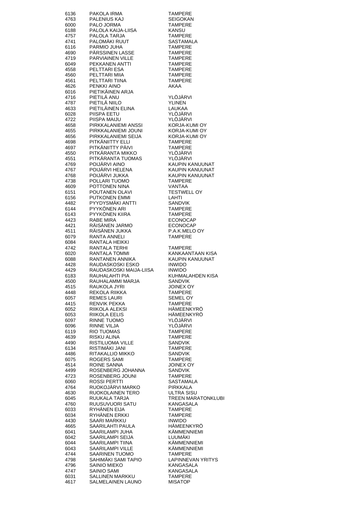| 6136         | PAKOLA IRMA                           | <b>TAMPERE</b>                             |
|--------------|---------------------------------------|--------------------------------------------|
| 4763         | PALENIUS KAJ                          | SEIGOKAN                                   |
| 6000         | PALO JORMA                            | <b>TAMPERE</b>                             |
| 6188         | PALOLA KAIJA-LIISA                    | KANSU                                      |
| 4757         | PALOLA TARJA                          | <b>TAMPERE</b>                             |
| 4741         | PALOMÄKI RUUT                         | <b>SASTAMALA</b>                           |
| 6116         | PARMIO JUHA                           | <b>TAMPERE</b>                             |
| 4690         | PÄRSSINEN LASSE                       | <b>TAMPERE</b>                             |
| 4719         | PARVIAINEN VILLE                      | <b>TAMPERE</b>                             |
| 6049         | PEKKANEN ANTTI                        | <b>TAMPERE</b>                             |
| 4558         | PELTTARI ESA                          | <b>TAMPERE</b>                             |
| 4560         | PELTTARI MIIA                         | <b>TAMPERE</b>                             |
| 4561         | PELTTARI TIINA                        | <b>TAMPERE</b>                             |
| 4626         | PENKKI AINO                           | <b>AKAA</b>                                |
| 6016         | PIETIKÄINEN ARJA                      |                                            |
| 4716         | PIETILÄ ANU                           | YLÖJÄRVI                                   |
| 4787         | PIETILÄ NIILO                         | <b>YLINEN</b>                              |
| 4633         | PIETILÄINEN ELINA                     | LAUKAA                                     |
| 6028         | PIISPA EETU                           | YLÖJÄRVI                                   |
| 4722         | PIISPA MAIJU                          | YLÖJÄRVI                                   |
| 4658         | PIRKKALANIEMI ANSSI                   | KORJA-KUMI OY                              |
| 4655         | PIRKKALANIEMI JOUNI                   | KORJA-KUMI OY                              |
| 4656         | PIRKKALANIEMI SEIJA                   | KORJA-KUMI OY                              |
| 4698         | PITKÄNIITTY ELLI                      | <b>TAMPERE</b>                             |
| 4697         | PITKÄNIITTY PÄIVI                     | <b>TAMPERE</b>                             |
| 4550         | PITKÄRANTA MIKKO                      | YLÖJÄRVI                                   |
| 4551         | PITKÄRANTA TUOMAS                     | YLÖJÄRVI                                   |
| 4769         | POIJÄRVI AINO                         | KAUPIN KANUUNAT                            |
| 4767         | POIJÄRVI HELENA                       | KAUPIN KANUUNAT                            |
| 4768         | POIJÄRVI JUKKA                        | KAUPIN KANUUNAT                            |
| 4738         | POLLARI TUOMO                         | <b>TAMPERE</b>                             |
| 4609         | POTTONEN NINA                         | VANTAA                                     |
| 6151         | POUTANEN OLAVI                        | <b>TESTWELL OY</b>                         |
| 6156         | PUTKONEN EMMI                         | LAHTI                                      |
| 4482         | PYYDYSMÄKI ANTTI                      | <b>SANDVIK</b>                             |
| 6144         | PYYKÖNEN ARI                          | <b>TAMPERE</b>                             |
| 6143         | PYYKÖNEN KIIRA                        | <b>TAMPERE</b>                             |
| 4423         | RABE MIRA                             | <b>ECONOCAP</b>                            |
| 4421         | RÄISÄNEN JARMO                        | <b>ECONOCAP</b>                            |
| 4511         | RÄISÄNEN JUKKA                        | P.A.K.MELO OY                              |
| 6079         | <b>RANTA ANNELI</b>                   | <b>TAMPERE</b>                             |
| 6084         | RANTALA HEIKKI                        |                                            |
| 4742         | RANTALA TERHI                         | <b>TAMPERE</b>                             |
| 6020         | RANTALA TOMMI                         | KANKAANTAAN KISA                           |
| 6088         | RANTANEN ANNIKA                       | KAUPIN KANUUNAT                            |
| 4428         | RAUDASKOSKI ESKO                      | <b>INWIDO</b>                              |
| 4429         | RAUDASKOSKI MAIJA-LIISA               | <b>INWIDO</b>                              |
| 6183         | RAUHALAHTI PIA                        | KUHMALAHDEN KISA                           |
| 4500         | RAUHALAMMI MARJA                      | SANDVIK                                    |
| 4515         | RAUKOLA JYRI                          | <b>JOINEX OY</b>                           |
| 4448         | REKOLA RIIKKA                         | <b>TAMPERE</b>                             |
| 6057         | <b>REMES LAURI</b>                    | <b>SEMEL OY</b>                            |
| 4415         | <b>RENVIK PEKKA</b>                   | <b>TAMPERE</b>                             |
| 6052         | RIIKOLA ALEKSI                        | HÄMEENKYRÖ                                 |
| 6053         | RIIKOLA EELIS                         | HÄMEENKYRÖ                                 |
| 6097         | RINNE TUOMO                           | YLÖJÄRVI                                   |
| 6096         | RINNE VILJA                           | YLÖJÄRVI                                   |
| 6119         | RIO TUOMAS                            | <b>TAMPERE</b>                             |
| 4639         | RISKU ALINA                           | <b>TAMPERE</b>                             |
| 4490         | RISTILUOMA VILLE                      | SANDVIK                                    |
| 6134         | RISTIMÄKI JANI                        | TAMPERE                                    |
| 4486         | RITAKALLIO MIKKO                      | SANDVIK                                    |
| 6075         | ROGERS SAMI                           | <b>TAMPERE</b>                             |
| 4514         | ROINE SANNA                           | JOINEX OY                                  |
| 4499         | ROSENBERG JOHANNA                     | <b>SANDVIK</b>                             |
| 4723         | ROSENBERG JOUNI                       | <b>TAMPERE</b>                             |
| 6060         | <b>ROSSI PERTTI</b>                   | SASTAMALA                                  |
| 4764         | RUOKOJÄRVI MARKO                      | PIRKKALA                                   |
| 4630         | RUOKOLAINEN TERO                      | <b>ULTRA SISU</b>                          |
| 6045         | RUUKALA TARJA                         | <b>TREEN MARATONKLUBI</b>                  |
| 4760         | RUUSUVUORI SATU                       | KANGASALA                                  |
| 6033         | RYHÄNEN EIJA                          | <b>TAMPERE</b>                             |
| 6034         | RYHÄNEN ERKKI                         | <b>TAMPERE</b>                             |
| 4430         | <b>SAARI MARKKU</b>                   | <b>INWIDO</b>                              |
| 4665         | SAARILAHTI PAULA                      | HÄMEENKYRÖ                                 |
| 6041         | SAARILAMPI JUHA                       | KÄMMENNIEMI                                |
| 6042         | SAARILAMPI SEIJA                      | LUUMAKI                                    |
| 6044         | SAARILAMPI TIINA                      | KÄMMENNIEMI                                |
| 6043         | SAARILAMPI VILLE                      | KÄMMENNIEMI                                |
| 4744         | SAARINEN TUOMO<br>SAHIMÄKI SAMI TAPIO | <b>TAMPERE</b><br><b>LAPINNEVAN YRITYS</b> |
| 4798<br>4796 | SAINIO MIEKO                          | KANGASALA                                  |
| 4747         | SAINIO SAMI                           | KANGASALA                                  |
| 6031         | <b>SALLINEN MARKKU</b>                | <b>TAMPERE</b>                             |
| 4617         | SALMELAINEN LAUNO                     | <b>MISATOP</b>                             |
|              |                                       |                                            |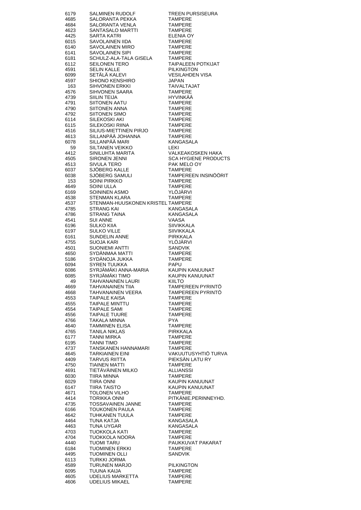| 6179<br>4685 | SALMINEN RUDOLF<br>SALORANTA PEKKA            | TREEN PURSISEURA<br><b>TAMPERE</b>             |
|--------------|-----------------------------------------------|------------------------------------------------|
| 4684         | SALORANTA VENLA                               | <b>TAMPERE</b>                                 |
| 4623         | SANTASALO MARTTI                              | <b>TAMPERE</b>                                 |
| 4425         | SARTA KATRI                                   | ELENIA OY                                      |
| 6015<br>6140 | SAVOLAINEN IIDA<br>SAVOLAINEN MIRO            | <b>TAMPERE</b><br><b>TAMPERE</b>               |
| 6141         | SAVOLAINEN SIPI                               | <b>TAMPERE</b>                                 |
| 6181         | SCHULZ-ALA-TALA GISELA                        | <b>TAMPERE</b>                                 |
| 6112<br>4591 | <b>SEILONEN TERO</b><br><b>SELIN KALLE</b>    | <b>TAIPALEEN POTKIJAT</b><br><b>PILKINGTON</b> |
| 6099         | SETÄLÄ KALEVI                                 | <b>VESILAHDEN VISA</b>                         |
| 4597         | SHIONO KENSHIRO                               | JAPAN                                          |
| 163          | SIHVONEN ERKKI                                | <b>TAIVALTAJAT</b>                             |
| 4576<br>4739 | SIHVONEN SAARA<br>SIILIN TEIJA                | <b>TAMPERE</b><br><b>HYVINKÄÄ</b>              |
| 4791         | <b>SIITONEN AATU</b>                          | <b>TAMPERE</b>                                 |
| 4790         | SIITONEN ANNA                                 | <b>TAMPERE</b>                                 |
| 4792<br>6114 | SIITONEN SIMO<br>SILEKOSKI AKI                | <b>TAMPERE</b><br><b>TAMPERE</b>               |
| 6115         | SILEKOSKI RIINA                               | <b>TAMPERE</b>                                 |
| 4516         | SILIUS-MIETTINEN PIRJO                        | <b>TAMPERE</b>                                 |
| 4613         | SILLANPÄÄ JOHANNA                             | <b>TAMPERE</b>                                 |
| 6078<br>59   | SILLANPÄÄ MARI<br><b>SILTANEN VEIKKO</b>      | KANGASALA<br>LEKI                              |
| 4412         | SINILUHTA MARITA                              | VALKEAKOSKEN HAKA                              |
| 4505         | <b>SIRONEN JENNI</b>                          | <b>SCA HYGIENE PRODUCTS</b>                    |
| 4513<br>6037 | <b>SIVULA TERO</b><br>SJÖBERG KALLE           | PAK MELO OY<br><b>TAMPERE</b>                  |
| 6038         | SJÖBERG SAMULI                                | TAMPEREEN INSINÖÖRIT                           |
| 153          | SOINI PIRKKO                                  | <b>TAMPERE</b>                                 |
| 4649         | SOINI ULLA                                    | <b>TAMPERE</b>                                 |
| 6169<br>4538 | SOININEN ASMO<br>STENMAN KLARA                | YLÖJÄRVI<br><b>TAMPERE</b>                     |
| 4537         | STENMAN-HUUSKONEN KRISTEL TAMPERE             |                                                |
| 4785         | STRANG KAI                                    | KANGASALA                                      |
| 4786         | STRANG TAINA                                  | KANGASALA                                      |
| 4541<br>6196 | <b>SUI ANNE</b><br>SULKO KIIA                 | VAASA<br><b>SIIVIKKALA</b>                     |
| 6197         |                                               | <b>SIIVIKKALA</b>                              |
| 6161         | SULKO VILLE<br>SUNDELIN ANNE                  | <b>PIRKKALA</b>                                |
| 4755<br>4501 | SUOJA KARI<br><b>SUONIEMI ANTTI</b>           | YLÖJÄRVI<br><b>SANDVIK</b>                     |
| 4650         | SYDÄNMAA MATTI                                | <b>TAMPERE</b>                                 |
| 5186         | SYDÄNOJA JUKKA                                | <b>TAMPERE</b>                                 |
| 6094<br>6086 | <b>SYREN TUUKKA</b><br>SYRJÄMÄKI ANNA-MARIA   | <b>PAPU</b><br>KAUPIN KANUUNAT                 |
| 6085         | SYRJÄMÄKI TIMO                                | KAUPIN KANUUNAT                                |
| 49           | TAHVANAINEN LAURI                             | KIILTO                                         |
|              |                                               |                                                |
| 4669         | TAHVANAINEN TIIA                              | TAMPEREEN PYRINTÖ                              |
| 4668         | TAHVANAINEN VEERA                             | TAMPEREEN PYRINTO                              |
| 4553<br>4555 | <b>TAIPALE KAISA</b><br>TAIPALE MINTTU        | <b>TAMPERE</b><br>TAMPERE                      |
| 4554         | <b>TAIPALE SAMI</b>                           | <b>TAMPERE</b>                                 |
| 4556         | <b>TAIPALE TUURE</b>                          | <b>TAMPERE</b>                                 |
| 4766<br>4640 | TAKALA MINNA<br>TAMMINEN ELISA                | <b>PYA</b><br><b>TAMPERE</b>                   |
| 4765         | <b>TANILA NIKLAS</b>                          | <b>PIRKKALA</b>                                |
| 6177         | TANNI MIRKA                                   | TAMPERE                                        |
| 6195         | <b>TANNI TIMO</b>                             | <b>TAMPERE</b>                                 |
| 4737<br>4645 | TANSKANEN HANNAMARI<br><b>TARKIAINEN EINI</b> | TAMPERE<br>VAKUUTUSYHTIÖ TURVA                 |
| 4409         | <b>TARVUS RIITTA</b>                          | PIEKSÂN LATU RY                                |
| 4750         | <b>TIAINEN MATTI</b>                          | TAMPERE                                        |
| 4691<br>6030 | TIETÄVÄINEN MILKO<br>TIIRA MINNA              | ALLIANSSI<br><b>TAMPERE</b>                    |
| 6029         | <b>TIIRA ONNI</b>                             | KAUPIN KANUUNAT                                |
| 6147         | TIIRA TAISTO                                  | KAUPIN KANUUNAT                                |
| 4671         | TOLONEN VILHO                                 | TAMPERE                                        |
| 4414<br>4735 | TORIKKA ONNI<br>TOSSAVAINEN JANNE             | PITKÄNIE.PERINNEYHD.<br><b>TAMPERE</b>         |
| 6166         | <b>TOUKONEN PAULA</b>                         | <b>TAMPERE</b>                                 |
| 4642         | TUHKANEN TUULA                                | TAMPERE                                        |
| 4464<br>4463 | TUNA KATJA<br>TUNA UYGAR                      | KANGASALA<br>KANGASALA                         |
| 4703         | TUOKKOLA KATI                                 | <b>TAMPERE</b>                                 |
| 4704         | TUOKKOLA NOORA                                | TAMPERE                                        |
| 4440<br>6184 | TUOMI TARU<br><b>TUOMINEN ERKKI</b>           | PAUKKUVAT PAKARAT<br>TAMPERE                   |
| 4495         | <b>TUOMINEN OLLI</b>                          | <b>SANDVIK</b>                                 |
| 6113         | TURKKI JORMA                                  |                                                |
| 4589         | <b>TURUNEN MARJO</b>                          | <b>PILKINGTON</b>                              |
| 6095<br>4605 | TUUNA KAIJA<br>UDELIUS MARKETTA               | <b>TAMPERE</b><br><b>TAMPERE</b>               |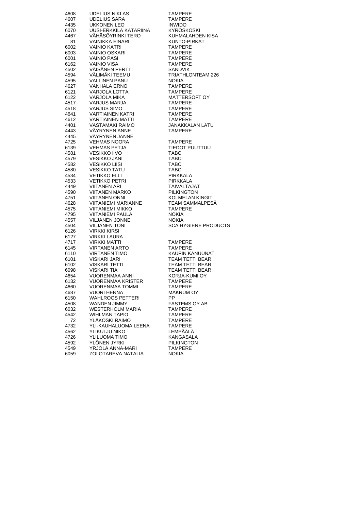| 4608 | <b>UDELIUS NIKLAS</b>                                                                                                                                                                                                                             | <b>TAMPERE</b>                                                  |
|------|---------------------------------------------------------------------------------------------------------------------------------------------------------------------------------------------------------------------------------------------------|-----------------------------------------------------------------|
| 4607 | UDELIUS SARA                                                                                                                                                                                                                                      | <b>TAMPERE</b>                                                  |
|      |                                                                                                                                                                                                                                                   |                                                                 |
| 4435 | UKKONEN LEO                                                                                                                                                                                                                                       | <b>INWIDO</b>                                                   |
| 6070 | UUSI-ERKKILÄ KATARIINA                                                                                                                                                                                                                            | KYRÖSKOSKI                                                      |
| 4467 | VÄHÄSÖYRINKI TERO                                                                                                                                                                                                                                 | KUHMALAHDEN KISA                                                |
| 81   | VAINIKKA EINARI                                                                                                                                                                                                                                   | KUNTO-PIRKAT                                                    |
| 6002 |                                                                                                                                                                                                                                                   | <b>TAMPERE</b>                                                  |
| 6003 |                                                                                                                                                                                                                                                   | <b>TAMPERE</b>                                                  |
| 6001 |                                                                                                                                                                                                                                                   | <b>TAMPERE</b>                                                  |
| 6162 |                                                                                                                                                                                                                                                   | <b>TAMPERE</b>                                                  |
| 4502 |                                                                                                                                                                                                                                                   | SANDVIK                                                         |
| 4594 |                                                                                                                                                                                                                                                   | <b>TRIATHLONTEAM 226</b>                                        |
| 4595 |                                                                                                                                                                                                                                                   | <b>NOKIA</b>                                                    |
| 4627 |                                                                                                                                                                                                                                                   | <b>TAMPERE</b>                                                  |
| 6121 |                                                                                                                                                                                                                                                   | <b>TAMPERE</b>                                                  |
| 6122 |                                                                                                                                                                                                                                                   | MATTERSOFT OY                                                   |
|      |                                                                                                                                                                                                                                                   |                                                                 |
| 4517 | ARI<br>DASI<br>VAINIO VISA<br>VÄLIMÄKI TEEMU<br>VÄLIMÄKI TEEMU<br>VALLINEN PANU<br>VANHALA ERNO<br>VARJOLA LOTTA<br>VARJOLA M <sup>II</sup><br>VARJOLA MII                                                                                        | <b>TAMPERE</b>                                                  |
| 4518 | <b>VARJUS SIMO</b>                                                                                                                                                                                                                                | <b>TAMPERE</b>                                                  |
| 4641 | <b>VARTIAINEN KATRI</b>                                                                                                                                                                                                                           | <b>TAMPERE</b>                                                  |
| 4612 | VARTIAINEN MATTI<br>VASTAMÄKI RAIMO                                                                                                                                                                                                               | TAMPERE<br>JANAKKAI                                             |
| 4401 |                                                                                                                                                                                                                                                   | JANAKKALAN LATU                                                 |
| 4443 | VÄYRYNEN ANNE                                                                                                                                                                                                                                     | <b>TAMPERE</b>                                                  |
| 4445 | VAYRYNEN JANNE                                                                                                                                                                                                                                    |                                                                 |
| 4725 | VEHMAS NOORA                                                                                                                                                                                                                                      | <b>TAMPERE</b>                                                  |
| 6139 | VEHMAS PETJA                                                                                                                                                                                                                                      | <b>TIEDOT PUUTTUU</b>                                           |
| 4581 |                                                                                                                                                                                                                                                   | <b>TABC</b>                                                     |
| 4579 |                                                                                                                                                                                                                                                   | <b>TABC</b>                                                     |
| 4582 |                                                                                                                                                                                                                                                   | <b>TABC</b>                                                     |
| 4580 |                                                                                                                                                                                                                                                   | <b>TABC</b>                                                     |
|      |                                                                                                                                                                                                                                                   |                                                                 |
| 4534 |                                                                                                                                                                                                                                                   | PIRKKALA                                                        |
| 4533 |                                                                                                                                                                                                                                                   | PIRKKALA                                                        |
| 4449 |                                                                                                                                                                                                                                                   | TAIVALTAJAT<br>PILKINGTON<br>KOLMELAN KINGIT<br>KOLMELAN KALPES |
| 4590 |                                                                                                                                                                                                                                                   |                                                                 |
| 4751 |                                                                                                                                                                                                                                                   |                                                                 |
| 4628 |                                                                                                                                                                                                                                                   | <b>TEAM SAMMALPESA</b>                                          |
| 4575 |                                                                                                                                                                                                                                                   | <b>TAMPERE</b>                                                  |
| 4795 |                                                                                                                                                                                                                                                   | <b>NOKIA</b>                                                    |
| 4557 | JUSI<br>JUSI<br>VETIKKO ELLI<br>VETIKKO PETRI<br>VIITANEN ARI<br>VIITANEN ARI<br>VIITANEN MARKO<br>VIITANIEMI MARIAN <sup>NI</sup><br>VIITANIEMI MIK <sup>I</sup><br>VIITANIEMI MIK <sup>I</sup><br>VIITANIEMI MIK <sup>I</sup><br>VILJANEN JONNE | <b>NOKIA</b>                                                    |
| 4504 | <b>VILJANEN TONI</b>                                                                                                                                                                                                                              | <b>SCA HYGIENE PRODUCTS</b>                                     |
| 6126 | VIRKKI KIRSI                                                                                                                                                                                                                                      |                                                                 |
| 6127 | VIRKKI LAURA                                                                                                                                                                                                                                      |                                                                 |
| 4717 |                                                                                                                                                                                                                                                   | TAMPERE                                                         |
| 6145 | VIRKKI MATTI<br>VIRKKI MATTI<br>VIRTANEN ARTO                                                                                                                                                                                                     | <b>TAMPERE</b>                                                  |
| 6110 | <b>VIRTANEN TIMO</b>                                                                                                                                                                                                                              | KAUPIN KANUUNAT                                                 |
|      |                                                                                                                                                                                                                                                   |                                                                 |
| 6101 | VISKARI JARI                                                                                                                                                                                                                                      | TEAM TETTI BEAR                                                 |
| 6102 | VISKARI TETTI                                                                                                                                                                                                                                     | TEAM TETTI BEAR                                                 |
| 6098 | <b>VISKARI TIA</b><br>VISKARI TIA<br>VUORENMAA ANNI                                                                                                                                                                                               | TEAM TETTI BEAR                                                 |
| 4654 |                                                                                                                                                                                                                                                   | KORJA-KUMI OY                                                   |
| 6132 | VUORENMAA KRISTER                                                                                                                                                                                                                                 | <b>TAMPERE</b>                                                  |
| 4660 | <b>VUORENMAA TOMMI</b>                                                                                                                                                                                                                            | TAMPERE                                                         |
| 4687 | VUORI HENNA                                                                                                                                                                                                                                       | MAKRUM OY                                                       |
| 6150 | <b>WAHLROOS PETTERI</b>                                                                                                                                                                                                                           | PP.                                                             |
| 4508 | WANDEN JIMMY                                                                                                                                                                                                                                      | FASTEMS OY AB                                                   |
| 6032 | <b>WESTERHOLM MARIA</b>                                                                                                                                                                                                                           | <b>TAMPERE</b>                                                  |
| 4542 | <b>WIHLMAN TAPIO</b>                                                                                                                                                                                                                              | TAMPERE                                                         |
| 72   | YLAKOSKI RAIMO                                                                                                                                                                                                                                    | <b>TAMPERE</b>                                                  |
| 4732 | YLI-KAUHALUOMA LEENA                                                                                                                                                                                                                              | TAMPERE                                                         |
| 4562 | YLIKULJU NIKO                                                                                                                                                                                                                                     | LEMPÄÄLÄ                                                        |
| 4726 | YLILUOMA TIMO                                                                                                                                                                                                                                     | KANGASALA                                                       |
|      | YLÖNEN JYRKI                                                                                                                                                                                                                                      |                                                                 |
| 4592 |                                                                                                                                                                                                                                                   | <b>PILKINGTON</b>                                               |
| 4549 | YRJOLA ANNA-MARI                                                                                                                                                                                                                                  | <b>TAMPERE</b>                                                  |
| 6059 | ZOLOTAREVA NATALIA                                                                                                                                                                                                                                | <b>NOKIA</b>                                                    |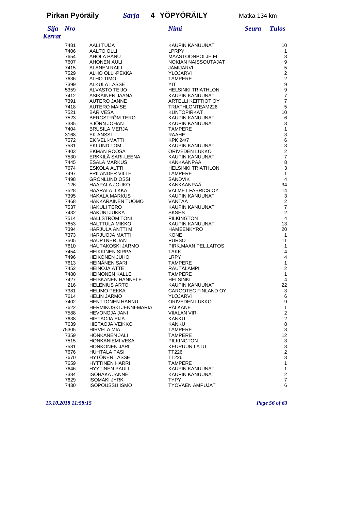| <b>Sija</b>   | <b>Nro</b>   |                                             | Nimi                                         | <b>Seura</b> | <b>Tulos</b>                       |
|---------------|--------------|---------------------------------------------|----------------------------------------------|--------------|------------------------------------|
| <b>Kerrat</b> |              |                                             |                                              |              |                                    |
|               | 7481         | AALI TUIJA                                  | KAUPIN KANUUNAT                              |              | 10                                 |
|               | 7406         | AALTO OLLI                                  | <b>LPRPY</b>                                 |              | 1                                  |
|               | 7654         | AHOLA PANU                                  | MAASTOONPOLJE.FI                             |              | 3                                  |
|               | 7607         | <b>AHONEN AULI</b>                          | NOKIAN NAISSOUTAJAT                          |              | 9                                  |
|               | 7415         | <b>ALANEN RAILI</b>                         | JÄMIJÄRVI                                    |              | $\mathbf 5$                        |
|               | 7529         | ALHO OLLI-PEKKA                             | YLÖJÄRVI                                     |              | $\overline{c}$                     |
|               | 7636         | <b>ALHO TIMO</b>                            | <b>TAMPERE</b>                               |              | $\sqrt{2}$                         |
|               | 7399         | <b>ALKULA LASSE</b>                         | <b>YIT</b>                                   |              | $\boldsymbol{9}$                   |
|               | 5359<br>7412 | <b>ALVASTO TEIJO</b><br>ASIKAINEN JAANA     | <b>HELSINKI TRIATHLON</b><br>KAUPIN KANUUNAT |              | $\boldsymbol{9}$<br>$\overline{7}$ |
|               | 7391         | <b>AUTERO JANNE</b>                         | ARTELLI KEITTIÖT OY                          |              | $\overline{7}$                     |
|               | 7418         | <b>AUTERO MAISE</b>                         | TRIATHLONTEAM226                             |              | $\mathbf 5$                        |
|               | 7521         | <b>BAR VESA</b>                             | KUNTOPIRKAT                                  |              | 10                                 |
|               | 7523         | <b>BERGSTROM TERO</b>                       | KAUPIN KANUUNAT                              |              | 6                                  |
|               | 7385         | <b>BJORN JOHAN</b>                          | KAUPIN KANUUNAT                              |              | 3                                  |
|               | 7404         | <b>BRUSILA MERJA</b>                        | <b>TAMPERE</b>                               |              | $\mathbf{1}$                       |
|               | 3168         | <b>EK ANSSI</b>                             | <b>RAAHE</b>                                 |              | $\ensuremath{\mathsf{3}}$          |
|               | 7572         | EK VELI-MATTI                               | <b>KPK 24/7</b>                              |              | $\,6\,$                            |
|               | 7531         | <b>EKLUND TOM</b>                           | KAUPIN KANUUNAT                              |              | $\ensuremath{\mathsf{3}}$          |
|               | 7403<br>7530 | <b>EKMAN ROOSA</b><br>ERKKILÄ SARI-LEENA    | ORIVEDEN LUKKO<br>KAUPIN KANUUNAT            |              | $\sqrt{2}$<br>$\overline{7}$       |
|               | 7445         | <b>ESALA MARKUS</b>                         | KANKAANPÄÄ                                   |              | $\bf8$                             |
|               | 7674         | ESKOLA ALTTI                                | <b>HELSINKI TRIATHLON</b>                    |              | $\ensuremath{\mathsf{3}}$          |
|               | 7497         | <b>FRILANDER VILLE</b>                      | <b>TAMPERE</b>                               |              | $\mathbf{1}$                       |
|               | 7498         | <b>GRONLUND OSSI</b>                        | <b>SANDVIK</b>                               |              | 4                                  |
|               | 126          | <b>HAAPALA JOUKO</b>                        | KANKAANPÄÄ                                   |              | 34                                 |
|               | 7528         | <b>HAARALA ILKKA</b>                        | <b>VALMET FABRICS OY</b>                     |              | 14                                 |
|               | 7395         | <b>HAKALA MARKUS</b>                        | KAUPIN KANUUNAT                              |              | 3                                  |
|               | 7468         | HAKKARAINEN TUOMO                           | VANTAA                                       |              | $\sqrt{2}$                         |
|               | 7537         | <b>HAKULI TERO</b>                          | KAUPIN KANUUNAT                              |              | $\overline{7}$                     |
|               | 7432         | <b>HAKUNI JUKKA</b>                         | <b>SKSHS</b>                                 |              | $\boldsymbol{2}$                   |
|               | 7514         | <b>HALLSTROM TONI</b>                       | <b>PILKINGTON</b>                            |              | 4                                  |
|               | 7653<br>7394 | <b>HALTTULA MIKKO</b><br>HARJULA ANTTI M    | KAUPIN KANUUNAT<br>HÄMEENKYRÖ                |              | 13<br>20                           |
|               | 7373         | <b>HARJUOJA MATTI</b>                       | KONE                                         |              | $\mathbf{1}$                       |
|               | 7505         | <b>HAUPTNER JAN</b>                         | <b>PURSO</b>                                 |              | 11                                 |
|               | 7610         | <b>HAUTAKOSKI JARMO</b>                     | PIRK.MAAN PEL.LAITOS                         |              | 1                                  |
|               | 7454         | <b>HEIKKINEN SIRPA</b>                      | <b>TAKK</b>                                  |              | 4                                  |
|               | 7496         | <b>HEIKONEN JUHO</b>                        | LRPY                                         |              | 4                                  |
|               | 7613         | HEINÄNEN SARI                               | <b>TAMPERE</b>                               |              | $\mathbf{1}$                       |
|               | 7452         | <b>HEINOJA ATTE</b>                         | <b>RAUTALAMPI</b>                            |              | $\overline{2}$                     |
|               | 7480         | <b>HEINONEN KALLE</b>                       | <b>TAMPERE</b>                               |              | $\mathbf{1}$                       |
|               | 7427         | <b>HEISKANEN HANNELE</b>                    | <b>HELSINKI</b>                              |              | 4                                  |
|               | 216<br>7381  | <b>HELENIUS ARTO</b><br><b>HELIMO PEKKA</b> | KAUPIN KANUUNAT<br>CARGOTEC FINLAND OY       |              | 22<br>3                            |
|               | 7614         | <b>HELIN JARMO</b>                          | YLÖJÄRVI                                     |              | 6                                  |
|               | 7402         | HENTTONEN HANNU                             | ORIVEDEN LUKKO                               |              | 9                                  |
|               | 7622         | <b>HERMIKOSKI JENNI-MARIA</b>               | PÄLKÄNE                                      |              | $\mathbf{1}$                       |
|               | 7588         | HEVONOJA JANI                               | <b>VIIALAN VIRI</b>                          |              | $\overline{c}$                     |
|               | 7638         | <b>HIETAOJA EIJA</b>                        | KANKU                                        |              | $\overline{2}$                     |
|               | 7639         | <b>HIETAOJA VEIKKO</b>                      | <b>KANKU</b>                                 |              | 8                                  |
|               | 75305        | HIRVELÄ MIA                                 | TAMPERE                                      |              | 3                                  |
|               | 7359         | <b>HONKANEN JALI</b>                        | <b>TAMPERE</b>                               |              | 12                                 |
|               | 7515         | HONKANIEMI VESA                             | PILKINGTON                                   |              | 3                                  |
|               | 7581<br>7676 | <b>HONKONEN JARI</b><br><b>HUHTALA PASI</b> | <b>KEURUUN LATU</b><br><b>TT226</b>          |              | 3<br>$\overline{2}$                |
|               | 7670         | <b>HYTÖNEN LASSE</b>                        | TT226                                        |              | 3                                  |
|               | 7659         | <b>HYTTINEN HARRI</b>                       | <b>TAMPERE</b>                               |              | 1                                  |
|               | 7646         | <b>HYYTINEN PAULI</b>                       | KAUPIN KANUUNAT                              |              | $\mathbf{1}$                       |
|               | 7384         | <b>ISOHAKA JANNE</b>                        | KAUPIN KANUUNAT                              |              | $\overline{c}$                     |
|               | 7629         | <b>ISOMÄKI JYRKI</b>                        | TYPY                                         |              | $\overline{7}$                     |
|               | 7430         | <b>ISOPOUSSU ISMO</b>                       | TYÖVÄEN AMPUJAT                              |              | 6                                  |

*15.10.2018 11:58:15 Page 56 of 63*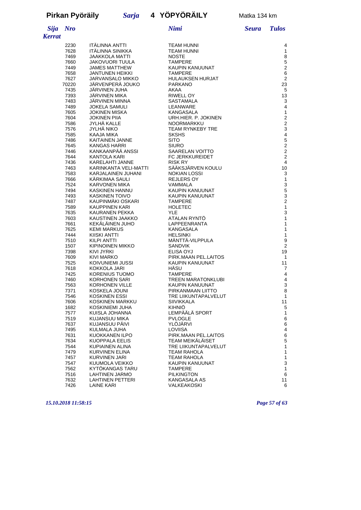*Kerrat*

| <b>Sija</b><br><i><b>Errat</b></i> | <b>Nro</b>   |                                         | Nimi                              | <b>Seura</b> | <b>Tulos</b>                  |
|------------------------------------|--------------|-----------------------------------------|-----------------------------------|--------------|-------------------------------|
|                                    | 2230         | <b>ITÄLINNA ANTTI</b>                   | <b>TEAM HUNNI</b>                 |              | 4                             |
|                                    | 7628         | ITÄLINNA SINIKKA                        | <b>TEAM HUNNI</b>                 |              | 1                             |
|                                    | 7469         | JAAKKOLA MATTI                          | <b>NOSTE</b>                      |              | 8                             |
|                                    | 7660         | <b>JAKOVUORI TUULA</b>                  | <b>TAMPERE</b>                    |              | $\overline{5}$                |
|                                    | 7449         | <b>JAMES MATTHEW</b>                    | KAUPIN KANUUNAT                   |              | $\overline{c}$                |
|                                    | 7658         | <b>JANTUNEN HEIKKI</b>                  | <b>TAMPERE</b>                    |              | $\boldsymbol{6}$              |
|                                    | 7627         | <b>JARVANSALO MIKKO</b>                 | <b>HULAUKSEN HURJAT</b>           |              | $\overline{2}$                |
|                                    | 70220        | JÄRVENPERÄ JOUKO                        | <b>PARKANO</b>                    |              | 23                            |
|                                    | 7435         | JÄRVINEN JUHA                           | AKAA                              |              | 5                             |
|                                    | 7393         | JARVINEN MIKA                           | RIWELL OY                         |              | 13                            |
|                                    | 7483         | JÄRVINEN MINNA                          | <b>SASTAMALA</b>                  |              | $\sqrt{3}$                    |
|                                    | 7489         | <b>JOKELA SAMULI</b>                    | LEANWARE                          |              | $\overline{4}$                |
|                                    | 7605         | JOKINEN MISKA                           | KANGASALA                         |              | $\mathbf{1}$                  |
|                                    | 7604         | <b>JOKINEN PIIA</b>                     | URH.HIER. P. JOKINEN              |              | $\overline{c}$                |
|                                    | 7586         | JYLHÄ KALLE                             | NOORMARKKU                        |              | $\overline{c}$                |
|                                    | 7576         | JYLHÄ NIKO                              | <b>TEAM RYNKEBY TRE</b>           |              | 3                             |
|                                    | 7585         | KAAJA MIKA                              | <b>SKSHS</b>                      |              | $\overline{\mathbf{4}}$       |
|                                    | 7486         | KAITAINEN JANNE                         | <b>SITO</b>                       |              | 5                             |
|                                    | 7645         | KANGAS HARRI                            | <b>SIURO</b>                      |              | $\overline{c}$                |
|                                    | 7446         | KANKAANPÄÄ ANSSI<br><b>KANTOLA KARI</b> | <b>SAARELAN VOITTO</b>            |              | $\mathbf 2$<br>$\overline{c}$ |
|                                    | 7644         | KARELAHTI JANNE                         | FC JERKKUREIDET<br><b>RISK RY</b> |              | $\overline{4}$                |
|                                    | 7436<br>7463 | KARINKANTA VELI-MATTI                   | SÄÄKSJÄRVEN KOULU                 |              | 10                            |
|                                    | 7583         | KARJALAINEN JUHANI                      | <b>NOKIAN LOSSI</b>               |              | 3                             |
|                                    | 7666         | KARKIMAA SAULI                          | <b>REJLERS OY</b>                 |              | $\mathbf{1}$                  |
|                                    | 7524         | <b>KARVONEN MIKA</b>                    | <b>VAMMALA</b>                    |              | $\mathsf 3$                   |
|                                    | 7494         | KASKINEN HANNU                          | KAUPIN KANUUNAT                   |              | 5                             |
|                                    | 7493         | <b>KASKINEN TOIVO</b>                   | <b>KAUPIN KANUUNAT</b>            |              | $\mathsf 3$                   |
|                                    | 7487         | KAUPINMÄKI OSKARI                       | <b>TAMPERE</b>                    |              | $\overline{c}$                |
|                                    | 7589         | KAUPPINEN KARI                          | <b>HOLETEC</b>                    |              | $\mathbf{1}$                  |
|                                    | 7635         | KAURANEN PEKKA                          | <b>YLE</b>                        |              | 3                             |
|                                    | 7603         | KAUSTINEN JAAKKO                        | ATALAN RYNTÖ                      |              | 1                             |
|                                    | 7661         | KEKÄLÄINEN JUHO                         | LAPPEENRANTA                      |              | 1                             |
|                                    | 7625         | <b>KEMI MARKUS</b>                      | KANGASALA                         |              | 1                             |
|                                    | 7444         | KIISKI ANTTI                            | <b>HELSINKI</b>                   |              | $\mathbf{1}$                  |
|                                    | 7510         | <b>KILPI ANTTI</b>                      | MÄNTTÄ-VILPPULA                   |              | $\boldsymbol{9}$              |
|                                    | 1507         | KIPINOINEN MIKKO                        | <b>SANDVIK</b>                    |              | $\overline{c}$                |
|                                    | 7398         | KIVI JYRKI                              | ELISA OYJ                         |              | 19                            |
|                                    | 7609         | KIVI MARKO                              | PIRK.MAAN PEL.LAITOS              |              | $\mathbf{1}$                  |
|                                    | 7525         | KOIVUNIEMI JUSSI                        | KAUPIN KANUUNAT                   |              | 11                            |
|                                    | 7618         | KOKKOLA JARI                            | HÄSU                              |              | 7                             |
|                                    | 7425         | KORENIUS TUOMO                          | <b>TAMPERE</b>                    |              | $\overline{\mathbf{4}}$       |
|                                    | 7460         | <b>KORHONEN SARI</b>                    | <b>TREEN MARATONKLUBI</b>         |              | $\overline{4}$                |
|                                    | 7563         | <b>KORHONEN VILLE</b>                   | <b>KAUPIN KANUUNAT</b>            |              | 3                             |
|                                    | 7371         | KOSKELA JOUNI                           | PIRKANMAAN LIITTO                 |              | 8                             |
|                                    | 7546         | KOSKINEN ESSI                           | TRE LIIKUNTAPALVELUT              |              | $\mathbf{1}$                  |
|                                    | 7606         | KOSKINEN MARKKU                         | <b>SIIVIKKALA</b>                 |              | 11                            |
|                                    | 1682         | KOSKINIEMI JUHA                         | <b>KIHNIÖ</b>                     |              | 5                             |
|                                    | 7577         | KUISLA JOHANNA                          | LEMPÄÄLÄ SPORT                    |              | $\mathbf{1}$                  |
|                                    | 7519         | KUJANSUU MIKA                           | <b>PVLOGLE</b>                    |              | $\,6$                         |
|                                    | 7637         | KUJANSUU PÄIVI                          | YLÖJÄRVI                          |              | $\,6$                         |
|                                    | 7495         | KULMALA JUHA                            | LOVIISA                           |              | 4                             |
|                                    | 7631         | KUOKKANEN ILPO                          | PIRK.MAAN PEL.LAITOS              |              | $\,6\,$                       |
|                                    | 7634         | <b>KUOPPALA EELIS</b>                   | TEAM MEIKÄLÄISET                  |              | $\mathbf 5$                   |
|                                    | 7544         | KUPIAINEN ALINA                         | TRE LIIKUNTAPALVELUT              |              | $\mathbf{1}$                  |
|                                    | 7479         | KURVINEN ELINA                          | <b>TEAM RAHOLA</b>                |              | $\mathbf{1}$                  |
|                                    | 7457         | KURVINEN JARI                           | <b>TEAM RAHOLA</b>                |              | $\mathbf{1}$                  |
|                                    | 7547         | KUUMOLA VEIKKO                          | KAUPIN KANUUNAT                   |              | 3                             |
|                                    | 7562         | KYTOKANGAS TARU                         | <b>TAMPERE</b>                    |              | 1                             |
|                                    | 7516         | LAHTINEN JARMO                          | <b>PILKINGTON</b>                 |              | 6                             |
|                                    | 7632         | <b>LAHTINEN PETTERI</b>                 | KANGASALA AS                      |              | 11                            |
|                                    | 7426         | <b>LAINE KARI</b>                       | VALKEAKOSKI                       |              | 6                             |

*15.10.2018 11:58:15 Page 57 of 63*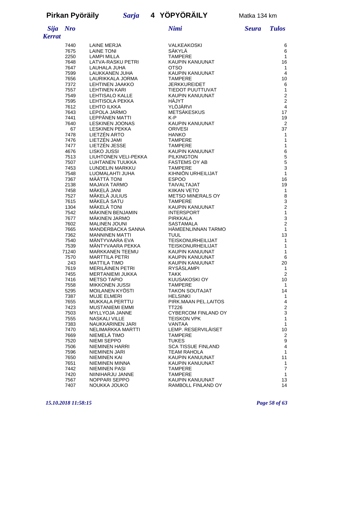# **Pirkan Pyöräily** *Sarja* **4 YÖPYÖRÄILY** Matka 134 km

| Sija   | Nr |
|--------|----|
| Kerrat |    |

| 7440  | LAINE MERJA                 | VALKEAKOSKI               | 6                       |
|-------|-----------------------------|---------------------------|-------------------------|
| 7675  | <b>LAINE TONI</b>           | SÄKYLÄ                    | 6                       |
| 2250  | LAMPI MILLA                 | <b>TAMPERE</b>            | 1                       |
| 7648  | LATVA-RASKU PETRI           | KAUPIN KANUUNAT           | 16                      |
| 7647  | LAUHALA JUHA                | <b>OTSO</b>               | 1                       |
| 7599  | LAUKKANEN JUHA              | KAUPIN KANUUNAT           | 4                       |
| 7656  | LAURIKKALA JORMA            | <b>TAMPERE</b>            | 10                      |
| 7372  | <b>LEHTINEN JAAKKO</b>      | <b>JERKKUREIDET</b>       | 6                       |
| 7557  | <b>LEHTINEN KARI</b>        | TIEDOT PUUTTUVAT          | $\mathbf{1}$            |
| 7549  | LEHTISALO KALLE             | KAUPIN KANUUNAT           | $\overline{2}$          |
| 7595  | LEHTISOLA PEKKA             | HÄJYT                     | $\overline{c}$          |
| 7612  | <b>LEHTO ILKKA</b>          | YLÖJÄRVI                  | 4                       |
| 7643  | LEPOLA JARMO                | <b>METSAKESKUS</b>        | 17                      |
| 7441  | LEPPÄNEN MATTI              | K-P                       | 19                      |
| 7640  | <b>LESKINEN JOONAS</b>      | KAUPIN KANUUNAT           | 2                       |
| 67    | <b>LESKINEN PEKKA</b>       | <b>ORIVESI</b>            | 37                      |
| 7478  | LIETZEN ARTO                | <b>HANKO</b>              | 1                       |
| 7476  | LIETZEN JAMI                | <b>TAMPERE</b>            | $\mathbf{1}$            |
| 7477  | LIETZEN JESSE               | TAMPERE                   | $\mathbf{1}$            |
| 4676  | LISKO JUSSI                 | KAUPIN KANUUNAT           | 6                       |
| 7513  | <b>LIUHTONEN VELI-PEKKA</b> | <b>PILKINGTON</b>         | 5                       |
| 7507  | <b>LUHTANEN TUUKKA</b>      | <b>FASTEMS OY AB</b>      | 5                       |
| 7453  | LUNDELIN MARKKU             | <b>TAMPERE</b>            | 3                       |
| 7548  | LUOMALAHTI JUHA             | KIHNIÖN URHEILIJAT        | $\mathbf{1}$            |
| 7367  | MÄÄTTÄ TONI                 | <b>ESPOO</b>              | 16                      |
| 2138  | MAJAVA TARMO                | <b>TAIVALTAJAT</b>        | 19                      |
| 7458  | MÄKELÄ JANI                 | <b>KIIKAN VETO</b>        | 1                       |
| 7527  | MÄKELÄ JULIUS               | <b>METSO MINERALS OY</b>  | 8                       |
| 7615  | MÄKELÄ SATU                 | <b>TAMPERE</b>            | $\mathbf{3}$            |
| 1304  | MÄKELÄ TONI                 | KAUPIN KANUUNAT           | $\mathbf 2$             |
| 7542  | MÄKINEN BENJAMIN            | <b>INTERSPORT</b>         | $\mathbf{1}$            |
| 7677  | <b>MAKINEN JARMO</b>        | PIRKKALA                  | $\mathsf 3$             |
| 7602  | <b>MALINEN JOUNI</b>        | SASTAMALA                 | $\overline{c}$          |
| 7665  | MANDERBACKA SANNA           | <b>HAMEENLINNAN TARMO</b> | 1                       |
| 7362  | <b>MANNINEN MATTI</b>       | <b>TUUL</b>               | 13                      |
| 7540  | MÄNTYVAARA EVA              | <b>TEISKONURHEILIJAT</b>  | 1                       |
| 7539  | MANTYVAARA PEKKA            | <b>TEISKONURHEILIJAT</b>  | $\mathbf{1}$            |
| 71240 | <b>MARKKANEN TEEMU</b>      | KAUPIN KANUUNAT           | $\mathbf{1}$            |
| 7570  | <b>MARTTILA PETRI</b>       | KAUPIN KANUUNAT           | 6                       |
| 243   | <b>MATTILA TIMO</b>         | KAUPIN KANUUNAT           | 20                      |
| 7619  | MERILÄINEN PETRI            | RYSÄSLAMPI                | $\mathbf{1}$            |
| 7455  | <b>MERTANIEMI JUKKA</b>     | <b>TAKK</b>               | $\overline{2}$          |
| 7416  | <b>METSO TAPIO</b>          | KUUSAKOSKI OY             | 10                      |
| 7558  | <b>MIKKONEN JUSSI</b>       | <b>TAMPERE</b>            | 1                       |
| 5295  | MOILANEN KYÖSTI             | <b>TAKON SOUTAJAT</b>     | 14                      |
| 7387  | <b>MUJE ELMERI</b>          | <b>HELSINKI</b>           | 1                       |
| 7655  | <b>MUKKALA PERTTU</b>       | PIRK.MAAN PEL.LAITOS      | 4                       |
| 7423  | MUSTANIEMI EMMI             | TT226                     | $\overline{2}$          |
| 7503  | MYLLYOJA JANNE              | CYBERCOM FINLAND OY       | 3                       |
| 7555  | NASKALI VILLE               | TEISKON VPK               | 1                       |
| 7383  | NAUKKARINEN JARI            | VANTAA                    | 1                       |
| 7470  | NELIMARKKA MARTTI           | LEMP. RESERVILÄISET       | 10                      |
| 7669  | NIEMELÄ TIMO                | <b>TAMPERE</b>            | $\overline{\mathbf{c}}$ |
| 7520  | <b>NIEMI SEPPO</b>          | <b>TUKES</b>              | 9                       |
| 7506  | NIEMINEN HARRI              | <b>SCA TISSUE FINLAND</b> | $\overline{\mathbf{4}}$ |
| 7596  | NIEMINEN JARI               | TEAM RAHOLA               | 1                       |
| 7650  | NIEMINEN KAI                | KAUPIN KANUUNAT           | 11                      |
| 7651  | NIEMINEN MINNA              | KAUPIN KANUUNAT           | 1                       |
| 7442  | <b>NIEMINEN PASI</b>        | <b>TAMPERE</b>            | $\overline{7}$          |
| 7420  | NIINIHARJU JANNE            | <b>TAMPERE</b>            | 1                       |
| 7567  | NOPPARI SEPPO               | KAUPIN KANUUNAT           | 13                      |
| 7407  | NOUKKA JOUKO                | RAMBOLL FINLAND OY        | 14                      |

#### *15.10.2018 11:58:15 Page 58 of 63*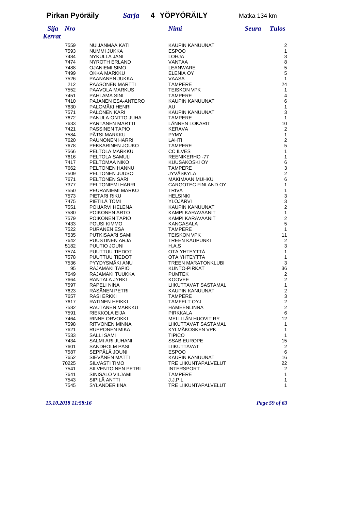### **Pirkan Pyöräily** *Sarja* **4 YÖPYÖRÄILY** Matka 134 km

| <b>Sija</b>   | <b>Nro</b>   |                                      | Nimi                                | <b>Seura</b> | <b>Tulos</b>                                     |
|---------------|--------------|--------------------------------------|-------------------------------------|--------------|--------------------------------------------------|
| <b>Kerrat</b> |              |                                      |                                     |              |                                                  |
|               | 7559         | NUIJANMAA KATI                       | <b>KAUPIN KANUUNAT</b>              |              | 2                                                |
|               | 7593         | NUMMI JUKKA                          | <b>ESPOO</b>                        |              | 1                                                |
|               | 7484         | NYKULLA JANI                         | LOHJA                               |              | 3                                                |
|               | 7474         | <b>NYROTH ERLAND</b>                 | VANTAA                              |              | 8                                                |
|               | 7488         | <b>OJANIEMI SIMO</b>                 | LEANWARE                            |              | $\frac{5}{5}$                                    |
|               | 7499         | OKKA MARKKU                          | <b>ELENIA OY</b>                    |              |                                                  |
|               | 7526         | PAANANEN JUKKA                       | <b>VAASA</b>                        |              | 1                                                |
|               | 212          | <b>PAASONEN MARTTI</b>               | <b>TAMPERE</b>                      |              | 24                                               |
|               | 7552         | PAAVOLA MARKUS                       | <b>TEISKON VPK</b>                  |              | 1                                                |
|               | 7451         | PAHLAMA SINI                         | <b>TAMPERE</b>                      |              | 4                                                |
|               | 7410<br>7630 | PAJANEN ESA-ANTERO<br>PALOMÄKI HENRI | KAUPIN KANUUNAT<br>AU               |              | 6<br>1                                           |
|               | 7571         | PALONEN KARI                         | KAUPIN KANUUNAT                     |              | 3                                                |
|               | 7672         | PANULA-ONTTO JUHA                    | <b>TAMPERE</b>                      |              | 1                                                |
|               | 7633         | PARTANEN MARTTI                      | LÄNNEN LOKARIT                      |              | 10                                               |
|               | 7421         | <b>PASSINEN TAPIO</b>                | <b>KERAVA</b>                       |              | 2                                                |
|               | 7584         | <b>PATSI MARKKU</b>                  | <b>PYMY</b>                         |              | 1                                                |
|               | 7620         | <b>PAUNONEN HARRI</b>                | LAHTI                               |              | $\overline{\mathbf{c}}$                          |
|               | 7678         | PEKKARINEN JOUKO                     | <b>TAMPERE</b>                      |              | 5                                                |
|               | 7566         | PELTOLA MARKKU                       | <b>CC ILVES</b>                     |              | $\mathbf{1}$                                     |
|               | 7616         | PELTOLA SAMULI                       | <b>REENIKERHO-77</b>                |              | 1                                                |
|               | 7417         | PELTOMAA NIKO                        | KUUSAKOSKI OY                       |              |                                                  |
|               | 7662         | PELTONEN HANNU                       | <b>TAMPERE</b>                      |              | 6<br>3<br>2<br>6                                 |
|               | 7509         | PELTONEN JUUSO                       | <b>JYVÄSKYLÄ</b>                    |              |                                                  |
|               | 7671         | <b>PELTONEN SARI</b>                 | MÄKIMAAN MUHKU                      |              |                                                  |
|               | 7377         | PELTONIEMI HARRI                     | CARGOTEC FINLAND OY                 |              | 1                                                |
|               | 7550         | PEURANIEMI MARKO                     | <b>TRIVA</b>                        |              | 1                                                |
|               | 7573         | PIETARI RIKU                         | <b>HELSINKI</b>                     |              |                                                  |
|               | 7475         | PIETILÄ TOMI                         | YLÖJÄRVI                            |              | $\begin{array}{c}\n 3 \\  2 \\  1\n \end{array}$ |
|               | 7551<br>7580 | POIJARVI HELENA<br>POIKONEN ARTO     | KAUPIN KANUUNAT<br>KAMPI KARAVAANIT |              |                                                  |
|               | 7579         | POIKONEN TAPIO                       | KAMPI KARAVAANIT                    |              |                                                  |
|               | 7433         | POUSI KIMMO                          | KANGASALA                           |              | $\frac{2}{5}$                                    |
|               | 7522         | <b>PURANEN ESA</b>                   | <b>TAMPERE</b>                      |              | 1                                                |
|               | 7535         | PUTKISAARI SAMI                      | <b>TEISKON VPK</b>                  |              | 11                                               |
|               | 7642         | PUUSTINEN ARJA                       | <b>TREEN KAUPUNKI</b>               |              |                                                  |
|               | 5182         | PUUTIO JOUNI                         | H.A.S                               |              | $\frac{2}{3}$                                    |
|               | 7574         | PUUTTUU TIEDOT                       | OTA YHTEYTTÄ                        |              | 1                                                |
|               | 7578         | PUUTTUU TIEDOT                       | OTA YHTEYTTA                        |              | 1                                                |
|               | 7536         | PYYDYSMÄKI ANU                       | <b>TREEN MARATONKLUBI</b>           |              | 3                                                |
|               | 95           | RAJAMÄKI TAPIO                       | KUNTO-PIRKAT                        |              | 36                                               |
|               | 7649         | RAJAMÄKI TUUKKA                      | <b>PUMTEK</b>                       |              | $\frac{2}{2}$                                    |
|               | 7664         | RANTALA JYRKI                        | <b>KOOVEE</b>                       |              |                                                  |
|               | 7597         | RAPELI NINA                          | LIIKUTTAVAT SASTAMAL                |              | 1                                                |
|               | 7623         | RÄSÄNEN PETRI                        | KAUPIN KANUUNAT                     |              | $\overline{a}$                                   |
|               | 7657         | RASI ERKKI<br>RATINEN HEIKKI         | TAMPERE<br>TAMFELT OYJ              |              | 3                                                |
|               | 7617<br>7582 | <b>RAUTANEN MARKKU</b>               | HÄMEENLINNA                         |              | $\overline{\mathbf{c}}$<br>$\overline{c}$        |
|               | 7591         | RIEKKOLA EIJA                        | PIRKKALA                            |              | 6                                                |
|               | 7464         | RINNE ORVOKKI                        | MELLILÄN HUOVIT RY                  |              | 12                                               |
|               | 7598         | RITVONEN MINNA                       | LIIKUTTAVAT SASTAMAL                |              | 1                                                |
|               | 7621         | <b>RUPPONEN MIKA</b>                 | KYLMÄKOSKEN VPK                     |              | 1                                                |
|               | 7533         | <b>SALLI SAMI</b>                    | <b>TIPICO</b>                       |              | 1                                                |
|               | 7434         | SALMI ARI JUHANI                     | <b>SSAB EUROPE</b>                  |              | 15                                               |
|               | 7601         | SANDHOLM PASI                        | LIIKUTTAVAT                         |              | $\overline{\mathbf{c}}$                          |
|               | 7587         | SEPPÄLÄ JOUNI                        | <b>ESPOO</b>                        |              | 6                                                |
|               | 7652         | SIEVÄNEN MATTI                       | KAUPIN KANUUNAT                     |              | 16                                               |
|               | 70225        | SILVASTI TIMO                        | TRE LIIKUNTAPALVELUT                |              | 22                                               |
|               | 7541         | <b>SILVENTOINEN PETRI</b>            | <b>INTERSPORT</b>                   |              | 2                                                |
|               | 7641         | SINISALO VILJAMI                     | <b>TAMPERE</b>                      |              | 1                                                |
|               | 7543         | SIPILÄ ANTTI                         | J.J.P.L                             |              | 1                                                |

SYLANDER IINA TRE LIIKUNTAPALVELUT 1

#### *15.10.2018 11:58:16 Page 59 of 63*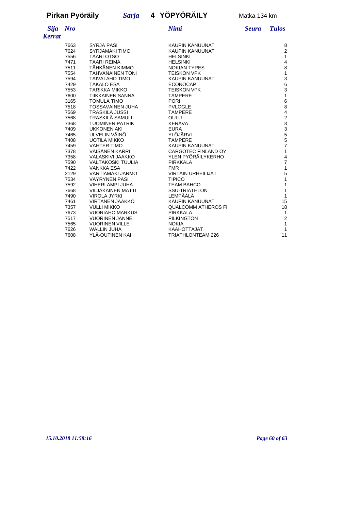# **Pirkan Pyöräily** *Sarja* **4 YÖPYÖRÄILY** Matka 134 km

#### *Sija Nro Nimi Seura Tulos Kerrat*

| 7663 | SYRJÄ PASI               | KAUPIN KANUUNAT            | 8                                     |
|------|--------------------------|----------------------------|---------------------------------------|
| 7624 | SYRJÄMÄKI TIMO           | KAUPIN KANUUNAT            | $\overline{\mathbf{c}}$               |
| 7556 | <b>TAARI OTSO</b>        | <b>HELSINKI</b>            | 1                                     |
| 7471 | <b>TAARI REIMA</b>       | <b>HELSINKI</b>            | 4                                     |
| 7511 | TÄHKÄNEN KIMMO           | <b>NOKIAN TYRES</b>        |                                       |
| 7554 | <b>TAHVANAINEN TONI</b>  | <b>TEISKON VPK</b>         | $\begin{array}{c} 8 \\ 1 \end{array}$ |
| 7594 | <b>TAIVALAHO TIMO</b>    | <b>KAUPIN KANUUNAT</b>     | 3                                     |
| 7429 | <b>TAKALO ESA</b>        | <b>ECONOCAP</b>            | 6                                     |
| 7553 | TARIKKA MIKKO            | <b>TEISKON VPK</b>         |                                       |
| 7600 | <b>TIIKKAINEN SANNA</b>  | <b>TAMPERE</b>             | $\frac{3}{1}$                         |
| 3165 | <b>TOMULA TIMO</b>       | <b>PORI</b>                | $\epsilon$                            |
| 7518 | <b>TOSSAVAINEN JUHA</b>  | <b>PVLOGLE</b>             | 8                                     |
| 7569 | TRÄSKILÄ JUSSI           | <b>TAMPERE</b>             | 4                                     |
| 7568 | TRÄSKILÄ SAMULI          | OULU                       |                                       |
| 7368 | <b>TUOMINEN PATRIK</b>   | <b>KERAVA</b>              |                                       |
| 7409 | <b>UKKONEN AKI</b>       | <b>EURA</b>                | 2<br>3<br>3<br>5<br>5<br>5<br>5<br>7  |
| 7465 | ULVELIN VÄINÖ            | YLÖJÄRVI                   |                                       |
| 7408 | <b>UOTILA MIKKO</b>      | <b>TAMPERE</b>             |                                       |
| 7459 | <b>VAHTER TIMO</b>       | KAUPIN KANUUNAT            |                                       |
| 7378 | VÄISÄNEN KARRI           | CARGOTEC FINLAND OY        | $\overline{\mathbf{1}}$               |
| 7358 | VALASKIVI JAAKKO         | YLEN PYÖRÄILYKERHO         |                                       |
| 7590 | <b>VALTAKOSKI TUULIA</b> | PIRKKALA                   | $\frac{4}{7}$                         |
| 7422 | <b>VANKKA ESA</b>        | <b>FMR</b>                 | 1                                     |
| 2129 | VARTIAMÄKI JARMO         | <b>VIRTAIN URHEILIJAT</b>  |                                       |
| 7534 | VÄYRYNEN PASI            | <b>TIPICO</b>              | $\frac{5}{1}$                         |
| 7592 | VIHERLAMPI JUHA          | <b>TEAM BAHCO</b>          | 1                                     |
| 7668 | <b>VILJAKAINEN MATTI</b> | <b>SSU-TRIATHLON</b>       | $\overline{1}$                        |
| 7490 | <b>VIROLA JYRKI</b>      | LEMPÄÄLÄ                   | $\overline{1}$                        |
| 7461 | <b>VIRTANEN JAAKKO</b>   | KAUPIN KANUUNAT            | 15                                    |
| 7357 | <b>VULLI MIKKO</b>       | <b>QUALCOMM ATHEROS FI</b> | 18                                    |
| 7673 | <b>VUORIAHO MARKUS</b>   | <b>PIRKKALA</b>            | 1                                     |
| 7517 | <b>VUORINEN JANNE</b>    | <b>PILKINGTON</b>          |                                       |
| 7565 | <b>VUORINEN VILLE</b>    | <b>NOKIA</b>               | $\begin{array}{c} 2 \\ 1 \end{array}$ |
| 7626 | <b>WALLIN JUHA</b>       | KAAHOTTAJAT                | $\overline{1}$                        |
| 7608 | YLÄ-OUTINEN KAI          | <b>TRIATHLONTEAM 226</b>   | 11                                    |

*15.10.2018 11:58:16 Page 60 of 63*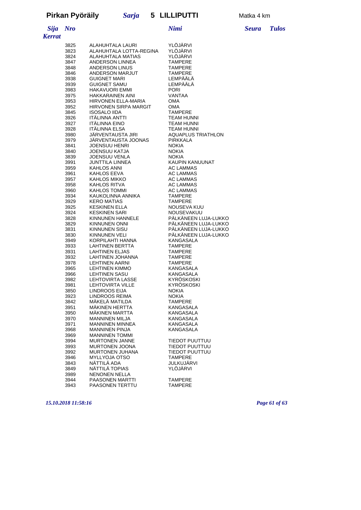*Sija Nro Nimi Seura Tulos*

| <b>Kerrat</b> |              |                                                  |                                                                                        |
|---------------|--------------|--------------------------------------------------|----------------------------------------------------------------------------------------|
|               | 3825         | ALAHUHTALA LAURI                                 | YLÖJÄRVI                                                                               |
|               | 3823         | ALAHUHTALA LOTTA-REGINA                          | YLÖJÄRVI                                                                               |
|               | 3824         | ALAHUHTALA MATIAS                                | YLÖJÄRVI                                                                               |
|               | 3847         | ANDERSON LINNEA                                  | <b>TAMPERE</b>                                                                         |
|               | 3848         | ANDERSON LINUS                                   | <b>TAMPERE</b>                                                                         |
|               | 3846         | ANDERSON MARJUT                                  | <b>TAMPERE</b>                                                                         |
|               | 3938         | GUIGNET MARI<br>GUIGNET SAMU<br>HAKAVUORI EMMI   | LEMPÄÄLÄ                                                                               |
|               | 3939<br>3983 |                                                  | LEMPÄÄLÄ<br>PORI                                                                       |
|               | 3975         | <b>HAKKARAINEN AINI</b>                          | VANTAA                                                                                 |
|               | 3953         | HIRVONEN ELLA-MARIA                              | <b>OMA</b>                                                                             |
|               | 3952         | HIRVONEN SIRPA MARGIT                            | <b>OMA</b>                                                                             |
|               | 3845         | <b>ISOSALO IIDA</b>                              |                                                                                        |
|               | 3926         | ITÄLINNA ANTTI<br>ITÄLINNA EINO<br>ITÄLINNA ELSA | '<br>TEAM HUNNI<br>TEAM HUNNI<br>TEAM HUNNI<br>AQUAPLUS TRIATHLON<br>PIRKKALA<br>NOKIA |
|               | 3927         |                                                  |                                                                                        |
|               | 3928         |                                                  |                                                                                        |
|               | 3980         | JÄRVENTAUSTA JIRI<br>JÄRVENTAUSTA JOONAS         |                                                                                        |
|               | 3979         |                                                  |                                                                                        |
|               | 3841<br>3840 | <b>JOENSUU HENRI</b><br>JOENSUU KATJA            |                                                                                        |
|               | 3839         | JOENSUU VENLA                                    |                                                                                        |
|               | 3991         |                                                  | KAUPIN KANUUNAT                                                                        |
|               | 3959         | JUNTTILA LINNEA<br>KAHLOS ANNI                   | AC LAMMAS                                                                              |
|               | 3961         | KAHLOS EEVA                                      | AC LAMMAS                                                                              |
|               | 3957         | KAHLOS MIKKO                                     | AC LAMMAS                                                                              |
|               | 3958         | KAHLOS RITVA                                     | AC LAMMAS                                                                              |
|               | 3960         | KAHLOS TOMMI                                     | AC LAMMAS                                                                              |
|               | 3934         | KALILOO TOI<br>KAUKOLINNA ANNIKA                 | <b>TAMPERE</b>                                                                         |
|               | 3929         | <b>KERO MATIAS</b>                               | <b>TAMPERE</b><br>NOUSEVA KUU                                                          |
|               | 3925<br>3924 | KESKINEN ELLA<br>KESKINEN SARI<br>KINNU WELL     | NOUSEVAKUU                                                                             |
|               | 3828         | KINNUNEN HANNELE                                 | PÄLKÄNEEN LUJA-LUKKO                                                                   |
|               | 3829         | <b>KINNUNEN ONNI</b>                             | PÄLKÄNEEN LUJA-LUKKO                                                                   |
|               | 3831         | KINNUNEN SISU                                    | PÄLKÄNEEN LUJA-LUKKO                                                                   |
|               | 3830         | KINNUNEN VELI                                    | PÄLKÄNEEN LUJA-LUKKO                                                                   |
|               | 3949         | KINNUNEN VELI<br>KORPILAHTI HANNA                | KANGASALA                                                                              |
|               | 3933         | LAHTINEN BERTTA                                  | <b>TAMPERE</b>                                                                         |
|               | 3931         | <b>LAHTINEN ELJAS</b>                            | <b>TAMPERE</b>                                                                         |
|               | 3932         | LAHTINEN JOHANNA<br><b>LEHTINEN AARNI</b>        | <b>TAMPERE</b><br><b>TAMPERE</b>                                                       |
|               | 3978<br>3965 | <b>LEHTINEN KIMMO</b>                            | KANGASALA                                                                              |
|               | 3966         | <b>LEHTINEN SASU</b>                             | KANGASALA                                                                              |
|               | 3982         |                                                  | KYRÖSKOSKI                                                                             |
|               | 3981         | LEHTOVIRTA LASSE<br>LEHTOVIRTA VILLE             | KYRÖSKOSKI                                                                             |
|               | 3850         | LINDROOS EIJA                                    | <b>NOKIA</b>                                                                           |
|               | 3923         | LINDROOS REIMA                                   | <b>NOKIA</b>                                                                           |
|               | 3842         | MÄKELÄ MATILDA                                   | <b>TAMPERE</b>                                                                         |
|               | 3951         | MÄKINEN HERTTA                                   | <b>KANGASALA</b>                                                                       |
|               | 3950<br>3970 | MÄKINEN MARTTA<br><b>MANNINEN MILJA</b>          | KANGASALA<br>KANGASALA                                                                 |
|               | 3971         | <b>MANNINEN MINNEA</b>                           | KANGASALA                                                                              |
|               | 3968         | <b>MANNINEN PINJA</b>                            | KANGASALA                                                                              |
|               | 3969         | <b>MANNINEN TOMMI</b>                            |                                                                                        |
|               | 3994         | <b>MURTONEN JANNE</b>                            | TIEDOT PUUTTUU                                                                         |
|               | 3993         | <b>MURTONEN JOONA</b>                            | TIEDOT PUUTTUU                                                                         |
|               | 3992         | MURTONEN JUHANA                                  | TIEDOT PUUTTUU                                                                         |
|               | 3946         | <b>MYLLYOJA OTSO</b>                             | <b>TAMPERE</b>                                                                         |
|               | 3843         | NÄTTILÄ ADA                                      | <b>JULKUJÄRVI</b>                                                                      |
|               | 3849         | NÄTTILÄ TOPIAS                                   | YLÖJÄRVI                                                                               |
|               | 3989         | <b>NENONEN NELLA</b><br>PAASONEN MARTTI          | <b>TAMPERE</b>                                                                         |
|               | 3944<br>3943 | PAASONEN TERTTU                                  | <b>TAMPERE</b>                                                                         |
|               |              |                                                  |                                                                                        |

*15.10.2018 11:58:16 Page 61 of 63*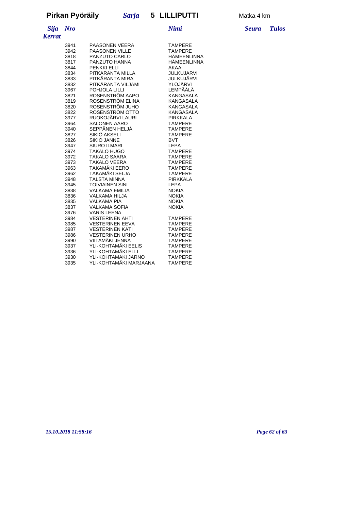# *Kerrat*

| 3941 | PAASONEN VEERA                       | <b>TAMPERE</b>  |  |  |
|------|--------------------------------------|-----------------|--|--|
| 3942 | <b>PAASONEN VILLE</b>                | <b>TAMPFRF</b>  |  |  |
| 3818 | PANZUTO CARLO                        | HÄMEENLINNA     |  |  |
| 3817 | PANZUTO HANNA                        | HÄMEENLINNA     |  |  |
| 3844 | <b>PENKKI ELLI</b>                   | AKAA            |  |  |
| 3834 | PITKÄRANTA MILLA                     | JULKUJÄRVI      |  |  |
| 3833 | PITKÄRANTA MIRA                      | JULKUJÄRVI      |  |  |
| 3832 | PITKÄRANTA VILJAMI                   | YLÖJÄRVI        |  |  |
| 3967 | POHJOLA LILLI                        | LEMPÄÄLÄ        |  |  |
| 3821 | ROSENSTRÖM AAPO                      | KANGASALA       |  |  |
| 3819 | ROSENSTRÖM ELINA<br><b>KANGASALA</b> |                 |  |  |
| 3820 | ROSENSTRÖM JUHO<br><b>KANGASALA</b>  |                 |  |  |
| 3822 | ROSENSTRÖM OTTO<br>KANGASALA         |                 |  |  |
| 3977 | RUOKOJÄRVI LAURI                     | <b>PIRKKALA</b> |  |  |
| 3964 | <b>SALONEN AARO</b>                  | <b>TAMPERE</b>  |  |  |
| 3940 | SEPPÄNEN HELJÄ                       | <b>TAMPERE</b>  |  |  |
| 3827 | SIKIÖ AKSELI                         | <b>TAMPERE</b>  |  |  |
| 3826 | SIKIÖ JANNE                          | <b>BVT</b>      |  |  |
| 3947 | <b>SIURO ILMARI</b>                  | LEPA            |  |  |
| 3974 | <b>TAKALO HUGO</b>                   | <b>TAMPERE</b>  |  |  |
| 3972 | <b>TAKALO SAARA</b>                  | <b>TAMPERE</b>  |  |  |
| 3973 | <b>TAKALO VEERA</b>                  | <b>TAMPERE</b>  |  |  |
| 3963 | TAKAMÄKI EERO                        | <b>TAMPERE</b>  |  |  |
| 3962 | TAKAMÄKI SELJA                       | <b>TAMPERE</b>  |  |  |
| 3948 | <b>TALSTA MINNA</b>                  | <b>PIRKKALA</b> |  |  |
| 3945 | <b>TOIVIAINEN SINI</b>               | <b>LEPA</b>     |  |  |
| 3838 | <b>VALKAMA EMILIA</b>                | <b>NOKIA</b>    |  |  |
| 3836 | <b>VALKAMA HILJA</b>                 | <b>NOKIA</b>    |  |  |
| 3835 | <b>VALKAMA PIA</b>                   | <b>NOKIA</b>    |  |  |
| 3837 | <b>VALKAMA SOFIA</b>                 | <b>NOKIA</b>    |  |  |
| 3976 | <b>VARIS LEENA</b>                   |                 |  |  |
| 3984 | <b>VESTERINEN AHTI</b>               | <b>TAMPERE</b>  |  |  |
| 3985 | <b>VESTERINEN EEVA</b>               | <b>TAMPERE</b>  |  |  |
| 3987 | <b>VESTERINEN KATI</b>               | <b>TAMPERE</b>  |  |  |
| 3986 | <b>VESTERINEN URHO</b>               | <b>TAMPERE</b>  |  |  |
| 3990 | VIITAMÄKI JENNA                      | <b>TAMPERE</b>  |  |  |
| 3937 | YLI-KOHTAMÄKI EELIS                  | <b>TAMPERE</b>  |  |  |
| 3936 | YLI-KOHTAMÄKI ELLI                   | <b>TAMPERE</b>  |  |  |
| 3930 | YLI-KOHTAMÄKI JARNO                  | <b>TAMPERE</b>  |  |  |
| 3935 | YLI-KOHTAMÄKI MARJAANA               | <b>TAMPERE</b>  |  |  |

*Sija Nro Nimi Seura Tulos*

*15.10.2018 11:58:16 Page 62 of 63*